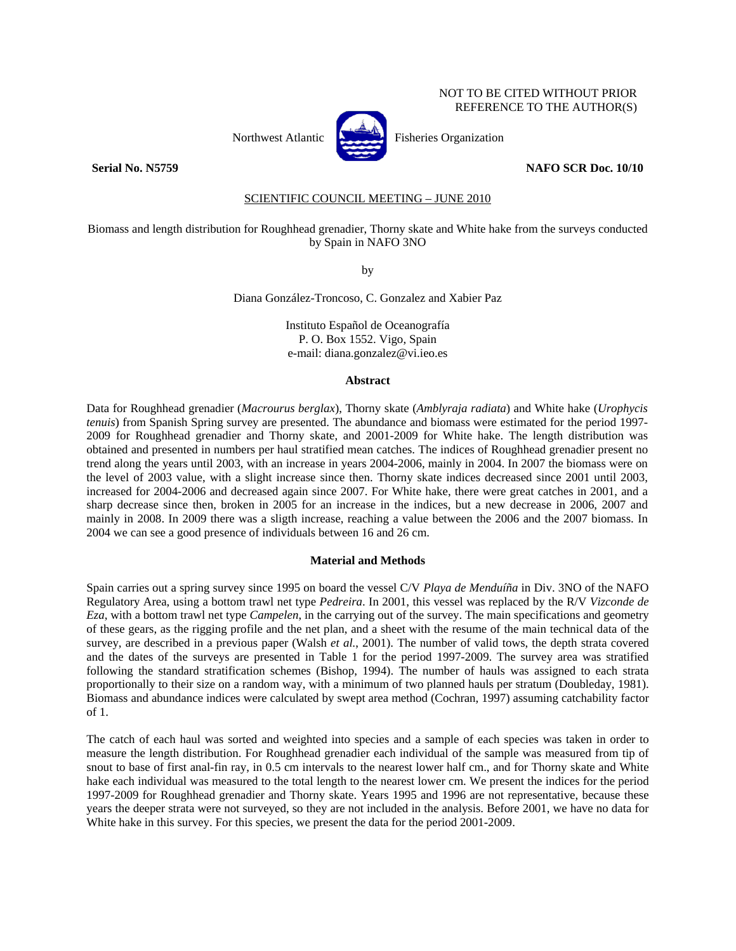## NOT TO BE CITED WITHOUT PRIOR REFERENCE TO THE AUTHOR(S)



Northwest Atlantic **Northusian** Fisheries Organization

#### **Serial No. N5759 NAFO SCR Doc. 10/10**

### SCIENTIFIC COUNCIL MEETING – JUNE 2010

#### Biomass and length distribution for Roughhead grenadier, Thorny skate and White hake from the surveys conducted by Spain in NAFO 3NO

by

Diana González-Troncoso, C. Gonzalez and Xabier Paz

Instituto Español de Oceanografía P. O. Box 1552. Vigo, Spain e-mail: diana.gonzalez@vi.ieo.es

#### **Abstract**

Data for Roughhead grenadier (*Macrourus berglax*), Thorny skate (*Amblyraja radiata*) and White hake (*Urophycis tenuis*) from Spanish Spring survey are presented. The abundance and biomass were estimated for the period 1997- 2009 for Roughhead grenadier and Thorny skate, and 2001-2009 for White hake. The length distribution was obtained and presented in numbers per haul stratified mean catches. The indices of Roughhead grenadier present no trend along the years until 2003, with an increase in years 2004-2006, mainly in 2004. In 2007 the biomass were on the level of 2003 value, with a slight increase since then. Thorny skate indices decreased since 2001 until 2003, increased for 2004-2006 and decreased again since 2007. For White hake, there were great catches in 2001, and a sharp decrease since then, broken in 2005 for an increase in the indices, but a new decrease in 2006, 2007 and mainly in 2008. In 2009 there was a sligth increase, reaching a value between the 2006 and the 2007 biomass. In 2004 we can see a good presence of individuals between 16 and 26 cm.

#### **Material and Methods**

Spain carries out a spring survey since 1995 on board the vessel C/V *Playa de Menduíña* in Div. 3NO of the NAFO Regulatory Area, using a bottom trawl net type *Pedreira*. In 2001, this vessel was replaced by the R/V *Vizconde de Eza*, with a bottom trawl net type *Campelen*, in the carrying out of the survey. The main specifications and geometry of these gears, as the rigging profile and the net plan, and a sheet with the resume of the main technical data of the survey, are described in a previous paper (Walsh *et al.*, 2001). The number of valid tows, the depth strata covered and the dates of the surveys are presented in Table 1 for the period 1997-2009. The survey area was stratified following the standard stratification schemes (Bishop, 1994). The number of hauls was assigned to each strata proportionally to their size on a random way, with a minimum of two planned hauls per stratum (Doubleday, 1981). Biomass and abundance indices were calculated by swept area method (Cochran, 1997) assuming catchability factor of 1.

The catch of each haul was sorted and weighted into species and a sample of each species was taken in order to measure the length distribution. For Roughhead grenadier each individual of the sample was measured from tip of snout to base of first anal-fin ray, in 0.5 cm intervals to the nearest lower half cm., and for Thorny skate and White hake each individual was measured to the total length to the nearest lower cm. We present the indices for the period 1997-2009 for Roughhead grenadier and Thorny skate. Years 1995 and 1996 are not representative, because these years the deeper strata were not surveyed, so they are not included in the analysis. Before 2001, we have no data for White hake in this survey. For this species, we present the data for the period 2001-2009.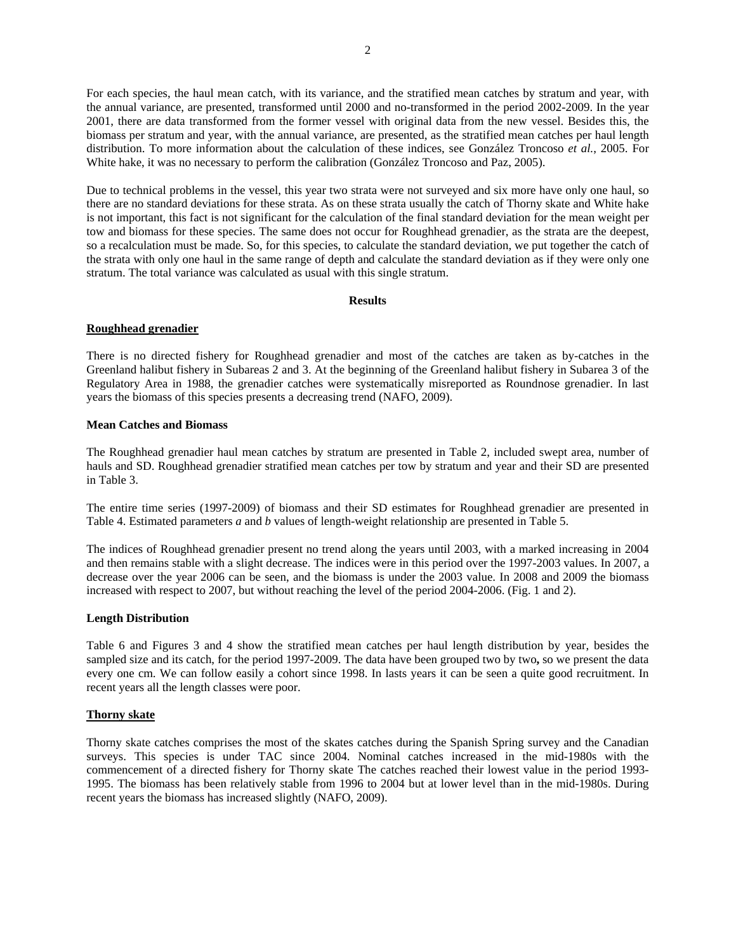For each species, the haul mean catch, with its variance, and the stratified mean catches by stratum and year, with the annual variance, are presented, transformed until 2000 and no-transformed in the period 2002-2009. In the year 2001, there are data transformed from the former vessel with original data from the new vessel. Besides this, the biomass per stratum and year, with the annual variance, are presented, as the stratified mean catches per haul length distribution. To more information about the calculation of these indices, see González Troncoso *et al.*, 2005. For White hake, it was no necessary to perform the calibration (González Troncoso and Paz, 2005).

Due to technical problems in the vessel, this year two strata were not surveyed and six more have only one haul, so there are no standard deviations for these strata. As on these strata usually the catch of Thorny skate and White hake is not important, this fact is not significant for the calculation of the final standard deviation for the mean weight per tow and biomass for these species. The same does not occur for Roughhead grenadier, as the strata are the deepest, so a recalculation must be made. So, for this species, to calculate the standard deviation, we put together the catch of the strata with only one haul in the same range of depth and calculate the standard deviation as if they were only one stratum. The total variance was calculated as usual with this single stratum.

#### **Results**

#### **Roughhead grenadier**

There is no directed fishery for Roughhead grenadier and most of the catches are taken as by-catches in the Greenland halibut fishery in Subareas 2 and 3. At the beginning of the Greenland halibut fishery in Subarea 3 of the Regulatory Area in 1988, the grenadier catches were systematically misreported as Roundnose grenadier. In last years the biomass of this species presents a decreasing trend (NAFO, 2009).

#### **Mean Catches and Biomass**

The Roughhead grenadier haul mean catches by stratum are presented in Table 2, included swept area, number of hauls and SD. Roughhead grenadier stratified mean catches per tow by stratum and year and their SD are presented in Table 3.

The entire time series (1997-2009) of biomass and their SD estimates for Roughhead grenadier are presented in Table 4. Estimated parameters *a* and *b* values of length-weight relationship are presented in Table 5.

The indices of Roughhead grenadier present no trend along the years until 2003, with a marked increasing in 2004 and then remains stable with a slight decrease. The indices were in this period over the 1997-2003 values. In 2007, a decrease over the year 2006 can be seen, and the biomass is under the 2003 value. In 2008 and 2009 the biomass increased with respect to 2007, but without reaching the level of the period 2004-2006. (Fig. 1 and 2).

#### **Length Distribution**

Table 6 and Figures 3 and 4 show the stratified mean catches per haul length distribution by year, besides the sampled size and its catch, for the period 1997-2009. The data have been grouped two by two**,** so we present the data every one cm. We can follow easily a cohort since 1998. In lasts years it can be seen a quite good recruitment. In recent years all the length classes were poor.

### **Thorny skate**

Thorny skate catches comprises the most of the skates catches during the Spanish Spring survey and the Canadian surveys. This species is under TAC since 2004. Nominal catches increased in the mid-1980s with the commencement of a directed fishery for Thorny skate The catches reached their lowest value in the period 1993- 1995. The biomass has been relatively stable from 1996 to 2004 but at lower level than in the mid-1980s. During recent years the biomass has increased slightly (NAFO, 2009).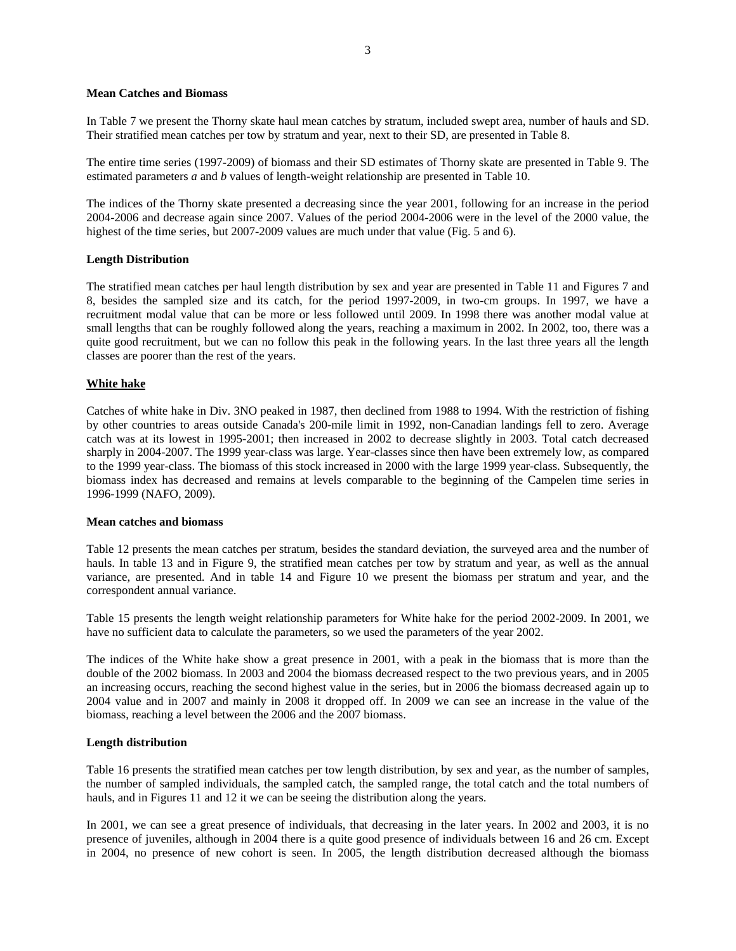#### **Mean Catches and Biomass**

In Table 7 we present the Thorny skate haul mean catches by stratum, included swept area, number of hauls and SD. Their stratified mean catches per tow by stratum and year, next to their SD, are presented in Table 8.

The entire time series (1997-2009) of biomass and their SD estimates of Thorny skate are presented in Table 9. The estimated parameters *a* and *b* values of length-weight relationship are presented in Table 10.

The indices of the Thorny skate presented a decreasing since the year 2001, following for an increase in the period 2004-2006 and decrease again since 2007. Values of the period 2004-2006 were in the level of the 2000 value, the highest of the time series, but 2007-2009 values are much under that value (Fig. 5 and 6).

#### **Length Distribution**

The stratified mean catches per haul length distribution by sex and year are presented in Table 11 and Figures 7 and 8, besides the sampled size and its catch, for the period 1997-2009, in two-cm groups. In 1997, we have a recruitment modal value that can be more or less followed until 2009. In 1998 there was another modal value at small lengths that can be roughly followed along the years, reaching a maximum in 2002. In 2002, too, there was a quite good recruitment, but we can no follow this peak in the following years. In the last three years all the length classes are poorer than the rest of the years.

#### **White hake**

Catches of white hake in Div. 3NO peaked in 1987, then declined from 1988 to 1994. With the restriction of fishing by other countries to areas outside Canada's 200-mile limit in 1992, non-Canadian landings fell to zero. Average catch was at its lowest in 1995-2001; then increased in 2002 to decrease slightly in 2003. Total catch decreased sharply in 2004-2007. The 1999 year-class was large. Year-classes since then have been extremely low, as compared to the 1999 year-class. The biomass of this stock increased in 2000 with the large 1999 year-class. Subsequently, the biomass index has decreased and remains at levels comparable to the beginning of the Campelen time series in 1996-1999 (NAFO, 2009).

#### **Mean catches and biomass**

Table 12 presents the mean catches per stratum, besides the standard deviation, the surveyed area and the number of hauls. In table 13 and in Figure 9, the stratified mean catches per tow by stratum and year, as well as the annual variance, are presented. And in table 14 and Figure 10 we present the biomass per stratum and year, and the correspondent annual variance.

Table 15 presents the length weight relationship parameters for White hake for the period 2002-2009. In 2001, we have no sufficient data to calculate the parameters, so we used the parameters of the year 2002.

The indices of the White hake show a great presence in 2001, with a peak in the biomass that is more than the double of the 2002 biomass. In 2003 and 2004 the biomass decreased respect to the two previous years, and in 2005 an increasing occurs, reaching the second highest value in the series, but in 2006 the biomass decreased again up to 2004 value and in 2007 and mainly in 2008 it dropped off. In 2009 we can see an increase in the value of the biomass, reaching a level between the 2006 and the 2007 biomass.

#### **Length distribution**

Table 16 presents the stratified mean catches per tow length distribution, by sex and year, as the number of samples, the number of sampled individuals, the sampled catch, the sampled range, the total catch and the total numbers of hauls, and in Figures 11 and 12 it we can be seeing the distribution along the years.

In 2001, we can see a great presence of individuals, that decreasing in the later years. In 2002 and 2003, it is no presence of juveniles, although in 2004 there is a quite good presence of individuals between 16 and 26 cm. Except in 2004, no presence of new cohort is seen. In 2005, the length distribution decreased although the biomass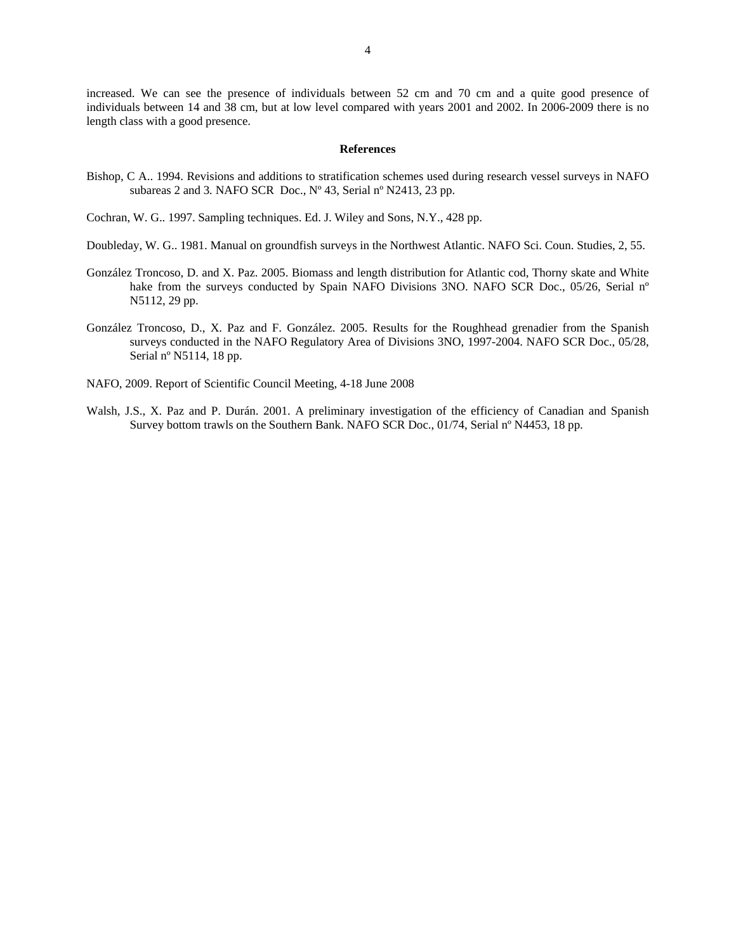increased. We can see the presence of individuals between 52 cm and 70 cm and a quite good presence of individuals between 14 and 38 cm, but at low level compared with years 2001 and 2002. In 2006-2009 there is no length class with a good presence.

#### **References**

- Bishop, C A.. 1994. Revisions and additions to stratification schemes used during research vessel surveys in NAFO subareas 2 and 3*.* NAFO SCR Doc., Nº 43, Serial nº N2413, 23 pp.
- Cochran, W. G.. 1997. Sampling techniques. Ed. J. Wiley and Sons, N.Y., 428 pp.
- Doubleday, W. G.. 1981. Manual on groundfish surveys in the Northwest Atlantic. NAFO Sci. Coun. Studies, 2, 55.
- González Troncoso, D. and X. Paz. 2005. Biomass and length distribution for Atlantic cod, Thorny skate and White hake from the surveys conducted by Spain NAFO Divisions 3NO. NAFO SCR Doc., 05/26, Serial n° N5112, 29 pp.
- González Troncoso, D., X. Paz and F. González. 2005. Results for the Roughhead grenadier from the Spanish surveys conducted in the NAFO Regulatory Area of Divisions 3NO, 1997-2004. NAFO SCR Doc., 05/28, Serial nº N5114, 18 pp.
- NAFO, 2009. Report of Scientific Council Meeting, 4-18 June 2008
- Walsh, J.S., X. Paz and P. Durán. 2001. A preliminary investigation of the efficiency of Canadian and Spanish Survey bottom trawls on the Southern Bank. NAFO SCR Doc., 01/74, Serial nº N4453, 18 pp.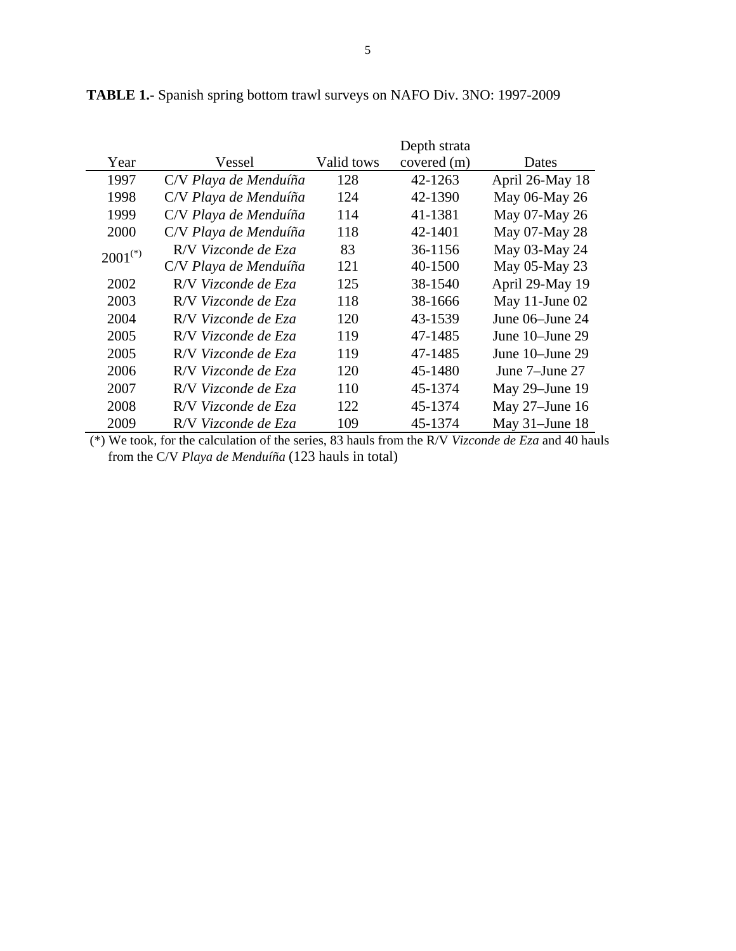|                       |                       |            | Depth strata |                   |
|-----------------------|-----------------------|------------|--------------|-------------------|
| Year                  | Vessel                | Valid tows | covered (m)  | <b>Dates</b>      |
| 1997                  | C/V Playa de Menduíña | 128        | 42-1263      | April 26-May 18   |
| 1998                  | C/V Playa de Menduíña | 124        | 42-1390      | May 06-May 26     |
| 1999                  | C/V Playa de Menduíña | 114        | 41-1381      | May 07-May 26     |
| 2000                  | C/V Playa de Menduíña | 118        | 42-1401      | May 07-May 28     |
| $2001$ <sup>(*)</sup> | R/V Vizconde de Eza   | 83         | 36-1156      | May 03-May 24     |
|                       | C/V Playa de Menduíña | 121        | 40-1500      | May 05-May 23     |
| 2002                  | R/V Vizconde de Eza   | 125        | 38-1540      | April 29-May 19   |
| 2003                  | R/V Vizconde de Eza   | 118        | 38-1666      | May 11-June 02    |
| 2004                  | R/V Vizconde de Eza   | 120        | 43-1539      | June 06–June 24   |
| 2005                  | R/V Vizconde de Eza   | 119        | 47-1485      | June 10–June 29   |
| 2005                  | R/V Vizconde de Eza   | 119        | 47-1485      | June 10-June 29   |
| 2006                  | R/V Vizconde de Eza   | 120        | 45-1480      | June 7–June 27    |
| 2007                  | R/V Vizconde de Eza   | 110        | 45-1374      | May 29-June 19    |
| 2008                  | R/V Vizconde de Eza   | 122        | 45-1374      | May 27-June 16    |
| 2009                  | R/V Vizconde de Eza   | 109        | 45-1374      | May $31$ -June 18 |

**TABLE 1.-** Spanish spring bottom trawl surveys on NAFO Div. 3NO: 1997-2009

 (\*) We took, for the calculation of the series, 83 hauls from the R/V *Vizconde de Eza* and 40 hauls from the C/V *Playa de Menduíña* (123 hauls in total)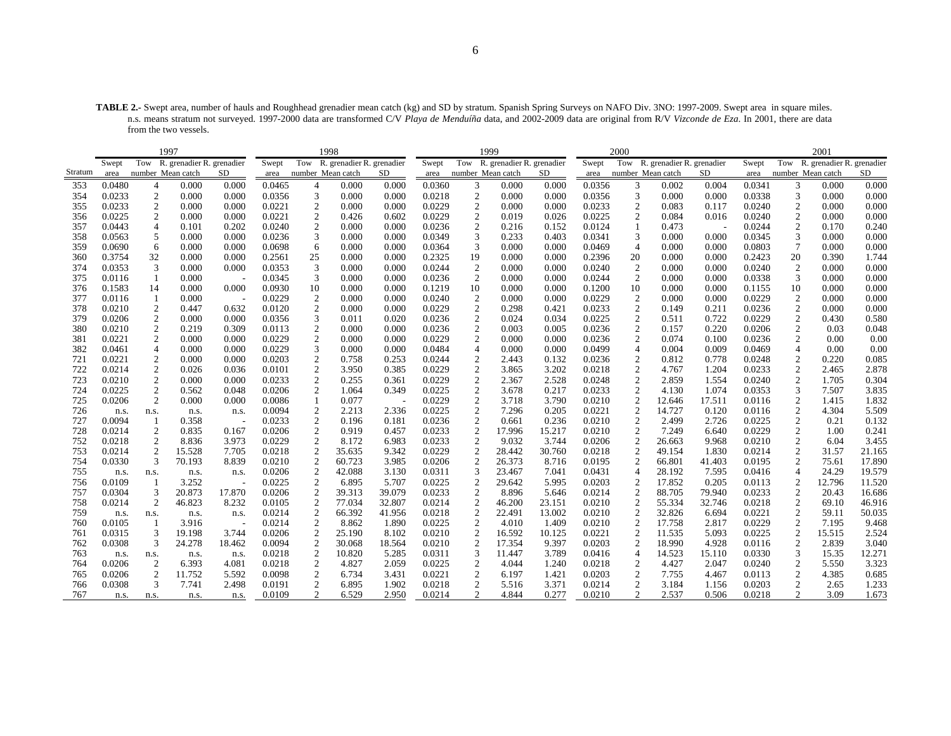**TABLE 2.-** Swept area, number of hauls and Roughhead grenadier mean catch (kg) and SD by stratum. Spanish Spring Surveys on NAFO Div. 3NO: 1997-2009. Swept area in square miles. n.s. means stratum not surveyed. 1997-2000 data are transformed C/V *Playa de Menduíña* data, and 2002-2009 data are original from R/V *Vizconde de Eza*. In 2001, there are data from the two vessels.

|         |        |                   | 1997                          |        |        |                  | 1998                          |        |        |                  | 1999                      |        |        | 2000              |                           |           |        |                   | 2001                      |        |
|---------|--------|-------------------|-------------------------------|--------|--------|------------------|-------------------------------|--------|--------|------------------|---------------------------|--------|--------|-------------------|---------------------------|-----------|--------|-------------------|---------------------------|--------|
|         | Swept  |                   | Tow R. grenadier R. grenadier |        | Swept  |                  | Tow R. grenadier R. grenadier |        | Swept  | Tow              | R. grenadier R. grenadier |        | Swept  | Tow               | R. grenadier R. grenadier |           | Swept  | Tow               | R. grenadier R. grenadier |        |
| Stratum | area   | number Mean catch |                               | SD     | area   |                  | number Mean catch             | SD     | area   |                  | number Mean catch         | SD     | area   | number Mean catch |                           | <b>SD</b> | area   | number Mean catch |                           | SD     |
| 353     | 0.0480 | $\overline{4}$    | 0.000                         | 0.000  | 0.0465 |                  | 0.000                         | 0.000  | 0.0360 | 3                | 0.000                     | 0.000  | 0.0356 | 3                 | 0.002                     | 0.004     | 0.0341 | 3                 | 0.000                     | 0.000  |
| 354     | 0.0233 | $\overline{c}$    | 0.000                         | 0.000  | 0.0356 | 3                | 0.000                         | 0.000  | 0.0218 | $\boldsymbol{2}$ | 0.000                     | 0.000  | 0.0356 | 3                 | 0.000                     | 0.000     | 0.0338 | 3                 | 0.000                     | 0.000  |
| 355     | 0.0233 | $\boldsymbol{2}$  | 0.000                         | 0.000  | 0.0221 | $\overline{c}$   | 0.000                         | 0.000  | 0.0229 | $\boldsymbol{2}$ | 0.000                     | 0.000  | 0.0233 | $\overline{2}$    | 0.083                     | 0.117     | 0.0240 | $\overline{c}$    | 0.000                     | 0.000  |
| 356     | 0.0225 | 2                 | 0.000                         | 0.000  | 0.0221 | 2                | 0.426                         | 0.602  | 0.0229 | 2                | 0.019                     | 0.026  | 0.0225 | $\overline{c}$    | 0.084                     | 0.016     | 0.0240 | $\mathfrak{2}$    | 0.000                     | 0.000  |
| 357     | 0.0443 | $\overline{4}$    | 0.101                         | 0.202  | 0.0240 | $\overline{c}$   | 0.000                         | 0.000  | 0.0236 | $\boldsymbol{2}$ | 0.216                     | 0.152  | 0.0124 |                   | 0.473                     |           | 0.0244 | $\overline{c}$    | 0.170                     | 0.240  |
| 358     | 0.0563 | 5                 | 0.000                         | 0.000  | 0.0236 | 3                | 0.000                         | 0.000  | 0.0349 | 3                | 0.233                     | 0.403  | 0.0341 | 3                 | 0.000                     | 0.000     | 0.0345 | $\mathfrak{Z}$    | 0.000                     | 0.000  |
| 359     | 0.0690 | 6                 | 0.000                         | 0.000  | 0.0698 | 6                | 0.000                         | 0.000  | 0.0364 | 3                | 0.000                     | 0.000  | 0.0469 | $\overline{4}$    | 0.000                     | 0.000     | 0.0803 | 7                 | 0.000                     | 0.000  |
| 360     | 0.3754 | 32                | 0.000                         | 0.000  | 0.2561 | 25               | 0.000                         | 0.000  | 0.2325 | 19               | 0.000                     | 0.000  | 0.2396 | 20                | 0.000                     | 0.000     | 0.2423 | 20                | 0.390                     | 1.744  |
| 374     | 0.0353 | 3                 | 0.000                         | 0.000  | 0.0353 | 3                | 0.000                         | 0.000  | 0.0244 | $\overline{2}$   | 0.000                     | 0.000  | 0.0240 | $\overline{2}$    | 0.000                     | 0.000     | 0.0240 | 2                 | 0.000                     | 0.000  |
| 375     | 0.0116 | 1                 | 0.000                         |        | 0.0345 | 3                | 0.000                         | 0.000  | 0.0236 | $\mathbf{2}$     | 0.000                     | 0.000  | 0.0244 | 2                 | 0.000                     | 0.000     | 0.0338 | 3                 | 0.000                     | 0.000  |
| 376     | 0.1583 | 14                | 0.000                         | 0.000  | 0.0930 | 10               | 0.000                         | 0.000  | 0.1219 | 10               | 0.000                     | 0.000  | 0.1200 | 10                | 0.000                     | 0.000     | 0.1155 | 10                | 0.000                     | 0.000  |
| 377     | 0.0116 | -1                | 0.000                         |        | 0.0229 | $\overline{2}$   | 0.000                         | 0.000  | 0.0240 | $\boldsymbol{2}$ | 0.000                     | 0.000  | 0.0229 | $\overline{2}$    | 0.000                     | 0.000     | 0.0229 | $\overline{c}$    | 0.000                     | 0.000  |
| 378     | 0.0210 | $\overline{2}$    | 0.447                         | 0.632  | 0.0120 | 2                | 0.000                         | 0.000  | 0.0229 | $\mathbf{2}$     | 0.298                     | 0.421  | 0.0233 | 2                 | 0.149                     | 0.211     | 0.0236 | $\overline{c}$    | 0.000                     | 0.000  |
| 379     | 0.0206 | $\overline{2}$    | 0.000                         | 0.000  | 0.0356 | 3                | 0.011                         | 0.020  | 0.0236 | $\overline{2}$   | 0.024                     | 0.034  | 0.0225 | $\overline{c}$    | 0.511                     | 0.722     | 0.0229 | $\mathfrak{2}$    | 0.430                     | 0.580  |
| 380     | 0.0210 | $\overline{c}$    | 0.219                         | 0.309  | 0.0113 | $\boldsymbol{2}$ | 0.000                         | 0.000  | 0.0236 | $\boldsymbol{2}$ | 0.003                     | 0.005  | 0.0236 | $\overline{2}$    | 0.157                     | 0.220     | 0.0206 | $\overline{c}$    | 0.03                      | 0.048  |
| 381     | 0.0221 | $\mathbf{2}$      | 0.000                         | 0.000  | 0.0229 | 2                | 0.000                         | 0.000  | 0.0229 | $\mathbf{2}$     | 0.000                     | 0.000  | 0.0236 | 2                 | 0.074                     | 0.100     | 0.0236 | $\mathfrak{2}$    | 0.00                      | 0.00   |
| 382     | 0.0461 | $\overline{4}$    | 0.000                         | 0.000  | 0.0229 | 3                | 0.000                         | 0.000  | 0.0484 | $\overline{4}$   | 0.000                     | 0.000  | 0.0499 | $\overline{4}$    | 0.004                     | 0.009     | 0.0469 | $\overline{4}$    | 0.00                      | 0.00   |
| 721     | 0.0221 | $\overline{c}$    | 0.000                         | 0.000  | 0.0203 | 2                | 0.758                         | 0.253  | 0.0244 | $\overline{c}$   | 2.443                     | 0.132  | 0.0236 | $\overline{c}$    | 0.812                     | 0.778     | 0.0248 | $\overline{c}$    | 0.220                     | 0.085  |
| 722     | 0.0214 | $\boldsymbol{2}$  | 0.026                         | 0.036  | 0.0101 | $\overline{c}$   | 3.950                         | 0.385  | 0.0229 | $\boldsymbol{2}$ | 3.865                     | 3.202  | 0.0218 | $\overline{2}$    | 4.767                     | 1.204     | 0.0233 | $\overline{c}$    | 2.465                     | 2.878  |
| 723     | 0.0210 | $\boldsymbol{2}$  | 0.000                         | 0.000  | 0.0233 | $\mathfrak{2}$   | 0.255                         | 0.361  | 0.0229 | $\overline{2}$   | 2.367                     | 2.528  | 0.0248 | $\sqrt{2}$        | 2.859                     | 1.554     | 0.0240 | $\sqrt{2}$        | 1.705                     | 0.304  |
| 724     | 0.0225 | $\overline{c}$    | 0.562                         | 0.048  | 0.0206 | 2                | 1.064                         | 0.349  | 0.0225 | $\overline{2}$   | 3.678                     | 0.217  | 0.0233 | $\overline{c}$    | 4.130                     | 1.074     | 0.0353 | 3                 | 7.507                     | 3.835  |
| 725     | 0.0206 | $\boldsymbol{2}$  | 0.000                         | 0.000  | 0.0086 |                  | 0.077                         |        | 0.0229 | $\boldsymbol{2}$ | 3.718                     | 3.790  | 0.0210 | $\overline{c}$    | 12.646                    | 17.511    | 0.0116 | $\overline{c}$    | 1.415                     | 1.832  |
| 726     | n.s.   | n.s.              | n.s.                          | n.s.   | 0.0094 | 2                | 2.213                         | 2.336  | 0.0225 | $\mathfrak{2}$   | 7.296                     | 0.205  | 0.0221 | $\overline{c}$    | 14.727                    | 0.120     | 0.0116 | $\mathfrak{2}$    | 4.304                     | 5.509  |
| 727     | 0.0094 | 1                 | 0.358                         |        | 0.0233 | $\overline{c}$   | 0.196                         | 0.181  | 0.0236 | $\mathfrak{2}$   | 0.661                     | 0.236  | 0.0210 | $\overline{2}$    | 2.499                     | 2.726     | 0.0225 | $\boldsymbol{2}$  | 0.21                      | 0.132  |
| 728     | 0.0214 | $\sqrt{2}$        | 0.835                         | 0.167  | 0.0206 | $\mathfrak{2}$   | 0.919                         | 0.457  | 0.0233 | $\sqrt{2}$       | 17.996                    | 15.217 | 0.0210 | $\overline{2}$    | 7.249                     | 6.640     | 0.0229 | $\sqrt{2}$        | 1.00                      | 0.241  |
| 752     | 0.0218 | 2                 | 8.836                         | 3.973  | 0.0229 | $\overline{c}$   | 8.172                         | 6.983  | 0.0233 | 2                | 9.032                     | 3.744  | 0.0206 | $\overline{2}$    | 26.663                    | 9.968     | 0.0210 | $\mathfrak{2}$    | 6.04                      | 3.455  |
| 753     | 0.0214 | 2                 | 15.528                        | 7.705  | 0.0218 | 2                | 35.635                        | 9.342  | 0.0229 | 2                | 28.442                    | 30.760 | 0.0218 | $\overline{c}$    | 49.154                    | 1.830     | 0.0214 | $\mathfrak{2}$    | 31.57                     | 21.165 |
| 754     | 0.0330 | 3                 | 70.193                        | 8.839  | 0.0210 | $\overline{c}$   | 60.723                        | 3.985  | 0.0206 | $\mathfrak{2}$   | 26.373                    | 8.716  | 0.0195 | $\overline{2}$    | 66.801                    | 41.403    | 0.0195 | $\boldsymbol{2}$  | 75.61                     | 17.890 |
| 755     | n.s.   | n.s.              | n.s.                          | n.s.   | 0.0206 | 2                | 42.088                        | 3.130  | 0.0311 | 3                | 23.467                    | 7.041  | 0.0431 | $\overline{4}$    | 28.192                    | 7.595     | 0.0416 | $\overline{4}$    | 24.29                     | 19.579 |
| 756     | 0.0109 | -1                | 3.252                         |        | 0.0225 | $\boldsymbol{2}$ | 6.895                         | 5.707  | 0.0225 | $\boldsymbol{2}$ | 29.642                    | 5.995  | 0.0203 | $\overline{2}$    | 17.852                    | 0.205     | 0.0113 | $\overline{c}$    | 12.796                    | 11.520 |
| 757     | 0.0304 | 3                 | 20.873                        | 17.870 | 0.0206 | $\boldsymbol{2}$ | 39.313                        | 39.079 | 0.0233 | $\boldsymbol{2}$ | 8.896                     | 5.646  | 0.0214 | $\overline{c}$    | 88.705                    | 79.940    | 0.0233 | $\sqrt{2}$        | 20.43                     | 16.686 |
| 758     | 0.0214 | $\overline{2}$    | 46.823                        | 8.232  | 0.0105 | 2                | 77.034                        | 32.807 | 0.0214 | 2                | 46.200                    | 23.151 | 0.0210 | $\overline{2}$    | 55.334                    | 32.746    | 0.0218 | $\mathfrak{2}$    | 69.10                     | 46.916 |
| 759     | n.s.   | n.s.              | n.s.                          | n.s.   | 0.0214 | 2                | 66.392                        | 41.956 | 0.0218 | $\overline{c}$   | 22.491                    | 13.002 | 0.0210 | $\overline{c}$    | 32.826                    | 6.694     | 0.0221 | $\overline{c}$    | 59.11                     | 50.035 |
| 760     | 0.0105 |                   | 3.916                         |        | 0.0214 | $\boldsymbol{2}$ | 8.862                         | 1.890  | 0.0225 | $\overline{2}$   | 4.010                     | 1.409  | 0.0210 | $\overline{2}$    | 17.758                    | 2.817     | 0.0229 | $\sqrt{2}$        | 7.195                     | 9.468  |
| 761     | 0.0315 | 3                 | 19.198                        | 3.744  | 0.0206 | $\overline{c}$   | 25.190                        | 8.102  | 0.0210 | $\boldsymbol{2}$ | 16.592                    | 10.125 | 0.0221 | $\overline{2}$    | 11.535                    | 5.093     | 0.0225 | $\sqrt{2}$        | 15.515                    | 2.524  |
| 762     | 0.0308 | 3                 | 24.278                        | 18.462 | 0.0094 | $\boldsymbol{2}$ | 30.068                        | 18.564 | 0.0210 | 2                | 17.354                    | 9.397  | 0.0203 | $\overline{2}$    | 18.990                    | 4.928     | 0.0116 | $\overline{c}$    | 2.839                     | 3.040  |
| 763     | n.s.   | n.s.              | n.s.                          | n.s.   | 0.0218 | 2                | 10.820                        | 5.285  | 0.0311 | 3                | 11.447                    | 3.789  | 0.0416 | $\overline{4}$    | 14.523                    | 15.110    | 0.0330 | 3                 | 15.35                     | 12.271 |
| 764     | 0.0206 | $\overline{2}$    | 6.393                         | 4.081  | 0.0218 | 2                | 4.827                         | 2.059  | 0.0225 | $\boldsymbol{2}$ | 4.044                     | 1.240  | 0.0218 | $\overline{2}$    | 4.427                     | 2.047     | 0.0240 | $\overline{c}$    | 5.550                     | 3.323  |
| 765     | 0.0206 | $\overline{2}$    | 11.752                        | 5.592  | 0.0098 | $\overline{c}$   | 6.734                         | 3.431  | 0.0221 | $\overline{2}$   | 6.197                     | 1.421  | 0.0203 | $\overline{2}$    | 7.755                     | 4.467     | 0.0113 | $\mathfrak{2}$    | 4.385                     | 0.685  |
| 766     | 0.0308 | 3                 | 7.741                         | 2.498  | 0.0191 | $\overline{c}$   | 6.895                         | 1.902  | 0.0218 | $\mathfrak{2}$   | 5.516                     | 3.371  | 0.0214 | $\overline{2}$    | 3.184                     | 1.156     | 0.0203 | 2                 | 2.65                      | 1.233  |
| 767     | n.s.   | n.s.              | n.s.                          | n.s.   | 0.0109 | 2                | 6.529                         | 2.950  | 0.0214 | 2                | 4.844                     | 0.277  | 0.0210 | 2                 | 2.537                     | 0.506     | 0.0218 | $\overline{c}$    | 3.09                      | 1.673  |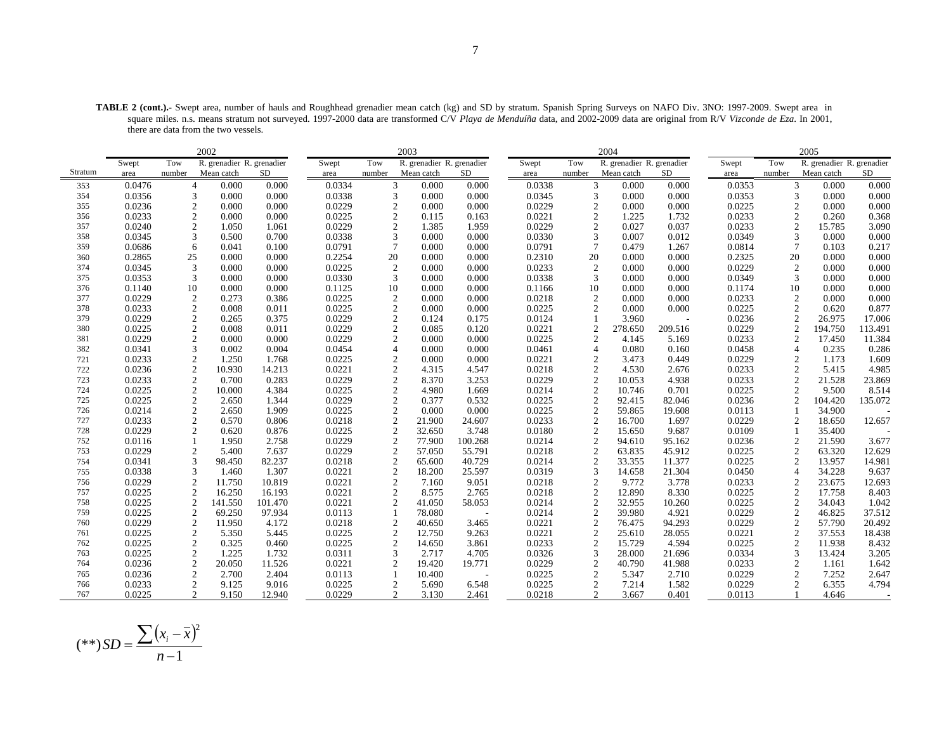**TABLE 2 (cont.).-** Swept area, number of hauls and Roughhead grenadier mean catch (kg) and SD by stratum. Spanish Spring Surveys on NAFO Div. 3NO: 1997-2009. Swept area in square miles. n.s. means stratum not surveyed. 1997-2000 data are transformed C/V *Playa de Menduíña* data, and 2002-2009 data are original from R/V *Vizconde de Eza*. In 2001, there are data from the two vessels.

|         |        |                | 2002                      |           |        |                | 2003                      |         |        |                | 2004                      |         |        |                 | 2005                      |         |
|---------|--------|----------------|---------------------------|-----------|--------|----------------|---------------------------|---------|--------|----------------|---------------------------|---------|--------|-----------------|---------------------------|---------|
|         | Swept  | Tow            | R. grenadier R. grenadier |           | Swept  | Tow            | R. grenadier R. grenadier |         | Swept  | Tow            | R. grenadier R. grenadier |         | Swept  | Tow             | R. grenadier R. grenadier |         |
| Stratum | area   | number         | Mean catch                | <b>SD</b> | area   | number         | Mean catch                | SD      | area   | number         | Mean catch                | SD      | area   | number          | Mean catch                | SD      |
| 353     | 0.0476 | $\overline{4}$ | 0.000                     | 0.000     | 0.0334 | 3              | 0.000                     | 0.000   | 0.0338 |                | 3<br>0.000                | 0.000   | 0.0353 | 3               | 0.000                     | 0.000   |
| 354     | 0.0356 | 3              | 0.000                     | 0.000     | 0.0338 | 3              | 0.000                     | 0.000   | 0.0345 | 3              | 0.000                     | 0.000   | 0.0353 | 3               | 0.000                     | 0.000   |
| 355     | 0.0236 | $\overline{c}$ | 0.000                     | 0.000     | 0.0229 | $\overline{2}$ | 0.000                     | 0.000   | 0.0229 | $\overline{c}$ | 0.000                     | 0.000   | 0.0225 | $\overline{2}$  | 0.000                     | 0.000   |
| 356     | 0.0233 | $\mathfrak{2}$ | 0.000                     | 0.000     | 0.0225 | $\overline{c}$ | 0.115                     | 0.163   | 0.0221 | $\overline{2}$ | 1.225                     | 1.732   | 0.0233 | $\overline{2}$  | 0.260                     | 0.368   |
| 357     | 0.0240 | 2              | 1.050                     | 1.061     | 0.0229 | 2              | 1.385                     | 1.959   | 0.0229 | $\overline{2}$ | 0.027                     | 0.037   | 0.0233 | $\overline{2}$  | 15.785                    | 3.090   |
| 358     | 0.0345 | 3              | 0.500                     | 0.700     | 0.0338 | 3              | 0.000                     | 0.000   | 0.0330 | 3              | 0.007                     | 0.012   | 0.0349 | 3               | 0.000                     | 0.000   |
| 359     | 0.0686 | 6              | 0.041                     | 0.100     | 0.0791 | $\overline{7}$ | 0.000                     | 0.000   | 0.0791 | $\overline{7}$ | 0.479                     | 1.267   | 0.0814 | $7\phantom{.0}$ | 0.103                     | 0.217   |
| 360     | 0.2865 | 25             | 0.000                     | 0.000     | 0.2254 | 20             | 0.000                     | 0.000   | 0.2310 | 20             | 0.000                     | 0.000   | 0.2325 | 20              | 0.000                     | 0.000   |
| 374     | 0.0345 | 3              | 0.000                     | 0.000     | 0.0225 | $\overline{2}$ | 0.000                     | 0.000   | 0.0233 | $\overline{2}$ | 0.000                     | 0.000   | 0.0229 | $\overline{2}$  | 0.000                     | 0.000   |
| 375     | 0.0353 | 3              | 0.000                     | 0.000     | 0.0330 | 3              | 0.000                     | 0.000   | 0.0338 | 3              | 0.000                     | 0.000   | 0.0349 | 3               | 0.000                     | 0.000   |
| 376     | 0.1140 | 10             | 0.000                     | 0.000     | 0.1125 | 10             | 0.000                     | 0.000   | 0.1166 | 10             | 0.000                     | 0.000   | 0.1174 | 10              | 0.000                     | 0.000   |
| 377     | 0.0229 | $\mathfrak{2}$ | 0.273                     | 0.386     | 0.0225 | 2              | 0.000                     | 0.000   | 0.0218 | $\overline{2}$ | 0.000                     | 0.000   | 0.0233 | $\overline{2}$  | 0.000                     | 0.000   |
| 378     | 0.0233 | $\sqrt{2}$     | 0.008                     | 0.011     | 0.0225 | $\overline{2}$ | 0.000                     | 0.000   | 0.0225 | $\mathcal{D}$  | 0.000                     | 0.000   | 0.0225 | $\mathcal{D}$   | 0.620                     | 0.877   |
| 379     | 0.0229 | $\overline{c}$ | 0.265                     | 0.375     | 0.0229 | $\overline{c}$ | 0.124                     | 0.175   | 0.0124 |                | 3.960                     |         | 0.0236 | $\overline{2}$  | 26.975                    | 17.006  |
| 380     | 0.0225 | $\overline{c}$ | 0.008                     | 0.011     | 0.0229 | $\sqrt{2}$     | 0.085                     | 0.120   | 0.0221 | $\overline{2}$ | 278.650                   | 209.516 | 0.0229 | $\overline{2}$  | 194.750                   | 113.491 |
| 381     | 0.0229 | $\mathfrak{2}$ | 0.000                     | 0.000     | 0.0229 | 2              | 0.000                     | 0.000   | 0.0225 | $\mathcal{D}$  | 4.145                     | 5.169   | 0.0233 | $\overline{2}$  | 17.450                    | 11.384  |
| 382     | 0.0341 | 3              | 0.002                     | 0.004     | 0.0454 | $\overline{4}$ | 0.000                     | 0.000   | 0.0461 | $\overline{4}$ | 0.080                     | 0.160   | 0.0458 | $\overline{4}$  | 0.235                     | 0.286   |
| 721     | 0.0233 | $\mathfrak{2}$ | 1.250                     | 1.768     | 0.0225 | $\overline{2}$ | 0.000                     | 0.000   | 0.0221 | $\overline{2}$ | 3.473                     | 0.449   | 0.0229 | $\overline{2}$  | 1.173                     | 1.609   |
| 722     | 0.0236 | $\mathfrak{2}$ | 10.930                    | 14.213    | 0.0221 | $\overline{2}$ | 4.315                     | 4.547   | 0.0218 |                | $\overline{2}$<br>4.530   | 2.676   | 0.0233 | $\overline{2}$  | 5.415                     | 4.985   |
| 723     | 0.0233 | $\mathfrak{2}$ | 0.700                     | 0.283     | 0.0229 | $\overline{2}$ | 8.370                     | 3.253   | 0.0229 |                | 2<br>10.053               | 4.938   | 0.0233 | $\overline{2}$  | 21.528                    | 23.869  |
| 724     | 0.0225 | $\mathfrak{2}$ | 10.000                    | 4.384     | 0.0225 | $\mathfrak{2}$ | 4.980                     | 1.669   | 0.0214 |                | 2<br>10.746               | 0.701   | 0.0225 | 2               | 9.500                     | 8.514   |
| 725     | 0.0225 | $\mathfrak{2}$ | 2.650                     | 1.344     | 0.0229 | $\overline{2}$ | 0.377                     | 0.532   | 0.0225 |                | $\overline{2}$<br>92.415  | 82.046  | 0.0236 | $\overline{2}$  | 104.420                   | 135.072 |
| 726     | 0.0214 | $\overline{c}$ | 2.650                     | 1.909     | 0.0225 | $\overline{c}$ | 0.000                     | 0.000   | 0.0225 | $\overline{2}$ | 59.865                    | 19.608  | 0.0113 |                 | 34.900                    |         |
| 727     | 0.0233 | $\overline{2}$ | 0.570                     | 0.806     | 0.0218 | 2              | 21.900                    | 24.607  | 0.0233 | $\overline{2}$ | 16.700                    | 1.697   | 0.0229 | $\overline{2}$  | 18.650                    | 12.657  |
| 728     | 0.0229 | $\mathfrak{2}$ | 0.620                     | 0.876     | 0.0225 | $\sqrt{2}$     | 32.650                    | 3.748   | 0.0180 | $\overline{c}$ | 15.650                    | 9.687   | 0.0109 |                 | 35.400                    |         |
| 752     | 0.0116 |                | 1.950                     | 2.758     | 0.0229 | $\sqrt{2}$     | 77.900                    | 100.268 | 0.0214 | $\overline{2}$ | 94.610                    | 95.162  | 0.0236 | $\overline{2}$  | 21.590                    | 3.677   |
| 753     | 0.0229 | 2              | 5.400                     | 7.637     | 0.0229 | $\overline{2}$ | 57.050                    | 55.791  | 0.0218 | $\overline{2}$ | 63.835                    | 45.912  | 0.0225 | $\overline{2}$  | 63.320                    | 12.629  |
| 754     | 0.0341 | 3              | 98.450                    | 82.237    | 0.0218 | $\sqrt{2}$     | 65.600                    | 40.729  | 0.0214 | $\overline{2}$ | 33.355                    | 11.377  | 0.0225 | $\overline{2}$  | 13.957                    | 14.981  |
| 755     | 0.0338 | 3              | 1.460                     | 1.307     | 0.0221 | 2              | 18.200                    | 25.597  | 0.0319 | 3              | 14.658                    | 21.304  | 0.0450 | $\overline{4}$  | 34.228                    | 9.637   |
| 756     | 0.0229 | $\mathfrak{2}$ | 11.750                    | 10.819    | 0.0221 | $\mathfrak{2}$ | 7.160                     | 9.051   | 0.0218 | $\overline{2}$ | 9.772                     | 3.778   | 0.0233 | $\overline{2}$  | 23.675                    | 12.693  |
| 757     | 0.0225 | $\mathfrak{2}$ | 16.250                    | 16.193    | 0.0221 | 2              | 8.575                     | 2.765   | 0.0218 |                | $\sqrt{2}$<br>12.890      | 8.330   | 0.0225 | $\overline{2}$  | 17.758                    | 8.403   |
| 758     | 0.0225 | $\mathfrak{2}$ | 141.550                   | 101.470   | 0.0221 | 2              | 41.050                    | 58.053  | 0.0214 | $\overline{2}$ | 32.955                    | 10.260  | 0.0225 | $\overline{2}$  | 34.043                    | 1.042   |
| 759     | 0.0225 | 2              | 69.250                    | 97.934    | 0.0113 | -1             | 78.080                    |         | 0.0214 |                | 2<br>39.980               | 4.921   | 0.0229 | $\overline{2}$  | 46.825                    | 37.512  |
| 760     | 0.0229 | $\mathfrak{2}$ | 11.950                    | 4.172     | 0.0218 | $\sqrt{2}$     | 40.650                    | 3.465   | 0.0221 | $\overline{2}$ | 76.475                    | 94.293  | 0.0229 | $\overline{2}$  | 57.790                    | 20.492  |
| 761     | 0.0225 | $\overline{c}$ | 5.350                     | 5.445     | 0.0225 | $\overline{c}$ | 12.750                    | 9.263   | 0.0221 | $\overline{c}$ | 25.610                    | 28.055  | 0.0221 | $\overline{2}$  | 37.553                    | 18.438  |
| 762     | 0.0225 | $\mathfrak{2}$ | 0.325                     | 0.460     | 0.0225 | 2              | 14.650                    | 3.861   | 0.0233 |                | 2<br>15.729               | 4.594   | 0.0225 | $\overline{2}$  | 11.938                    | 8.432   |
| 763     | 0.0225 | $\sqrt{2}$     | 1.225                     | 1.732     | 0.0311 | 3              | 2.717                     | 4.705   | 0.0326 | 3              | 28.000                    | 21.696  | 0.0334 | 3               | 13.424                    | 3.205   |
| 764     | 0.0236 | $\mathfrak{2}$ | 20.050                    | 11.526    | 0.0221 | $\overline{c}$ | 19.420                    | 19.771  | 0.0229 | $\overline{2}$ | 40.790                    | 41.988  | 0.0233 | $\overline{2}$  | 1.161                     | 1.642   |
| 765     | 0.0236 | $\mathfrak{2}$ | 2.700                     | 2.404     | 0.0113 |                | 10.400                    |         | 0.0225 | $\overline{2}$ | 5.347                     | 2.710   | 0.0229 | $\overline{2}$  | 7.252                     | 2.647   |
| 766     | 0.0233 | $\overline{c}$ | 9.125                     | 9.016     | 0.0225 | $\overline{2}$ | 5.690                     | 6.548   | 0.0225 |                | $\overline{2}$<br>7.214   | 1.582   | 0.0229 | $\overline{2}$  | 6.355                     | 4.794   |
| 767     | 0.0225 | $\mathfrak{D}$ | 9.150                     | 12.940    | 0.0229 | 2              | 3.130                     | 2.461   | 0.0218 |                | $\mathfrak{D}$<br>3.667   | 0.401   | 0.0113 |                 | 4.646                     |         |

$$
(**) SD = \frac{\sum (x_i - \bar{x})^2}{n - 1}
$$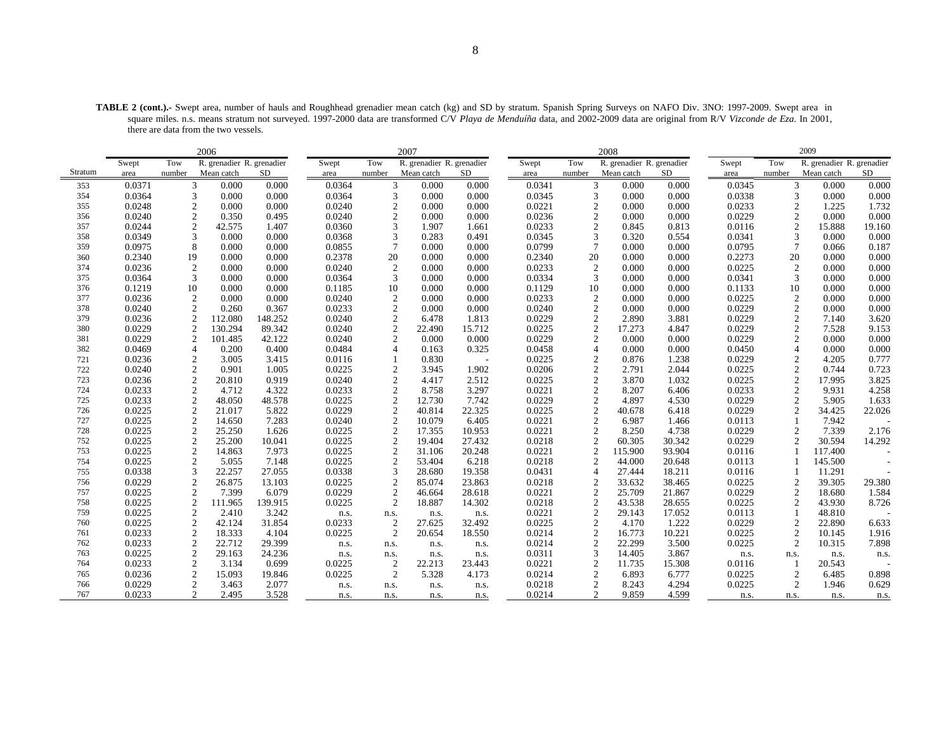**TABLE 2 (cont.).-** Swept area, number of hauls and Roughhead grenadier mean catch (kg) and SD by stratum. Spanish Spring Surveys on NAFO Div. 3NO: 1997-2009. Swept area in square miles. n.s. means stratum not surveyed. 1997-2000 data are transformed C/V *Playa de Menduíña* data, and 2002-2009 data are original from R/V *Vizconde de Eza*. In 2001, there are data from the two vessels.

|         |        |                | 2006                      |         |        |                  | 2007                      |        |        |                 | 2008                      |        |        |                  | 2009                      |        |
|---------|--------|----------------|---------------------------|---------|--------|------------------|---------------------------|--------|--------|-----------------|---------------------------|--------|--------|------------------|---------------------------|--------|
|         | Swept  | Tow            | R. grenadier R. grenadier |         | Swept  | Tow              | R. grenadier R. grenadier |        | Swept  | Tow             | R. grenadier R. grenadier |        | Swept  | Tow              | R. grenadier R. grenadier |        |
| Stratum | area   | number         | Mean catch                | SD      | area   | number           | Mean catch                | SD     | area   | number          | Mean catch                | SD.    | area   | number           | Mean catch                | SD     |
| 353     | 0.0371 | 3              | 0.000                     | 0.000   | 0.0364 | 3                | 0.000                     | 0.000  | 0.0341 | 3               | 0.000                     | 0.000  | 0.0345 | 3                | 0.000                     | 0.000  |
| 354     | 0.0364 | 3              | 0.000                     | 0.000   | 0.0364 | 3                | 0.000                     | 0.000  | 0.0345 | 3               | 0.000                     | 0.000  | 0.0338 | 3                | 0.000                     | 0.000  |
| 355     | 0.0248 | $\mathfrak{2}$ | 0.000                     | 0.000   | 0.0240 | $\overline{c}$   | 0.000                     | 0.000  | 0.0221 | $\overline{2}$  | 0.000                     | 0.000  | 0.0233 | $\mathfrak{2}$   | 1.225                     | 1.732  |
| 356     | 0.0240 | $\overline{c}$ | 0.350                     | 0.495   | 0.0240 | $\overline{2}$   | 0.000                     | 0.000  | 0.0236 | $\overline{2}$  | 0.000                     | 0.000  | 0.0229 | $\overline{c}$   | 0.000                     | 0.000  |
| 357     | 0.0244 | $\overline{c}$ | 42.575                    | 1.407   | 0.0360 | 3                | 1.907                     | 1.661  | 0.0233 | $\overline{2}$  | 0.845                     | 0.813  | 0.0116 | $\overline{c}$   | 15.888                    | 19.160 |
| 358     | 0.0349 | 3              | 0.000                     | 0.000   | 0.0368 | 3                | 0.283                     | 0.491  | 0.0345 | 3               | 0.320                     | 0.554  | 0.0341 | 3                | 0.000                     | 0.000  |
| 359     | 0.0975 | 8              | 0.000                     | 0.000   | 0.0855 | $7\phantom{.0}$  | 0.000                     | 0.000  | 0.0799 | $7\phantom{.0}$ | 0.000                     | 0.000  | 0.0795 | $\overline{7}$   | 0.066                     | 0.187  |
| 360     | 0.2340 | 19             | 0.000                     | 0.000   | 0.2378 | 20               | 0.000                     | 0.000  | 0.2340 | 20              | 0.000                     | 0.000  | 0.2273 | 20               | 0.000                     | 0.000  |
| 374     | 0.0236 | $\overline{2}$ | 0.000                     | 0.000   | 0.0240 | $\overline{c}$   | 0.000                     | 0.000  | 0.0233 | $\overline{2}$  | 0.000                     | 0.000  | 0.0225 | 2                | 0.000                     | 0.000  |
| 375     | 0.0364 | 3              | 0.000                     | 0.000   | 0.0364 | 3                | 0.000                     | 0.000  | 0.0334 | 3               | 0.000                     | 0.000  | 0.0341 | 3                | 0.000                     | 0.000  |
| 376     | 0.1219 | 10             | 0.000                     | 0.000   | 0.1185 | 10               | 0.000                     | 0.000  | 0.1129 | 10              | 0.000                     | 0.000  | 0.1133 | 10               | 0.000                     | 0.000  |
| 377     | 0.0236 | 2              | 0.000                     | 0.000   | 0.0240 | $\overline{c}$   | 0.000                     | 0.000  | 0.0233 | 2               | 0.000                     | 0.000  | 0.0225 | $\boldsymbol{2}$ | 0.000                     | 0.000  |
| 378     | 0.0240 | $\overline{c}$ | 0.260                     | 0.367   | 0.0233 | 2                | 0.000                     | 0.000  | 0.0240 | $\overline{2}$  | 0.000                     | 0.000  | 0.0229 | $\mathfrak{2}$   | 0.000                     | 0.000  |
| 379     | 0.0236 |                | 112.080                   | 148.252 | 0.0240 | $\overline{c}$   | 6.478                     | 1.813  | 0.0229 | $\overline{2}$  | 2.890                     | 3.881  | 0.0229 | $\sqrt{2}$       | 7.140                     | 3.620  |
| 380     | 0.0229 | 2              | 130.294                   | 89.342  | 0.0240 | $\overline{2}$   | 22.490                    | 15.712 | 0.0225 | $\overline{2}$  | 17.273                    | 4.847  | 0.0229 | $\mathfrak{2}$   | 7.528                     | 9.153  |
| 381     | 0.0229 | $\overline{2}$ | 101.485                   | 42.122  | 0.0240 | 2                | 0.000                     | 0.000  | 0.0229 | $\overline{2}$  | 0.000                     | 0.000  | 0.0229 | $\overline{2}$   | 0.000                     | 0.000  |
| 382     | 0.0469 | $\overline{4}$ | 0.200                     | 0.400   | 0.0484 |                  | 0.163                     | 0.325  | 0.0458 | $\overline{4}$  | 0.000                     | 0.000  | 0.0450 | $\overline{4}$   | 0.000                     | 0.000  |
| 721     | 0.0236 | 2              | 3.005                     | 3.415   | 0.0116 |                  | 0.830                     |        | 0.0225 | $\overline{2}$  | 0.876                     | 1.238  | 0.0229 | $\mathfrak{2}$   | 4.205                     | 0.777  |
| 722     | 0.0240 | 2              | 0.901                     | 1.005   | 0.0225 | $\overline{2}$   | 3.945                     | 1.902  | 0.0206 | $\overline{2}$  | 2.791                     | 2.044  | 0.0225 | $\overline{2}$   | 0.744                     | 0.723  |
| 723     | 0.0236 | $\overline{c}$ | 20.810                    | 0.919   | 0.0240 | $\overline{c}$   | 4.417                     | 2.512  | 0.0225 | $\overline{2}$  | 3.870                     | 1.032  | 0.0225 | $\overline{2}$   | 17.995                    | 3.825  |
| 724     | 0.0233 | 2              | 4.712                     | 4.322   | 0.0233 | $\overline{2}$   | 8.758                     | 3.297  | 0.0221 | $\overline{2}$  | 8.207                     | 6.406  | 0.0233 | $\overline{c}$   | 9.931                     | 4.258  |
| 725     | 0.0233 | $\mathfrak{2}$ | 48.050                    | 48.578  | 0.0225 | $\boldsymbol{2}$ | 12.730                    | 7.742  | 0.0229 | $\overline{2}$  | 4.897                     | 4.530  | 0.0229 | $\overline{c}$   | 5.905                     | 1.633  |
| 726     | 0.0225 | $\overline{c}$ | 21.017                    | 5.822   | 0.0229 | $\sqrt{2}$       | 40.814                    | 22.325 | 0.0225 | $\overline{2}$  | 40.678                    | 6.418  | 0.0229 | $\overline{c}$   | 34.425                    | 22.026 |
| 727     | 0.0225 | $\overline{c}$ | 14.650                    | 7.283   | 0.0240 | $\overline{c}$   | 10.079                    | 6.405  | 0.0221 | $\overline{2}$  | 6.987                     | 1.466  | 0.0113 |                  | 7.942                     |        |
| 728     | 0.0225 | $\sqrt{2}$     | 25.250                    | 1.626   | 0.0225 | 2                | 17.355                    | 10.953 | 0.0221 | $\overline{2}$  | 8.250                     | 4.738  | 0.0229 | $\overline{c}$   | 7.339                     | 2.176  |
| 752     | 0.0225 | $\mathfrak{2}$ | 25.200                    | 10.041  | 0.0225 | $\overline{2}$   | 19.404                    | 27.432 | 0.0218 | $\overline{2}$  | 60.305                    | 30.342 | 0.0229 | $\overline{c}$   | 30.594                    | 14.292 |
| 753     | 0.0225 | $\mathfrak{2}$ | 14.863                    | 7.973   | 0.0225 | $\overline{2}$   | 31.106                    | 20.248 | 0.0221 | $\overline{2}$  | 115.900                   | 93.904 | 0.0116 |                  | 117.400                   |        |
| 754     | 0.0225 | $\overline{2}$ | 5.055                     | 7.148   | 0.0225 | $\overline{2}$   | 53.404                    | 6.218  | 0.0218 | $\overline{2}$  | 44.000                    | 20.648 | 0.0113 |                  | 145.500                   |        |
| 755     | 0.0338 | 3              | 22.257                    | 27.055  | 0.0338 | 3                | 28.680                    | 19.358 | 0.0431 | $\overline{4}$  | 27.444                    | 18.211 | 0.0116 |                  | 11.291                    |        |
| 756     | 0.0229 | $\mathfrak{2}$ | 26.875                    | 13.103  | 0.0225 | $\overline{2}$   | 85.074                    | 23.863 | 0.0218 | $\overline{2}$  | 33.632                    | 38.465 | 0.0225 | $\overline{c}$   | 39.305                    | 29.380 |
| 757     | 0.0225 | $\overline{2}$ | 7.399                     | 6.079   | 0.0229 | 2                | 46.664                    | 28.618 | 0.0221 | $\overline{2}$  | 25.709                    | 21.867 | 0.0229 | $\overline{2}$   | 18.680                    | 1.584  |
| 758     | 0.0225 | $\overline{c}$ | 111.965                   | 139.915 | 0.0225 | 2                | 18.887                    | 14.302 | 0.0218 | $\overline{2}$  | 43.538                    | 28.655 | 0.0225 | $\overline{2}$   | 43.930                    | 8.726  |
| 759     | 0.0225 | 2              | 2.410                     | 3.242   | n.s.   | n.s.             | n.s.                      | n.s.   | 0.0221 | $\overline{2}$  | 29.143                    | 17.052 | 0.0113 |                  | 48.810                    |        |
| 760     | 0.0225 | $\mathfrak{2}$ | 42.124                    | 31.854  | 0.0233 | $\overline{2}$   | 27.625                    | 32.492 | 0.0225 | $\overline{2}$  | 4.170                     | 1.222  | 0.0229 | $\mathfrak{2}$   | 22.890                    | 6.633  |
| 761     | 0.0233 | $\overline{2}$ | 18.333                    | 4.104   | 0.0225 | 2                | 20.654                    | 18.550 | 0.0214 | $\overline{2}$  | 16.773                    | 10.221 | 0.0225 | $\mathfrak{2}$   | 10.145                    | 1.916  |
| 762     | 0.0233 | $\overline{c}$ | 22.712                    | 29.399  | n.s.   | n.s.             | n.s.                      | n.s.   | 0.0214 | $\overline{2}$  | 22.299                    | 3.500  | 0.0225 | 2                | 10.315                    | 7.898  |
| 763     | 0.0225 | $\mathfrak{2}$ | 29.163                    | 24.236  | n.s.   | n.s.             | n.s.                      | n.s.   | 0.0311 | 3               | 14.405                    | 3.867  | n.s.   | n.s.             | n.s.                      | n.s.   |
| 764     | 0.0233 | $\mathfrak{2}$ | 3.134                     | 0.699   | 0.0225 | $\overline{c}$   | 22.213                    | 23.443 | 0.0221 | $\overline{2}$  | 11.735                    | 15.308 | 0.0116 |                  | 20.543                    |        |
| 765     | 0.0236 | $\mathfrak{2}$ | 15.093                    | 19.846  | 0.0225 | $\overline{2}$   | 5.328                     | 4.173  | 0.0214 | $\overline{2}$  | 6.893                     | 6.777  | 0.0225 | $\overline{c}$   | 6.485                     | 0.898  |
| 766     | 0.0229 | $\overline{c}$ | 3.463                     | 2.077   | n.s.   | n.s.             | n.s.                      | n.s.   | 0.0218 | $\overline{2}$  | 8.243                     | 4.294  | 0.0225 | $\overline{c}$   | 1.946                     | 0.629  |
| 767     | 0.0233 | 2              | 2.495                     | 3.528   | n.s.   | n.s.             | n.s.                      | n.s.   | 0.0214 | $\overline{2}$  | 9.859                     | 4.599  | n.s.   | n.s.             | n.s.                      | n.s.   |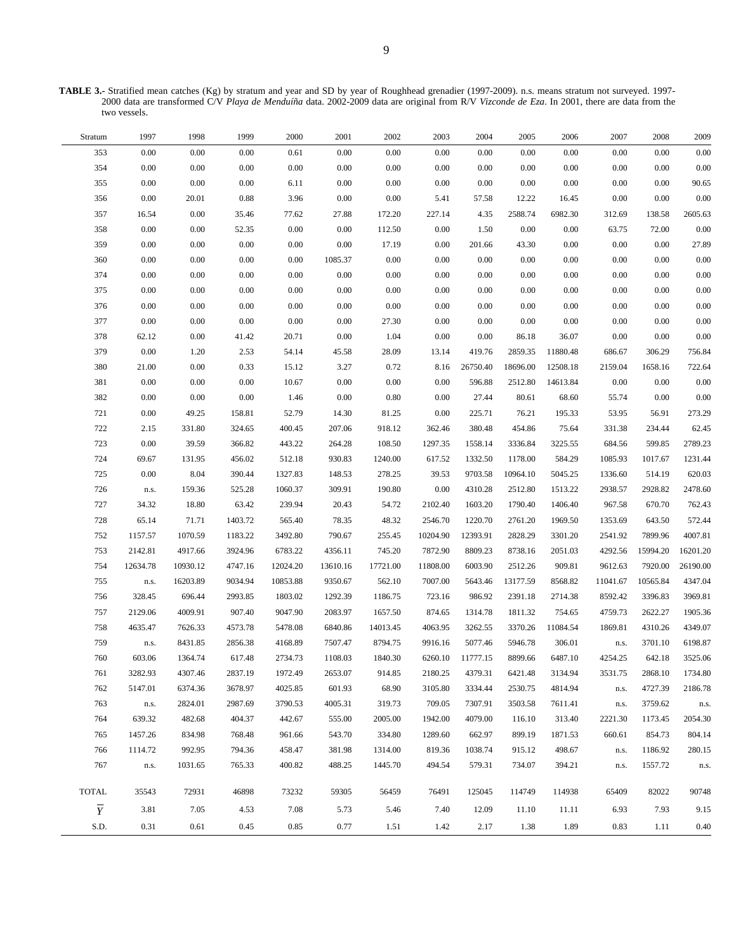**TABLE 3.-** Stratified mean catches (Kg) by stratum and year and SD by year of Roughhead grenadier (1997-2009). n.s. means stratum not surveyed. 1997- 2000 data are transformed C/V *Playa de Menduíña* data. 2002-2009 data are original from R/V *Vizconde de Eza*. In 2001, there are data from the two vessels.

| Stratum        | 1997     | 1998     | 1999     | 2000     | 2001     | 2002     | 2003     | 2004     | 2005     | 2006     | 2007     | 2008     | 2009     |
|----------------|----------|----------|----------|----------|----------|----------|----------|----------|----------|----------|----------|----------|----------|
| 353            | 0.00     | 0.00     | $0.00\,$ | 0.61     | $0.00\,$ | 0.00     | 0.00     | 0.00     | 0.00     | 0.00     | 0.00     | $0.00\,$ | 0.00     |
| 354            | 0.00     | 0.00     | 0.00     | $0.00\,$ | $0.00\,$ | $0.00\,$ | 0.00     | 0.00     | 0.00     | 0.00     | 0.00     | 0.00     | 0.00     |
| 355            | 0.00     | 0.00     | 0.00     | 6.11     | $0.00\,$ | $0.00\,$ | 0.00     | 0.00     | 0.00     | 0.00     | 0.00     | 0.00     | 90.65    |
| 356            | 0.00     | 20.01    | 0.88     | 3.96     | 0.00     | 0.00     | 5.41     | 57.58    | 12.22    | 16.45    | 0.00     | 0.00     | 0.00     |
| 357            | 16.54    | 0.00     | 35.46    | 77.62    | 27.88    | 172.20   | 227.14   | 4.35     | 2588.74  | 6982.30  | 312.69   | 138.58   | 2605.63  |
| 358            | 0.00     | 0.00     | 52.35    | 0.00     | 0.00     | 112.50   | 0.00     | 1.50     | 0.00     | 0.00     | 63.75    | 72.00    | $0.00\,$ |
| 359            | 0.00     | 0.00     | 0.00     | 0.00     | 0.00     | 17.19    | 0.00     | 201.66   | 43.30    | 0.00     | 0.00     | 0.00     | 27.89    |
| 360            | $0.00\,$ | 0.00     | 0.00     | 0.00     | 1085.37  | 0.00     | 0.00     | $0.00\,$ | 0.00     | 0.00     | 0.00     | 0.00     | 0.00     |
| 374            | 0.00     | 0.00     | 0.00     | 0.00     | 0.00     | 0.00     | 0.00     | 0.00     | 0.00     | 0.00     | 0.00     | 0.00     | 0.00     |
| 375            | $0.00\,$ | 0.00     | 0.00     | 0.00     | 0.00     | $0.00\,$ | 0.00     | $0.00\,$ | 0.00     | 0.00     | 0.00     | 0.00     | 0.00     |
| 376            | 0.00     | 0.00     | 0.00     | 0.00     | 0.00     | 0.00     | 0.00     | 0.00     | 0.00     | 0.00     | 0.00     | 0.00     | 0.00     |
| 377            | 0.00     | 0.00     | 0.00     | 0.00     | 0.00     | 27.30    | 0.00     | $0.00\,$ | 0.00     | 0.00     | 0.00     | 0.00     | 0.00     |
| 378            | 62.12    | 0.00     | 41.42    | 20.71    | $0.00\,$ | 1.04     | 0.00     | 0.00     | 86.18    | 36.07    | 0.00     | 0.00     | 0.00     |
| 379            | $0.00\,$ | 1.20     | 2.53     | 54.14    | 45.58    | 28.09    | 13.14    | 419.76   | 2859.35  | 11880.48 | 686.67   | 306.29   | 756.84   |
| 380            | 21.00    | 0.00     | 0.33     | 15.12    | 3.27     | 0.72     | 8.16     | 26750.40 | 18696.00 | 12508.18 | 2159.04  | 1658.16  | 722.64   |
| 381            | $0.00\,$ | 0.00     | 0.00     | 10.67    | $0.00\,$ | $0.00\,$ | 0.00     | 596.88   | 2512.80  | 14613.84 | 0.00     | 0.00     | 0.00     |
| 382            | 0.00     | 0.00     | 0.00     | 1.46     | $0.00\,$ | $0.80\,$ | 0.00     | 27.44    | 80.61    | 68.60    | 55.74    | 0.00     | 0.00     |
| 721            | 0.00     | 49.25    | 158.81   | 52.79    | 14.30    | 81.25    | 0.00     | 225.71   | 76.21    | 195.33   | 53.95    | 56.91    | 273.29   |
| 722            | 2.15     | 331.80   | 324.65   | 400.45   | 207.06   | 918.12   | 362.46   | 380.48   | 454.86   | 75.64    | 331.38   | 234.44   | 62.45    |
| 723            | 0.00     | 39.59    | 366.82   | 443.22   | 264.28   | 108.50   | 1297.35  | 1558.14  | 3336.84  | 3225.55  | 684.56   | 599.85   | 2789.23  |
| 724            | 69.67    | 131.95   | 456.02   | 512.18   | 930.83   | 1240.00  | 617.52   | 1332.50  | 1178.00  | 584.29   | 1085.93  | 1017.67  | 1231.44  |
| 725            | 0.00     | 8.04     | 390.44   | 1327.83  | 148.53   | 278.25   | 39.53    | 9703.58  | 10964.10 | 5045.25  | 1336.60  | 514.19   | 620.03   |
| 726            | n.s.     | 159.36   | 525.28   | 1060.37  | 309.91   | 190.80   | 0.00     | 4310.28  | 2512.80  | 1513.22  | 2938.57  | 2928.82  | 2478.60  |
| 727            | 34.32    | 18.80    | 63.42    | 239.94   | 20.43    | 54.72    | 2102.40  | 1603.20  | 1790.40  | 1406.40  | 967.58   | 670.70   | 762.43   |
| 728            | 65.14    | 71.71    | 1403.72  | 565.40   | 78.35    | 48.32    | 2546.70  | 1220.70  | 2761.20  | 1969.50  | 1353.69  | 643.50   | 572.44   |
| 752            | 1157.57  | 1070.59  | 1183.22  | 3492.80  | 790.67   | 255.45   | 10204.90 | 12393.91 | 2828.29  | 3301.20  | 2541.92  | 7899.96  | 4007.81  |
| 753            | 2142.81  | 4917.66  | 3924.96  | 6783.22  | 4356.11  | 745.20   | 7872.90  | 8809.23  | 8738.16  | 2051.03  | 4292.56  | 15994.20 | 16201.20 |
| 754            | 12634.78 | 10930.12 | 4747.16  | 12024.20 | 13610.16 | 17721.00 | 11808.00 | 6003.90  | 2512.26  | 909.81   | 9612.63  | 7920.00  | 26190.00 |
| 755            | n.s.     | 16203.89 | 9034.94  | 10853.88 | 9350.67  | 562.10   | 7007.00  | 5643.46  | 13177.59 | 8568.82  | 11041.67 | 10565.84 | 4347.04  |
| 756            | 328.45   | 696.44   | 2993.85  | 1803.02  | 1292.39  | 1186.75  | 723.16   | 986.92   | 2391.18  | 2714.38  | 8592.42  | 3396.83  | 3969.81  |
| 757            | 2129.06  | 4009.91  | 907.40   | 9047.90  | 2083.97  | 1657.50  | 874.65   | 1314.78  | 1811.32  | 754.65   | 4759.73  | 2622.27  | 1905.36  |
| 758            | 4635.47  | 7626.33  | 4573.78  | 5478.08  | 6840.86  | 14013.45 | 4063.95  | 3262.55  | 3370.26  | 11084.54 | 1869.81  | 4310.26  | 4349.07  |
| 759            | n.s.     | 8431.85  | 2856.38  | 4168.89  | 7507.47  | 8794.75  | 9916.16  | 5077.46  | 5946.78  | 306.01   | n.s.     | 3701.10  | 6198.87  |
| 760            | 603.06   | 1364.74  | 617.48   | 2734.73  | 1108.03  | 1840.30  | 6260.10  | 11777.15 | 8899.66  | 6487.10  | 4254.25  | 642.18   | 3525.06  |
| 761            | 3282.93  | 4307.46  | 2837.19  | 1972.49  | 2653.07  | 914.85   | 2180.25  | 4379.31  | 6421.48  | 3134.94  | 3531.75  | 2868.10  | 1734.80  |
| 762            | 5147.01  | 6374.36  | 3678.97  | 4025.85  | 601.93   | 68.90    | 3105.80  | 3334.44  | 2530.75  | 4814.94  | n.s.     | 4727.39  | 2186.78  |
| 763            | n.s.     | 2824.01  | 2987.69  | 3790.53  | 4005.31  | 319.73   | 709.05   | 7307.91  | 3503.58  | 7611.41  | n.s.     | 3759.62  | n.s.     |
| 764            | 639.32   | 482.68   | 404.37   | 442.67   | 555.00   | 2005.00  | 1942.00  | 4079.00  | 116.10   | 313.40   | 2221.30  | 1173.45  | 2054.30  |
| 765            | 1457.26  | 834.98   | 768.48   | 961.66   | 543.70   | 334.80   | 1289.60  | 662.97   | 899.19   | 1871.53  | 660.61   | 854.73   | 804.14   |
| 766            | 1114.72  | 992.95   | 794.36   | 458.47   | 381.98   | 1314.00  | 819.36   | 1038.74  | 915.12   | 498.67   | n.s.     | 1186.92  | 280.15   |
| 767            | n.s.     | 1031.65  | 765.33   | 400.82   | 488.25   | 1445.70  | 494.54   | 579.31   | 734.07   | 394.21   | n.s.     | 1557.72  | n.s.     |
| <b>TOTAL</b>   | 35543    | 72931    | 46898    | 73232    | 59305    | 56459    | 76491    | 125045   | 114749   | 114938   | 65409    | 82022    | 90748    |
| $\overline{Y}$ | 3.81     | 7.05     | 4.53     | 7.08     | 5.73     | 5.46     | 7.40     | 12.09    | 11.10    | 11.11    | 6.93     | 7.93     | 9.15     |
| S.D.           | 0.31     | 0.61     | 0.45     | 0.85     | 0.77     | 1.51     | 1.42     | 2.17     | 1.38     | 1.89     | 0.83     | 1.11     | 0.40     |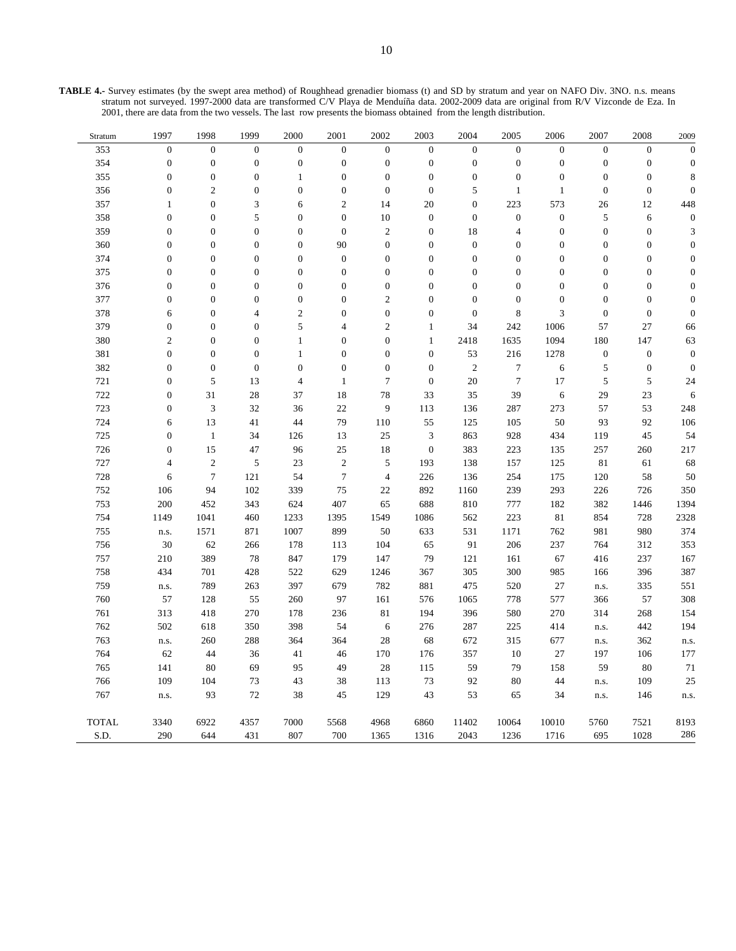| <b>TABLE 4.-</b> Survey estimates (by the swept area method) of Roughhead grenadier biomass (t) and SD by stratum and year on NAFO Div. 3NO. n.s. means |
|---------------------------------------------------------------------------------------------------------------------------------------------------------|
| stratum not surveyed. 1997-2000 data are transformed C/V Playa de Menduíña data. 2002-2009 data are original from R/V Vizconde de Eza. In               |
| 2001, there are data from the two vessels. The last row presents the biomass obtained from the length distribution.                                     |

| Stratum      | 1997             | 1998             | 1999             | 2000             | 2001             | 2002             | 2003             | 2004             | 2005             | 2006             | 2007             | 2008             | 2009             |
|--------------|------------------|------------------|------------------|------------------|------------------|------------------|------------------|------------------|------------------|------------------|------------------|------------------|------------------|
| 353          | $\boldsymbol{0}$ | $\boldsymbol{0}$ | $\boldsymbol{0}$ | $\boldsymbol{0}$ | $\boldsymbol{0}$ | $\boldsymbol{0}$ | $\boldsymbol{0}$ | $\boldsymbol{0}$ | $\boldsymbol{0}$ | $\boldsymbol{0}$ | $\boldsymbol{0}$ | $\boldsymbol{0}$ | $\boldsymbol{0}$ |
| 354          | $\boldsymbol{0}$ | $\boldsymbol{0}$ | $\boldsymbol{0}$ | $\boldsymbol{0}$ | $\boldsymbol{0}$ | $\boldsymbol{0}$ | $\boldsymbol{0}$ | $\boldsymbol{0}$ | $\boldsymbol{0}$ | $\boldsymbol{0}$ | $\boldsymbol{0}$ | $\boldsymbol{0}$ | $\mathbf{0}$     |
| 355          | $\boldsymbol{0}$ | $\boldsymbol{0}$ | $\boldsymbol{0}$ | $\mathbf{1}$     | $\boldsymbol{0}$ | $\boldsymbol{0}$ | $\boldsymbol{0}$ | $\boldsymbol{0}$ | $\boldsymbol{0}$ | $\boldsymbol{0}$ | $\boldsymbol{0}$ | $\boldsymbol{0}$ | 8                |
| 356          | $\boldsymbol{0}$ | $\mathfrak{2}$   | $\boldsymbol{0}$ | $\boldsymbol{0}$ | $\boldsymbol{0}$ | $\boldsymbol{0}$ | $\boldsymbol{0}$ | 5                | $\mathbf{1}$     | $\mathbf{1}$     | $\boldsymbol{0}$ | $\boldsymbol{0}$ | $\boldsymbol{0}$ |
| 357          | $\mathbf{1}$     | $\boldsymbol{0}$ | 3                | 6                | $\overline{c}$   | 14               | 20               | $\boldsymbol{0}$ | 223              | 573              | 26               | 12               | 448              |
| 358          | $\boldsymbol{0}$ | $\boldsymbol{0}$ | $\sqrt{5}$       | $\boldsymbol{0}$ | $\boldsymbol{0}$ | 10               | $\boldsymbol{0}$ | $\boldsymbol{0}$ | $\boldsymbol{0}$ | $\boldsymbol{0}$ | $\sqrt{5}$       | 6                | $\mathbf{0}$     |
| 359          | $\boldsymbol{0}$ | $\boldsymbol{0}$ | $\boldsymbol{0}$ | $\boldsymbol{0}$ | $\boldsymbol{0}$ | $\sqrt{2}$       | $\boldsymbol{0}$ | 18               | 4                | $\boldsymbol{0}$ | $\boldsymbol{0}$ | $\boldsymbol{0}$ | 3                |
| 360          | $\overline{0}$   | $\boldsymbol{0}$ | $\overline{0}$   | $\overline{0}$   | 90               | $\boldsymbol{0}$ | $\boldsymbol{0}$ | $\boldsymbol{0}$ | $\mathbf{0}$     | $\boldsymbol{0}$ | $\boldsymbol{0}$ | $\overline{0}$   | $\boldsymbol{0}$ |
| 374          | $\boldsymbol{0}$ | $\boldsymbol{0}$ | $\boldsymbol{0}$ | $\boldsymbol{0}$ | $\boldsymbol{0}$ | $\boldsymbol{0}$ | $\boldsymbol{0}$ | $\boldsymbol{0}$ | $\boldsymbol{0}$ | $\boldsymbol{0}$ | $\boldsymbol{0}$ | $\boldsymbol{0}$ | $\boldsymbol{0}$ |
| 375          | $\boldsymbol{0}$ | $\boldsymbol{0}$ | $\boldsymbol{0}$ | $\boldsymbol{0}$ | $\boldsymbol{0}$ | $\boldsymbol{0}$ | $\boldsymbol{0}$ | $\boldsymbol{0}$ | $\boldsymbol{0}$ | $\boldsymbol{0}$ | $\boldsymbol{0}$ | $\boldsymbol{0}$ | $\boldsymbol{0}$ |
| 376          | $\mathbf{0}$     | $\boldsymbol{0}$ | $\overline{0}$   | $\boldsymbol{0}$ | $\boldsymbol{0}$ | $\boldsymbol{0}$ | $\boldsymbol{0}$ | $\boldsymbol{0}$ | $\overline{0}$   | $\boldsymbol{0}$ | $\boldsymbol{0}$ | $\overline{0}$   | $\overline{0}$   |
| 377          | $\boldsymbol{0}$ | $\boldsymbol{0}$ | $\boldsymbol{0}$ | $\boldsymbol{0}$ | $\boldsymbol{0}$ | $\overline{c}$   | $\boldsymbol{0}$ | $\boldsymbol{0}$ | $\boldsymbol{0}$ | $\boldsymbol{0}$ | $\boldsymbol{0}$ | $\boldsymbol{0}$ | $\mathbf{0}$     |
| 378          | 6                | $\boldsymbol{0}$ | $\overline{4}$   | $\overline{c}$   | $\boldsymbol{0}$ | $\boldsymbol{0}$ | $\boldsymbol{0}$ | $\boldsymbol{0}$ | $\,$ 8 $\,$      | 3                | $\boldsymbol{0}$ | $\boldsymbol{0}$ | $\boldsymbol{0}$ |
| 379          | $\boldsymbol{0}$ | $\boldsymbol{0}$ | $\boldsymbol{0}$ | 5                | 4                | $\sqrt{2}$       | $\mathbf{1}$     | 34               | 242              | 1006             | 57               | 27               | 66               |
| 380          | $\overline{2}$   | $\boldsymbol{0}$ | $\boldsymbol{0}$ | $\mathbf{1}$     | $\boldsymbol{0}$ | $\boldsymbol{0}$ | $\mathbf{1}$     | 2418             | 1635             | 1094             | 180              | 147              | 63               |
| 381          | $\mathbf{0}$     | $\boldsymbol{0}$ | $\boldsymbol{0}$ | $\mathbf{1}$     | $\boldsymbol{0}$ | $\boldsymbol{0}$ | $\boldsymbol{0}$ | 53               | 216              | 1278             | $\boldsymbol{0}$ | $\boldsymbol{0}$ | $\boldsymbol{0}$ |
| 382          | $\boldsymbol{0}$ | $\boldsymbol{0}$ | $\boldsymbol{0}$ | $\boldsymbol{0}$ | $\boldsymbol{0}$ | $\boldsymbol{0}$ | $\boldsymbol{0}$ | $\sqrt{2}$       | $\boldsymbol{7}$ | 6                | 5                | $\boldsymbol{0}$ | $\boldsymbol{0}$ |
| 721          | $\overline{0}$   | $\sqrt{5}$       | 13               | $\overline{4}$   | $\mathbf 1$      | $\boldsymbol{7}$ | $\boldsymbol{0}$ | 20               | $\overline{7}$   | 17               | 5                | $\sqrt{5}$       | 24               |
| 722          | $\boldsymbol{0}$ | 31               | 28               | 37               | 18               | 78               | 33               | 35               | 39               | 6                | 29               | 23               | 6                |
| 723          | $\boldsymbol{0}$ | $\mathfrak{Z}$   | 32               | 36               | 22               | 9                | 113              | 136              | 287              | 273              | 57               | 53               | 248              |
| 724          | 6                | 13               | 41               | 44               | 79               | 110              | 55               | 125              | 105              | $50\,$           | 93               | 92               | 106              |
| 725          | $\overline{0}$   | $\mathbf{1}$     | 34               | 126              | 13               | 25               | 3                | 863              | 928              | 434              | 119              | 45               | 54               |
| 726          | $\boldsymbol{0}$ | 15               | 47               | 96               | $25\,$           | 18               | $\boldsymbol{0}$ | 383              | 223              | 135              | 257              | 260              | 217              |
| 727          | $\overline{4}$   | $\sqrt{2}$       | $\sqrt{5}$       | 23               | $\sqrt{2}$       | $\sqrt{5}$       | 193              | 138              | 157              | 125              | 81               | 61               | 68               |
| 728          | 6                | $\tau$           | 121              | 54               | $\tau$           | $\overline{4}$   | 226              | 136              | 254              | 175              | 120              | 58               | 50               |
| 752          | 106              | 94               | 102              | 339              | 75               | 22               | 892              | 1160             | 239              | 293              | 226              | 726              | 350              |
| 753          | 200              | 452              | 343              | 624              | 407              | 65               | 688              | 810              | 777              | 182              | 382              | 1446             | 1394             |
| 754          | 1149             | 1041             | 460              | 1233             | 1395             | 1549             | 1086             | 562              | 223              | 81               | 854              | 728              | 2328             |
| 755          | n.s.             | 1571             | 871              | 1007             | 899              | 50               | 633              | 531              | 1171             | 762              | 981              | 980              | 374              |
| 756          | 30               | 62               | 266              | 178              | 113              | 104              | 65               | 91               | 206              | 237              | 764              | 312              | 353              |
| 757          | 210              | 389              | 78               | 847              | 179              | 147              | 79               | 121              | 161              | 67               | 416              | 237              | 167              |
| 758          | 434              | 701              | 428              | 522              | 629              | 1246             | 367              | 305              | 300              | 985              | 166              | 396              | 387              |
| 759          | n.s.             | 789              | 263              | 397              | 679              | 782              | 881              | 475              | 520              | 27               | n.s.             | 335              | 551              |
| 760          | 57               | 128              | 55               | 260              | 97               | 161              | 576              | 1065             | 778              | 577              | 366              | 57               | 308              |
| 761          | 313              | 418              | 270              | 178              | 236              | 81               | 194              | 396              | 580              | 270              | 314              | 268              | 154              |
| 762          | 502              | 618              | 350              | 398              | 54               | $\sqrt{6}$       | 276              | 287              | 225              | 414              | n.s.             | 442              | 194              |
| 763          | n.s.             | 260              | 288              | 364              | 364              | 28               | 68               | 672              | 315              | 677              | n.s.             | 362              | n.s.             |
| 764          | 62               | 44               | 36               | 41               | 46               | 170              | 176              | 357              | $10\,$           | $27\,$           | 197              | 106              | 177              |
| 765          | 141              | 80               | 69               | 95               | 49               | 28               | 115              | 59               | 79               | 158              | 59               | 80               | 71               |
| 766          | 109              | 104              | 73               | 43               | 38               | 113              | 73               | 92               | 80               | 44               | n.s.             | 109              | 25               |
| 767          | n.s.             | 93               | $72\,$           | 38               | 45               | 129              | 43               | 53               | 65               | 34               | n.s.             | 146              | n.s.             |
|              |                  |                  |                  |                  |                  |                  |                  |                  |                  |                  |                  |                  |                  |
| <b>TOTAL</b> | 3340             | 6922             | 4357             | 7000             | 5568             | 4968             | 6860             | 11402            | 10064            | 10010            | 5760             | 7521             | 8193             |
| S.D.         | 290              | 644              | 431              | 807              | 700              | 1365             | 1316             | 2043             | 1236             | 1716             | 695              | 1028             | 286              |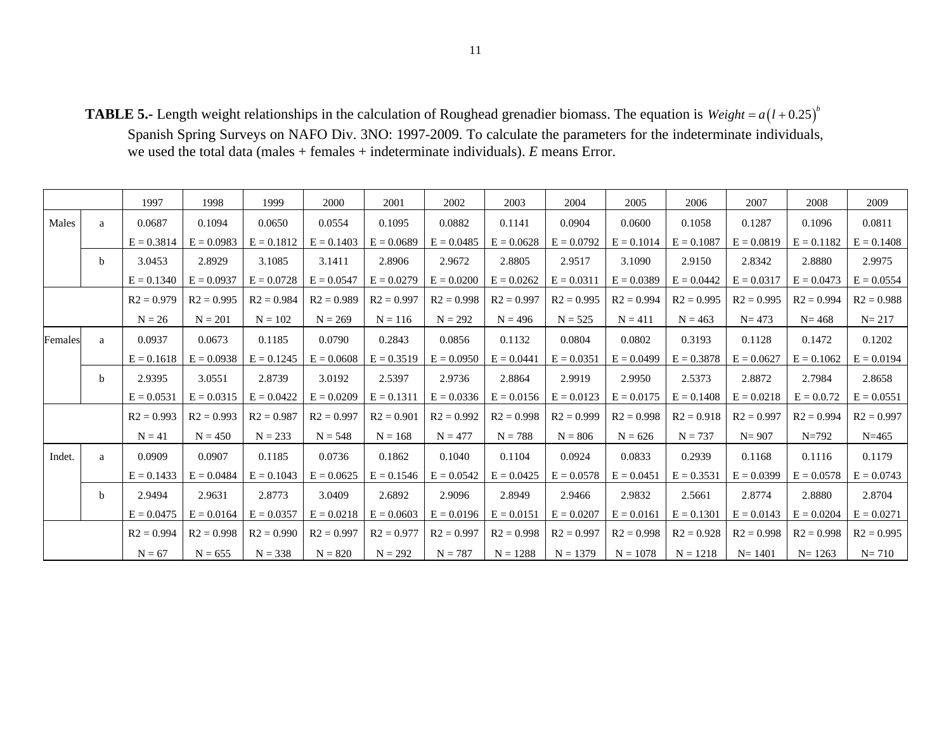**TABLE 5.-** Length weight relationships in the calculation of Roughead grenadier biomass. The equation is  $Weight = a(l + 0.25)^{b}$ Spanish Spring Surveys on NAFO Div. 3NO: 1997-2009. To calculate the parameters for the indeterminate individuals, we used the total data (males + females + indeterminate individuals). *E* means Error.

|         |              | 1997         | 1998         | 1999         | 2000         | 2001         | 2002         | 2003         | 2004         | 2005         | 2006         | 2007         | 2008         | 2009         |
|---------|--------------|--------------|--------------|--------------|--------------|--------------|--------------|--------------|--------------|--------------|--------------|--------------|--------------|--------------|
| Males   | a            | 0.0687       | 0.1094       | 0.0650       | 0.0554       | 0.1095       | 0.0882       | 0.1141       | 0.0904       | 0.0600       | 0.1058       | 0.1287       | 0.1096       | 0.0811       |
|         |              | $E = 0.3814$ | $E = 0.0983$ | $E = 0.1812$ | $E = 0.1403$ | $E = 0.0689$ | $E = 0.0485$ | $E = 0.0628$ | $E = 0.0792$ | $E = 0.1014$ | $E = 0.1087$ | $E = 0.0819$ | $E = 0.1182$ | $E = 0.1408$ |
|         | <sub>b</sub> | 3.0453       | 2.8929       | 3.1085       | 3.1411       | 2.8906       | 2.9672       | 2.8805       | 2.9517       | 3.1090       | 2.9150       | 2.8342       | 2.8880       | 2.9975       |
|         |              | $E = 0.1340$ | $E = 0.0937$ | $E = 0.0728$ | $E = 0.0547$ | $E = 0.0279$ | $E = 0.0200$ | $E = 0.0262$ | $E = 0.0311$ | $E = 0.0389$ | $E = 0.0442$ | $E = 0.0317$ | $E = 0.0473$ | $E = 0.0554$ |
|         |              | $R2 = 0.979$ | $R2 = 0.995$ | $R2 = 0.984$ | $R2 = 0.989$ | $R2 = 0.997$ | $R2 = 0.998$ | $R2 = 0.997$ | $R2 = 0.995$ | $R2 = 0.994$ | $R2 = 0.995$ | $R2 = 0.995$ | $R2 = 0.994$ | $R2 = 0.988$ |
|         |              | $N = 26$     | $N = 201$    | $N = 102$    | $N = 269$    | $N = 116$    | $N = 292$    | $N = 496$    | $N = 525$    | $N = 411$    | $N = 463$    | $N = 473$    | $N = 468$    | $N = 217$    |
| Females | a            | 0.0937       | 0.0673       | 0.1185       | 0.0790       | 0.2843       | 0.0856       | 0.1132       | 0.0804       | 0.0802       | 0.3193       | 0.1128       | 0.1472       | 0.1202       |
|         |              | $E = 0.1618$ | $E = 0.0938$ | $E = 0.1245$ | $E = 0.0608$ | $E = 0.3519$ | $E = 0.0950$ | $E = 0.0441$ | $E = 0.0351$ | $E = 0.0499$ | $E = 0.3878$ | $E = 0.0627$ | $E = 0.1062$ | $E = 0.0194$ |
|         | $\mathbf{b}$ | 2.9395       | 3.0551       | 2.8739       | 3.0192       | 2.5397       | 2.9736       | 2.8864       | 2.9919       | 2.9950       | 2.5373       | 2.8872       | 2.7984       | 2.8658       |
|         |              | $E = 0.0531$ | $E = 0.0315$ | $E = 0.0422$ | $E = 0.0209$ | $E = 0.1311$ | $E = 0.0336$ | $E = 0.0156$ | $E = 0.0123$ | $E = 0.0175$ | $E = 0.1408$ | $E = 0.0218$ | $E = 0.0.72$ | $E = 0.0551$ |
|         |              | $R2 = 0.993$ | $R2 = 0.993$ | $R2 = 0.987$ | $R2 = 0.997$ | $R2 = 0.901$ | $R2 = 0.992$ | $R2 = 0.998$ | $R2 = 0.999$ | $R2 = 0.998$ | $R2 = 0.918$ | $R2 = 0.997$ | $R2 = 0.994$ | $R2 = 0.997$ |
|         |              | $N = 41$     | $N = 450$    | $N = 233$    | $N = 548$    | $N = 168$    | $N = 477$    | $N = 788$    | $N = 806$    | $N = 626$    | $N = 737$    | $N = 907$    | $N = 792$    | $N = 465$    |
| Indet.  | a            | 0.0909       | 0.0907       | 0.1185       | 0.0736       | 0.1862       | 0.1040       | 0.1104       | 0.0924       | 0.0833       | 0.2939       | 0.1168       | 0.1116       | 0.1179       |
|         |              | $E = 0.1433$ | $E = 0.0484$ | $E = 0.1043$ | $E = 0.0625$ | $E = 0.1546$ | $E = 0.0542$ | $E = 0.0425$ | $E = 0.0578$ | $E = 0.0451$ | $E = 0.3531$ | $E = 0.0399$ | $E = 0.0578$ | $E = 0.0743$ |
|         | <sub>b</sub> | 2.9494       | 2.9631       | 2.8773       | 3.0409       | 2.6892       | 2.9096       | 2.8949       | 2.9466       | 2.9832       | 2.5661       | 2.8774       | 2.8880       | 2.8704       |
|         |              | $E = 0.0475$ | $E = 0.0164$ | $E = 0.0357$ | $E = 0.0218$ | $E = 0.0603$ | $E = 0.0196$ | $E = 0.0151$ | $E = 0.0207$ | $E = 0.0161$ | $E = 0.1301$ | $E = 0.0143$ | $E = 0.0204$ | $E = 0.0271$ |
|         |              | $R2 = 0.994$ | $R2 = 0.998$ | $R2 = 0.990$ | $R2 = 0.997$ | $R2 = 0.977$ | $R2 = 0.997$ | $R2 = 0.998$ | $R2 = 0.997$ | $R2 = 0.998$ | $R2 = 0.928$ | $R2 = 0.998$ | $R2 = 0.998$ | $R2 = 0.995$ |
|         |              | $N = 67$     | $N = 655$    | $N = 338$    | $N = 820$    | $N = 292$    | $N = 787$    | $N = 1288$   | $N = 1379$   | $N = 1078$   | $N = 1218$   | $N = 1401$   | $N = 1263$   | $N = 710$    |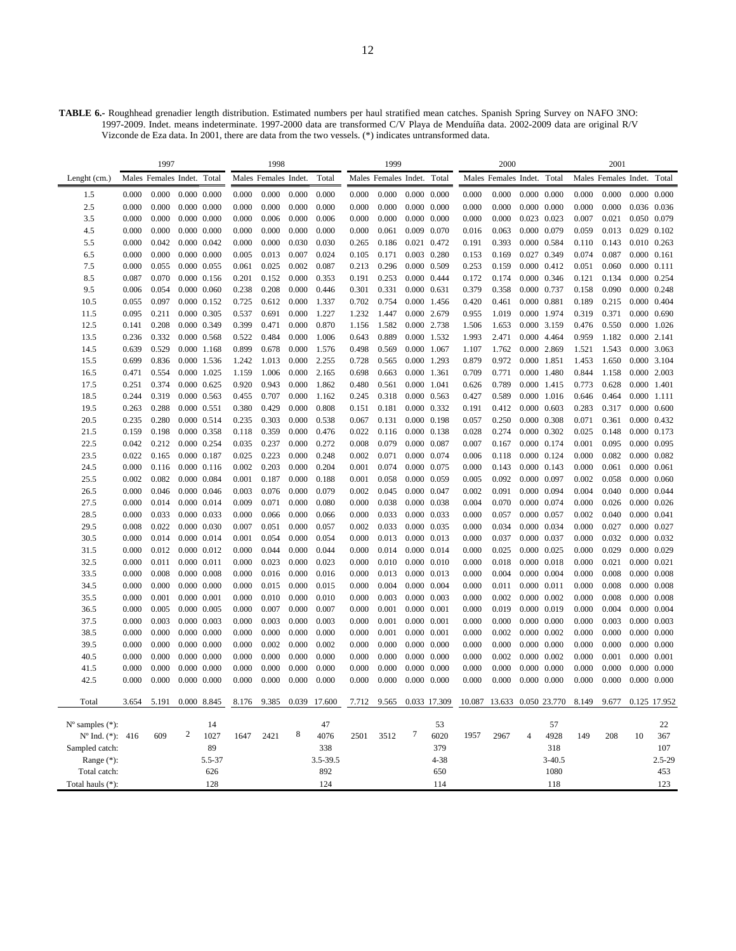**TABLE 6.-** Roughhead grenadier length distribution. Estimated numbers per haul stratified mean catches. Spanish Spring Survey on NAFO 3NO: 1997-2009. Indet. means indeterminate. 1997-2000 data are transformed C/V Playa de Menduíña data. 2002-2009 data are original R/V Vizconde de Eza data. In 2001, there are data from the two vessels. (\*) indicates untransformed data.

|                             |                | 1997                       |   |                                |                | 1998                     |                |                |                | 1999                       |                     |                            |                | 2000                       |                |                            |                | 2001                 |                                    |              |
|-----------------------------|----------------|----------------------------|---|--------------------------------|----------------|--------------------------|----------------|----------------|----------------|----------------------------|---------------------|----------------------------|----------------|----------------------------|----------------|----------------------------|----------------|----------------------|------------------------------------|--------------|
| Lenght (cm.)                |                | Males Females Indet. Total |   |                                |                | Males Females Indet.     |                | Total          |                | Males Females Indet. Total |                     |                            |                | Males Females Indet. Total |                |                            |                | Males Females Indet. |                                    | Total        |
| 1.5                         | 0.000          | 0.000                      |   | $0.000$ $0.000$                | 0.000          | 0.000                    | 0.000          | 0.000          | 0.000          | 0.000                      |                     | 0.000 0.000                | 0.000          | 0.000                      |                | $0.000 \quad 0.000$        | 0.000          | 0.000                | 0.000                              | 0.000        |
| 2.5                         | 0.000          | 0.000                      |   | $0.000$ $0.000$                | 0.000          | 0.000                    | 0.000          | 0.000          | 0.000          | 0.000                      |                     | $0.000 \quad 0.000$        | 0.000          | 0.000                      |                | $0.000 \quad 0.000$        | 0.000          | 0.000                | 0.036 0.036                        |              |
| 3.5                         | 0.000          | 0.000                      |   | $0.000$ $0.000$                | 0.000          | 0.006                    | 0.000          | 0.006          | 0.000          | 0.000                      |                     | $0.000 \quad 0.000$        | 0.000          | 0.000                      |                | 0.023 0.023                | 0.007          | 0.021                | 0.050 0.079                        |              |
| 4.5                         | 0.000          | 0.000                      |   | $0.000$ $0.000$                | 0.000          | 0.000                    | 0.000          | 0.000          | 0.000          | 0.061                      |                     | 0.009 0.070                | 0.016          | 0.063                      |                | 0.000 0.079                | 0.059          | 0.013                | 0.029 0.102                        |              |
| 5.5                         | 0.000          | 0.042                      |   | 0.000 0.042                    | 0.000          | 0.000                    | 0.030          | 0.030          | 0.265          | 0.186                      |                     | 0.021 0.472                | 0.191          | 0.393                      |                | 0.000 0.584                | 0.110          | 0.143                | 0.010 0.263                        |              |
| 6.5                         | 0.000          | 0.000                      |   | $0.000$ $0.000$                | 0.005          | 0.013                    | 0.007          | 0.024          | 0.105          | 0.171                      |                     | 0.003 0.280                | 0.153          | 0.169                      |                | 0.027 0.349                | 0.074          | 0.087                | $0.000$ $0.161$                    |              |
| 7.5                         | 0.000          | 0.055                      |   | 0.000 0.055                    | 0.061          | 0.025                    | 0.002          | 0.087          | 0.213          | 0.296                      |                     | 0.000 0.509                | 0.253          | 0.159                      |                | 0.000 0.412                | 0.051          | 0.060                | $0.000$ $0.111$                    |              |
| 8.5                         | 0.087          | 0.070                      |   | $0.000$ $0.156$                | 0.201          | 0.152                    | 0.000          | 0.353          | 0.191          | 0.253                      |                     | 0.000 0.444                | 0.172          | 0.174                      |                | 0.000 0.346                | 0.121          | 0.134                | 0.000 0.254                        |              |
| 9.5                         | 0.006          | 0.054                      |   | 0.000 0.060                    | 0.238          | 0.208                    | 0.000          | 0.446          | 0.301          | 0.331                      |                     | $0.000 \quad 0.631$        | 0.379          | 0.358                      |                | 0.000 0.737                | 0.158          | 0.090                | $0.000 \quad 0.248$                |              |
| 10.5                        | 0.055          | 0.097                      |   | $0.000$ $0.152$                | 0.725          | 0.612                    | 0.000          | 1.337          | 0.702          | 0.754                      |                     | 0.000 1.456                | 0.420          | 0.461                      |                | 0.000 0.881                | 0.189          | 0.215                | 0.000 0.404                        |              |
| 11.5                        | 0.095          | 0.211                      |   | 0.000 0.305                    | 0.537          | 0.691                    | 0.000          | 1.227          | 1.232          | 1.447                      |                     | 0.000 2.679                | 0.955          | 1.019                      |                | 0.000 1.974                | 0.319          | 0.371                | $0.000 \quad 0.690$                |              |
| 12.5                        | 0.141          | 0.208                      |   | 0.000 0.349                    | 0.399          | 0.471                    | 0.000          | 0.870          | 1.156          | 1.582                      |                     | 0.000 2.738                | 1.506          | 1.653                      |                | 0.000 3.159                | 0.476          | 0.550                | 0.000 1.026                        |              |
| 13.5                        | 0.236          | 0.332                      |   | $0.000$ $0.568$                | 0.522          | 0.484                    | 0.000          | 1.006          | 0.643          | 0.889                      |                     | 0.000 1.532                | 1.993          | 2.471                      |                | 0.000 4.464                | 0.959          | 1.182                | 0.000 2.141                        |              |
| 14.5                        | 0.639          | 0.529                      |   | $0.000$ 1.168                  | 0.899          | 0.678                    | 0.000          | 1.576          | 0.498          | 0.569                      |                     | 0.000 1.067                | 1.107          | 1.762                      |                | 0.000 2.869                | 1.521          | 1.543                | 0.000 3.063                        |              |
| 15.5                        | 0.699          | 0.836                      |   | 0.000 1.536                    | 1.242          | 1.013                    | 0.000          | 2.255          | 0.728          | 0.565                      |                     | 0.000 1.293                | 0.879          | 0.972                      |                | 0.000 1.851                | 1.453          | 1.650                | 0.000 3.104                        |              |
| 16.5                        | 0.471          | 0.554                      |   | 0.000 1.025                    | 1.159          | 1.006                    | 0.000          | 2.165          | 0.698          | 0.663                      |                     | 0.000 1.361                | 0.709          | 0.771                      |                | 0.000 1.480                | 0.844          | 1.158                | 0.000                              | 2.003        |
| 17.5                        | 0.251          | 0.374                      |   | $0.000 \quad 0.625$            | 0.920          | 0.943                    | 0.000          | 1.862          | 0.480          | 0.561                      |                     | 0.000 1.041                | 0.626          | 0.789                      |                | 0.000 1.415                | 0.773          | 0.628                | 0.000 1.401                        |              |
| 18.5                        | 0.244          | 0.319                      |   | 0.000 0.563                    | 0.455          | 0.707                    | 0.000          | 1.162          | 0.245          | 0.318                      |                     | $0.000 \quad 0.563$        | 0.427          | 0.589                      |                | $0.000$ 1.016              | 0.646          | 0.464                | 0.000 1.111                        |              |
| 19.5                        | 0.263          | 0.288                      |   | 0.000 0.551                    | 0.380          | 0.429                    | 0.000          | 0.808          | 0.151          | 0.181                      |                     | 0.000 0.332                | 0.191          | 0.412                      |                | $0.000 \quad 0.603$        | 0.283          | 0.317                | $0.000 \quad 0.600$                |              |
| 20.5                        | 0.235          | 0.280                      |   | 0.000 0.514                    | 0.235          | 0.303                    | 0.000          | 0.538          | 0.067          | 0.131                      |                     | 0.000 0.198                | 0.057          | 0.250                      |                | 0.000 0.308                | 0.071          | 0.361                | 0.000 0.432                        |              |
| 21.5                        | 0.159          | 0.198                      |   | 0.000 0.358                    | 0.118          | 0.359                    | 0.000          | 0.476          | 0.022          | 0.116                      |                     | $0.000 \quad 0.138$        | 0.028          | 0.274                      |                | 0.000 0.302                | 0.025          | 0.148                | 0.000 0.173                        |              |
| 22.5                        | 0.042          | 0.212                      |   | 0.000 0.254                    | 0.035          | 0.237                    | 0.000          | 0.272          | 0.008          | 0.079                      |                     | 0.000 0.087                | 0.007          | 0.167                      |                | 0.000 0.174                | 0.001          | 0.095                | 0.000 0.095                        |              |
| 23.5                        | 0.022<br>0.000 | 0.165<br>0.116             |   | 0.000 0.187<br>$0.000$ $0.116$ | 0.025<br>0.002 | 0.223<br>0.203           | 0.000<br>0.000 | 0.248<br>0.204 | 0.002<br>0.001 | 0.071<br>0.074             |                     | 0.000 0.074<br>0.000 0.075 | 0.006<br>0.000 | 0.118<br>0.143             |                | 0.000 0.124<br>0.000 0.143 | 0.000<br>0.000 | 0.082<br>0.061       | 0.000 0.082<br>0.000 0.061         |              |
| 24.5                        |                |                            |   |                                |                | 0.187                    | 0.000          |                |                |                            |                     | 0.000 0.059                |                | 0.092                      |                | 0.000 0.097                |                |                      |                                    |              |
| 25.5<br>26.5                | 0.002<br>0.000 | 0.082<br>0.046             |   | 0.000 0.084<br>$0.000$ $0.046$ | 0.001<br>0.003 | 0.076                    | 0.000          | 0.188<br>0.079 | 0.001<br>0.002 | 0.058<br>0.045             |                     | 0.000 0.047                | 0.005<br>0.002 | 0.091                      |                | 0.000 0.094                | 0.002<br>0.004 | 0.058<br>0.040       | $0.000 \quad 0.060$<br>0.000 0.044 |              |
| 27.5                        | 0.000          | 0.014                      |   | 0.000 0.014                    | 0.009          | 0.071                    | 0.000          | 0.080          | 0.000          | 0.038                      |                     | 0.000 0.038                | 0.004          | 0.070                      |                | 0.000 0.074                | 0.000          | 0.026                | $0.000 \quad 0.026$                |              |
| 28.5                        | 0.000          | 0.033                      |   | 0.000 0.033                    | 0.000          | 0.066                    | 0.000          | 0.066          | 0.000          | 0.033                      |                     | 0.000 0.033                | 0.000          | 0.057                      |                | 0.000 0.057                | 0.002          | 0.040                | 0.000 0.041                        |              |
| 29.5                        | 0.008          | 0.022                      |   | 0.000 0.030                    | 0.007          | 0.051                    | 0.000          | 0.057          | 0.002          | 0.033                      |                     | 0.000 0.035                | 0.000          | 0.034                      |                | 0.000 0.034                | 0.000          | 0.027                | 0.000 0.027                        |              |
| 30.5                        | 0.000          | 0.014                      |   | 0.000 0.014                    | 0.001          | 0.054                    | 0.000          | 0.054          | 0.000          | 0.013                      |                     | 0.000 0.013                | 0.000          | 0.037                      |                | 0.000 0.037                | 0.000          | 0.032                | 0.000 0.032                        |              |
| 31.5                        | 0.000          | 0.012                      |   | 0.000 0.012                    | 0.000          | 0.044                    | 0.000          | 0.044          | 0.000          | 0.014                      |                     | 0.000 0.014                | 0.000          | 0.025                      |                | 0.000 0.025                | 0.000          | 0.029                | 0.000 0.029                        |              |
| 32.5                        | 0.000          | 0.011                      |   | 0.000 0.011                    | 0.000          | 0.023                    | 0.000          | 0.023          | 0.000          | 0.010                      |                     | $0.000 \quad 0.010$        | 0.000          | 0.018                      |                | 0.000 0.018                | 0.000          | 0.021                | $0.000 \quad 0.021$                |              |
| 33.5                        | 0.000          | 0.008                      |   | 0.000 0.008                    | 0.000          | 0.016                    | 0.000          | 0.016          | 0.000          | 0.013                      |                     | 0.000 0.013                | 0.000          | 0.004                      |                | 0.000 0.004                | 0.000          | 0.008                | $0.000 \quad 0.008$                |              |
| 34.5                        | 0.000          | 0.000                      |   | $0.000$ $0.000$                | 0.000          | 0.015                    | 0.000          | 0.015          | 0.000          | 0.004                      |                     | $0.000 \quad 0.004$        | 0.000          | 0.011                      |                | $0.000 \quad 0.011$        | 0.000          | 0.008                | $0.000 \quad 0.008$                |              |
| 35.5                        | 0.000          | 0.001                      |   | 0.000 0.001                    | 0.000          | 0.010                    | 0.000          | 0.010          | 0.000          | 0.003                      |                     | 0.000 0.003                | 0.000          | 0.002                      |                | 0.000 0.002                | 0.000          | 0.008                | 0.000 0.008                        |              |
| 36.5                        | 0.000          | 0.005                      |   | $0.000$ $0.005$                | 0.000          | 0.007                    | 0.000          | 0.007          | 0.000          | 0.001                      | $0.000 \quad 0.001$ |                            | 0.000          | 0.019                      |                | 0.000 0.019                | 0.000          | 0.004                | 0.000 0.004                        |              |
| 37.5                        | 0.000          | 0.003                      |   | 0.000 0.003                    | 0.000          | 0.003                    | 0.000          | 0.003          | 0.000          | 0.001                      |                     | $0.000 \quad 0.001$        | 0.000          | 0.000                      |                | $0.000 \quad 0.000$        | 0.000          | 0.003                | 0.000 0.003                        |              |
| 38.5                        | 0.000          | 0.000                      |   | $0.000$ $0.000$                | 0.000          | 0.000                    | 0.000          | 0.000          | 0.000          | 0.001                      |                     | $0.000 \quad 0.001$        | 0.000          | 0.002                      |                | $0.000 \quad 0.002$        | 0.000          | 0.000                | $0.000 \quad 0.000$                |              |
| 39.5                        | 0.000          | 0.000                      |   | $0.000$ $0.000$                | 0.000          | 0.002                    | 0.000          | 0.002          | 0.000          | 0.000                      |                     | $0.000 \quad 0.000$        | 0.000          | 0.000                      |                | $0.000 \quad 0.000$        | 0.000          | 0.000                | $0.000 \quad 0.000$                |              |
| 40.5                        | 0.000          | 0.000                      |   | $0.000$ $0.000$                | 0.000          | 0.000                    | 0.000          | 0.000          | 0.000          | 0.000                      |                     | $0.000 \quad 0.000$        | 0.000          | 0.002                      |                | 0.000 0.002                | 0.000          | 0.001                | $0.000 \quad 0.001$                |              |
| 41.5                        | 0.000          | 0.000                      |   | $0.000$ $0.000$                | 0.000          | 0.000                    | 0.000          | 0.000          | 0.000          | 0.000                      |                     | $0.000 \quad 0.000$        | 0.000          | 0.000                      | 0.000          | 0.000                      | 0.000          | 0.000                | 0.000                              | 0.000        |
| 42.5                        | 0.000          | 0.000                      |   | $0.000$ $0.000$                | 0.000          | 0.000                    | 0.000          | 0.000          | 0.000          | 0.000                      |                     | $0.000 \quad 0.000$        | 0.000          | 0.000                      |                | $0.000 \quad 0.000$        | 0.000          | 0.000                | $0.000 \quad 0.000$                |              |
|                             |                |                            |   |                                |                |                          |                |                |                |                            |                     |                            |                |                            |                |                            |                |                      |                                    |              |
| Total                       |                | 3.654 5.191                |   | 0.000 8.845                    |                | 8.176 9.385 0.039 17.600 |                |                |                | 7.712 9.565 0.033 17.309   |                     |                            |                | 10.087 13.633 0.050 23.770 |                |                            | 8.149          | 9.677                |                                    | 0.125 17.952 |
| $N^{\circ}$ samples $(*)$ : |                |                            |   | 14                             |                |                          |                | 47             |                |                            |                     | 53                         |                |                            |                | 57                         |                |                      |                                    | 22           |
| $N^{\circ}$ Ind. (*): 416   |                | 609                        | 2 | 1027                           | 1647           | 2421                     | 8              | 4076           | 2501           | 3512                       | 7                   | 6020                       | 1957           | 2967                       | $\overline{4}$ | 4928                       | 149            | 208                  | 10                                 | 367          |
| Sampled catch:              |                |                            |   | 89                             |                |                          |                | 338            |                |                            |                     | 379                        |                |                            |                | 318                        |                |                      |                                    | 107          |
| Range $(*)$ :               |                |                            |   | 5.5-37                         |                |                          |                | 3.5-39.5       |                |                            |                     | $4 - 38$                   |                |                            |                | $3 - 40.5$                 |                |                      |                                    | $2.5 - 29$   |
| Total catch:                |                |                            |   | 626                            |                |                          |                | 892            |                |                            |                     | 650                        |                |                            |                | 1080                       |                |                      |                                    | 453          |
| Total hauls (*):            |                |                            |   | 128                            |                |                          |                | 124            |                |                            |                     | 114                        |                |                            |                | 118                        |                |                      |                                    | 123          |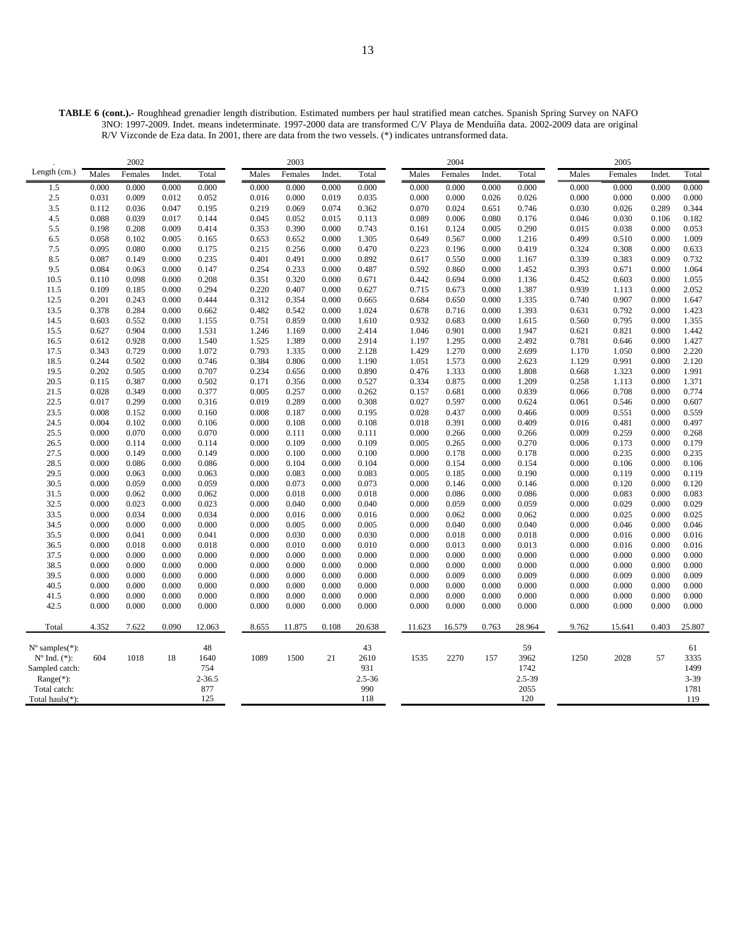**TABLE 6 (cont.).-** Roughhead grenadier length distribution. Estimated numbers per haul stratified mean catches. Spanish Spring Survey on NAFO 3NO: 1997-2009. Indet. means indeterminate. 1997-2000 data are transformed C/V Playa de Menduíña data. 2002-2009 data are original R/V Vizconde de Eza data. In 2001, there are data from the two vessels. (\*) indicates untransformed data.

|                             |                | 2002           |                |                |                | 2003           |                |                |                | 2004           |                |                |                | 2005           |                |                |
|-----------------------------|----------------|----------------|----------------|----------------|----------------|----------------|----------------|----------------|----------------|----------------|----------------|----------------|----------------|----------------|----------------|----------------|
| Length (cm.)                | Males          | Females        | Indet          | Total          | Males          | Females        | Indet.         | Total          | Males          | Females        | Indet.         | Total          | Males          | Females        | Indet.         | Total          |
| 1.5                         | 0.000          | 0.000          | 0.000          | 0.000          | 0.000          | 0.000          | 0.000          | 0.000          | 0.000          | 0.000          | 0.000          | 0.000          | 0.000          | 0.000          | 0.000          | 0.000          |
| 2.5                         | 0.031          | 0.009          | 0.012          | 0.052          | 0.016          | 0.000          | 0.019          | 0.035          | 0.000          | 0.000          | 0.026          | 0.026          | 0.000          | 0.000          | 0.000          | 0.000          |
| 3.5                         | 0.112          | 0.036          | 0.047          | 0.195          | 0.219          | 0.069          | 0.074          | 0.362          | 0.070          | 0.024          | 0.651          | 0.746          | 0.030          | 0.026          | 0.289          | 0.344          |
| 4.5                         | 0.088          | 0.039          | 0.017          | 0.144          | 0.045          | 0.052          | 0.015          | 0.113          | 0.089          | 0.006          | 0.080          | 0.176          | 0.046          | 0.030          | 0.106          | 0.182          |
| 5.5                         | 0.198          | 0.208          | 0.009          | 0.414          | 0.353          | 0.390          | 0.000          | 0.743          | 0.161          | 0.124          | 0.005          | 0.290          | 0.015          | 0.038          | 0.000          | 0.053          |
| 6.5                         | 0.058          | 0.102          | 0.005          | 0.165          | 0.653          | 0.652          | 0.000          | 1.305          | 0.649          | 0.567          | 0.000          | 1.216          | 0.499          | 0.510          | 0.000          | 1.009          |
| 7.5                         | 0.095          | 0.080          | 0.000          | 0.175          | 0.215          | 0.256          | 0.000          | 0.470          | 0.223          | 0.196          | 0.000          | 0.419          | 0.324          | 0.308          | 0.000          | 0.633          |
| 8.5                         | 0.087          | 0.149          | 0.000          | 0.235          | 0.401          | 0.491          | 0.000          | 0.892          | 0.617          | 0.550          | 0.000          | 1.167          | 0.339          | 0.383          | 0.009          | 0.732          |
| 9.5                         | 0.084          | 0.063          | 0.000          | 0.147          | 0.254          | 0.233          | 0.000          | 0.487          | 0.592          | 0.860          | 0.000          | 1.452          | 0.393          | 0.671          | 0.000          | 1.064          |
| 10.5                        | 0.110          | 0.098          | 0.000          | 0.208          | 0.351          | 0.320          | 0.000          | 0.671          | 0.442          | 0.694          | 0.000          | 1.136          | 0.452          | 0.603          | 0.000          | 1.055          |
| 11.5                        | 0.109          | 0.185          | 0.000          | 0.294          | 0.220          | 0.407          | 0.000          | 0.627          | 0.715          | 0.673          | 0.000          | 1.387          | 0.939          | 1.113          | 0.000          | 2.052          |
| 12.5                        | 0.201          | 0.243          | 0.000          | 0.444          | 0.312          | 0.354          | 0.000          | 0.665          | 0.684          | 0.650          | 0.000          | 1.335          | 0.740          | 0.907          | 0.000          | 1.647          |
| 13.5                        | 0.378          | 0.284          | 0.000          | 0.662          | 0.482          | 0.542          | 0.000          | 1.024          | 0.678          | 0.716          | 0.000          | 1.393          | 0.631          | 0.792          | 0.000          | 1.423          |
| 14.5                        | 0.603          | 0.552          | 0.000          | 1.155          | 0.751          | 0.859          | 0.000          | 1.610          | 0.932          | 0.683          | 0.000          | 1.615          | 0.560          | 0.795          | 0.000          | 1.355          |
| 15.5                        | 0.627          | 0.904          | 0.000          | 1.531          | 1.246          | 1.169          | 0.000          | 2.414          | 1.046          | 0.901          | 0.000          | 1.947          | 0.621          | 0.821          | 0.000          | 1.442          |
| 16.5                        | 0.612          | 0.928          | 0.000          | 1.540          | 1.525          | 1.389          | 0.000          | 2.914          | 1.197          | 1.295          | 0.000          | 2.492          | 0.781          | 0.646          | 0.000          | 1.427          |
| 17.5                        | 0.343          | 0.729          | 0.000          | 1.072          | 0.793          | 1.335          | 0.000          | 2.128          | 1.429          | 1.270          | 0.000          | 2.699          | 1.170          | 1.050          | 0.000          | 2.220          |
| 18.5                        | 0.244<br>0.202 | 0.502<br>0.505 | 0.000<br>0.000 | 0.746<br>0.707 | 0.384          | 0.806          | 0.000          | 1.190          | 1.051          | 1.573<br>1.333 | 0.000<br>0.000 | 2.623<br>1.808 | 1.129          | 0.991          | 0.000          | 2.120          |
| 19.5<br>20.5                | 0.115          | 0.387          | 0.000          | 0.502          | 0.234<br>0.171 | 0.656<br>0.356 | 0.000<br>0.000 | 0.890<br>0.527 | 0.476<br>0.334 | 0.875          | 0.000          | 1.209          | 0.668<br>0.258 | 1.323<br>1.113 | 0.000<br>0.000 | 1.991<br>1.371 |
| 21.5                        | 0.028          | 0.349          | 0.000          | 0.377          | 0.005          | 0.257          | 0.000          | 0.262          | 0.157          | 0.681          | 0.000          | 0.839          | 0.066          | 0.708          | 0.000          | 0.774          |
| 22.5                        | 0.017          | 0.299          | 0.000          | 0.316          | 0.019          | 0.289          | 0.000          | 0.308          | 0.027          | 0.597          | 0.000          | 0.624          | 0.061          | 0.546          | 0.000          | 0.607          |
| 23.5                        | 0.008          | 0.152          | 0.000          | 0.160          | 0.008          | 0.187          | 0.000          | 0.195          | 0.028          | 0.437          | 0.000          | 0.466          | 0.009          | 0.551          | 0.000          | 0.559          |
| 24.5                        | 0.004          | 0.102          | 0.000          | 0.106          | 0.000          | 0.108          | 0.000          | 0.108          | 0.018          | 0.391          | 0.000          | 0.409          | 0.016          | 0.481          | 0.000          | 0.497          |
| 25.5                        | 0.000          | 0.070          | 0.000          | 0.070          | 0.000          | 0.111          | 0.000          | 0.111          | 0.000          | 0.266          | 0.000          | 0.266          | 0.009          | 0.259          | 0.000          | 0.268          |
| 26.5                        | 0.000          | 0.114          | 0.000          | 0.114          | 0.000          | 0.109          | 0.000          | 0.109          | 0.005          | 0.265          | 0.000          | 0.270          | 0.006          | 0.173          | 0.000          | 0.179          |
| 27.5                        | 0.000          | 0.149          | 0.000          | 0.149          | 0.000          | 0.100          | 0.000          | 0.100          | 0.000          | 0.178          | 0.000          | 0.178          | 0.000          | 0.235          | 0.000          | 0.235          |
| 28.5                        | 0.000          | 0.086          | 0.000          | 0.086          | 0.000          | 0.104          | 0.000          | 0.104          | 0.000          | 0.154          | 0.000          | 0.154          | 0.000          | 0.106          | 0.000          | 0.106          |
| 29.5                        | 0.000          | 0.063          | 0.000          | 0.063          | 0.000          | 0.083          | 0.000          | 0.083          | 0.005          | 0.185          | 0.000          | 0.190          | 0.000          | 0.119          | 0.000          | 0.119          |
| 30.5                        | 0.000          | 0.059          | 0.000          | 0.059          | 0.000          | 0.073          | 0.000          | 0.073          | 0.000          | 0.146          | 0.000          | 0.146          | 0.000          | 0.120          | 0.000          | 0.120          |
| 31.5                        | 0.000          | 0.062          | 0.000          | 0.062          | 0.000          | 0.018          | 0.000          | 0.018          | 0.000          | 0.086          | 0.000          | 0.086          | 0.000          | 0.083          | 0.000          | 0.083          |
| 32.5                        | 0.000          | 0.023          | 0.000          | 0.023          | 0.000          | 0.040          | 0.000          | 0.040          | 0.000          | 0.059          | 0.000          | 0.059          | 0.000          | 0.029          | 0.000          | 0.029          |
| 33.5                        | 0.000          | 0.034          | 0.000          | 0.034          | 0.000          | 0.016          | 0.000          | 0.016          | 0.000          | 0.062          | 0.000          | 0.062          | 0.000          | 0.025          | 0.000          | 0.025          |
| 34.5                        | 0.000          | 0.000          | 0.000          | 0.000          | 0.000          | 0.005          | 0.000          | 0.005          | 0.000          | 0.040          | 0.000          | 0.040          | 0.000          | 0.046          | 0.000          | 0.046          |
| 35.5                        | 0.000          | 0.041          | 0.000          | 0.041          | 0.000          | 0.030          | 0.000          | 0.030          | 0.000          | 0.018          | 0.000          | 0.018          | 0.000          | 0.016          | 0.000          | 0.016          |
| 36.5                        | 0.000          | 0.018          | 0.000          | 0.018          | 0.000          | 0.010          | 0.000          | 0.010          | 0.000          | 0.013          | 0.000          | 0.013          | 0.000          | 0.016          | 0.000          | 0.016          |
| 37.5                        | 0.000          | 0.000          | 0.000          | 0.000          | 0.000          | 0.000          | 0.000          | 0.000          | 0.000          | 0.000          | 0.000          | 0.000          | 0.000          | 0.000          | 0.000          | 0.000          |
| 38.5                        | 0.000          | 0.000          | 0.000          | 0.000          | 0.000          | 0.000          | 0.000          | 0.000          | 0.000          | 0.000          | 0.000          | 0.000          | 0.000          | 0.000          | 0.000          | 0.000          |
| 39.5                        | 0.000          | 0.000          | 0.000          | 0.000          | 0.000          | 0.000          | 0.000          | 0.000          | 0.000          | 0.009          | 0.000          | 0.009          | 0.000          | 0.009          | 0.000          | 0.009          |
| 40.5                        | 0.000          | 0.000          | 0.000          | 0.000          | 0.000          | 0.000          | 0.000          | 0.000          | 0.000          | 0.000          | 0.000          | 0.000          | 0.000          | 0.000          | 0.000          | 0.000          |
| 41.5                        | 0.000          | 0.000          | 0.000          | 0.000          | 0.000          | 0.000          | 0.000          | 0.000          | 0.000          | 0.000          | 0.000          | 0.000          | 0.000          | 0.000          | 0.000          | 0.000          |
| 42.5                        | 0.000          | 0.000          | 0.000          | 0.000          | 0.000          | 0.000          | 0.000          | 0.000          | 0.000          | 0.000          | 0.000          | 0.000          | 0.000          | 0.000          | 0.000          | 0.000          |
| Total                       | 4.352          | 7.622          | 0.090          | 12.063         | 8.655          | 11.875         | 0.108          | 20.638         | 11.623         | 16.579         | 0.763          | 28.964         | 9.762          | 15.641         | 0.403          | 25.807         |
| $N^{\circ}$ samples $(*)$ : |                |                |                | 48             |                |                |                | 43             |                |                |                | 59             |                |                |                | 61             |
| $N^{o}$ Ind. $(*)$ :        | 604            | 1018           | 18             | 1640           | 1089           | 1500           | 21             | 2610           | 1535           | 2270           | 157            | 3962           | 1250           | 2028           | 57             | 3335           |
| Sampled catch:              |                |                |                | 754            |                |                |                | 931            |                |                |                | 1742           |                |                |                | 1499           |
| $Range(*)$ :                |                |                |                | $2 - 36.5$     |                |                |                | $2.5 - 36$     |                |                |                | 2.5-39         |                |                |                | 3-39           |
| Total catch:                |                |                |                | 877            |                |                |                | 990            |                |                |                | 2055           |                |                |                | 1781           |
| Total hauls $(*)$ :         |                |                |                | 125            |                |                |                | 118            |                |                |                | 120            |                |                |                | 119            |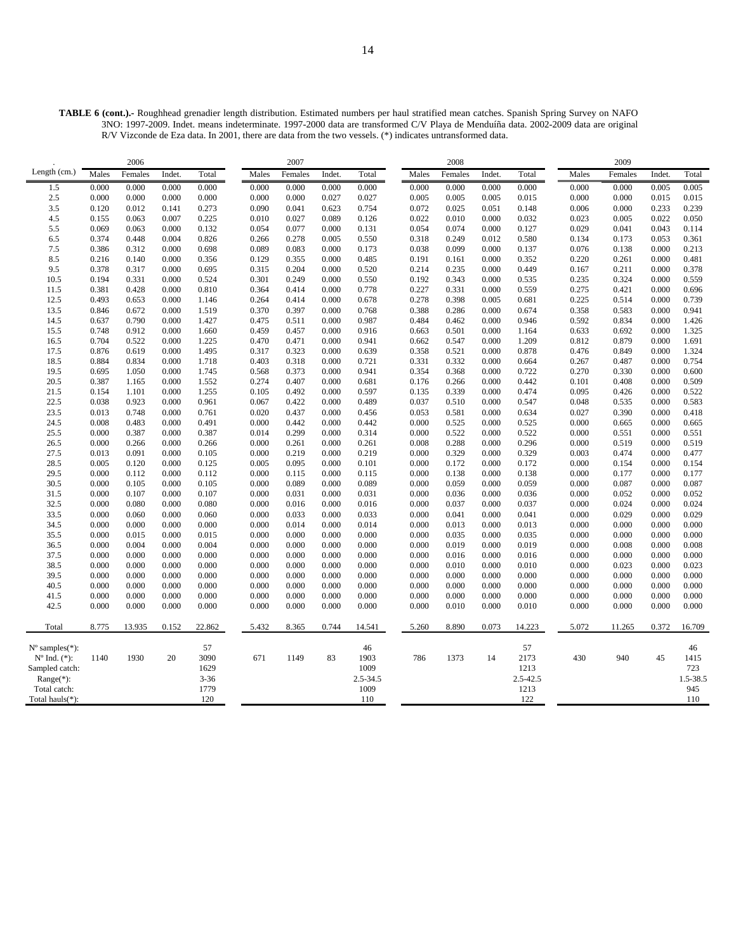**TABLE 6 (cont.).-** Roughhead grenadier length distribution. Estimated numbers per haul stratified mean catches. Spanish Spring Survey on NAFO 3NO: 1997-2009. Indet. means indeterminate. 1997-2000 data are transformed C/V Playa de Menduíña data. 2002-2009 data are original R/V Vizconde de Eza data. In 2001, there are data from the two vessels. (\*) indicates untransformed data.

|                             |                | 2006           |                |                |                | 2007           |                |                |                | 2008           |                |                |                | 2009           |                |                |
|-----------------------------|----------------|----------------|----------------|----------------|----------------|----------------|----------------|----------------|----------------|----------------|----------------|----------------|----------------|----------------|----------------|----------------|
| Length (cm.)                | Males          | Females        | Indet          | Total          | Males          | Females        | Indet.         | Total          | Males          | Females        | Indet.         | Total          | Males          | Females        | Indet.         | Total          |
| 1.5                         | 0.000          | 0.000          | 0.000          | 0.000          | 0.000          | 0.000          | 0.000          | 0.000          | 0.000          | 0.000          | 0.000          | 0.000          | 0.000          | 0.000          | 0.005          | 0.005          |
| 2.5                         | 0.000          | 0.000          | 0.000          | 0.000          | 0.000          | 0.000          | 0.027          | 0.027          | 0.005          | 0.005          | 0.005          | 0.015          | 0.000          | 0.000          | 0.015          | 0.015          |
| 3.5                         | 0.120          | 0.012          | 0.141          | 0.273          | 0.090          | 0.041          | 0.623          | 0.754          | 0.072          | 0.025          | 0.051          | 0.148          | 0.006          | 0.000          | 0.233          | 0.239          |
| 4.5                         | 0.155          | 0.063          | 0.007          | 0.225          | 0.010          | 0.027          | 0.089          | 0.126          | 0.022          | 0.010          | 0.000          | 0.032          | 0.023          | 0.005          | 0.022          | 0.050          |
| 5.5                         | 0.069          | 0.063          | 0.000          | 0.132          | 0.054          | 0.077          | 0.000          | 0.131          | 0.054          | 0.074          | 0.000          | 0.127          | 0.029          | 0.041          | 0.043          | 0.114          |
| 6.5                         | 0.374          | 0.448          | 0.004          | 0.826          | 0.266          | 0.278          | 0.005          | 0.550          | 0.318          | 0.249          | 0.012          | 0.580          | 0.134          | 0.173          | 0.053          | 0.361          |
| 7.5                         | 0.386          | 0.312          | 0.000          | 0.698          | 0.089          | 0.083          | 0.000          | 0.173          | 0.038          | 0.099          | 0.000          | 0.137          | 0.076          | 0.138          | 0.000          | 0.213          |
| 8.5                         | 0.216          | 0.140          | 0.000          | 0.356          | 0.129          | 0.355          | 0.000          | 0.485          | 0.191          | 0.161          | 0.000          | 0.352          | 0.220          | 0.261          | 0.000          | 0.481          |
| 9.5                         | 0.378          | 0.317          | 0.000          | 0.695          | 0.315          | 0.204          | 0.000          | 0.520          | 0.214          | 0.235          | 0.000          | 0.449          | 0.167          | 0.211          | 0.000          | 0.378          |
| 10.5                        | 0.194          | 0.331          | 0.000          | 0.524          | 0.301          | 0.249          | 0.000          | 0.550          | 0.192          | 0.343          | 0.000          | 0.535          | 0.235          | 0.324          | 0.000          | 0.559          |
| 11.5                        | 0.381          | 0.428          | 0.000          | 0.810          | 0.364          | 0.414          | 0.000          | 0.778          | 0.227          | 0.331          | 0.000          | 0.559          | 0.275          | 0.421          | 0.000          | 0.696          |
| 12.5                        | 0.493          | 0.653          | 0.000          | 1.146          | 0.264          | 0.414          | 0.000          | 0.678          | 0.278          | 0.398          | 0.005          | 0.681          | 0.225          | 0.514          | 0.000          | 0.739          |
| 13.5                        | 0.846          | 0.672          | 0.000          | 1.519          | 0.370          | 0.397          | 0.000          | 0.768          | 0.388          | 0.286          | 0.000          | 0.674          | 0.358          | 0.583          | 0.000          | 0.941          |
| 14.5                        | 0.637          | 0.790          | 0.000          | 1.427          | 0.475          | 0.511          | 0.000          | 0.987          | 0.484          | 0.462          | 0.000          | 0.946          | 0.592          | 0.834          | 0.000          | 1.426          |
| 15.5                        | 0.748          | 0.912          | 0.000          | 1.660          | 0.459          | 0.457          | 0.000          | 0.916          | 0.663          | 0.501          | 0.000          | 1.164          | 0.633          | 0.692          | 0.000          | 1.325          |
| 16.5                        | 0.704          | 0.522          | 0.000          | 1.225          | 0.470          | 0.471          | 0.000          | 0.941          | 0.662          | 0.547          | 0.000          | 1.209          | 0.812          | 0.879          | 0.000          | 1.691          |
| 17.5                        | 0.876          | 0.619          | 0.000          | 1.495          | 0.317          | 0.323          | 0.000          | 0.639          | 0.358          | 0.521          | 0.000          | 0.878          | 0.476          | 0.849          | 0.000          | 1.324          |
| 18.5                        | 0.884          | 0.834          | 0.000          | 1.718          | 0.403          | 0.318          | 0.000          | 0.721          | 0.331          | 0.332          | 0.000          | 0.664          | 0.267          | 0.487          | 0.000          | 0.754          |
| 19.5                        | 0.695          | 1.050          | 0.000          | 1.745          | 0.568          | 0.373          | 0.000          | 0.941          | 0.354          | 0.368          | 0.000          | 0.722          | 0.270          | 0.330          | 0.000          | 0.600          |
| 20.5                        | 0.387          | 1.165          | 0.000          | 1.552          | 0.274          | 0.407          | 0.000          | 0.681          | 0.176          | 0.266          | 0.000          | 0.442          | 0.101          | 0.408          | 0.000          | 0.509          |
| 21.5                        | 0.154          | 1.101          | 0.000          | 1.255          | 0.105          | 0.492          | 0.000          | 0.597          | 0.135          | 0.339          | 0.000          | 0.474          | 0.095          | 0.426          | 0.000          | 0.522          |
| 22.5                        | 0.038          | 0.923          | 0.000          | 0.961          | 0.067          | 0.422          | 0.000          | 0.489          | 0.037          | 0.510          | 0.000          | 0.547          | 0.048          | 0.535          | 0.000          | 0.583          |
| 23.5                        | 0.013          | 0.748          | 0.000          | 0.761          | 0.020          | 0.437          | 0.000          | 0.456          | 0.053          | 0.581          | 0.000          | 0.634          | 0.027          | 0.390          | 0.000          | 0.418          |
| 24.5                        | 0.008          | 0.483          | 0.000          | 0.491          | 0.000          | 0.442          | 0.000          | 0.442          | 0.000          | 0.525          | 0.000          | 0.525          | 0.000          | 0.665          | 0.000          | 0.665          |
| 25.5                        | 0.000          | 0.387          | 0.000          | 0.387          | 0.014          | 0.299          | 0.000          | 0.314          | 0.000          | 0.522          | 0.000          | 0.522          | 0.000          | 0.551          | 0.000          | 0.551          |
| 26.5                        | 0.000          | 0.266          | 0.000          | 0.266          | 0.000          | 0.261          | 0.000          | 0.261          | 0.008          | 0.288          | 0.000          | 0.296          | 0.000          | 0.519          | 0.000          | 0.519          |
| 27.5                        | 0.013          | 0.091          | 0.000          | 0.105          | 0.000          | 0.219          | 0.000          | 0.219          | 0.000          | 0.329          | 0.000          | 0.329          | 0.003          | 0.474          | 0.000          | 0.477          |
| 28.5                        | 0.005          | 0.120          | 0.000          | 0.125          | 0.005          | 0.095          | 0.000          | 0.101          | 0.000          | 0.172          | 0.000          | 0.172          | 0.000          | 0.154          | 0.000          | 0.154          |
| 29.5                        | 0.000          | 0.112          | 0.000          | 0.112          | 0.000          | 0.115          | 0.000          | 0.115          | 0.000          | 0.138          | 0.000          | 0.138          | 0.000          | 0.177          | 0.000          | 0.177          |
| 30.5                        | 0.000          | 0.105          | 0.000          | 0.105          | 0.000          | 0.089          | 0.000          | 0.089          | 0.000          | 0.059          | 0.000          | 0.059          | 0.000          | 0.087          | 0.000          | 0.087          |
| 31.5                        | 0.000          | 0.107          | 0.000          | 0.107          | 0.000          | 0.031          | 0.000          | 0.031          | 0.000          | 0.036          | 0.000          | 0.036          | 0.000          | 0.052          | 0.000          | 0.052          |
| 32.5<br>33.5                | 0.000          | 0.080          | 0.000<br>0.000 | 0.080          | 0.000<br>0.000 | 0.016<br>0.033 | 0.000          | 0.016<br>0.033 | 0.000<br>0.000 | 0.037          | 0.000<br>0.000 | 0.037          | 0.000          | 0.024<br>0.029 | 0.000<br>0.000 | 0.024<br>0.029 |
|                             | 0.000          | 0.060          |                | 0.060          |                |                | 0.000          |                |                | 0.041          |                | 0.041          | 0.000          |                |                |                |
| 34.5<br>35.5                | 0.000<br>0.000 | 0.000<br>0.015 | 0.000<br>0.000 | 0.000<br>0.015 | 0.000<br>0.000 | 0.014<br>0.000 | 0.000<br>0.000 | 0.014<br>0.000 | 0.000<br>0.000 | 0.013<br>0.035 | 0.000<br>0.000 | 0.013<br>0.035 | 0.000<br>0.000 | 0.000<br>0.000 | 0.000<br>0.000 | 0.000<br>0.000 |
| 36.5                        | 0.000          | 0.004          | 0.000          | 0.004          | 0.000          | 0.000          | 0.000          | 0.000          | 0.000          | 0.019          | 0.000          | 0.019          | 0.000          | 0.008          | 0.000          | 0.008          |
| 37.5                        | 0.000          | 0.000          | 0.000          | 0.000          | 0.000          | 0.000          | 0.000          | 0.000          | 0.000          | 0.016          | 0.000          | 0.016          | 0.000          | 0.000          | 0.000          | 0.000          |
| 38.5                        | 0.000          | 0.000          | 0.000          | 0.000          | 0.000          | 0.000          | 0.000          | 0.000          | 0.000          | 0.010          | 0.000          | 0.010          | 0.000          | 0.023          | 0.000          | 0.023          |
| 39.5                        | 0.000          | 0.000          | 0.000          | 0.000          | 0.000          | 0.000          | 0.000          | 0.000          | 0.000          | 0.000          | 0.000          | 0.000          | 0.000          | 0.000          | 0.000          | 0.000          |
| 40.5                        | 0.000          | 0.000          | 0.000          | 0.000          | 0.000          | 0.000          | 0.000          | 0.000          | 0.000          | 0.000          | 0.000          | 0.000          | 0.000          | 0.000          | 0.000          | 0.000          |
| 41.5                        | 0.000          | 0.000          | 0.000          | 0.000          | 0.000          | 0.000          | 0.000          | 0.000          | 0.000          | 0.000          | 0.000          | 0.000          | 0.000          | 0.000          | 0.000          | 0.000          |
| 42.5                        | 0.000          | 0.000          | 0.000          | 0.000          | 0.000          | 0.000          | 0.000          | 0.000          | 0.000          | 0.010          | 0.000          | 0.010          | 0.000          | 0.000          | 0.000          | 0.000          |
|                             |                |                |                |                |                |                |                |                |                |                |                |                |                |                |                |                |
| Total                       | 8.775          | 13.935         | 0.152          | 22.862         | 5.432          | 8.365          | 0.744          | 14.541         | 5.260          | 8.890          | 0.073          | 14.223         | 5.072          | 11.265         | 0.372          | 16.709         |
| $N^{\circ}$ samples $(*)$ : |                |                |                | 57             |                |                |                | 46             |                |                |                | 57             |                |                |                | 46             |
| $N^{\circ}$ Ind. $(*)$ :    | 1140           | 1930           | 20             | 3090           | 671            | 1149           | 83             | 1903           | 786            | 1373           | 14             | 2173           | 430            | 940            | 45             | 1415           |
| Sampled catch:              |                |                |                | 1629           |                |                |                | 1009           |                |                |                | 1213           |                |                |                | 723            |
| $Range(*)$ :                |                |                |                | $3 - 36$       |                |                |                | 2.5-34.5       |                |                |                | 2.5-42.5       |                |                |                | 1.5-38.5       |
| Total catch:                |                |                |                | 1779           |                |                |                | 1009           |                |                |                | 1213           |                |                |                | 945            |
| Total hauls(*):             |                |                |                | 120            |                |                |                | 110            |                |                |                | 122            |                |                |                | 110            |
|                             |                |                |                |                |                |                |                |                |                |                |                |                |                |                |                |                |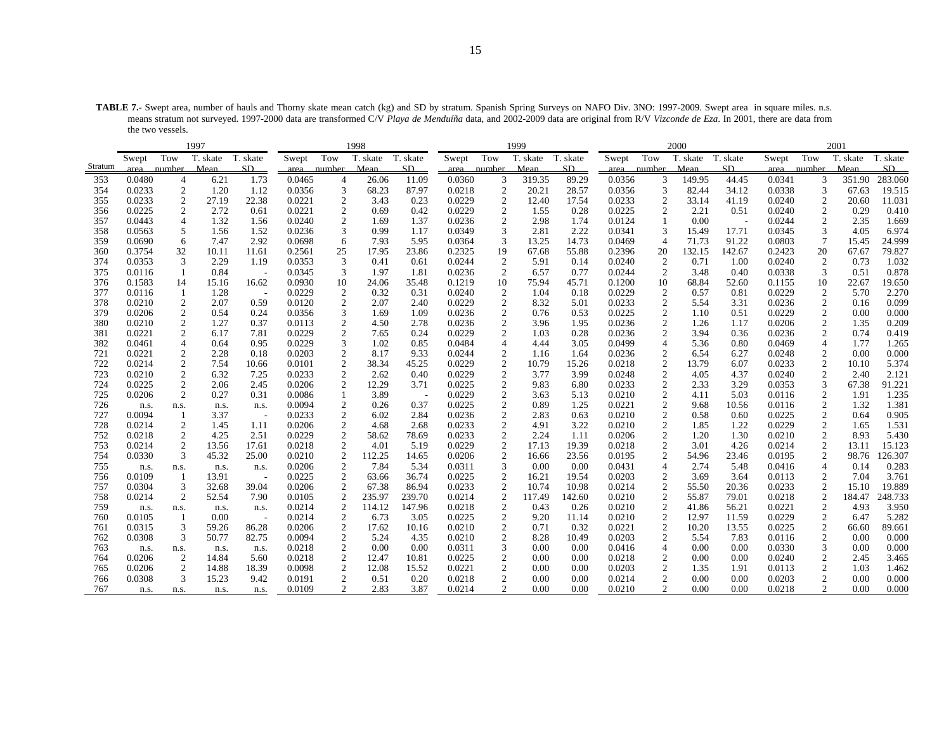**TABLE 7.-** Swept area, number of hauls and Thorny skate mean catch (kg) and SD by stratum. Spanish Spring Surveys on NAFO Div. 3NO: 1997-2009. Swept area in square miles. n.s. means stratum not surveyed. 1997-2000 data are transformed C/V *Playa de Menduíña* data, and 2002-2009 data are original from R/V *Vizconde de Eza*. In 2001, there are data from the two vessels.

|            |                |                         | 1997          |                                   |                  |                                  | 1998           |               |                  |                                  | 1999           |               |                  |                                         | 2000         |               |                  |                                | 2001         |                |
|------------|----------------|-------------------------|---------------|-----------------------------------|------------------|----------------------------------|----------------|---------------|------------------|----------------------------------|----------------|---------------|------------------|-----------------------------------------|--------------|---------------|------------------|--------------------------------|--------------|----------------|
|            | Swept          | Tow                     | T. skate      | T. skate                          | Swept            | Tow                              | T. skate       | T. skate      | Swept            | Tow                              | T. skate       | T. skate      | Swept            | Tow                                     | T. skate     | T. skate      | Swept            | Tow                            | T. skate     | T. skate       |
| Stratum    | area           | number                  | Mean          | SD                                | area             | number                           | Mean           | SD            | area             | number                           | Mean           | SD            | area             | number                                  | Mean         | SD            | area             | number                         | Mean         | SD             |
| 353        | 0.0480         | 4                       | 6.21          | 1.73                              | 0.0465           | 4                                | 26.06          | 11.09         | 0.0360           | 3                                | 319.35         | 89.29         | 0.0356           | 3                                       | 149.95       | 44.45         | 0.0341           | 3                              | 351.90       | 283.060        |
| 354        | 0.0233         | 2                       | 1.20          | 1.12                              | 0.0356           | 3                                | 68.23          | 87.97         | 0.0218           | 2                                | 20.21          | 28.57         | 0.0356           | 3                                       | 82.44        | 34.12         | 0.0338           | 3                              | 67.63        | 19.515         |
| 355        | 0.0233         | 2                       | 27.19         | 22.38                             | 0.0221           | $\overline{c}$                   | 3.43           | 0.23          | 0.0229           | $\overline{2}$                   | 12.40          | 17.54         | 0.0233           | $\overline{c}$                          | 33.14        | 41.19         | 0.0240           | $\overline{c}$                 | 20.60        | 11.031         |
| 356        | 0.0225         | $\overline{c}$          | 2.72          | 0.61                              | 0.0221           | $\overline{c}$                   | 0.69           | 0.42          | 0.0229           | $\mathbf{2}$                     | 1.55           | 0.28          | 0.0225           | $\overline{c}$                          | 2.21         | 0.51          | 0.0240           | $\mathbf{2}$                   | 0.29         | 0.410          |
| 357        | 0.0443         | $\overline{4}$          | 1.32          | 1.56                              | 0.0240           | 2                                | 1.69           | 1.37          | 0.0236           | 2                                | 2.98           | 1.74          | 0.0124           | $\mathbf{1}$                            | 0.00         |               | 0.0244           | 2                              | 2.35         | 1.669          |
| 358        | 0.0563         | 5                       | 1.56          | 1.52                              | 0.0236           | 3                                | 0.99           | 1.17          | 0.0349           | 3                                | 2.81           | 2.22          | 0.0341           | 3                                       | 15.49        | 17.71         | 0.0345           | 3                              | 4.05         | 6.974          |
| 359        | 0.0690         | 6                       | 7.47          | 2.92                              | 0.0698           | 6                                | 7.93           | 5.95          | 0.0364           | 3                                | 13.25          | 14.73         | 0.0469           | $\overline{4}$                          | 71.73        | 91.22         | 0.0803           | 7                              | 15.45        | 24.999         |
| 360        | 0.3754         | 32                      | 10.11         | 11.61                             | 0.2561           | 25                               | 17.95          | 23.86         | 0.2325           | 19                               | 67.68          | 55.88         | 0.2396           | 20                                      | 132.15       | 142.67        | 0.2423           | 20                             | 67.67        | 79.827         |
| 374        | 0.0353         | 3                       | 2.29          | 1.19                              | 0.0353           | $\mathfrak{Z}$                   | 0.41           | 0.61          | 0.0244           | $\overline{c}$                   | 5.91           | 0.14          | 0.0240           | $\overline{2}$                          | 0.71         | 1.00          | 0.0240           | $\overline{c}$                 | 0.73         | 1.032          |
| 375        | 0.0116         | 1                       | 0.84          | $\overline{\phantom{a}}$          | 0.0345           | 3                                | 1.97           | 1.81          | 0.0236           | 2                                | 6.57           | 0.77          | 0.0244           | 2                                       | 3.48         | 0.40          | 0.0338           | 3                              | 0.51         | 0.878          |
| 376        | 0.1583         | 14                      | 15.16         | 16.62                             | 0.0930           | 10                               | 24.06          | 35.48         | 0.1219           | 10                               | 75.94          | 45.71         | 0.1200           | 10                                      | 68.84        | 52.60         | 0.1155           | 10                             | 22.67        | 19.650         |
| 377        | 0.0116         | 1                       | 1.28          | $\overline{\phantom{a}}$          | 0.0229           | $\overline{c}$                   | 0.32           | 0.31          | 0.0240           | $\overline{2}$                   | 1.04           | 0.18          | 0.0229           | $\overline{c}$                          | 0.57         | 0.81          | 0.0229           | $\boldsymbol{2}$               | 5.70         | 2.270          |
| 378        | 0.0210         | 2                       | 2.07          | 0.59                              | 0.0120           | 2                                | 2.07           | 2.40          | 0.0229           | $\overline{c}$                   | 8.32           | 5.01          | 0.0233           | $\overline{c}$                          | 5.54         | 3.31          | 0.0236           | $\boldsymbol{2}$               | 0.16         | 0.099          |
| 379        | 0.0206         | $\overline{\mathbf{c}}$ | 0.54          | 0.24                              | 0.0356           | 3                                | 1.69           | 1.09          | 0.0236           | $\overline{c}$                   | 0.76           | 0.53          | 0.0225           | $\mathbf{2}$                            | 1.10         | 0.51          | 0.0229           | $\boldsymbol{2}$               | 0.00         | 0.000          |
| 380        | 0.0210         | $\overline{c}$          | 1.27          | 0.37                              | 0.0113           | $\overline{c}$                   | 4.50           | 2.78          | 0.0236           | $\overline{c}$                   | 3.96           | 1.95          | 0.0236           | 2                                       | 1.26         | 1.17          | 0.0206           | $\overline{c}$                 | 1.35         | 0.209          |
| 381        | 0.0221         | $\overline{c}$          | 6.17          | 7.81                              | 0.0229           | $\boldsymbol{2}$                 | 7.65           | 0.24          | 0.0229           | $\overline{2}$                   | 1.03           | 0.28          | 0.0236           | $\sqrt{2}$                              | 3.94         | 0.36          | 0.0236           | $\overline{2}$                 | 0.74         | 0.419          |
| 382        | 0.0461         | $\overline{4}$          | 0.64          | 0.95                              | 0.0229           | 3                                | 1.02           | 0.85          | 0.0484           | $\overline{4}$                   | 4.44           | 3.05          | 0.0499           | $\overline{4}$                          | 5.36         | 0.80          | 0.0469           | $\overline{4}$                 | 1.77         | 1.265          |
| 721        | 0.0221         | 2                       | 2.28          | 0.18                              | 0.0203           | $\overline{c}$                   | 8.17           | 9.33          | 0.0244           | $\overline{c}$                   | 1.16           | 1.64          | 0.0236           | $\overline{c}$                          | 6.54         | 6.27          | 0.0248           | $\overline{c}$                 | 0.00         | 0.000          |
| 722        | 0.0214         | $\boldsymbol{2}$        | 7.54          | 10.66                             | 0.0101           | $\boldsymbol{2}$                 | 38.34          | 45.25         | 0.0229           | $\sqrt{2}$                       | 10.79          | 15.26         | 0.0218           | $\overline{2}$                          | 13.79        | 6.07          | 0.0233           | $\sqrt{2}$                     | 10.10        | 5.374          |
| 723        | 0.0210         | $\overline{c}$          | 6.32          | 7.25                              | 0.0233           | 2                                | 2.62           | 0.40          | 0.0229           | $\overline{c}$                   | 3.77           | 3.99          | 0.0248           | $\overline{2}$                          | 4.05         | 4.37          | 0.0240           | $\overline{c}$                 | 2.40         | 2.121          |
| 724        | 0.0225         | $\boldsymbol{2}$        | 2.06          | 2.45                              | 0.0206           | $\mathbf{2}$                     | 12.29          | 3.71          | 0.0225           | $\overline{c}$                   | 9.83           | 6.80          | 0.0233           | $\mathbf{2}$                            | 2.33         | 3.29          | 0.0353           | 3                              | 67.38        | 91.221         |
| 725        | 0.0206         | $\overline{c}$          | 0.27          | 0.31                              | 0.0086           |                                  | 3.89           | ٠.            | 0.0229           | $\overline{c}$                   | 3.63           | 5.13          | 0.0210           | $\mathbf{2}$                            | 4.11         | 5.03          | 0.0116           | $\boldsymbol{2}$               | 1.91         | 1.235          |
| 726        | n.s.           | n.s.                    | n.s.          | n.s.                              | 0.0094           | $\overline{c}$                   | 0.26           | 0.37          | 0.0225           | $\overline{c}$                   | 0.89           | 1.25          | 0.0221           | $\overline{c}$                          | 9.68         | 10.56         | 0.0116           | $\overline{c}$                 | 1.32         | 1.381          |
| 727        | 0.0094         |                         | 3.37          | $\overline{\phantom{a}}$          | 0.0233           | $\boldsymbol{2}$                 | 6.02           | 2.84          | 0.0236           | $\mathbf{2}$                     | 2.83           | 0.63          | 0.0210           | $\overline{c}$                          | 0.58         | 0.60          | 0.0225           | $\mathbf{2}$                   | 0.64         | 0.905          |
| 728        | 0.0214         | $\boldsymbol{2}$        | 1.45          | 1.11                              | 0.0206           | $\overline{c}$                   | 4.68           | 2.68          | 0.0233           | $\mathbf{2}$                     | 4.91           | 3.22          | 0.0210           | $\overline{c}$                          | 1.85         | 1.22          | 0.0229           | $\boldsymbol{2}$               | 1.65         | 1.531          |
| 752        | 0.0218         | 2                       | 4.25          | 2.51                              | 0.0229           | $\overline{c}$                   | 58.62          | 78.69         | 0.0233           | $\overline{2}$                   | 2.24           | 1.11          | 0.0206           | $\sqrt{2}$                              | 1.20         | 1.30          | 0.0210           | $\mathfrak{2}$                 | 8.93         | 5.430          |
| 753        | 0.0214         | $\overline{c}$          | 13.56         | 17.61                             | 0.0218           | $\overline{c}$                   | 4.01           | 5.19          | 0.0229           | $\overline{c}$                   | 17.13          | 19.39         | 0.0218           | $\overline{c}$                          | 3.01         | 4.26          | 0.0214           | $\sqrt{2}$                     | 13.11        | 15.123         |
| 754        | 0.0330         | 3                       | 45.32         | 25.00                             | 0.0210           | $\overline{2}$                   | 112.25         | 14.65         | 0.0206           | $\overline{c}$                   | 16.66          | 23.56         | 0.0195           | $\overline{c}$                          | 54.96        | 23.46         | 0.0195           | $\overline{c}$                 | 98.76        | 126.307        |
| 755<br>756 | n.s.<br>0.0109 | n.s.                    | n.s.<br>13.91 | n.s.                              | 0.0206<br>0.0225 | $\overline{2}$                   | 7.84           | 5.34<br>36.74 | 0.0311<br>0.0225 | 3                                | 0.00<br>16.21  | 0.00<br>19.54 | 0.0431<br>0.0203 | $\overline{4}$                          | 2.74<br>3.69 | 5.48          | 0.0416<br>0.0113 | $\overline{4}$                 | 0.14<br>7.04 | 0.283<br>3.761 |
| 757        | 0.0304         | 3                       | 32.68         | $\overline{\phantom{a}}$<br>39.04 | 0.0206           | $\mathbf{2}$<br>$\mathbf{2}$     | 63.66<br>67.38 | 86.94         | 0.0233           | $\overline{c}$<br>$\overline{c}$ | 10.74          | 10.98         | 0.0214           | $\overline{\mathbf{c}}$<br>$\mathbf{2}$ | 55.50        | 3.64<br>20.36 |                  | $\overline{c}$<br>$\mathbf{2}$ | 15.10        | 19.889         |
| 758        | 0.0214         |                         | 52.54         | 7.90                              |                  |                                  | 235.97         | 239.70        | 0.0214           | $\overline{c}$                   |                | 142.60        | 0.0210           |                                         | 55.87        | 79.01         | 0.0233<br>0.0218 | $\overline{c}$                 | 184.47       | 248.733        |
| 759        |                | 2                       |               |                                   | 0.0105<br>0.0214 | $\overline{c}$<br>$\overline{2}$ | 114.12         | 147.96        | 0.0218           | $\overline{c}$                   | 117.49<br>0.43 | 0.26          | 0.0210           | $\mathbf{2}$<br>$\overline{2}$          | 41.86        | 56.21         | 0.0221           | 2                              | 4.93         | 3.950          |
| 760        | n.s.<br>0.0105 | n.s.                    | n.s.<br>0.00  | n.s.<br>. —                       | 0.0214           |                                  | 6.73           | 3.05          | 0.0225           | $\overline{c}$                   | 9.20           | 11.14         | 0.0210           | $\overline{c}$                          | 12.97        | 11.59         |                  | $\overline{c}$                 | 6.47         | 5.282          |
| 761        | 0.0315         | 3                       | 59.26         | 86.28                             | 0.0206           | 2<br>$\overline{c}$              | 17.62          | 10.16         | 0.0210           | $\overline{c}$                   | 0.71           | 0.32          | 0.0221           | $\mathbf{2}$                            | 10.20        | 13.55         | 0.0229<br>0.0225 | $\mathbf{2}$                   | 66.60        | 89.661         |
| 762        | 0.0308         | 3                       | 50.77         | 82.75                             | 0.0094           | $\overline{c}$                   | 5.24           | 4.35          | 0.0210           | $\overline{c}$                   | 8.28           | 10.49         | 0.0203           | $\overline{2}$                          | 5.54         | 7.83          | 0.0116           | $\overline{c}$                 | 0.00         | 0.000          |
| 763        |                |                         |               |                                   | 0.0218           | $\overline{c}$                   | 0.00           | 0.00          | 0.0311           | 3                                | 0.00           | 0.00          | 0.0416           | 4                                       | 0.00         | 0.00          | 0.0330           | 3                              | 0.00         | 0.000          |
| 764        | n.s.<br>0.0206 | n.s.<br>2               | n.s.<br>14.84 | n.s.<br>5.60                      | 0.0218           | $\overline{c}$                   | 12.47          | 10.81         | 0.0225           | $\overline{c}$                   | 0.00           | 0.00          | 0.0218           | $\overline{c}$                          | 0.00         | 0.00          | 0.0240           | $\overline{c}$                 | 2.45         | 3.465          |
| 765        | 0.0206         | 2                       | 14.88         | 18.39                             | 0.0098           | $\overline{c}$                   | 12.08          | 15.52         | 0.0221           | $\mathbf{2}$                     | 0.00           | 0.00          | 0.0203           | $\overline{c}$                          | 1.35         | 1.91          | 0.0113           | $\sqrt{2}$                     | 1.03         | 1.462          |
| 766        | 0.0308         | 3                       | 15.23         | 9.42                              | 0.0191           | $\overline{c}$                   | 0.51           | 0.20          | 0.0218           | $\mathbf{2}$                     | 0.00           | 0.00          | 0.0214           | $\overline{c}$                          | 0.00         | 0.00          | 0.0203           | $\mathbf{2}$                   | 0.00         | 0.000          |
| 767        | n.s.           | n.s.                    | n.s.          | n.s.                              | 0.0109           | $\mathfrak{D}$                   | 2.83           | 3.87          | 0.0214           | $\mathfrak{D}$                   | 0.00           | 0.00          | 0.0210           | $\mathfrak{D}$                          | 0.00         | 0.00          | 0.0218           | $\mathfrak{D}$                 | 0.00         | 0.000          |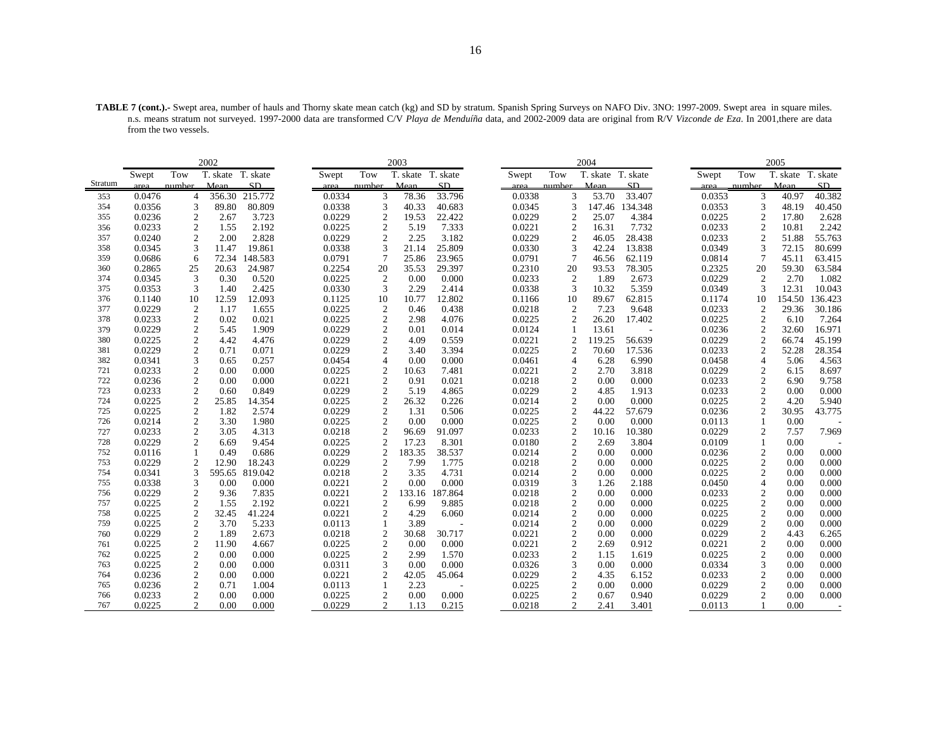**TABLE 7 (cont.).-** Swept area, number of hauls and Thorny skate mean catch (kg) and SD by stratum. Spanish Spring Surveys on NAFO Div. 3NO: 1997-2009. Swept area in square miles. n.s. means stratum not surveyed. 1997-2000 data are transformed C/V *Playa de Menduíña* data, and 2002-2009 data are original from R/V *Vizconde de Eza*. In 2001,there are data from the two vessels.

|         |        |                | 2002              |         |        |                  | 2003              |         |        |                | 2004              |                          |        |                  | 2005     |          |
|---------|--------|----------------|-------------------|---------|--------|------------------|-------------------|---------|--------|----------------|-------------------|--------------------------|--------|------------------|----------|----------|
|         | Swept  | Tow            | T. skate T. skate |         | Swept  | Tow              | T. skate T. skate |         | Swept  | Tow            | T. skate T. skate |                          | Swept  | Tow              | T. skate | T. skate |
| Stratum | area   | number         | Mean              | SD      | area   | number           | Mean              | SD      | area   | number         | Mean              | SD                       | area   | number           | Mean     | SD       |
| 353     | 0.0476 | 4              | 356.30            | 215.772 | 0.0334 | 3                | 78.36             | 33.796  | 0.0338 | 3              | 53.70             | 33.407                   | 0.0353 | 3                | 40.97    | 40.382   |
| 354     | 0.0356 | 3              | 89.80             | 80.809  | 0.0338 | 3                | 40.33             | 40.683  | 0.0345 | 3              |                   | 147.46 134.348           | 0.0353 | 3                | 48.19    | 40.450   |
| 355     | 0.0236 | 2              | 2.67              | 3.723   | 0.0229 | $\overline{2}$   | 19.53             | 22.422  | 0.0229 | 2              | 25.07             | 4.384                    | 0.0225 | 2                | 17.80    | 2.628    |
| 356     | 0.0233 | $\overline{c}$ | 1.55              | 2.192   | 0.0225 | $\mathfrak{2}$   | 5.19              | 7.333   | 0.0221 | $\overline{2}$ | 16.31             | 7.732                    | 0.0233 | $\boldsymbol{2}$ | 10.81    | 2.242    |
| 357     | 0.0240 | 2              | 2.00              | 2.828   | 0.0229 | $\mathfrak{2}$   | 2.25              | 3.182   | 0.0229 | 2              | 46.05             | 28.438                   | 0.0233 | 2                | 51.88    | 55.763   |
| 358     | 0.0345 | 3              | 11.47             | 19.861  | 0.0338 | 3                | 21.14             | 25.809  | 0.0330 | 3              | 42.24             | 13.838                   | 0.0349 | 3                | 72.15    | 80.699   |
| 359     | 0.0686 | 6              | 72.34             | 148.583 | 0.0791 | 7                | 25.86             | 23.965  | 0.0791 | $\overline{7}$ | 46.56             | 62.119                   | 0.0814 | 7                | 45.11    | 63.415   |
| 360     | 0.2865 | 25             | 20.63             | 24.987  | 0.2254 | 20               | 35.53             | 29.397  | 0.2310 | 20             | 93.53             | 78.305                   | 0.2325 | 20               | 59.30    | 63.584   |
| 374     | 0.0345 | 3              | 0.30              | 0.520   | 0.0225 | $\overline{2}$   | 0.00              | 0.000   | 0.0233 | $\overline{2}$ | 1.89              | 2.673                    | 0.0229 | $\overline{2}$   | 2.70     | 1.082    |
| 375     | 0.0353 | 3              | 1.40              | 2.425   | 0.0330 | 3                | 2.29              | 2.414   | 0.0338 | 3              | 10.32             | 5.359                    | 0.0349 | 3                | 12.31    | 10.043   |
| 376     | 0.1140 | 10             | 12.59             | 12.093  | 0.1125 | 10               | 10.77             | 12.802  | 0.1166 | 10             | 89.67             | 62.815                   | 0.1174 | 10               | 154.50   | 136.423  |
| 377     | 0.0229 | $\mathfrak{2}$ | 1.17              | 1.655   | 0.0225 | $\boldsymbol{2}$ | 0.46              | 0.438   | 0.0218 | $\overline{2}$ | 7.23              | 9.648                    | 0.0233 | $\overline{2}$   | 29.36    | 30.186   |
| 378     | 0.0233 | 2              | 0.02              | 0.021   | 0.0225 | $\overline{2}$   | 2.98              | 4.076   | 0.0225 | $\overline{2}$ | 26.20             | 17.402                   | 0.0225 | 2                | 6.10     | 7.264    |
| 379     | 0.0229 | 2              | 5.45              | 1.909   | 0.0229 | $\boldsymbol{2}$ | 0.01              | 0.014   | 0.0124 |                | 13.61             | $\overline{\phantom{a}}$ | 0.0236 | $\mathfrak{2}$   | 32.60    | 16.971   |
| 380     | 0.0225 | 2              | 4.42              | 4.476   | 0.0229 | $\mathfrak{2}$   | 4.09              | 0.559   | 0.0221 | $\overline{2}$ | 119.25            | 56.639                   | 0.0229 | $\mathfrak{2}$   | 66.74    | 45.199   |
| 381     | 0.0229 | 2              | 0.71              | 0.071   | 0.0229 | $\overline{c}$   | 3.40              | 3.394   | 0.0225 | $\overline{c}$ | 70.60             | 17.536                   | 0.0233 | 2                | 52.28    | 28.354   |
| 382     | 0.0341 | 3              | 0.65              | 0.257   | 0.0454 | 4                | 0.00              | 0.000   | 0.0461 | $\overline{4}$ | 6.28              | 6.990                    | 0.0458 | $\overline{4}$   | 5.06     | 4.563    |
| 721     | 0.0233 | $\overline{c}$ | 0.00              | 0.000   | 0.0225 | $\mathfrak{2}$   | 10.63             | 7.481   | 0.0221 | $\overline{2}$ | 2.70              | 3.818                    | 0.0229 | $\mathfrak{2}$   | 6.15     | 8.697    |
| 722     | 0.0236 | 2              | 0.00              | 0.000   | 0.0221 | $\mathfrak{2}$   | 0.91              | 0.021   | 0.0218 | $\sqrt{2}$     | 0.00              | 0.000                    | 0.0233 | 2                | 6.90     | 9.758    |
| 723     | 0.0233 | $\overline{c}$ | 0.60              | 0.849   | 0.0229 | $\mathfrak{2}$   | 5.19              | 4.865   | 0.0229 | $\overline{2}$ | 4.85              | 1.913                    | 0.0233 | $\overline{c}$   | 0.00     | 0.000    |
| 724     | 0.0225 | 2              | 25.85             | 14.354  | 0.0225 | $\mathfrak{2}$   | 26.32             | 0.226   | 0.0214 | 2              | 0.00              | 0.000                    | 0.0225 | $\overline{c}$   | 4.20     | 5.940    |
| 725     | 0.0225 | $\overline{c}$ | 1.82              | 2.574   | 0.0229 | $\sqrt{2}$       | 1.31              | 0.506   | 0.0225 | $\overline{2}$ | 44.22             | 57.679                   | 0.0236 | $\overline{c}$   | 30.95    | 43.775   |
| 726     | 0.0214 | 2              | 3.30              | 1.980   | 0.0225 | $\overline{c}$   | 0.00              | 0.000   | 0.0225 | $\overline{2}$ | 0.00              | 0.000                    | 0.0113 |                  | 0.00     |          |
| 727     | 0.0233 | 2              | 3.05              | 4.313   | 0.0218 | $\overline{2}$   | 96.69             | 91.097  | 0.0233 | $\sqrt{2}$     | 10.16             | 10.380                   | 0.0229 | 2                | 7.57     | 7.969    |
| 728     | 0.0229 | 2              | 6.69              | 9.454   | 0.0225 | $\boldsymbol{2}$ | 17.23             | 8.301   | 0.0180 | $\sqrt{2}$     | 2.69              | 3.804                    | 0.0109 |                  | 0.00     |          |
| 752     | 0.0116 |                | 0.49              | 0.686   | 0.0229 | $\overline{2}$   | 183.35            | 38.537  | 0.0214 | 2              | 0.00              | 0.000                    | 0.0236 | $\mathfrak{2}$   | 0.00     | 0.000    |
| 753     | 0.0229 | 2              | 12.90             | 18.243  | 0.0229 | 2                | 7.99              | 1.775   | 0.0218 | $\overline{2}$ | 0.00              | 0.000                    | 0.0225 | $\boldsymbol{2}$ | 0.00     | 0.000    |
| 754     | 0.0341 | 3              | 595.65            | 819.042 | 0.0218 | $\mathfrak{2}$   | 3.35              | 4.731   | 0.0214 | $\sqrt{2}$     | 0.00              | 0.000                    | 0.0225 | 2                | 0.00     | 0.000    |
| 755     | 0.0338 | 3              | 0.00              | 0.000   | 0.0221 | $\overline{c}$   | 0.00              | 0.000   | 0.0319 | 3              | 1.26              | 2.188                    | 0.0450 | $\overline{4}$   | 0.00     | 0.000    |
| 756     | 0.0229 | $\overline{c}$ | 9.36              | 7.835   | 0.0221 | $\mathfrak{2}$   | 133.16            | 187.864 | 0.0218 | $\overline{c}$ | 0.00              | 0.000                    | 0.0233 | 2                | 0.00     | 0.000    |
| 757     | 0.0225 | 2              | 1.55              | 2.192   | 0.0221 | 2                | 6.99              | 9.885   | 0.0218 | $\sqrt{2}$     | 0.00              | 0.000                    | 0.0225 | $\overline{c}$   | 0.00     | 0.000    |
| 758     | 0.0225 | $\overline{c}$ | 32.45             | 41.224  | 0.0221 | $\mathfrak{2}$   | 4.29              | 6.060   | 0.0214 | $\sqrt{2}$     | 0.00              | 0.000                    | 0.0225 | $\overline{c}$   | 0.00     | 0.000    |
| 759     | 0.0225 | 2              | 3.70              | 5.233   | 0.0113 | $\mathbf{1}$     | 3.89              |         | 0.0214 | $\overline{2}$ | 0.00              | 0.000                    | 0.0229 | $\overline{c}$   | 0.00     | 0.000    |
| 760     | 0.0229 | 2              | 1.89              | 2.673   | 0.0218 | $\boldsymbol{2}$ | 30.68             | 30.717  | 0.0221 | $\overline{2}$ | 0.00              | 0.000                    | 0.0229 | $\overline{c}$   | 4.43     | 6.265    |
| 761     | 0.0225 | $\overline{c}$ | 11.90             | 4.667   | 0.0225 | $\mathfrak{2}$   | 0.00              | 0.000   | 0.0221 | $\overline{2}$ | 2.69              | 0.912                    | 0.0221 | $\overline{c}$   | 0.00     | 0.000    |
| 762     | 0.0225 | $\overline{c}$ | 0.00              | 0.000   | 0.0225 | $\overline{c}$   | 2.99              | 1.570   | 0.0233 | $\overline{2}$ | 1.15              | 1.619                    | 0.0225 | 2                | 0.00     | 0.000    |
| 763     | 0.0225 | 2              | 0.00              | 0.000   | 0.0311 | 3                | 0.00              | 0.000   | 0.0326 | 3              | 0.00              | 0.000                    | 0.0334 | 3                | 0.00     | 0.000    |
| 764     | 0.0236 | 2              | 0.00              | 0.000   | 0.0221 | $\mathfrak{2}$   | 42.05             | 45.064  | 0.0229 | $\overline{2}$ | 4.35              | 6.152                    | 0.0233 | $\overline{c}$   | 0.00     | 0.000    |
| 765     | 0.0236 | 2              | 0.71              | 1.004   | 0.0113 |                  | 2.23              |         | 0.0225 | $\overline{2}$ | 0.00              | 0.000                    | 0.0229 | 2                | 0.00     | 0.000    |
| 766     | 0.0233 | 2              | 0.00              | 0.000   | 0.0225 | $\mathfrak{2}$   | 0.00              | 0.000   | 0.0225 | 2              | 0.67              | 0.940                    | 0.0229 | 2                | 0.00     | 0.000    |
| 767     | 0.0225 | 2              | 0.00              | 0.000   | 0.0229 | $\overline{c}$   | 1.13              | 0.215   | 0.0218 | 2              | 2.41              | 3.401                    | 0.0113 |                  | 0.00     |          |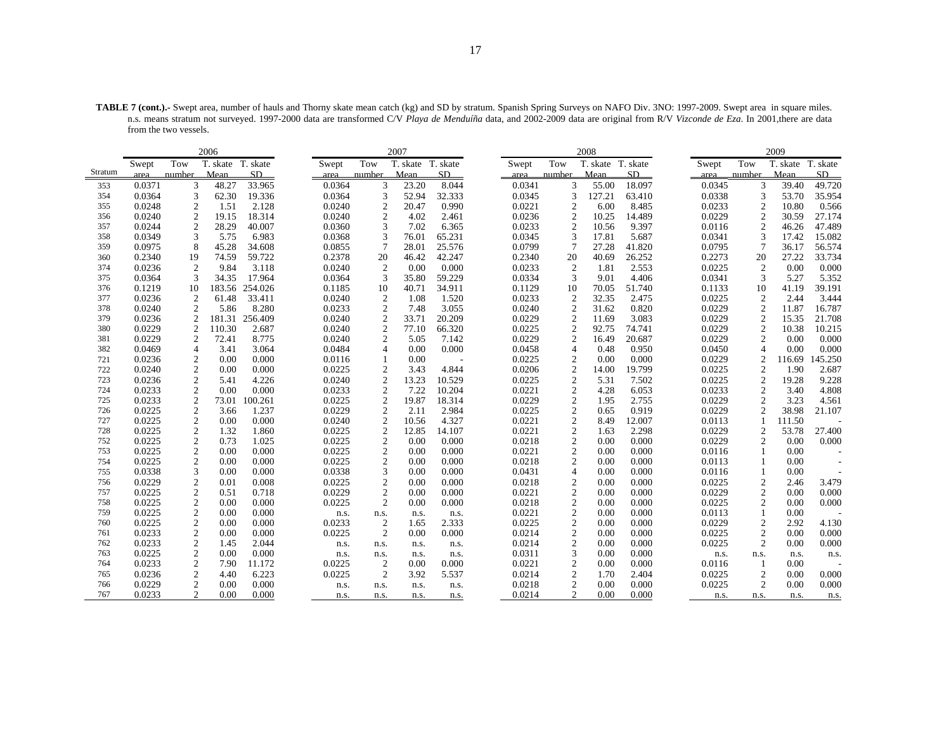**TABLE 7 (cont.).-** Swept area, number of hauls and Thorny skate mean catch (kg) and SD by stratum. Spanish Spring Surveys on NAFO Div. 3NO: 1997-2009. Swept area in square miles. n.s. means stratum not surveyed. 1997-2000 data are transformed C/V *Playa de Menduíña* data, and 2002-2009 data are original from R/V *Vizconde de Eza*. In 2001,there are data from the two vessels.

|            |                  |                                  | 2006              |                |                  |                  | 2007              |                |                  |                              | 2008              |                |                  |                   | 2009         |                |
|------------|------------------|----------------------------------|-------------------|----------------|------------------|------------------|-------------------|----------------|------------------|------------------------------|-------------------|----------------|------------------|-------------------|--------------|----------------|
|            | Swept            | Tow                              | T. skate T. skate |                | Swept            | Tow              | T. skate T. skate |                | Swept            | Tow                          | T. skate T. skate |                | Swept            | Tow               | T. skate     | T. skate       |
| Stratum    | area             | number                           | Mean              | SD             | area             | number           | Mean              | SD             | area             | number                       | Mean              | SD             | area             | number            | Mean         | SD             |
| 353        | 0.0371           | 3                                | 48.27             | 33.965         | 0.0364           | 3                | 23.20             | 8.044          | 0.0341           | 3                            | 55.00             | 18.097         | 0.0345           | 3                 | 39.40        | 49.720         |
| 354        | 0.0364           | 3                                | 62.30             | 19.336         | 0.0364           | 3                | 52.94             | 32.333         | 0.0345           | 3                            | 127.21            | 63.410         | 0.0338           | 3                 | 53.70        | 35.954         |
| 355        | 0.0248           | 2                                | 1.51              | 2.128          | 0.0240           | 2                | 20.47             | 0.990          | 0.0221           | 2                            | 6.00              | 8.485          | 0.0233           | 2                 | 10.80        | 0.566          |
| 356        | 0.0240           | 2                                | 19.15             | 18.314         | 0.0240           | $\overline{2}$   | 4.02              | 2.461          | 0.0236           | $\overline{2}$               | 10.25             | 14.489         | 0.0229           | 2                 | 30.59        | 27.174         |
| 357        | 0.0244           | $\overline{c}$                   | 28.29             | 40.007         | 0.0360           | 3                | 7.02              | 6.365          | 0.0233           | $\overline{2}$               | 10.56             | 9.397          | 0.0116           | $\overline{2}$    | 46.26        | 47.489         |
| 358        | 0.0349           | 3                                | 5.75              | 6.983          | 0.0368           | 3                | 76.01             | 65.231         | 0.0345           | 3                            | 17.81             | 5.687          | 0.0341           | 3                 | 17.42        | 15.082         |
| 359        | 0.0975           | 8                                | 45.28             | 34.608         | 0.0855           | 7                | 28.01             | 25.576         | 0.0799           | 7                            | 27.28             | 41.820         | 0.0795           | $7\phantom{.0}$   | 36.17        | 56.574         |
| 360        | 0.2340           | 19                               | 74.59             | 59.722         | 0.2378           | 20               | 46.42             | 42.247         | 0.2340           | 20                           | 40.69             | 26.252         | 0.2273           | 20                | 27.22        | 33.734         |
| 374        | 0.0236           | 2                                | 9.84              | 3.118          | 0.0240           | 2                | 0.00              | 0.000          | 0.0233           | $\overline{2}$               | 1.81              | 2.553          | 0.0225           | $\overline{2}$    | 0.00         | 0.000          |
| 375        | 0.0364           | 3                                | 34.35             | 17.964         | 0.0364           | 3                | 35.80             | 59.229         | 0.0334           | 3                            | 9.01              | 4.406          | 0.0341           | 3                 | 5.27         | 5.352          |
| 376        | 0.1219           | 10                               | 183.56            | 254.026        | 0.1185           | 10               | 40.71             | 34.911         | 0.1129           | 10                           | 70.05             | 51.740         | 0.1133           | 10                | 41.19        | 39.191         |
| 377        | 0.0236           | 2                                | 61.48             | 33.411         | 0.0240           | 2                | 1.08              | 1.520          | 0.0233           | 2                            | 32.35             | 2.475          | 0.0225           | $\overline{2}$    | 2.44         | 3.444          |
| 378        | 0.0240           | 2                                | 5.86              | 8.280          | 0.0233           | $\mathfrak{2}$   | 7.48              | 3.055          | 0.0240           | $\boldsymbol{2}$             | 31.62             | 0.820          | 0.0229           | $\overline{2}$    | 11.87        | 16.787         |
| 379        | 0.0236           | 2                                | 181.31            | 256.409        | 0.0240           | $\mathfrak{2}$   | 33.71             | 20.209         | 0.0229           | $\mathfrak{2}$               | 11.69             | 3.083          | 0.0229           | $\overline{2}$    | 15.35        | 21.708         |
| 380        | 0.0229           | 2                                | 110.30            | 2.687          | 0.0240           | $\overline{c}$   | 77.10             | 66.320         | 0.0225           | 2                            | 92.75             | 74.741         | 0.0229           | $\overline{c}$    | 10.38        | 10.215         |
| 381        | 0.0229           | 2                                | 72.41             | 8.775          | 0.0240           | 2                | 5.05              | 7.142          | 0.0229           | $\overline{c}$               | 16.49             | 20.687         | 0.0229           | 2                 | 0.00         | 0.000          |
| 382        | 0.0469           | $\overline{4}$                   | 3.41              | 3.064          | 0.0484           | 4                | 0.00              | 0.000          | 0.0458           | $\overline{4}$               | 0.48              | 0.950          | 0.0450           | $\overline{4}$    | 0.00         | 0.000          |
| 721        | 0.0236           | 2                                | 0.00              | 0.000          | 0.0116           | 1                | 0.00              |                | 0.0225           | $\overline{2}$               | 0.00              | 0.000          | 0.0229           | $\overline{2}$    | 116.69       | 145.250        |
| 722        | 0.0240           | 2                                | 0.00              | 0.000          | 0.0225           | $\mathfrak{2}$   | 3.43              | 4.844          | 0.0206           | $\sqrt{2}$                   | 14.00             | 19.799         | 0.0225           | $\overline{2}$    | 1.90         | 2.687          |
| 723        | 0.0236           | $\overline{c}$                   | 5.41              | 4.226          | 0.0240           | $\mathfrak{2}$   | 13.23             | 10.529         | 0.0225           | $\overline{c}$               | 5.31              | 7.502          | 0.0225           | $\overline{2}$    | 19.28        | 9.228          |
| 724        | 0.0233           | 2                                | 0.00              | 0.000          | 0.0233           | 2                | 7.22              | 10.204         | 0.0221           | $\mathfrak{2}$               | 4.28              | 6.053          | 0.0233           | 2                 | 3.40         | 4.808          |
| 725        | 0.0233           | $\overline{c}$                   | 73.01             | 100.261        | 0.0225           | $\sqrt{2}$       | 19.87             | 18.314         | 0.0229           | $\overline{c}$               | 1.95              | 2.755          | 0.0229           | 2                 | 3.23         | 4.561          |
| 726        | 0.0225           | 2                                | 3.66              | 1.237          | 0.0229           | 2                | 2.11              | 2.984          | 0.0225           | $\overline{c}$               | 0.65              | 0.919          | 0.0229           | $\overline{2}$    | 38.98        | 21.107         |
| 727        | 0.0225           | 2                                | 0.00              | 0.000          | 0.0240           | $\mathfrak{2}$   | 10.56             | 4.327          | 0.0221           | $\mathfrak{2}$               | 8.49              | 12.007         | 0.0113           |                   | 111.50       |                |
| 728        | 0.0225           | $\boldsymbol{2}$                 | 1.32              | 1.860          | 0.0225           | $\boldsymbol{2}$ | 12.85             | 14.107         | 0.0221           | $\sqrt{2}$                   | 1.63              | 2.298          | 0.0229           | $\overline{2}$    | 53.78        | 27.400         |
| 752        | 0.0225           | $\overline{c}$                   | 0.73              | 1.025          | 0.0225           | 2                | 0.00              | 0.000          | 0.0218           | $\mathfrak{2}$               | 0.00              | 0.000          | 0.0229           | 2                 | 0.00         | 0.000          |
| 753        | 0.0225           | 2                                | 0.00              | 0.000          | 0.0225           | 2                | 0.00              | 0.000          | 0.0221           | $\mathfrak{2}$               | 0.00              | 0.000          | 0.0116           | 1                 | 0.00         |                |
| 754        | 0.0225           | $\overline{2}$                   | 0.00              | 0.000          | 0.0225           | $\overline{2}$   | 0.00              | 0.000          | 0.0218           | $\overline{c}$               | 0.00              | 0.000          | 0.0113           | $\mathbf{1}$      | 0.00         |                |
| 755<br>756 | 0.0338           | 3                                | 0.00              | 0.000          | 0.0338           | 3                | 0.00<br>0.00      | 0.000          | 0.0431           | $\overline{4}$               | 0.00              | 0.000          | 0.0116           | -1<br>2           | 0.00         |                |
| 757        | 0.0229<br>0.0225 | 2                                | 0.01<br>0.51      | 0.008<br>0.718 | 0.0225<br>0.0229 | 2                | 0.00              | 0.000<br>0.000 | 0.0218<br>0.0221 | 2                            | 0.00<br>0.00      | 0.000<br>0.000 | 0.0225<br>0.0229 |                   | 2.46<br>0.00 | 3.479          |
| 758        | 0.0225           | $\mathfrak{2}$<br>$\overline{c}$ | 0.00              | 0.000          |                  | $\sqrt{2}$<br>2  | 0.00              | 0.000          | 0.0218           | $\sqrt{2}$<br>$\overline{c}$ | 0.00              | 0.000          | 0.0225           | $\mathbf{2}$<br>2 | 0.00         | 0.000<br>0.000 |
| 759        | 0.0225           | 2                                | 0.00              | 0.000          | 0.0225           |                  |                   |                | 0.0221           | $\boldsymbol{2}$             | 0.00              | 0.000          | 0.0113           | -1                | 0.00         |                |
| 760        | 0.0225           | $\boldsymbol{2}$                 | 0.00              | 0.000          | n.s.<br>0.0233   | n.s.<br>2        | n.s.<br>1.65      | n.s.<br>2.333  | 0.0225           | $\sqrt{2}$                   | 0.00              | 0.000          | 0.0229           | $\boldsymbol{2}$  | 2.92         | 4.130          |
| 761        | 0.0233           | 2                                | 0.00              | 0.000          | 0.0225           | 2                | 0.00              | 0.000          | 0.0214           | $\overline{2}$               | 0.00              | 0.000          | 0.0225           | 2                 | 0.00         | 0.000          |
| 762        | 0.0233           | 2                                | 1.45              | 2.044          |                  |                  |                   | n.s.           | 0.0214           | $\mathfrak{2}$               | 0.00              | 0.000          | 0.0225           | 2                 | 0.00         | 0.000          |
| 763        | 0.0225           | $\overline{c}$                   | 0.00              | 0.000          | n.s.             | n.s.             | n.s.              |                | 0.0311           | 3                            | 0.00              | 0.000          |                  |                   |              |                |
| 764        | 0.0233           | 2                                | 7.90              | 11.172         | n.s.<br>0.0225   | n.s.<br>2        | n.s.<br>0.00      | n.s.<br>0.000  | 0.0221           | $\overline{2}$               | 0.00              | 0.000          | n.s.<br>0.0116   | n.s.<br>-1        | n.s.<br>0.00 | n.s.           |
| 765        | 0.0236           | 2                                | 4.40              | 6.223          | 0.0225           | 2                | 3.92              | 5.537          | 0.0214           | $\mathfrak{2}$               | 1.70              | 2.404          | 0.0225           | 2                 | 0.00         | 0.000          |
| 766        | 0.0229           | $\overline{c}$                   | 0.00              | 0.000          | n.s.             | n.s.             | n.s.              | n.s.           | 0.0218           | $\overline{c}$               | 0.00              | 0.000          | 0.0225           | 2                 | 0.00         | 0.000          |
| 767        | 0.0233           | 2                                | 0.00              | 0.000          | n.s.             | n.s.             | n.s.              | n.s.           | 0.0214           | 2                            | 0.00              | 0.000          | n.s.             | n.s.              | n.s.         | n.s.           |
|            |                  |                                  |                   |                |                  |                  |                   |                |                  |                              |                   |                |                  |                   |              |                |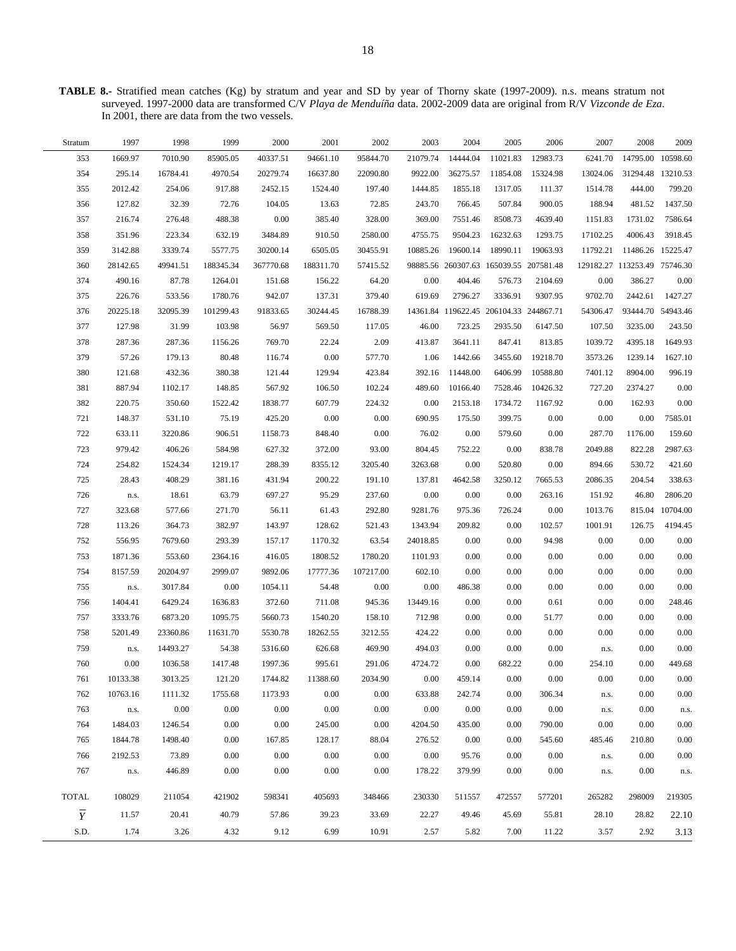**TABLE 8.-** Stratified mean catches (Kg) by stratum and year and SD by year of Thorny skate (1997-2009). n.s. means stratum not surveyed. 1997-2000 data are transformed C/V *Playa de Menduíña* data. 2002-2009 data are original from R/V *Vizconde de Eza*. In 2001, there are data from the two vessels.

| 2009            | 2008                         | 2007     | 2006     | 2005                                   | 2004     | 2003     | 2002      | 2001      | 2000      | 1999      | 1998     | 1997     | Stratum        |
|-----------------|------------------------------|----------|----------|----------------------------------------|----------|----------|-----------|-----------|-----------|-----------|----------|----------|----------------|
|                 | 14795.00 10598.60            | 6241.70  | 12983.73 | 11021.83                               | 14444.04 | 21079.74 | 95844.70  | 94661.10  | 40337.51  | 85905.05  | 7010.90  | 1669.97  | 353            |
|                 | 31294.48 13210.53            | 13024.06 | 15324.98 | 11854.08                               | 36275.57 | 9922.00  | 22090.80  | 16637.80  | 20279.74  | 4970.54   | 16784.41 | 295.14   | 354            |
| 799.20          | 444.00                       | 1514.78  | 111.37   | 1317.05                                | 1855.18  | 1444.85  | 197.40    | 1524.40   | 2452.15   | 917.88    | 254.06   | 2012.42  | 355            |
| 1437.50         | 481.52                       | 188.94   | 900.05   | 507.84                                 | 766.45   | 243.70   | 72.85     | 13.63     | 104.05    | 72.76     | 32.39    | 127.82   | 356            |
| 7586.64         | 1731.02                      | 1151.83  | 4639.40  | 8508.73                                | 7551.46  | 369.00   | 328.00    | 385.40    | 0.00      | 488.38    | 276.48   | 216.74   | 357            |
| 3918.45         | 4006.43                      | 17102.25 | 1293.75  | 16232.63                               | 9504.23  | 4755.75  | 2580.00   | 910.50    | 3484.89   | 632.19    | 223.34   | 351.96   | 358            |
|                 | 11486.26 15225.47            | 11792.21 | 19063.93 | 18990.11                               | 19600.14 | 10885.26 | 30455.91  | 6505.05   | 30200.14  | 5577.75   | 3339.74  | 3142.88  | 359            |
|                 | 129182.27 113253.49 75746.30 |          |          | 98885.56 260307.63 165039.55 207581.48 |          |          | 57415.52  | 188311.70 | 367770.68 | 188345.34 | 49941.51 | 28142.65 | 360            |
| 0.00            | 386.27                       | 0.00     | 2104.69  | 576.73                                 | 404.46   | 0.00     | 64.20     | 156.22    | 151.68    | 1264.01   | 87.78    | 490.16   | 374            |
| 1427.27         | 2442.61                      | 9702.70  | 9307.95  | 3336.91                                | 2796.27  | 619.69   | 379.40    | 137.31    | 942.07    | 1780.76   | 533.56   | 226.76   | 375            |
|                 | 93444.70 54943.46            | 54306.47 |          | 14361.84 119622.45 206104.33 244867.71 |          |          | 16788.39  | 30244.45  | 91833.65  | 101299.43 | 32095.39 | 20225.18 | 376            |
| 243.50          | 3235.00                      | 107.50   | 6147.50  | 2935.50                                | 723.25   | 46.00    | 117.05    | 569.50    | 56.97     | 103.98    | 31.99    | 127.98   | 377            |
| 1649.93         | 4395.18                      | 1039.72  | 813.85   | 847.41                                 | 3641.11  | 413.87   | 2.09      | 22.24     | 769.70    | 1156.26   | 287.36   | 287.36   | 378            |
| 1627.10         | 1239.14                      | 3573.26  | 19218.70 | 3455.60                                | 1442.66  | 1.06     | 577.70    | $0.00\,$  | 116.74    | 80.48     | 179.13   | 57.26    | 379            |
| 996.19          | 8904.00                      | 7401.12  | 10588.80 | 6406.99                                | 11448.00 | 392.16   | 423.84    | 129.94    | 121.44    | 380.38    | 432.36   | 121.68   | 380            |
| 0.00            | 2374.27                      | 727.20   | 10426.32 | 7528.46                                | 10166.40 | 489.60   | 102.24    | 106.50    | 567.92    | 148.85    | 1102.17  | 887.94   | 381            |
| 0.00            | 162.93                       | 0.00     | 1167.92  | 1734.72                                | 2153.18  | 0.00     | 224.32    | 607.79    | 1838.77   | 1522.42   | 350.60   | 220.75   | 382            |
| 7585.01         | $0.00\,$                     | $0.00\,$ | $0.00\,$ | 399.75                                 | 175.50   | 690.95   | $0.00\,$  | $0.00\,$  | 425.20    | 75.19     | 531.10   | 148.37   | 721            |
| 159.60          | 1176.00                      | 287.70   | 0.00     | 579.60                                 | $0.00\,$ | 76.02    | $0.00\,$  | 848.40    | 1158.73   | 906.51    | 3220.86  | 633.11   | 722            |
| 2987.63         | 822.28                       | 2049.88  | 838.78   | $0.00\,$                               | 752.22   | 804.45   | 93.00     | 372.00    | 627.32    | 584.98    | 406.26   | 979.42   | 723            |
| 421.60          | 530.72                       | 894.66   | 0.00     | 520.80                                 | $0.00\,$ | 3263.68  | 3205.40   | 8355.12   | 288.39    | 1219.17   | 1524.34  | 254.82   | 724            |
| 338.63          | 204.54                       | 2086.35  | 7665.53  | 3250.12                                | 4642.58  | 137.81   | 191.10    | 200.22    | 431.94    | 381.16    | 408.29   | 28.43    | 725            |
| 2806.20         | 46.80                        | 151.92   | 263.16   | 0.00                                   | $0.00\,$ | 0.00     | 237.60    | 95.29     | 697.27    | 63.79     | 18.61    | n.s.     | 726            |
| 815.04 10704.00 |                              | 1013.76  | 0.00     | 726.24                                 | 975.36   | 9281.76  | 292.80    | 61.43     | 56.11     | 271.70    | 577.66   | 323.68   | 727            |
| 4194.45         | 126.75                       | 1001.91  | 102.57   | 0.00                                   | 209.82   | 1343.94  | 521.43    | 128.62    | 143.97    | 382.97    | 364.73   | 113.26   | 728            |
| 0.00            | 0.00                         | 0.00     | 94.98    | $0.00\,$                               | 0.00     | 24018.85 | 63.54     | 1170.32   | 157.17    | 293.39    | 7679.60  | 556.95   | 752            |
| 0.00            | $0.00\,$                     | 0.00     | 0.00     | 0.00                                   | 0.00     | 1101.93  | 1780.20   | 1808.52   | 416.05    | 2364.16   | 553.60   | 1871.36  | 753            |
| 0.00            | 0.00                         | $0.00\,$ | 0.00     | 0.00                                   | $0.00\,$ | 602.10   | 107217.00 | 17777.36  | 9892.06   | 2999.07   | 20204.97 | 8157.59  | 754            |
| 0.00            | 0.00                         | 0.00     | 0.00     | 0.00                                   | 486.38   | $0.00\,$ | 0.00      | 54.48     | 1054.11   | 0.00      | 3017.84  | n.s.     | 755            |
| 248.46          | 0.00                         | $0.00\,$ | 0.61     | $0.00\,$                               | 0.00     | 13449.16 | 945.36    | 711.08    | 372.60    | 1636.83   | 6429.24  | 1404.41  | 756            |
| 0.00            | $0.00\,$                     | 0.00     | 51.77    | 0.00                                   | 0.00     | 712.98   | 158.10    | 1540.20   | 5660.73   | 1095.75   | 6873.20  | 3333.76  | 757            |
| 0.00            | 0.00                         | 0.00     | 0.00     | 0.00                                   | 0.00     | 424.22   | 3212.55   | 18262.55  | 5530.78   | 11631.70  | 23360.86 | 5201.49  | 758            |
| 0.00            | 0.00                         | n.s.     | $0.00\,$ | 0.00                                   | 0.00     | 494.03   | 469.90    | 626.68    | 5316.60   | 54.38     | 14493.27 | n.s.     | 759            |
| 449.68          | 0.00                         | 254.10   | 0.00     | 682.22                                 | $0.00\,$ | 4724.72  | 291.06    | 995.61    | 1997.36   | 1417.48   | 1036.58  | 0.00     | 760            |
| 0.00            | 0.00                         | 0.00     | 0.00     | 0.00                                   | 459.14   | 0.00     | 2034.90   | 11388.60  | 1744.82   | 121.20    | 3013.25  | 10133.38 | 761            |
| 0.00            | 0.00                         | n.s.     | 306.34   | $0.00\,$                               | 242.74   | 633.88   | 0.00      | 0.00      | 1173.93   | 1755.68   | 1111.32  | 10763.16 | 762            |
| n.s.            | 0.00                         | n.s.     | 0.00     | $0.00\,$                               | 0.00     | 0.00     | 0.00      | 0.00      | 0.00      | 0.00      | 0.00     | n.s.     | 763            |
| 0.00            | 0.00                         | 0.00     | 790.00   | $0.00\,$                               | 435.00   | 4204.50  | 0.00      | 245.00    | 0.00      | 0.00      | 1246.54  | 1484.03  | 764            |
| 0.00            | 210.80                       | 485.46   | 545.60   | 0.00                                   | 0.00     | 276.52   | 88.04     | 128.17    | 167.85    | 0.00      | 1498.40  | 1844.78  | 765            |
| 0.00            | 0.00                         | n.s.     | 0.00     | 0.00                                   | 95.76    | 0.00     | 0.00      | 0.00      | 0.00      | 0.00      | 73.89    | 2192.53  | 766            |
| n.s.            | 0.00                         | n.s.     | 0.00     | 0.00                                   | 379.99   | 178.22   | 0.00      | 0.00      | 0.00      | 0.00      | 446.89   | n.s.     | 767            |
| 219305          | 298009                       | 265282   | 577201   | 472557                                 | 511557   | 230330   | 348466    | 405693    | 598341    | 421902    | 211054   | 108029   | <b>TOTAL</b>   |
| 22.10           | 28.82                        | 28.10    | 55.81    | 45.69                                  | 49.46    | 22.27    | 33.69     | 39.23     | 57.86     | 40.79     | 20.41    | 11.57    | $\overline{Y}$ |
| 3.13            | 2.92                         | 3.57     | 11.22    | 7.00                                   | 5.82     | 2.57     | 10.91     | 6.99      | 9.12      | 4.32      | 3.26     | 1.74     | S.D.           |
|                 |                              |          |          |                                        |          |          |           |           |           |           |          |          |                |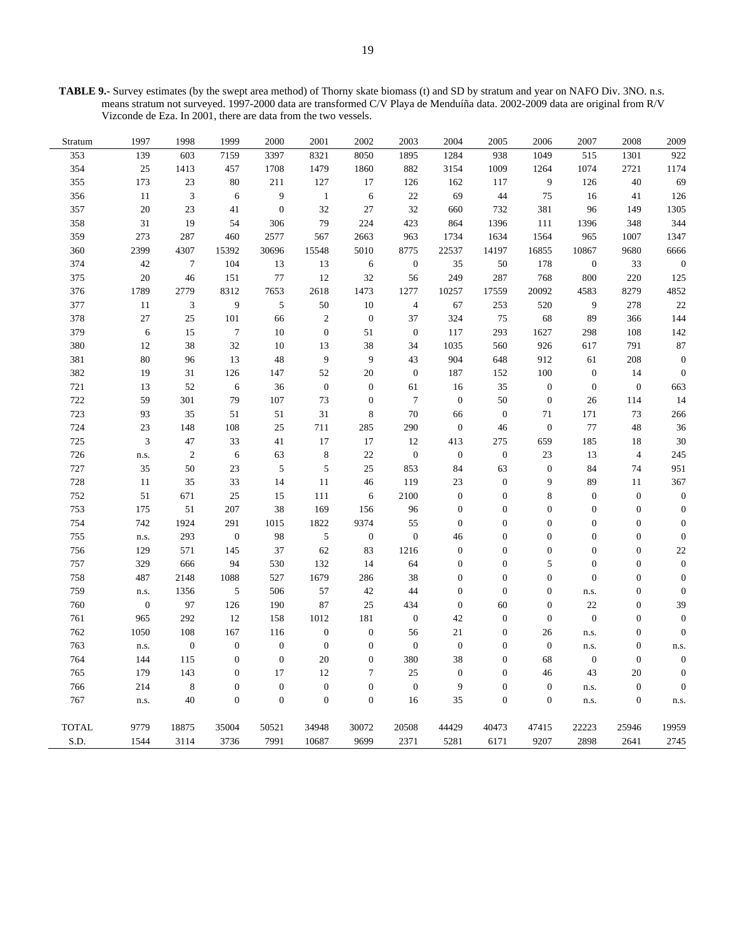**TABLE 9.-** Survey estimates (by the swept area method) of Thorny skate biomass (t) and SD by stratum and year on NAFO Div. 3NO. n.s. means stratum not surveyed. 1997-2000 data are transformed C/V Playa de Menduíña data. 2002-2009 data are original from R/V Vizconde de Eza. In 2001, there are data from the two vessels.

| Stratum      | 1997             | 1998                        | 1999             | 2000             | 2001             | 2002             | 2003             | 2004             | 2005             | 2006             | 2007             | 2008             | 2009             |
|--------------|------------------|-----------------------------|------------------|------------------|------------------|------------------|------------------|------------------|------------------|------------------|------------------|------------------|------------------|
| 353          | 139              | 603                         | 7159             | 3397             | 8321             | 8050             | 1895             | 1284             | 938              | 1049             | 515              | 1301             | 922              |
| 354          | $25\,$           | 1413                        | 457              | 1708             | 1479             | 1860             | 882              | 3154             | 1009             | 1264             | 1074             | 2721             | 1174             |
| 355          | 173              | 23                          | 80               | 211              | 127              | 17               | 126              | 162              | 117              | 9                | 126              | 40               | 69               |
| 356          | 11               | $\mathfrak{Z}$              | 6                | 9                | $\mathbf{1}$     | 6                | 22               | 69               | 44               | 75               | 16               | 41               | 126              |
| 357          | $20\,$           | 23                          | 41               | $\boldsymbol{0}$ | 32               | 27               | 32               | 660              | 732              | 381              | 96               | 149              | 1305             |
| 358          | 31               | 19                          | 54               | 306              | 79               | 224              | 423              | 864              | 1396             | 111              | 1396             | 348              | 344              |
| 359          | 273              | 287                         | 460              | 2577             | 567              | 2663             | 963              | 1734             | 1634             | 1564             | 965              | 1007             | 1347             |
| 360          | 2399             | 4307                        | 15392            | 30696            | 15548            | 5010             | 8775             | 22537            | 14197            | 16855            | 10867            | 9680             | 6666             |
| 374          | 42               | $\tau$                      | 104              | 13               | 13               | 6                | $\boldsymbol{0}$ | 35               | 50               | 178              | $\boldsymbol{0}$ | 33               | $\boldsymbol{0}$ |
| 375          | 20               | 46                          | 151              | $77 \,$          | 12               | 32               | 56               | 249              | 287              | 768              | 800              | 220              | 125              |
| 376          | 1789             | 2779                        | 8312             | 7653             | 2618             | 1473             | 1277             | 10257            | 17559            | 20092            | 4583             | 8279             | 4852             |
| 377          | 11               | $\ensuremath{\mathfrak{Z}}$ | $\overline{9}$   | $\sqrt{5}$       | 50               | 10               | $\overline{4}$   | 67               | 253              | 520              | $\overline{9}$   | 278              | 22               |
| 378          | 27               | 25                          | 101              | 66               | $\overline{c}$   | $\boldsymbol{0}$ | 37               | 324              | 75               | 68               | 89               | 366              | 144              |
| 379          | 6                | 15                          | $\tau$           | 10               | $\boldsymbol{0}$ | 51               | $\mathbf{0}$     | 117              | 293              | 1627             | 298              | 108              | 142              |
| 380          | 12               | 38                          | 32               | 10               | 13               | 38               | 34               | 1035             | 560              | 926              | 617              | 791              | 87               |
| 381          | 80               | 96                          | 13               | 48               | 9                | 9                | 43               | 904              | 648              | 912              | 61               | 208              | $\mathbf{0}$     |
| 382          | 19               | 31                          | 126              | 147              | 52               | 20               | $\mathbf{0}$     | 187              | 152              | 100              | $\boldsymbol{0}$ | 14               | $\boldsymbol{0}$ |
| 721          | 13               | 52                          | 6                | 36               | $\boldsymbol{0}$ | $\boldsymbol{0}$ | 61               | 16               | 35               | $\boldsymbol{0}$ | $\boldsymbol{0}$ | $\mathbf{0}$     | 663              |
| 722          | 59               | 301                         | 79               | 107              | 73               | $\mathbf{0}$     | $\tau$           | $\boldsymbol{0}$ | 50               | $\mathbf{0}$     | 26               | 114              | 14               |
| 723          | 93               | 35                          | 51               | 51               | 31               | 8                | 70               | 66               | $\boldsymbol{0}$ | 71               | 171              | 73               | 266              |
| 724          | 23               | 148                         | 108              | 25               | 711              | 285              | 290              | $\boldsymbol{0}$ | 46               | $\boldsymbol{0}$ | 77               | 48               | 36               |
| 725          | $\mathfrak{Z}$   | 47                          | 33               | 41               | 17               | 17               | 12               | 413              | 275              | 659              | 185              | 18               | 30               |
| 726          | n.s.             | $\overline{2}$              | 6                | 63               | 8                | 22               | $\boldsymbol{0}$ | $\boldsymbol{0}$ | $\boldsymbol{0}$ | 23               | 13               | $\overline{4}$   | 245              |
| 727          | 35               | 50                          | 23               | $\sqrt{5}$       | 5                | 25               | 853              | 84               | 63               | $\boldsymbol{0}$ | 84               | 74               | 951              |
| 728          | 11               | 35                          | 33               | 14               | 11               | 46               | 119              | 23               | $\overline{0}$   | 9                | 89               | 11               | 367              |
| 752          | 51               | 671                         | 25               | 15               | 111              | 6                | 2100             | $\boldsymbol{0}$ | $\boldsymbol{0}$ | $\,$ 8 $\,$      | $\boldsymbol{0}$ | $\mathbf{0}$     | $\boldsymbol{0}$ |
| 753          | 175              | 51                          | 207              | 38               | 169              | 156              | 96               | $\boldsymbol{0}$ | $\boldsymbol{0}$ | $\boldsymbol{0}$ | $\boldsymbol{0}$ | $\boldsymbol{0}$ | $\boldsymbol{0}$ |
| 754          | 742              | 1924                        | 291              | 1015             | 1822             | 9374             | 55               | $\boldsymbol{0}$ | $\boldsymbol{0}$ | $\overline{0}$   | $\mathbf{0}$     | $\overline{0}$   | $\mathbf{0}$     |
| 755          | n.s.             | 293                         | $\boldsymbol{0}$ | 98               | 5                | $\boldsymbol{0}$ | $\boldsymbol{0}$ | 46               | $\boldsymbol{0}$ | $\boldsymbol{0}$ | $\boldsymbol{0}$ | $\boldsymbol{0}$ | $\mathbf{0}$     |
| 756          | 129              | 571                         | 145              | 37               | 62               | 83               | 1216             | $\boldsymbol{0}$ | $\boldsymbol{0}$ | $\boldsymbol{0}$ | $\boldsymbol{0}$ | $\boldsymbol{0}$ | 22               |
| 757          | 329              | 666                         | 94               | 530              | 132              | 14               | 64               | $\boldsymbol{0}$ | $\overline{0}$   | 5                | $\boldsymbol{0}$ | $\overline{0}$   | $\mathbf{0}$     |
| 758          | 487              | 2148                        | 1088             | 527              | 1679             | 286              | 38               | $\boldsymbol{0}$ | $\mathbf{0}$     | $\boldsymbol{0}$ | $\mathbf{0}$     | $\overline{0}$   | $\overline{0}$   |
| 759          | n.s.             | 1356                        | $\sqrt{5}$       | 506              | 57               | 42               | 44               | $\boldsymbol{0}$ | $\boldsymbol{0}$ | $\boldsymbol{0}$ | n.s.             | $\boldsymbol{0}$ | $\boldsymbol{0}$ |
| 760          | $\boldsymbol{0}$ | 97                          | 126              | 190              | 87               | 25               | 434              | $\boldsymbol{0}$ | 60               | $\overline{0}$   | 22               | $\boldsymbol{0}$ | 39               |
| 761          | 965              | 292                         | 12               | 158              | 1012             | 181              | $\boldsymbol{0}$ | 42               | $\boldsymbol{0}$ | $\boldsymbol{0}$ | $\boldsymbol{0}$ | $\overline{0}$   | $\overline{0}$   |
| 762          | 1050             | 108                         | 167              | 116              | $\boldsymbol{0}$ | $\boldsymbol{0}$ | 56               | 21               | $\boldsymbol{0}$ | 26               | n.s.             | $\boldsymbol{0}$ | $\mathbf{0}$     |
| 763          | n.s.             | $\boldsymbol{0}$            | $\boldsymbol{0}$ | $\boldsymbol{0}$ | $\boldsymbol{0}$ | $\mathbf{0}$     | $\boldsymbol{0}$ | $\boldsymbol{0}$ | $\mathbf{0}$     | $\boldsymbol{0}$ | n.s.             | $\boldsymbol{0}$ | n.s.             |
| 764          | 144              | 115                         | $\boldsymbol{0}$ | $\boldsymbol{0}$ | 20               | $\boldsymbol{0}$ | 380              | 38               | $\mathbf{0}$     | 68               | $\boldsymbol{0}$ | $\mathbf{0}$     | $\mathbf{0}$     |
| 765          | 179              | 143                         | $\boldsymbol{0}$ | 17               | 12               | $\tau$           | 25               | $\boldsymbol{0}$ | $\boldsymbol{0}$ | 46               | 43               | 20               | $\mathbf{0}$     |
| 766          | 214              | 8                           | $\boldsymbol{0}$ | $\boldsymbol{0}$ | $\overline{0}$   | $\boldsymbol{0}$ | $\boldsymbol{0}$ | 9                | $\overline{0}$   | $\mathbf{0}$     | n.s.             | $\boldsymbol{0}$ | $\mathbf{0}$     |
| 767          | n.s.             | 40                          | $\boldsymbol{0}$ | $\boldsymbol{0}$ | $\mathbf{0}$     | $\boldsymbol{0}$ | 16               | 35               | $\boldsymbol{0}$ | $\boldsymbol{0}$ | n.s.             | $\boldsymbol{0}$ | n.s.             |
| <b>TOTAL</b> | 9779             | 18875                       | 35004            | 50521            | 34948            | 30072            | 20508            | 44429            | 40473            | 47415            | 22223            | 25946            | 19959            |
| S.D.         | 1544             | 3114                        | 3736             | 7991             | 10687            | 9699             | 2371             | 5281             | 6171             | 9207             | 2898             | 2641             | 2745             |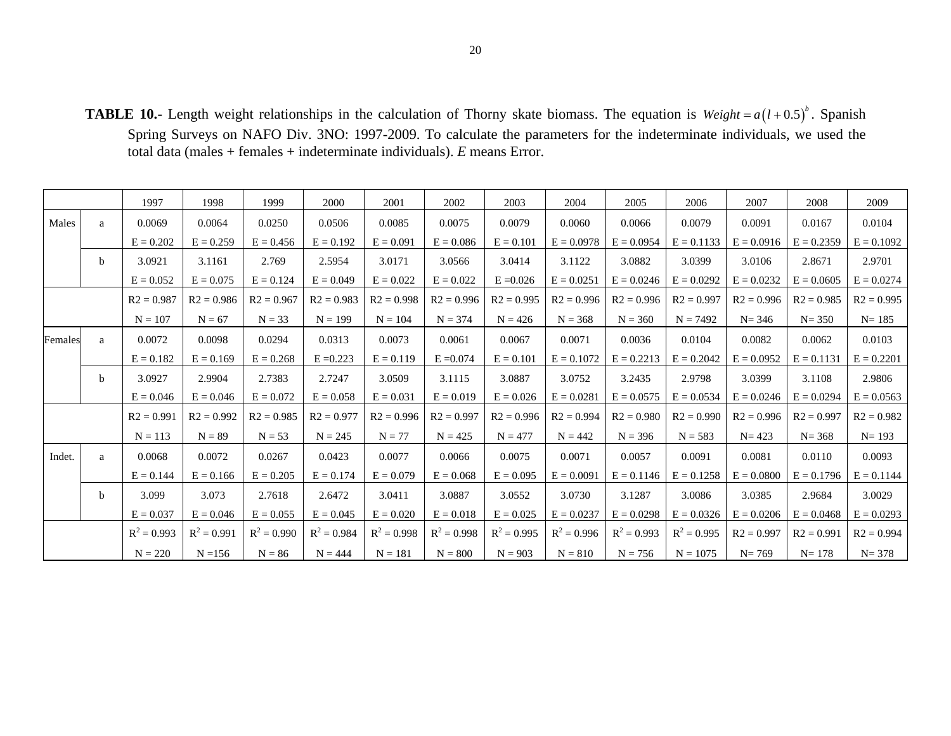**TABLE 10.-** Length weight relationships in the calculation of Thorny skate biomass. The equation is  $Weight = a(l+0.5)^{b}$ . Spanish Spring Surveys on NAFO Div. 3NO: 1997-2009. To calculate the parameters for the indeterminate individuals, we used the total data (males + females + indeterminate individuals). *E* means Error.

|         |              | 1997          | 1998          | 1999          | 2000          | 2001          | 2002          | 2003          | 2004          | 2005          | 2006          | 2007         | 2008         | 2009         |
|---------|--------------|---------------|---------------|---------------|---------------|---------------|---------------|---------------|---------------|---------------|---------------|--------------|--------------|--------------|
| Males   | a            | 0.0069        | 0.0064        | 0.0250        | 0.0506        | 0.0085        | 0.0075        | 0.0079        | 0.0060        | 0.0066        | 0.0079        | 0.0091       | 0.0167       | 0.0104       |
|         |              | $E = 0.202$   | $E = 0.259$   | $E = 0.456$   | $E = 0.192$   | $E = 0.091$   | $E = 0.086$   | $E = 0.101$   | $E = 0.0978$  | $E = 0.0954$  | $E = 0.1133$  | $E = 0.0916$ | $E = 0.2359$ | $E = 0.1092$ |
|         | <sub>b</sub> | 3.0921        | 3.1161        | 2.769         | 2.5954        | 3.0171        | 3.0566        | 3.0414        | 3.1122        | 3.0882        | 3.0399        | 3.0106       | 2.8671       | 2.9701       |
|         |              | $E = 0.052$   | $E = 0.075$   | $E = 0.124$   | $E = 0.049$   | $E = 0.022$   | $E = 0.022$   | $E = 0.026$   | $E = 0.0251$  | $E = 0.0246$  | $E = 0.0292$  | $E = 0.0232$ | $E = 0.0605$ | $E = 0.0274$ |
|         |              | $R2 = 0.987$  | $R2 = 0.986$  | $R2 = 0.967$  | $R2 = 0.983$  | $R2 = 0.998$  | $R2 = 0.996$  | $R2 = 0.995$  | $R2 = 0.996$  | $R2 = 0.996$  | $R2 = 0.997$  | $R2 = 0.996$ | $R2 = 0.985$ | $R2 = 0.995$ |
|         |              | $N = 107$     | $N = 67$      | $N = 33$      | $N = 199$     | $N = 104$     | $N = 374$     | $N = 426$     | $N = 368$     | $N = 360$     | $N = 7492$    | $N = 346$    | $N = 350$    | $N = 185$    |
| Females | a            | 0.0072        | 0.0098        | 0.0294        | 0.0313        | 0.0073        | 0.0061        | 0.0067        | 0.0071        | 0.0036        | 0.0104        | 0.0082       | 0.0062       | 0.0103       |
|         |              | $E = 0.182$   | $E = 0.169$   | $E = 0.268$   | $E = 0.223$   | $E = 0.119$   | $E = 0.074$   | $E = 0.101$   | $E = 0.1072$  | $E = 0.2213$  | $E = 0.2042$  | $E = 0.0952$ | $E = 0.1131$ | $E = 0.2201$ |
|         | $\mathbf b$  | 3.0927        | 2.9904        | 2.7383        | 2.7247        | 3.0509        | 3.1115        | 3.0887        | 3.0752        | 3.2435        | 2.9798        | 3.0399       | 3.1108       | 2.9806       |
|         |              | $E = 0.046$   | $E = 0.046$   | $E = 0.072$   | $E = 0.058$   | $E = 0.031$   | $E = 0.019$   | $E = 0.026$   | $E = 0.0281$  | $E = 0.0575$  | $E = 0.0534$  | $E = 0.0246$ | $E = 0.0294$ | $E = 0.0563$ |
|         |              | $R2 = 0.991$  | $R2 = 0.992$  | $R2 = 0.985$  | $R2 = 0.977$  | $R2 = 0.996$  | $R2 = 0.997$  | $R2 = 0.996$  | $R2 = 0.994$  | $R2 = 0.980$  | $R2 = 0.990$  | $R2 = 0.996$ | $R2 = 0.997$ | $R2 = 0.982$ |
|         |              | $N = 113$     | $N = 89$      | $N = 53$      | $N = 245$     | $N = 77$      | $N = 425$     | $N = 477$     | $N = 442$     | $N = 396$     | $N = 583$     | $N = 423$    | $N = 368$    | $N = 193$    |
| Indet.  | a            | 0.0068        | 0.0072        | 0.0267        | 0.0423        | 0.0077        | 0.0066        | 0.0075        | 0.0071        | 0.0057        | 0.0091        | 0.0081       | 0.0110       | 0.0093       |
|         |              | $E = 0.144$   | $E = 0.166$   | $E = 0.205$   | $E = 0.174$   | $E = 0.079$   | $E = 0.068$   | $E = 0.095$   | $E = 0.0091$  | $E = 0.1146$  | $E = 0.1258$  | $E = 0.0800$ | $E = 0.1796$ | $E = 0.1144$ |
|         | $\mathbf b$  | 3.099         | 3.073         | 2.7618        | 2.6472        | 3.0411        | 3.0887        | 3.0552        | 3.0730        | 3.1287        | 3.0086        | 3.0385       | 2.9684       | 3.0029       |
|         |              | $E = 0.037$   | $E = 0.046$   | $E = 0.055$   | $E = 0.045$   | $E = 0.020$   | $E = 0.018$   | $E = 0.025$   | $E = 0.0237$  | $E = 0.0298$  | $E = 0.0326$  | $E = 0.0206$ | $E = 0.0468$ | $E = 0.0293$ |
|         |              | $R^2 = 0.993$ | $R^2 = 0.991$ | $R^2 = 0.990$ | $R^2 = 0.984$ | $R^2 = 0.998$ | $R^2 = 0.998$ | $R^2 = 0.995$ | $R^2 = 0.996$ | $R^2 = 0.993$ | $R^2 = 0.995$ | $R2 = 0.997$ | $R2 = 0.991$ | $R2 = 0.994$ |
|         |              | $N = 220$     | $N = 156$     | $N = 86$      | $N = 444$     | $N = 181$     | $N = 800$     | $N = 903$     | $N = 810$     | $N = 756$     | $N = 1075$    | $N = 769$    | $N = 178$    | $N = 378$    |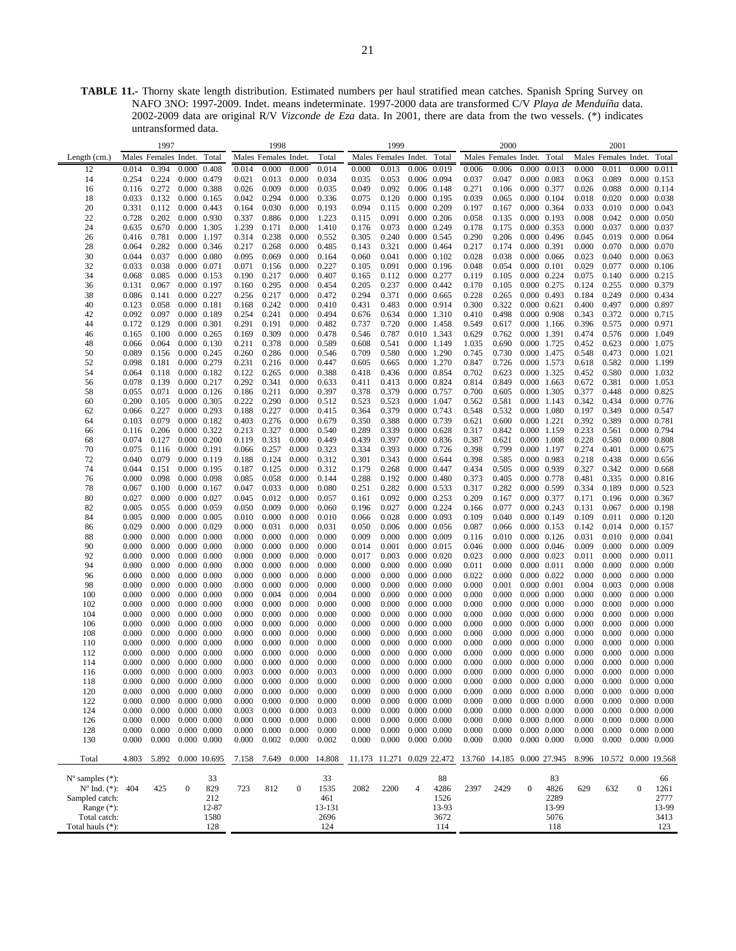**TABLE 11.-** Thorny skate length distribution. Estimated numbers per haul stratified mean catches. Spanish Spring Survey on NAFO 3NO: 1997-2009. Indet. means indeterminate. 1997-2000 data are transformed C/V *Playa de Menduíña* data. 2002-2009 data are original R/V *Vizconde de Eza* data. In 2001, there are data from the two vessels. (\*) indicates untransformed data.

|                             |       | 1997                 |                     |                     |       | 1998                 |                  |              |       | 1999                       |                     |       |                            | 2000                       |                     |       |       | 2001                      |                     |             |
|-----------------------------|-------|----------------------|---------------------|---------------------|-------|----------------------|------------------|--------------|-------|----------------------------|---------------------|-------|----------------------------|----------------------------|---------------------|-------|-------|---------------------------|---------------------|-------------|
| Length $(cm.)$              |       | Males Females Indet. |                     | Total               |       | Males Females Indet. |                  | Total        |       | Males Females Indet. Total |                     |       |                            | Males Females Indet. Total |                     |       |       | Males Females Indet.      |                     | Total       |
|                             |       |                      |                     |                     |       | 0.000                | 0.000            | 0.014        |       |                            | 0.006 0.019         |       |                            |                            | 0.000               | 0.013 |       |                           |                     |             |
| 12                          | 0.014 | 0.394                |                     | $0.000 \quad 0.408$ | 0.014 |                      |                  |              | 0.000 | 0.013                      |                     |       | 0.006                      | 0.006                      |                     |       | 0.000 | 0.011                     | 0.000               | 0.011       |
| 14                          | 0.254 | 0.224                |                     | 0.000 0.479         | 0.021 | 0.013                | 0.000            | 0.034        | 0.035 | 0.053                      | 0.006 0.094         |       | 0.037                      | 0.047                      | 0.000 0.083         |       | 0.063 | 0.089                     |                     | 0.000 0.153 |
| 16                          | 0.116 | 0.272                |                     | 0.000 0.388         | 0.026 | 0.009                | 0.000            | 0.035        | 0.049 | 0.092                      | 0.006 0.148         |       | 0.271                      | 0.106                      | 0.000 0.377         |       | 0.026 | 0.088                     | 0.000 0.114         |             |
| 18                          | 0.033 | 0.132                |                     | $0.000 \quad 0.165$ | 0.042 | 0.294                | 0.000            | 0.336        | 0.075 | 0.120                      | 0.000 0.195         |       | 0.039                      | 0.065                      | 0.000 0.104         |       | 0.018 | 0.020                     | $0.000 \quad 0.038$ |             |
| 20                          | 0.331 | 0.112                |                     | $0.000 \quad 0.443$ | 0.164 | 0.030                | 0.000            | 0.193        | 0.094 | 0.115                      | 0.000 0.209         |       | 0.197                      | 0.167                      | 0.000 0.364         |       | 0.033 | 0.010                     | 0.000 0.043         |             |
| 22                          | 0.728 | 0.202                |                     | 0.000 0.930         | 0.337 | 0.886                | 0.000            | 1.223        | 0.115 | 0.091                      | 0.000 0.206         |       | 0.058                      | 0.135                      | 0.000 0.193         |       | 0.008 | 0.042                     | 0.000 0.050         |             |
| 24                          | 0.635 | 0.670                |                     | 0.000 1.305         | 1.239 | 0.171                | 0.000            | 1.410        | 0.176 | 0.073                      | 0.000 0.249         |       | 0.178                      | 0.175                      | 0.000 0.353         |       | 0.000 | 0.037                     | 0.000 0.037         |             |
| 26                          | 0.416 | 0.781                |                     | 0.000 1.197         | 0.314 | 0.238                | 0.000            | 0.552        | 0.305 | 0.240                      | 0.000 0.545         |       | 0.290                      | 0.206                      | 0.000 0.496         |       | 0.045 | 0.019                     | $0.000 \quad 0.064$ |             |
| 28                          | 0.064 | 0.282                |                     | 0.000 0.346         | 0.217 | 0.268                | 0.000            | 0.485        | 0.143 | 0.321                      | $0.000 \quad 0.464$ |       | 0.217                      | 0.174                      | 0.000 0.391         |       | 0.000 | 0.070                     | 0.000 0.070         |             |
| 30                          | 0.044 | 0.037                |                     | $0.000 \quad 0.080$ | 0.095 | 0.069                | 0.000            | 0.164        | 0.060 | 0.041                      | $0.000 \quad 0.102$ |       | 0.028                      | 0.038                      | 0.000 0.066         |       | 0.023 | 0.040                     | 0.000 0.063         |             |
| 32                          | 0.033 | 0.038                | 0.000 0.071         |                     | 0.071 | 0.156                | 0.000            | 0.227        | 0.105 | 0.091                      | $0.000$ $0.196$     |       | 0.048                      | 0.054                      | $0.000$ $0.101$     |       | 0.029 | 0.077                     | $0.000 \quad 0.106$ |             |
|                             |       |                      |                     |                     |       |                      |                  |              |       |                            |                     |       |                            |                            |                     |       |       |                           | $0.000 \quad 0.215$ |             |
| 34                          | 0.068 | 0.085                |                     | 0.000 0.153         | 0.190 | 0.217                | 0.000            | 0.407        | 0.165 | 0.112                      | 0.000 0.277         |       | 0.119                      | 0.105                      | 0.000 0.224         |       | 0.075 | 0.140                     |                     |             |
| 36                          | 0.131 | 0.067                |                     | 0.000 0.197         | 0.160 | 0.295                | 0.000            | 0.454        | 0.205 | 0.237                      | $0.000 \quad 0.442$ |       | 0.170                      | 0.105                      | 0.000 0.275         |       | 0.124 | 0.255                     | 0.000 0.379         |             |
| 38                          | 0.086 | 0.141                |                     | 0.000 0.227         | 0.256 | 0.217                | 0.000            | 0.472        | 0.294 | 0.371                      | 0.000 0.665         |       | 0.228                      | 0.265                      | 0.000 0.493         |       | 0.184 | 0.249                     | 0.000 0.434         |             |
| 40                          | 0.123 | 0.058                | 0.000 0.181         |                     | 0.168 | 0.242                | 0.000            | 0.410        | 0.431 | 0.483                      | 0.000 0.914         |       | 0.300                      | 0.322                      | $0.000 \quad 0.621$ |       | 0.400 | 0.497                     | 0.000 0.897         |             |
| 42                          | 0.092 | 0.097                |                     | 0.000 0.189         | 0.254 | 0.241                | 0.000            | 0.494        | 0.676 | 0.634                      | 0.000 1.310         |       | 0.410                      | 0.498                      | $0.000$ 0.908       |       | 0.343 | 0.372                     | 0.000 0.715         |             |
| 44                          | 0.172 | 0.129                | 0.000 0.301         |                     | 0.291 | 0.191                | 0.000            | 0.482        | 0.737 | 0.720                      | 0.000 1.458         |       | 0.549                      | 0.617                      | 0.000 1.166         |       | 0.396 | 0.575                     | 0.000 0.971         |             |
| 46                          | 0.165 | 0.100                |                     | $0.000 \quad 0.265$ | 0.169 | 0.309                | 0.000            | 0.478        | 0.546 | 0.787                      | 0.010 1.343         |       | 0.629                      | 0.762                      | 0.000 1.391         |       | 0.474 | 0.576                     | 0.000 1.049         |             |
| 48                          | 0.066 | 0.064                |                     | 0.000 0.130         | 0.211 | 0.378                | 0.000            | 0.589        | 0.608 | 0.541                      | 0.000 1.149         |       | 1.035                      | 0.690                      | 0.000               | 1.725 | 0.452 | 0.623                     | 0.000 1.075         |             |
| 50                          | 0.089 | 0.156                |                     | 0.000 0.245         | 0.260 | 0.286                | 0.000            | 0.546        | 0.709 | 0.580                      | 0.000 1.290         |       | 0.745                      | 0.730                      | 0.000 1.475         |       | 0.548 | 0.473                     | $0.000$ 1.021       |             |
| 52                          | 0.098 | 0.181                |                     | 0.000 0.279         | 0.231 | 0.216                | 0.000            | 0.447        | 0.605 | 0.665                      | 0.000 1.270         |       | 0.847                      | 0.726                      | 0.000 1.573         |       | 0.618 | 0.582                     | 0.000 1.199         |             |
|                             |       |                      |                     |                     |       |                      |                  |              |       |                            |                     |       |                            |                            |                     |       |       |                           |                     |             |
| 54                          | 0.064 | 0.118                | $0.000$ $0.182$     |                     | 0.122 | 0.265                | 0.000            | 0.388        | 0.418 | 0.436                      | 0.000 0.854         |       | 0.702                      | 0.623                      | 0.000 1.325         |       | 0.452 | 0.580                     | 0.000 1.032         |             |
| 56                          | 0.078 | 0.139                |                     | 0.000 0.217         | 0.292 | 0.341                | 0.000            | 0.633        | 0.411 | 0.413                      | 0.000 0.824         |       | 0.814                      | 0.849                      | 0.000 1.663         |       | 0.672 | 0.381                     | 0.000 1.053         |             |
| 58                          | 0.055 | 0.071                |                     | $0.000 \quad 0.126$ | 0.186 | 0.211                | 0.000            | 0.397        | 0.378 | 0.379                      | 0.000 0.757         |       | 0.700                      | 0.605                      | 0.000 1.305         |       | 0.377 | 0.448                     | 0.000 0.825         |             |
| 60                          | 0.200 | 0.105                |                     | 0.000 0.305         | 0.222 | 0.290                | 0.000            | 0.512        | 0.523 | 0.523                      | 0.000 1.047         |       | 0.562                      | 0.581                      | 0.000 1.143         |       | 0.342 | 0.434                     | 0.000 0.776         |             |
| 62                          | 0.066 | 0.227                |                     | $0.000$ $0.293$     | 0.188 | 0.227                | 0.000            | 0.415        | 0.364 | 0.379                      | 0.000 0.743         |       | 0.548                      | 0.532                      | 0.000 1.080         |       | 0.197 | 0.349                     | 0.000 0.547         |             |
| 64                          | 0.103 | 0.079                |                     | $0.000 \quad 0.182$ | 0.403 | 0.276                | 0.000            | 0.679        | 0.350 | 0.388                      | 0.000 0.739         |       | 0.621                      | 0.600                      | 0.000 1.221         |       | 0.392 | 0.389                     | 0.000 0.781         |             |
| 66                          | 0.116 | 0.206                | 0.000 0.322         |                     | 0.213 | 0.327                | 0.000            | 0.540        | 0.289 | 0.339                      | $0.000 \quad 0.628$ |       | 0.317                      | 0.842                      | 0.000 1.159         |       | 0.233 | 0.561                     | 0.000 0.794         |             |
| 68                          | 0.074 | 0.127                |                     | $0.000 \quad 0.200$ | 0.119 | 0.331                | 0.000            | 0.449        | 0.439 | 0.397                      | 0.000 0.836         |       | 0.387                      | 0.621                      | 0.000 1.008         |       | 0.228 | 0.580                     | 0.000 0.808         |             |
| 70                          | 0.075 | 0.116                |                     | $0.000$ $0.191$     | 0.066 | 0.257                | 0.000            | 0.323        | 0.334 | 0.393                      | $0.000 \quad 0.726$ |       | 0.398                      | 0.799                      | 0.000 1.197         |       | 0.274 | 0.401                     | 0.000 0.675         |             |
| 72                          | 0.040 | 0.079                |                     | 0.000 0.119         |       | 0.124                | 0.000            | 0.312        |       | 0.343                      | $0.000 \quad 0.644$ |       | 0.398                      | 0.585                      | 0.000 0.983         |       |       | 0.438                     | 0.000 0.656         |             |
|                             |       |                      |                     |                     | 0.188 |                      |                  |              | 0.301 |                            |                     |       |                            |                            |                     |       | 0.218 |                           |                     |             |
| 74                          | 0.044 | 0.151                |                     | 0.000 0.195         | 0.187 | 0.125                | 0.000            | 0.312        | 0.179 | 0.268                      | 0.000 0.447         |       | 0.434                      | 0.505                      | 0.000 0.939         |       | 0.327 | 0.342                     | $0.000 \quad 0.668$ |             |
| 76                          | 0.000 | 0.098                |                     | 0.000 0.098         | 0.085 | 0.058                | 0.000            | 0.144        | 0.288 | 0.192                      | $0.000 \quad 0.480$ |       | 0.373                      | 0.405                      | 0.000 0.778         |       | 0.481 | 0.335                     | $0.000$ $0.816$     |             |
| 78                          | 0.067 | 0.100                |                     | 0.000 0.167         | 0.047 | 0.033                | 0.000            | 0.080        | 0.251 | 0.282                      | 0.000 0.533         |       | 0.317                      | 0.282                      | 0.000 0.599         |       | 0.334 | 0.189                     | 0.000 0.523         |             |
| 80                          | 0.027 | 0.000                |                     | 0.000 0.027         | 0.045 | 0.012                | 0.000            | 0.057        | 0.161 | 0.092                      | 0.000 0.253         |       | 0.209                      | 0.167                      | 0.000 0.377         |       | 0.171 | 0.196                     | 0.000 0.367         |             |
| 82                          | 0.005 | 0.055                |                     | 0.000 0.059         | 0.050 | 0.009                | 0.000            | 0.060        | 0.196 | 0.027                      | 0.000 0.224         |       | 0.166                      | 0.077                      | 0.000 0.243         |       | 0.131 | 0.067                     | $0.000$ $0.198$     |             |
| 84                          | 0.005 | 0.000                |                     | 0.000 0.005         | 0.010 | 0.000                | 0.000            | 0.010        | 0.066 | 0.028                      | 0.000 0.093         |       | 0.109                      | 0.040                      | 0.000 0.149         |       | 0.109 | 0.011                     | 0.000 0.120         |             |
| 86                          | 0.029 | 0.000                |                     | 0.000 0.029         | 0.000 | 0.031                | 0.000            | 0.031        | 0.050 | 0.006                      | 0.000 0.056         |       | 0.087                      | 0.066                      | $0.000 \quad 0.153$ |       | 0.142 | 0.014                     | 0.000 0.157         |             |
| 88                          | 0.000 | 0.000                |                     | $0.000 \quad 0.000$ | 0.000 | 0.000                | 0.000            | 0.000        | 0.009 | 0.000                      | $0.000 \quad 0.009$ |       | 0.116                      | 0.010                      | $0.000 \quad 0.126$ |       | 0.031 | 0.010                     | 0.000 0.041         |             |
| 90                          | 0.000 | 0.000                |                     | $0.000 \quad 0.000$ | 0.000 | 0.000                | 0.000            | 0.000        | 0.014 | 0.001                      | 0.000 0.015         |       | 0.046                      | 0.000                      | 0.000 0.046         |       | 0.009 | 0.000                     | 0.000 0.009         |             |
| 92                          | 0.000 | 0.000                | $0.000 \quad 0.000$ |                     | 0.000 | 0.000                | 0.000            | 0.000        | 0.017 | 0.003                      | 0.000 0.020         |       | 0.023                      | 0.000                      | $0.000 \quad 0.023$ |       | 0.011 | 0.000                     | 0.000 0.011         |             |
|                             |       |                      |                     |                     |       |                      |                  |              |       |                            |                     |       |                            |                            |                     |       |       |                           |                     |             |
| 94                          | 0.000 | 0.000                |                     | $0.000 \quad 0.000$ | 0.000 | 0.000                | 0.000            | 0.000        | 0.000 | 0.000                      | $0.000 \quad 0.000$ |       | 0.011                      | 0.000                      | 0.000 0.011         |       | 0.000 | 0.000                     | $0.000 \quad 0.000$ |             |
| 96                          | 0.000 | 0.000                |                     | $0.000 \quad 0.000$ | 0.000 | 0.000                | 0.000            | 0.000        | 0.000 | 0.000                      | $0.000 \quad 0.000$ |       | 0.022                      | 0.000                      | $0.000$ $0.022$     |       | 0.000 | 0.000                     | $0.000 \quad 0.000$ |             |
| 98                          | 0.000 | 0.000                |                     | $0.000 \quad 0.000$ | 0.000 | 0.000                | 0.000            | 0.000        | 0.000 | 0.000                      | $0.000 \quad 0.000$ |       | 0.000                      | 0.001                      | $0.000 \quad 0.001$ |       | 0.004 | 0.003                     | $0.000 \quad 0.008$ |             |
| 100                         | 0.000 | 0.000                |                     | $0.000 \quad 0.000$ | 0.000 | 0.004                | 0.000            | 0.004        | 0.000 | 0.000                      | $0.000\ 0.000$      |       | 0.000                      | 0.000                      | $0.000 \quad 0.000$ |       | 0.000 | 0.000                     | $0.000 \quad 0.000$ |             |
| 102                         | 0.000 | 0.000                |                     | $0.000 \quad 0.000$ | 0.000 | 0.000                | 0.000            | 0.000        | 0.000 | 0.000                      | $0.000 \quad 0.000$ |       | 0.000                      | 0.000                      | $0.000 \quad 0.000$ |       | 0.000 | 0.000                     | $0.000 \quad 0.000$ |             |
| 104                         | 0.000 | 0.000                |                     | $0.000 \quad 0.000$ | 0.000 | 0.000                | 0.000            | 0.000        | 0.000 | 0.000                      | $0.000 \quad 0.000$ |       | 0.000                      | 0.000                      | $0.000 \quad 0.000$ |       | 0.000 | 0.000                     | $0.000 \quad 0.000$ |             |
| 106                         | 0.000 | 0.000                |                     | $0.000 \quad 0.000$ | 0.000 | 0.000                | 0.000            | 0.000        | 0.000 | 0.000                      | $0.000 \quad 0.000$ |       | 0.000                      | 0.000                      | $0.000 \quad 0.000$ |       | 0.000 | 0.000                     | $0.000 \quad 0.000$ |             |
| 108                         | 0.000 | 0.000                |                     | $0.000 \quad 0.000$ | 0.000 | 0.000                | 0.000            | 0.000        | 0.000 | 0.000                      | $0.000 \quad 0.000$ |       | 0.000                      | 0.000                      | $0.000 \quad 0.000$ |       | 0.000 | 0.000                     | $0.000 \quad 0.000$ |             |
| 110                         | 0.000 | 0.000                |                     | $0.000 \quad 0.000$ | 0.000 | 0.000                | 0.000            | 0.000        | 0.000 | 0.000                      | $0.000 \quad 0.000$ |       | 0.000                      | 0.000                      | $0.000 \quad 0.000$ |       | 0.000 | 0.000                     | $0.000 \quad 0.000$ |             |
|                             |       |                      |                     | $0.000 \quad 0.000$ |       | 0.000                |                  |              |       | 0.000                      | $0.000 \quad 0.000$ |       |                            | 0.000                      | 0.000               |       |       | 0.000                     |                     |             |
| 112                         | 0.000 | 0.000                |                     |                     | 0.000 |                      | 0.000            | 0.000        | 0.000 |                            |                     |       | 0.000                      |                            |                     | 0.000 | 0.000 |                           | $0.000 \quad 0.000$ |             |
| 114                         | 0.000 | 0.000                |                     | $0.000 \quad 0.000$ | 0.000 | 0.000                | 0.000            | 0.000        | 0.000 | 0.000                      | $0.000 \quad 0.000$ |       | 0.000                      | 0.000                      | $0.000 \quad 0.000$ |       | 0.000 | 0.000                     | $0.000 \quad 0.000$ |             |
| 116                         | 0.000 | 0.000                | $0.000$ $0.000$     |                     | 0.003 | 0.000                | 0.000            | 0.003        | 0.000 | 0.000                      | $0.000 \quad 0.000$ |       | 0.000                      | 0.000                      | $0.000 \quad 0.000$ |       | 0.000 | 0.000                     | $0.000 \quad 0.000$ |             |
| 118                         | 0.000 | 0.000                | $0.000$ $0.000$     |                     | 0.000 | 0.000                | 0.000            | 0.000        | 0.000 | 0.000                      | 0.000 0.000         |       | 0.000                      | 0.000                      | $0.000$ $0.000$     |       | 0.000 | 0.000                     | $0.000$ $0.000$     |             |
| 120                         | 0.000 | 0.000                | $0.000$ $0.000$     |                     | 0.000 | 0.000                | 0.000            | 0.000        | 0.000 | 0.000                      | $0.000 \quad 0.000$ |       | 0.000                      | 0.000                      | $0.000$ $0.000$     |       | 0.000 | 0.000                     | $0.000 \quad 0.000$ |             |
| 122                         | 0.000 | 0.000                |                     | $0.000$ $0.000$     | 0.000 | 0.000                | 0.000            | 0.000        | 0.000 | 0.000                      | $0.000 \quad 0.000$ |       | 0.000                      | 0.000                      | $0.000 \quad 0.000$ |       | 0.000 | 0.000                     | $0.000 \quad 0.000$ |             |
| 124                         | 0.000 | 0.000                |                     | $0.000 \quad 0.000$ | 0.003 | 0.000                | 0.000            | 0.003        | 0.000 | 0.000                      | $0.000 \quad 0.000$ |       | 0.000                      | 0.000                      | $0.000 \quad 0.000$ |       | 0.000 | 0.000                     |                     | 0.000 0.000 |
| 126                         | 0.000 | 0.000                |                     | $0.000 \quad 0.000$ | 0.000 | 0.000                | 0.000            | 0.000        | 0.000 | 0.000                      | $0.000$ $0.000$     |       | 0.000                      | 0.000                      | $0.000 \quad 0.000$ |       | 0.000 | 0.000                     | $0.000 \quad 0.000$ |             |
| 128                         | 0.000 | 0.000                |                     | $0.000 \quad 0.000$ | 0.000 | 0.000                | 0.000            | 0.000        | 0.000 | 0.000                      | $0.000 \quad 0.000$ |       | 0.000                      | 0.000                      | $0.000 \quad 0.000$ |       | 0.000 | 0.000                     | $0.000 \quad 0.000$ |             |
| 130                         | 0.000 | 0.000                | $0.000 \quad 0.000$ |                     | 0.000 | 0.002                | 0.000            | 0.002        | 0.000 | 0.000                      | $0.000\ 0.000$      |       | 0.000                      | 0.000                      | $0.000 \quad 0.000$ |       | 0.000 | 0.000                     | $0.000 \quad 0.000$ |             |
|                             |       |                      |                     |                     |       |                      |                  |              |       |                            |                     |       |                            |                            |                     |       |       |                           |                     |             |
|                             |       |                      |                     |                     |       |                      |                  |              |       |                            |                     |       |                            |                            |                     |       |       |                           |                     |             |
| Total                       | 4.803 | 5.892                |                     | 0.000 10.695        | 7.158 | 7.649                |                  | 0.000 14.808 |       | 11.173 11.271 0.029 22.472 |                     |       | 13.760 14.185 0.000 27.945 |                            |                     |       |       | 8.996 10.572 0.000 19.568 |                     |             |
|                             |       |                      |                     |                     |       |                      |                  |              |       |                            |                     |       |                            |                            |                     |       |       |                           |                     |             |
| $N^{\circ}$ samples $(*)$ : |       |                      |                     | 33                  |       |                      |                  | 33           |       |                            |                     | 88    |                            |                            |                     | 83    |       |                           |                     | 66          |
| $N^{\circ}$ Ind. (*): 404   |       | 425                  | $\boldsymbol{0}$    | 829                 | 723   | 812                  | $\boldsymbol{0}$ | 1535         | 2082  | 2200                       | $\overline{4}$      | 4286  | 2397                       | 2429                       | $\mathbf{0}$        | 4826  | 629   | 632                       | $\boldsymbol{0}$    | 1261        |
| Sampled catch:              |       |                      |                     | 212                 |       |                      |                  | 461          |       |                            |                     | 1526  |                            |                            |                     | 2289  |       |                           |                     | 2777        |
| Range $(*)$ :               |       |                      |                     | 12-87               |       |                      |                  | 13-131       |       |                            |                     | 13-93 |                            |                            |                     | 13-99 |       |                           |                     | 13-99       |
| Total catch:                |       |                      |                     | 1580                |       |                      |                  | 2696         |       |                            |                     | 3672  |                            |                            |                     | 5076  |       |                           |                     | 3413        |
| Total hauls (*):            |       |                      |                     | 128                 |       |                      |                  | 124          |       |                            |                     | 114   |                            |                            |                     | 118   |       |                           |                     | 123         |
|                             |       |                      |                     |                     |       |                      |                  |              |       |                            |                     |       |                            |                            |                     |       |       |                           |                     |             |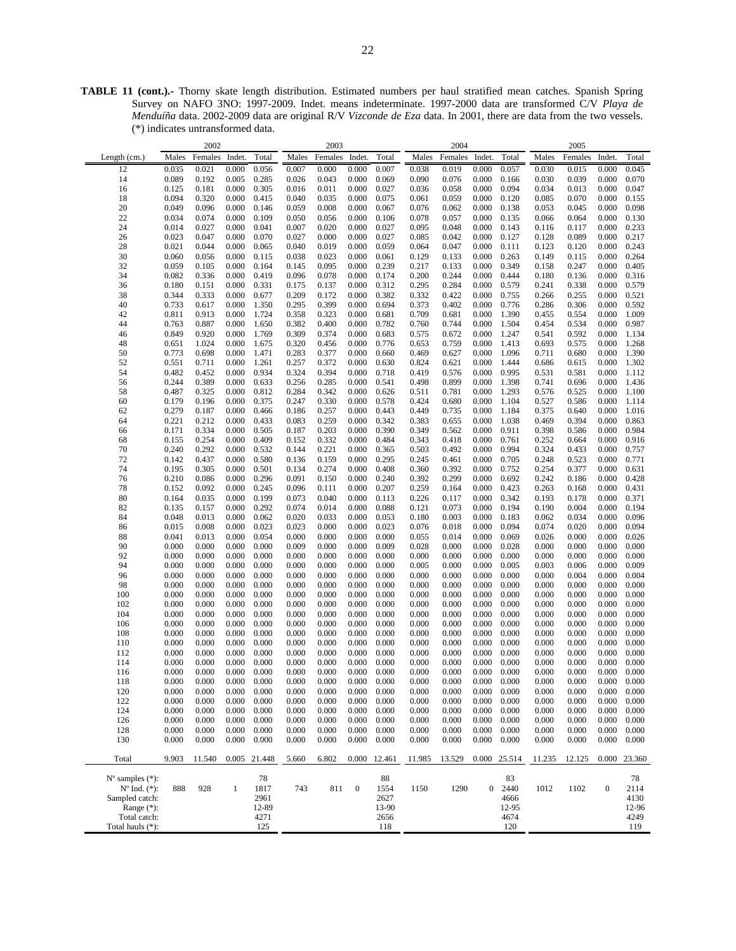**TABLE 11 (cont.).-** Thorny skate length distribution. Estimated numbers per haul stratified mean catches. Spanish Spring Survey on NAFO 3NO: 1997-2009. Indet. means indeterminate. 1997-2000 data are transformed C/V *Playa de Menduíña* data. 2002-2009 data are original R/V *Vizconde de Eza* data. In 2001, there are data from the two vessels. (\*) indicates untransformed data.

|                             |                | 2002    |              |              |       | 2003    |                  |        |           | 2004           |                |        |        | 2005      |                  |                |
|-----------------------------|----------------|---------|--------------|--------------|-------|---------|------------------|--------|-----------|----------------|----------------|--------|--------|-----------|------------------|----------------|
| Length $(cm.)$              | Males          | Females | Indet.       | Total        | Males | Females | Indet.           | Total  | Males     | Females        | Indet.         | Total  | Males  | Females   | Indet.           | Total          |
| 12                          | 0.035          | 0.021   | 0.000        | 0.056        | 0.007 | 0.000   | 0.000            | 0.007  | 0.038     | 0.019          | 0.000          | 0.057  | 0.030  | 0.015     | 0.000            | 0.045          |
| 14                          | 0.089          | 0.192   | 0.005        | 0.285        | 0.026 | 0.043   | 0.000            | 0.069  | 0.090     | 0.076          | 0.000          | 0.166  | 0.030  | 0.039     | 0.000            | 0.070          |
| 16                          | 0.125          | 0.181   | 0.000        | 0.305        | 0.016 | 0.011   | 0.000            | 0.027  | 0.036     | 0.058          | 0.000          | 0.094  | 0.034  | 0.013     | 0.000            | 0.047          |
| 18                          | 0.094          | 0.320   | 0.000        | 0.415        | 0.040 | 0.035   | 0.000            | 0.075  | 0.061     | 0.059          | 0.000          | 0.120  | 0.085  | 0.070     | 0.000            | 0.155          |
| 20                          | 0.049          | 0.096   | 0.000        | 0.146        | 0.059 | 0.008   | 0.000            | 0.067  | 0.076     | 0.062          | 0.000          | 0.138  | 0.053  | 0.045     | 0.000            | 0.098          |
| 22                          | 0.034          | 0.074   | 0.000        | 0.109        | 0.050 | 0.056   | 0.000            | 0.106  | 0.078     | 0.057          | 0.000          | 0.135  | 0.066  | 0.064     | 0.000            | 0.130          |
| 24                          | 0.014          | 0.027   | 0.000        | 0.041        | 0.007 | 0.020   | 0.000            | 0.027  | 0.095     | 0.048          | 0.000          | 0.143  | 0.116  | 0.117     | 0.000            | 0.233          |
|                             | 0.023          | 0.047   | 0.000        | 0.070        | 0.027 | 0.000   | 0.000            | 0.027  | 0.085     | 0.042          | 0.000          | 0.127  | 0.128  | 0.089     | 0.000            | 0.217          |
| 26<br>28                    | 0.021          | 0.044   | 0.000        | 0.065        | 0.040 | 0.019   | 0.000            | 0.059  | 0.064     | 0.047          | 0.000          | 0.111  | 0.123  | 0.120     | 0.000            | 0.243          |
| 30                          | 0.060          | 0.056   | 0.000        | 0.115        | 0.038 | 0.023   | 0.000            | 0.061  | 0.129     | 0.133          | 0.000          | 0.263  | 0.149  | 0.115     | 0.000            | 0.264          |
| 32                          | 0.059          | 0.105   | 0.000        | 0.164        | 0.145 | 0.095   | 0.000            | 0.239  | 0.217     |                | 0.000          | 0.349  | 0.158  | 0.247     | 0.000            | 0.405          |
| 34                          | 0.082          | 0.336   | 0.000        | 0.419        | 0.096 | 0.078   | 0.000            | 0.174  | 0.200     | 0.133<br>0.244 | 0.000          | 0.444  | 0.180  |           | 0.000            |                |
|                             | 0.180          | 0.151   | 0.000        | 0.331        | 0.175 | 0.137   | 0.000            | 0.312  | 0.295     | 0.284          | 0.000          | 0.579  |        | 0.136     | 0.000            | 0.316<br>0.579 |
| 36                          |                |         |              |              |       |         |                  |        |           |                |                |        | 0.241  | 0.338     |                  |                |
| 38                          | 0.344<br>0.733 | 0.333   | 0.000        | 0.677        | 0.209 | 0.172   | 0.000            | 0.382  | 0.332     | 0.422          | 0.000          | 0.755  | 0.266  | 0.255     | 0.000            | 0.521          |
| 40                          |                | 0.617   | 0.000        | 1.350        | 0.295 | 0.399   | 0.000            | 0.694  | 0.373     | 0.402          | 0.000          | 0.776  | 0.286  | 0.306     | 0.000            | 0.592          |
| 42                          | 0.811          | 0.913   | 0.000        | 1.724        | 0.358 | 0.323   | 0.000            | 0.681  | 0.709     | 0.681          | 0.000          | 1.390  | 0.455  | 0.554     | 0.000            | 1.009          |
| 44                          | 0.763          | 0.887   | 0.000        | 1.650        | 0.382 | 0.400   | 0.000            | 0.782  | 0.760     | 0.744          | 0.000          | 1.504  | 0.454  | 0.534     | 0.000            | 0.987          |
| 46                          | 0.849          | 0.920   | 0.000        | 1.769        | 0.309 | 0.374   | 0.000            | 0.683  | 0.575     | 0.672          | 0.000          | 1.247  | 0.541  | 0.592     | 0.000            | 1.134          |
| 48                          | 0.651          | 1.024   | 0.000        | 1.675        | 0.320 | 0.456   | 0.000            | 0.776  | 0.653     | 0.759          | 0.000          | 1.413  | 0.693  | 0.575     | 0.000            | 1.268          |
| 50                          | 0.773          | 0.698   | 0.000        | 1.471        | 0.283 | 0.377   | 0.000            | 0.660  | 0.469     | 0.627          | 0.000          | 1.096  | 0.711  | 0.680     | 0.000            | 1.390          |
| 52                          | 0.551          | 0.711   | 0.000        | 1.261        | 0.257 | 0.372   | 0.000            | 0.630  | 0.824     | 0.621          | 0.000          | 1.444  | 0.686  | 0.615     | 0.000            | 1.302          |
| 54                          | 0.482          | 0.452   | 0.000        | 0.934        | 0.324 | 0.394   | 0.000            | 0.718  | 0.419     | 0.576          | 0.000          | 0.995  | 0.531  | 0.581     | 0.000            | 1.112          |
| 56                          | 0.244          | 0.389   | 0.000        | 0.633        | 0.256 | 0.285   | 0.000            | 0.541  | 0.498     | 0.899          | 0.000          | 1.398  | 0.741  | 0.696     | 0.000            | 1.436          |
| 58                          | 0.487          | 0.325   | 0.000        | 0.812        | 0.284 | 0.342   | 0.000            | 0.626  | 0.511     | 0.781          | 0.000          | 1.293  | 0.576  | 0.525     | 0.000            | 1.100          |
| 60                          | 0.179          | 0.196   | 0.000        | 0.375        | 0.247 | 0.330   | 0.000            | 0.578  | 0.424     | 0.680          | 0.000          | 1.104  | 0.527  | 0.586     | 0.000            | 1.114          |
| 62                          | 0.279          | 0.187   | 0.000        | 0.466        | 0.186 | 0.257   | 0.000            | 0.443  | 0.449     | 0.735          | 0.000          | 1.184  | 0.375  | 0.640     | 0.000            | 1.016          |
| 64                          | 0.221          | 0.212   | 0.000        | 0.433        | 0.083 | 0.259   | 0.000            | 0.342  | 0.383     | 0.655          | 0.000          | 1.038  | 0.469  | 0.394     | 0.000            | 0.863          |
| 66                          | 0.171          | 0.334   | 0.000        | 0.505        | 0.187 | 0.203   | 0.000            | 0.390  | 0.349     | 0.562          | 0.000          | 0.911  | 0.398  | 0.586     | 0.000            | 0.984          |
| 68                          | 0.155          | 0.254   | 0.000        | 0.409        | 0.152 | 0.332   | 0.000            | 0.484  | 0.343     | 0.418          | 0.000          | 0.761  | 0.252  | 0.664     | 0.000            | 0.916          |
| 70                          | 0.240          | 0.292   | 0.000        | 0.532        | 0.144 | 0.221   | 0.000            | 0.365  | 0.503     | 0.492          | 0.000          | 0.994  | 0.324  | 0.433     | 0.000            | 0.757          |
| 72                          | 0.142          | 0.437   | 0.000        | 0.580        | 0.136 | 0.159   | 0.000            | 0.295  | 0.245     | 0.461          | 0.000          | 0.705  | 0.248  | 0.523     | 0.000            | 0.771          |
| 74                          | 0.195          | 0.305   | 0.000        | 0.501        | 0.134 | 0.274   | 0.000            | 0.408  | 0.360     | 0.392          | 0.000          | 0.752  | 0.254  | 0.377     | 0.000            | 0.631          |
| 76                          | 0.210          | 0.086   | 0.000        | 0.296        | 0.091 | 0.150   | 0.000            | 0.240  | 0.392     | 0.299          | 0.000          | 0.692  | 0.242  | 0.186     | 0.000            | 0.428          |
| 78                          | 0.152          | 0.092   | 0.000        | 0.245        | 0.096 | 0.111   | 0.000            | 0.207  | 0.259     | 0.164          | 0.000          | 0.423  | 0.263  | 0.168     | 0.000            | 0.431          |
| 80                          | 0.164          | 0.035   | 0.000        | 0.199        | 0.073 | 0.040   | 0.000            | 0.113  | 0.226     | 0.117          | 0.000          | 0.342  | 0.193  | 0.178     | 0.000            | 0.371          |
| 82                          | 0.135          | 0.157   | 0.000        | 0.292        | 0.074 | 0.014   | 0.000            | 0.088  | 0.121     | 0.073          | 0.000          | 0.194  | 0.190  | 0.004     | 0.000            | 0.194          |
| 84                          | 0.048          | 0.013   | 0.000        | 0.062        | 0.020 | 0.033   | 0.000            | 0.053  | 0.180     | 0.003          | 0.000          | 0.183  | 0.062  | 0.034     | 0.000            | 0.096          |
| 86                          | 0.015          | 0.008   | 0.000        | 0.023        | 0.023 | 0.000   | 0.000            | 0.023  | 0.076     | 0.018          | 0.000          | 0.094  | 0.074  | 0.020     | 0.000            | 0.094          |
| 88                          | 0.041          | 0.013   | 0.000        | 0.054        | 0.000 | 0.000   | 0.000            | 0.000  | 0.055     | 0.014          | 0.000          | 0.069  | 0.026  | 0.000     | 0.000            | 0.026          |
| 90                          | 0.000          | 0.000   | 0.000        | 0.000        | 0.009 | 0.000   | 0.000            | 0.009  | 0.028     | 0.000          | 0.000          | 0.028  | 0.000  | 0.000     | 0.000            | 0.000          |
| 92                          | 0.000          | 0.000   | 0.000        | 0.000        | 0.000 | 0.000   | 0.000            | 0.000  | 0.000     | 0.000          | 0.000          | 0.000  | 0.000  | 0.000     | 0.000            | 0.000          |
| 94                          | 0.000          | 0.000   | 0.000        | 0.000        | 0.000 | 0.000   | 0.000            | 0.000  | 0.005     | 0.000          | 0.000          | 0.005  | 0.003  | 0.006     | 0.000            | 0.009          |
| 96                          | 0.000          | 0.000   | 0.000        | 0.000        | 0.000 | 0.000   | 0.000            | 0.000  | 0.000     | 0.000          | 0.000          | 0.000  | 0.000  | 0.004     | 0.000            | 0.004          |
| 98                          | 0.000          | 0.000   | 0.000        | 0.000        | 0.000 | 0.000   | 0.000            | 0.000  | 0.000     | 0.000          | 0.000          | 0.000  | 0.000  | 0.000     | 0.000            | 0.000          |
| 100                         | 0.000          | 0.000   | 0.000        | 0.000        | 0.000 | 0.000   | 0.000            | 0.000  | 0.000     | 0.000          | 0.000          | 0.000  | 0.000  | 0.000     | 0.000            | 0.000          |
| 102                         | 0.000          | 0.000   | 0.000        | 0.000        | 0.000 | 0.000   | 0.000            | 0.000  | 0.000     | 0.000          | 0.000          | 0.000  | 0.000  | 0.000     | 0.000            | 0.000          |
| 104                         | 0.000          | 0.000   | 0.000        | 0.000        | 0.000 | 0.000   | 0.000            | 0.000  | 0.000     | 0.000          | 0.000          | 0.000  | 0.000  | 0.000     | 0.000            | 0.000          |
| 106                         | 0.000          | 0.000   | 0.000        | 0.000        | 0.000 | 0.000   | 0.000            | 0.000  | 0.000     | 0.000          | 0.000          | 0.000  | 0.000  | 0.000     | 0.000            | 0.000          |
| 108                         | 0.000          | 0.000   | 0.000        | 0.000        | 0.000 | 0.000   | 0.000            | 0.000  | 0.000     | 0.000          | 0.000          | 0.000  | 0.000  | 0.000     | 0.000            | 0.000          |
| 110                         | 0.000          | 0.000   | 0.000        | 0.000        | 0.000 | 0.000   | 0.000            | 0.000  | 0.000     | 0.000          | 0.000          | 0.000  | 0.000  | 0.000     | 0.000            | 0.000          |
| 112                         | 0.000          | 0.000   | 0.000        | 0.000        | 0.000 | 0.000   | 0.000            | 0.000  | 0.000     | 0.000          | 0.000          | 0.000  | 0.000  | 0.000     | 0.000            | 0.000          |
| 114                         | 0.000          | 0.000   | 0.000        | 0.000        | 0.000 | 0.000   | 0.000            | 0.000  | 0.000     | 0.000          | 0.000          | 0.000  | 0.000  | 0.000     | 0.000            | 0.000          |
| 116                         | 0.000          | 0.000   | 0.000        | 0.000        | 0.000 | 0.000   | 0.000            | 0.000  | 0.000     | 0.000          | 0.000          | 0.000  | 0.000  | 0.000     | 0.000            | 0.000          |
| 118                         | $0.000\,$      | 0.000   | 0.000        | 0.000        | 0.000 | 0.000   | 0.000            | 0.000  | $0.000\,$ | 0.000          | 0.000          | 0.000  | 0.000  | $0.000\,$ | 0.000            | 0.000          |
| 120                         | 0.000          | 0.000   | 0.000        | 0.000        | 0.000 | 0.000   | 0.000            | 0.000  | 0.000     | 0.000          | 0.000          | 0.000  | 0.000  | 0.000     | 0.000            | 0.000          |
| 122                         | 0.000          | 0.000   | 0.000        | 0.000        | 0.000 | 0.000   | 0.000            | 0.000  | 0.000     | 0.000          | 0.000          | 0.000  | 0.000  | 0.000     | 0.000            | 0.000          |
| 124                         | 0.000          | 0.000   | 0.000        | 0.000        | 0.000 | 0.000   | 0.000            | 0.000  | 0.000     | 0.000          | 0.000          | 0.000  | 0.000  | 0.000     | 0.000            | 0.000          |
| 126                         | 0.000          | 0.000   | 0.000        | 0.000        | 0.000 | 0.000   | 0.000            | 0.000  | 0.000     | 0.000          | 0.000          | 0.000  | 0.000  | 0.000     | 0.000            | 0.000          |
| 128                         | 0.000          | 0.000   | 0.000        | 0.000        | 0.000 | 0.000   | 0.000            | 0.000  | 0.000     | 0.000          | 0.000          | 0.000  | 0.000  | 0.000     | 0.000            | 0.000          |
| 130                         | 0.000          | 0.000   | 0.000        | 0.000        | 0.000 | 0.000   | 0.000            | 0.000  | 0.000     | 0.000          | 0.000          | 0.000  | 0.000  | 0.000     | 0.000            | 0.000          |
|                             |                |         |              |              |       |         |                  |        |           |                |                |        |        |           |                  |                |
| Total                       | 9.903          | 11.540  |              | 0.005 21.448 | 5.660 | 6.802   | 0.000            | 12.461 | 11.985    | 13.529         | 0.000          | 25.514 | 11.235 | 12.125    | 0.000            | 23.360         |
| $N^{\circ}$ samples $(*)$ : |                |         |              | 78           |       |         |                  | 88     |           |                |                | 83     |        |           |                  | 78             |
| $N^{\circ}$ Ind. $(*)$ :    | 888            | 928     | $\mathbf{1}$ | 1817         | 743   | 811     | $\boldsymbol{0}$ | 1554   | 1150      | 1290           | $\overline{0}$ | 2440   | 1012   | 1102      | $\boldsymbol{0}$ | 2114           |
| Sampled catch:              |                |         |              | 2961         |       |         |                  | 2627   |           |                |                | 4666   |        |           |                  | 4130           |
| Range (*):                  |                |         |              | 12-89        |       |         |                  | 13-90  |           |                |                | 12-95  |        |           |                  | 12-96          |
| Total catch:                |                |         |              | 4271         |       |         |                  | 2656   |           |                |                | 4674   |        |           |                  | 4249           |
| Total hauls (*):            |                |         |              | 125          |       |         |                  | 118    |           |                |                | 120    |        |           |                  | 119            |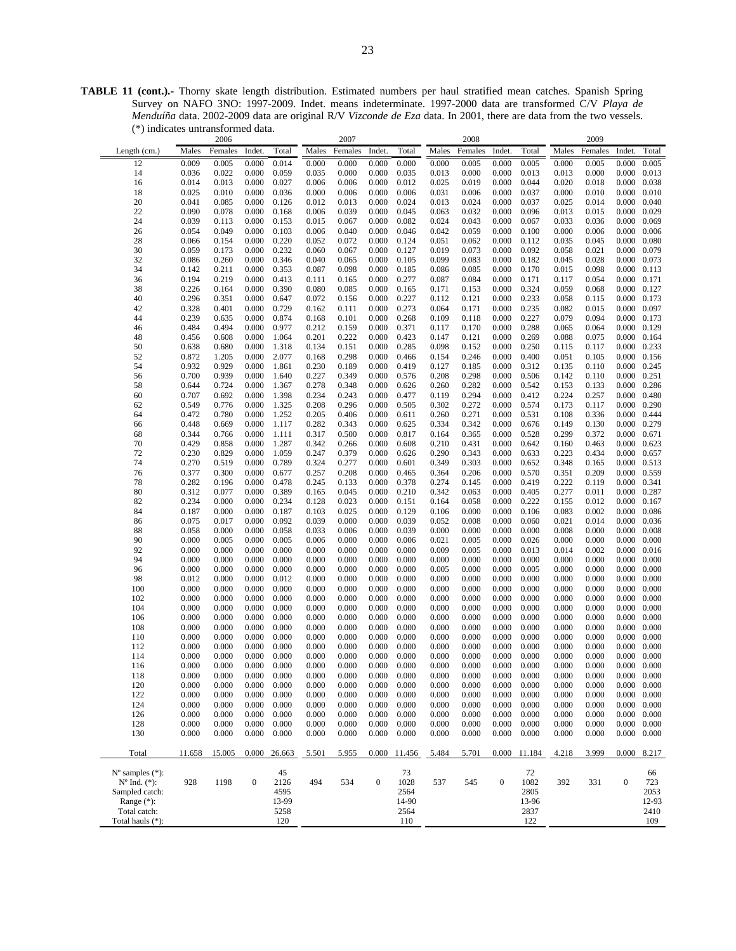**TABLE 11 (cont.).-** Thorny skate length distribution. Estimated numbers per haul stratified mean catches. Spanish Spring Survey on NAFO 3NO: 1997-2009. Indet. means indeterminate. 1997-2000 data are transformed C/V *Playa de Menduíña* data. 2002-2009 data are original R/V *Vizconde de Eza* data. In 2001, there are data from the two vessels. (\*) indicates untransformed data.

|                                                                     |        | 2006    |                  |                              |       | 2007    |                  |                              |       | 2008    |                  |                              |       | 2009    |                     |                              |
|---------------------------------------------------------------------|--------|---------|------------------|------------------------------|-------|---------|------------------|------------------------------|-------|---------|------------------|------------------------------|-------|---------|---------------------|------------------------------|
| Length (cm.)                                                        | Males  | Females | Indet            | Total                        | Males | Females | Indet.           | Total                        | Males | Females | Indet.           | Total                        | Males | Females | Indet.              | Total                        |
| 12                                                                  | 0.009  | 0.005   | 0.000            | 0.014                        | 0.000 | 0.000   | 0.000            | 0.000                        | 0.000 | 0.005   | 0.000            | 0.005                        | 0.000 | 0.005   | 0.000               | 0.005                        |
|                                                                     |        |         |                  |                              |       |         |                  |                              |       |         |                  |                              |       |         |                     |                              |
| 14                                                                  | 0.036  | 0.022   | 0.000            | 0.059                        | 0.035 | 0.000   | 0.000            | 0.035                        | 0.013 | 0.000   | 0.000            | 0.013                        | 0.013 | 0.000   | 0.000               | 0.013                        |
| 16                                                                  | 0.014  | 0.013   | 0.000            | 0.027                        | 0.006 | 0.006   | 0.000            | 0.012                        | 0.025 | 0.019   | 0.000            | 0.044                        | 0.020 | 0.018   | 0.000               | 0.038                        |
| 18                                                                  | 0.025  | 0.010   | 0.000            | 0.036                        | 0.000 | 0.006   | 0.000            | 0.006                        | 0.031 | 0.006   | 0.000            | 0.037                        | 0.000 | 0.010   | 0.000               | 0.010                        |
| 20                                                                  | 0.041  | 0.085   | 0.000            | 0.126                        | 0.012 | 0.013   | 0.000            | 0.024                        | 0.013 | 0.024   | 0.000            | 0.037                        | 0.025 | 0.014   | 0.000               | 0.040                        |
| 22                                                                  | 0.090  | 0.078   | 0.000            | 0.168                        | 0.006 | 0.039   | 0.000            | 0.045                        | 0.063 | 0.032   | 0.000            | 0.096                        | 0.013 | 0.015   | 0.000               | 0.029                        |
| 24                                                                  | 0.039  | 0.113   | 0.000            | 0.153                        | 0.015 | 0.067   | 0.000            | 0.082                        | 0.024 | 0.043   | 0.000            | 0.067                        | 0.033 | 0.036   | 0.000               | 0.069                        |
| 26                                                                  | 0.054  | 0.049   | 0.000            | 0.103                        | 0.006 | 0.040   | 0.000            | 0.046                        | 0.042 | 0.059   | 0.000            | 0.100                        | 0.000 | 0.006   | 0.000               | 0.006                        |
| 28                                                                  | 0.066  | 0.154   | 0.000            | 0.220                        | 0.052 | 0.072   | 0.000            | 0.124                        | 0.051 | 0.062   | 0.000            | 0.112                        | 0.035 | 0.045   | 0.000               | 0.080                        |
| 30                                                                  | 0.059  | 0.173   | 0.000            | 0.232                        | 0.060 | 0.067   | 0.000            | 0.127                        | 0.019 | 0.073   | 0.000            | 0.092                        | 0.058 | 0.021   | 0.000               | 0.079                        |
| 32                                                                  | 0.086  | 0.260   | 0.000            | 0.346                        | 0.040 | 0.065   | 0.000            | 0.105                        | 0.099 | 0.083   | 0.000            | 0.182                        | 0.045 | 0.028   | 0.000               | 0.073                        |
| 34                                                                  | 0.142  | 0.211   | 0.000            | 0.353                        | 0.087 | 0.098   | 0.000            | 0.185                        | 0.086 | 0.085   | 0.000            | 0.170                        | 0.015 | 0.098   | 0.000               | 0.113                        |
| 36                                                                  | 0.194  | 0.219   | 0.000            | 0.413                        | 0.111 | 0.165   | 0.000            | 0.277                        | 0.087 | 0.084   | 0.000            | 0.171                        | 0.117 | 0.054   | 0.000               | 0.171                        |
| 38                                                                  |        |         |                  |                              |       |         |                  |                              |       |         |                  | 0.324                        |       |         |                     |                              |
|                                                                     | 0.226  | 0.164   | 0.000            | 0.390                        | 0.080 | 0.085   | 0.000            | 0.165                        | 0.171 | 0.153   | 0.000            |                              | 0.059 | 0.068   | 0.000               | 0.127                        |
| 40                                                                  | 0.296  | 0.351   | 0.000            | 0.647                        | 0.072 | 0.156   | 0.000            | 0.227                        | 0.112 | 0.121   | 0.000            | 0.233                        | 0.058 | 0.115   | 0.000               | 0.173                        |
| 42                                                                  | 0.328  | 0.401   | 0.000            | 0.729                        | 0.162 | 0.111   | 0.000            | 0.273                        | 0.064 | 0.171   | 0.000            | 0.235                        | 0.082 | 0.015   | 0.000               | 0.097                        |
| 44                                                                  | 0.239  | 0.635   | 0.000            | 0.874                        | 0.168 | 0.101   | 0.000            | 0.268                        | 0.109 | 0.118   | 0.000            | 0.227                        | 0.079 | 0.094   | 0.000               | 0.173                        |
| 46                                                                  | 0.484  | 0.494   | 0.000            | 0.977                        | 0.212 | 0.159   | 0.000            | 0.371                        | 0.117 | 0.170   | 0.000            | 0.288                        | 0.065 | 0.064   | 0.000               | 0.129                        |
| 48                                                                  | 0.456  | 0.608   | 0.000            | 1.064                        | 0.201 | 0.222   | 0.000            | 0.423                        | 0.147 | 0.121   | 0.000            | 0.269                        | 0.088 | 0.075   | 0.000               | 0.164                        |
| 50                                                                  | 0.638  | 0.680   | 0.000            | 1.318                        | 0.134 | 0.151   | 0.000            | 0.285                        | 0.098 | 0.152   | 0.000            | 0.250                        | 0.115 | 0.117   | 0.000               | 0.233                        |
| 52                                                                  | 0.872  | 1.205   | 0.000            | 2.077                        | 0.168 | 0.298   | 0.000            | 0.466                        | 0.154 | 0.246   | 0.000            | 0.400                        | 0.051 | 0.105   | 0.000               | 0.156                        |
| 54                                                                  | 0.932  | 0.929   | 0.000            | 1.861                        | 0.230 | 0.189   | 0.000            | 0.419                        | 0.127 | 0.185   | 0.000            | 0.312                        | 0.135 | 0.110   | 0.000               | 0.245                        |
| 56                                                                  | 0.700  | 0.939   | 0.000            | 1.640                        | 0.227 | 0.349   | 0.000            | 0.576                        | 0.208 | 0.298   | 0.000            | 0.506                        | 0.142 | 0.110   | 0.000               | 0.251                        |
| 58                                                                  | 0.644  | 0.724   | 0.000            | 1.367                        | 0.278 | 0.348   | 0.000            | 0.626                        | 0.260 | 0.282   | 0.000            | 0.542                        | 0.153 | 0.133   | 0.000               | 0.286                        |
| 60                                                                  | 0.707  | 0.692   | 0.000            | 1.398                        | 0.234 | 0.243   | 0.000            | 0.477                        | 0.119 | 0.294   | 0.000            | 0.412                        | 0.224 | 0.257   | 0.000               | 0.480                        |
| 62                                                                  | 0.549  | 0.776   | 0.000            | 1.325                        | 0.208 | 0.296   | 0.000            | 0.505                        | 0.302 | 0.272   | 0.000            | 0.574                        | 0.173 | 0.117   | 0.000               | 0.290                        |
|                                                                     |        |         |                  |                              |       |         |                  |                              |       |         |                  |                              |       |         |                     |                              |
| 64                                                                  | 0.472  | 0.780   | 0.000            | 1.252                        | 0.205 | 0.406   | 0.000            | 0.611                        | 0.260 | 0.271   | 0.000            | 0.531                        | 0.108 | 0.336   | 0.000               | 0.444                        |
| 66                                                                  | 0.448  | 0.669   | 0.000            | 1.117                        | 0.282 | 0.343   | 0.000            | 0.625                        | 0.334 | 0.342   | 0.000            | 0.676                        | 0.149 | 0.130   | 0.000               | 0.279                        |
| 68                                                                  | 0.344  | 0.766   | 0.000            | 1.111                        | 0.317 | 0.500   | 0.000            | 0.817                        | 0.164 | 0.365   | 0.000            | 0.528                        | 0.299 | 0.372   | 0.000               | 0.671                        |
| 70                                                                  | 0.429  | 0.858   | 0.000            | 1.287                        | 0.342 | 0.266   | 0.000            | 0.608                        | 0.210 | 0.431   | 0.000            | 0.642                        | 0.160 | 0.463   | 0.000               | 0.623                        |
| 72                                                                  | 0.230  | 0.829   | 0.000            | 1.059                        | 0.247 | 0.379   | 0.000            | 0.626                        | 0.290 | 0.343   | 0.000            | 0.633                        | 0.223 | 0.434   | 0.000               | 0.657                        |
| 74                                                                  | 0.270  | 0.519   | 0.000            | 0.789                        | 0.324 | 0.277   | 0.000            | 0.601                        | 0.349 | 0.303   | 0.000            | 0.652                        | 0.348 | 0.165   | 0.000               | 0.513                        |
| 76                                                                  | 0.377  | 0.300   | 0.000            | 0.677                        | 0.257 | 0.208   | 0.000            | 0.465                        | 0.364 | 0.206   | 0.000            | 0.570                        | 0.351 | 0.209   | 0.000               | 0.559                        |
| 78                                                                  | 0.282  | 0.196   | 0.000            | 0.478                        | 0.245 | 0.133   | 0.000            | 0.378                        | 0.274 | 0.145   | 0.000            | 0.419                        | 0.222 | 0.119   | 0.000               | 0.341                        |
| 80                                                                  | 0.312  | 0.077   | 0.000            | 0.389                        | 0.165 | 0.045   | 0.000            | 0.210                        | 0.342 | 0.063   | 0.000            | 0.405                        | 0.277 | 0.011   | 0.000               | 0.287                        |
| 82                                                                  | 0.234  | 0.000   | 0.000            | 0.234                        | 0.128 | 0.023   | 0.000            | 0.151                        | 0.164 | 0.058   | 0.000            | 0.222                        | 0.155 | 0.012   | 0.000               | 0.167                        |
| 84                                                                  | 0.187  | 0.000   | 0.000            | 0.187                        | 0.103 | 0.025   | 0.000            | 0.129                        | 0.106 | 0.000   | 0.000            | 0.106                        | 0.083 | 0.002   | 0.000               | 0.086                        |
|                                                                     |        |         | 0.000            | 0.092                        | 0.039 | 0.000   | 0.000            | 0.039                        | 0.052 | 0.008   |                  | 0.060                        | 0.021 |         | 0.000               | 0.036                        |
| 86                                                                  | 0.075  | 0.017   |                  |                              |       |         |                  |                              |       |         | 0.000            |                              |       | 0.014   |                     |                              |
| 88                                                                  | 0.058  | 0.000   | 0.000            | 0.058                        | 0.033 | 0.006   | 0.000            | 0.039                        | 0.000 | 0.000   | 0.000            | 0.000                        | 0.008 | 0.000   | 0.000               | 0.008                        |
| 90                                                                  | 0.000  | 0.005   | 0.000            | 0.005                        | 0.006 | 0.000   | 0.000            | 0.006                        | 0.021 | 0.005   | 0.000            | 0.026                        | 0.000 | 0.000   | 0.000               | 0.000                        |
| 92                                                                  | 0.000  | 0.000   | 0.000            | 0.000                        | 0.000 | 0.000   | 0.000            | 0.000                        | 0.009 | 0.005   | 0.000            | 0.013                        | 0.014 | 0.002   | 0.000               | 0.016                        |
| 94                                                                  | 0.000  | 0.000   | 0.000            | 0.000                        | 0.000 | 0.000   | 0.000            | 0.000                        | 0.000 | 0.000   | 0.000            | 0.000                        | 0.000 | 0.000   | 0.000               | 0.000                        |
| 96                                                                  | 0.000  | 0.000   | 0.000            | 0.000                        | 0.000 | 0.000   | 0.000            | 0.000                        | 0.005 | 0.000   | 0.000            | 0.005                        | 0.000 | 0.000   | 0.000               | 0.000                        |
| 98                                                                  | 0.012  | 0.000   | 0.000            | 0.012                        | 0.000 | 0.000   | 0.000            | 0.000                        | 0.000 | 0.000   | 0.000            | 0.000                        | 0.000 | 0.000   | 0.000               | 0.000                        |
| 100                                                                 | 0.000  | 0.000   | 0.000            | 0.000                        | 0.000 | 0.000   | 0.000            | 0.000                        | 0.000 | 0.000   | 0.000            | 0.000                        | 0.000 | 0.000   | 0.000               | 0.000                        |
| 102                                                                 | 0.000  | 0.000   | 0.000            | 0.000                        | 0.000 | 0.000   | 0.000            | 0.000                        | 0.000 | 0.000   | 0.000            | 0.000                        | 0.000 | 0.000   | 0.000               | 0.000                        |
| 104                                                                 | 0.000  | 0.000   | 0.000            | 0.000                        | 0.000 | 0.000   | 0.000            | 0.000                        | 0.000 | 0.000   | 0.000            | 0.000                        | 0.000 | 0.000   | 0.000               | 0.000                        |
| 106                                                                 | 0.000  | 0.000   | 0.000            | 0.000                        | 0.000 | 0.000   | 0.000            | 0.000                        | 0.000 | 0.000   | 0.000            | 0.000                        | 0.000 | 0.000   | 0.000               | 0.000                        |
| 108                                                                 | 0.000  | 0.000   | 0.000            | 0.000                        | 0.000 | 0.000   | 0.000            | 0.000                        | 0.000 | 0.000   | 0.000            | 0.000                        | 0.000 | 0.000   | 0.000               | 0.000                        |
| 110                                                                 | 0.000  | 0.000   | 0.000            | 0.000                        | 0.000 | 0.000   | 0.000            | 0.000                        | 0.000 | 0.000   | 0.000            | 0.000                        | 0.000 | 0.000   | 0.000               | 0.000                        |
| 112                                                                 | 0.000  | 0.000   | 0.000            | 0.000                        | 0.000 | 0.000   | 0.000            | 0.000                        | 0.000 | 0.000   | 0.000            | 0.000                        | 0.000 | 0.000   | 0.000               | 0.000                        |
| 114                                                                 | 0.000  | 0.000   | 0.000            | 0.000                        | 0.000 | 0.000   | 0.000            | 0.000                        | 0.000 | 0.000   | 0.000            | 0.000                        | 0.000 | 0.000   | 0.000               | 0.000                        |
|                                                                     | 0.000  | 0.000   | 0.000            |                              | 0.000 | 0.000   |                  | 0.000                        | 0.000 | 0.000   |                  | 0.000                        | 0.000 |         | $0.000 \quad 0.000$ |                              |
| 116                                                                 |        |         |                  | 0.000                        |       |         | 0.000            |                              |       |         | 0.000            |                              |       | 0.000   |                     |                              |
| 118                                                                 | 0.000  | 0.000   | 0.000            | 0.000                        | 0.000 | 0.000   | 0.000            | 0.000                        | 0.000 | 0.000   | 0.000            | 0.000                        | 0.000 | 0.000   | $0.000 \quad 0.000$ |                              |
| 120                                                                 | 0.000  | 0.000   | 0.000            | 0.000                        | 0.000 | 0.000   | 0.000            | 0.000                        | 0.000 | 0.000   | 0.000            | 0.000                        | 0.000 | 0.000   | $0.000 \quad 0.000$ |                              |
| 122                                                                 | 0.000  | 0.000   | 0.000            | 0.000                        | 0.000 | 0.000   | 0.000            | 0.000                        | 0.000 | 0.000   | 0.000            | 0.000                        | 0.000 | 0.000   | 0.000               | 0.000                        |
| 124                                                                 | 0.000  | 0.000   | 0.000            | 0.000                        | 0.000 | 0.000   | 0.000            | 0.000                        | 0.000 | 0.000   | 0.000            | 0.000                        | 0.000 | 0.000   | 0.000               | 0.000                        |
| 126                                                                 | 0.000  | 0.000   | 0.000            | 0.000                        | 0.000 | 0.000   | 0.000            | 0.000                        | 0.000 | 0.000   | 0.000            | 0.000                        | 0.000 | 0.000   | 0.000               | 0.000                        |
| 128                                                                 | 0.000  | 0.000   | 0.000            | 0.000                        | 0.000 | 0.000   | 0.000            | 0.000                        | 0.000 | 0.000   | 0.000            | 0.000                        | 0.000 | 0.000   | 0.000               | 0.000                        |
| 130                                                                 | 0.000  | 0.000   | 0.000            | 0.000                        | 0.000 | 0.000   | 0.000            | 0.000                        | 0.000 | 0.000   | 0.000            | 0.000                        | 0.000 | 0.000   | 0.000               | 0.000                        |
| Total                                                               | 11.658 | 15.005  | 0.000            | 26.663                       | 5.501 | 5.955   | 0.000            | 11.456                       | 5.484 | 5.701   | 0.000            | 11.184                       | 4.218 | 3.999   | 0.000               | 8.217                        |
| $N^{\circ}$ samples $(*)$ :<br>$N^{\circ}$ Ind. $(*)$ :             | 928    | 1198    | $\boldsymbol{0}$ | 45<br>2126                   | 494   | 534     | $\boldsymbol{0}$ | 73<br>1028                   | 537   | 545     | $\boldsymbol{0}$ | 72<br>1082                   | 392   | 331     | $\boldsymbol{0}$    | 66<br>723                    |
| Sampled catch:<br>Range $(*)$ :<br>Total catch:<br>Total hauls (*): |        |         |                  | 4595<br>13-99<br>5258<br>120 |       |         |                  | 2564<br>14-90<br>2564<br>110 |       |         |                  | 2805<br>13-96<br>2837<br>122 |       |         |                     | 2053<br>12-93<br>2410<br>109 |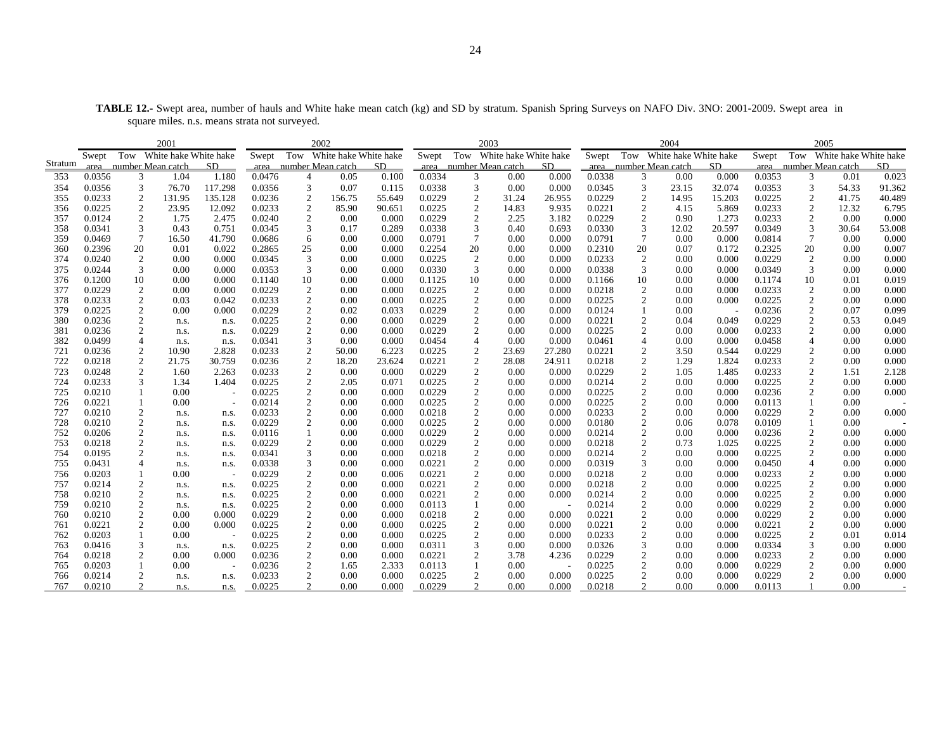| <b>TABLE 12.-</b> Swept area, number of hauls and White hake mean catch (kg) and SD by stratum. Spanish Spring Surveys on NAFO Div. 3NO: 2001-2009. Swept area in |  |
|-------------------------------------------------------------------------------------------------------------------------------------------------------------------|--|
| square miles, n.s. means strata not surveved.                                                                                                                     |  |

|         | 2001   |                  |                        |                          |        |                  | 2002                   |        |        |                  | 2003                   |        |        |                  | 2004                      |        |        | 2005                   |                       |        |
|---------|--------|------------------|------------------------|--------------------------|--------|------------------|------------------------|--------|--------|------------------|------------------------|--------|--------|------------------|---------------------------|--------|--------|------------------------|-----------------------|--------|
|         | Swept  | Tow              | White hake White hake  |                          | Swept  | Tow              | White hake White hake  |        | Swept  | Tow              | White hake White hake  |        | Swept  | Tow              | White hake White hake     |        | Swept  | Tow                    | White hake White hake |        |
| Stratum |        |                  | area number Mean catch | SD.                      |        |                  | area number Mean catch | SD     |        |                  | area number Mean catch | SD     |        |                  | area __ number Mean catch | SD.    |        | area number Mean catch |                       | SD.    |
| 353     | 0.0356 | 3                | 1.04                   | 1.180                    | 0.0476 | $\overline{4}$   | 0.05                   | 0.100  | 0.0334 | 3                | 0.00                   | 0.000  | 0.0338 | 3                | 0.00                      | 0.000  | 0.0353 | 3                      | 0.01                  | 0.023  |
| 354     | 0.0356 | 3                | 76.70                  | 117.298                  | 0.0356 | 3                | 0.07                   | 0.115  | 0.0338 | 3                | 0.00                   | 0.000  | 0.0345 | 3                | 23.15                     | 32.074 | 0.0353 | 3                      | 54.33                 | 91.362 |
| 355     | 0.0233 | $\boldsymbol{2}$ | 131.95                 | 135.128                  | 0.0236 | $\boldsymbol{2}$ | 156.75                 | 55.649 | 0.0229 | $\boldsymbol{2}$ | 31.24                  | 26.955 | 0.0229 | $\boldsymbol{2}$ | 14.95                     | 15.203 | 0.0225 | $\boldsymbol{2}$       | 41.75                 | 40.489 |
| 356     | 0.0225 | 2                | 23.95                  | 12.092                   | 0.0233 | 2                | 85.90                  | 90.651 | 0.0225 | $\boldsymbol{2}$ | 14.83                  | 9.935  | 0.0221 | $\mathbf{2}$     | 4.15                      | 5.869  | 0.0233 | 2                      | 12.32                 | 6.795  |
| 357     | 0.0124 | $\overline{2}$   | 1.75                   | 2.475                    | 0.0240 | $\overline{2}$   | 0.00                   | 0.000  | 0.0229 | 2                | 2.25                   | 3.182  | 0.0229 | $\mathbf{2}$     | 0.90                      | 1.273  | 0.0233 | $\mathbf{2}$           | 0.00                  | 0.000  |
| 358     | 0.0341 | 3                | 0.43                   | 0.751                    | 0.0345 | 3                | 0.17                   | 0.289  | 0.0338 | 3                | 0.40                   | 0.693  | 0.0330 | 3                | 12.02                     | 20.597 | 0.0349 | 3                      | 30.64                 | 53.008 |
| 359     | 0.0469 | 7                | 16.50                  | 41.790                   | 0.0686 | 6                | 0.00                   | 0.000  | 0.0791 | $7\phantom{.0}$  | 0.00                   | 0.000  | 0.0791 | $\tau$           | 0.00                      | 0.000  | 0.0814 | $\tau$                 | 0.00                  | 0.000  |
| 360     | 0.2396 | 20               | 0.01                   | 0.022                    | 0.2865 | 25               | 0.00                   | 0.000  | 0.2254 | 20               | 0.00                   | 0.000  | 0.2310 | 20               | 0.07                      | 0.172  | 0.2325 | 20                     | 0.00                  | 0.007  |
| 374     | 0.0240 | $\overline{c}$   | 0.00                   | 0.000                    | 0.0345 | 3                | 0.00                   | 0.000  | 0.0225 | $\overline{c}$   | 0.00                   | 0.000  | 0.0233 | $\overline{c}$   | 0.00                      | 0.000  | 0.0229 | 2                      | 0.00                  | 0.000  |
| 375     | 0.0244 | 3                | 0.00                   | 0.000                    | 0.0353 | 3                | 0.00                   | 0.000  | 0.0330 | 3                | 0.00                   | 0.000  | 0.0338 | 3                | 0.00                      | 0.000  | 0.0349 | 3                      | 0.00                  | 0.000  |
| 376     | 0.1200 | 10               | 0.00                   | 0.000                    | 0.1140 | 10               | 0.00                   | 0.000  | 0.1125 | 10               | 0.00                   | 0.000  | 0.1166 | 10               | 0.00                      | 0.000  | 0.1174 | 10                     | 0.01                  | 0.019  |
| 377     | 0.0229 | 2                | 0.00                   | 0.000                    | 0.0229 | 2                | 0.00                   | 0.000  | 0.0225 | $\overline{c}$   | 0.00                   | 0.000  | 0.0218 | 2                | 0.00                      | 0.000  | 0.0233 | 2                      | 0.00                  | 0.000  |
| 378     | 0.0233 | $\overline{c}$   | 0.03                   | 0.042                    | 0.0233 | 2                | 0.00                   | 0.000  | 0.0225 | $\boldsymbol{2}$ | 0.00                   | 0.000  | 0.0225 | 2                | 0.00                      | 0.000  | 0.0225 | 2                      | 0.00                  | 0.000  |
| 379     | 0.0225 | $\overline{2}$   | 0.00                   | 0.000                    | 0.0229 | $\overline{c}$   | 0.02                   | 0.033  | 0.0229 | $\boldsymbol{2}$ | 0.00                   | 0.000  | 0.0124 |                  | 0.00                      |        | 0.0236 | $\overline{c}$         | 0.07                  | 0.099  |
| 380     | 0.0236 | 2                | n.s.                   | n.s.                     | 0.0225 | $\overline{c}$   | 0.00                   | 0.000  | 0.0229 | 2                | 0.00                   | 0.000  | 0.0221 | $\mathbf{2}$     | 0.04                      | 0.049  | 0.0229 | $\overline{c}$         | 0.53                  | 0.049  |
| 381     | 0.0236 | 2                | n.s.                   | n.s.                     | 0.0229 | 2                | 0.00                   | 0.000  | 0.0229 | 2                | 0.00                   | 0.000  | 0.0225 | 2                | 0.00                      | 0.000  | 0.0233 | 2                      | 0.00                  | 0.000  |
| 382     | 0.0499 | $\overline{4}$   | n.s.                   | n.s.                     | 0.0341 | 3                | 0.00                   | 0.000  | 0.0454 |                  | 0.00                   | 0.000  | 0.0461 | $\overline{4}$   | 0.00                      | 0.000  | 0.0458 | $\overline{4}$         | 0.00                  | 0.000  |
| 721     | 0.0236 | 2                | 10.90                  | 2.828                    | 0.0233 | $\overline{c}$   | 50.00                  | 6.223  | 0.0225 | $\overline{2}$   | 23.69                  | 27.280 | 0.0221 | $\overline{2}$   | 3.50                      | 0.544  | 0.0229 | 2                      | 0.00                  | 0.000  |
| 722     | 0.0218 | $\overline{c}$   | 21.75                  | 30.759                   | 0.0236 | $\overline{c}$   | 18.20                  | 23.624 | 0.0221 | $\boldsymbol{2}$ | 28.08                  | 24.911 | 0.0218 | 2                | 1.29                      | 1.824  | 0.0233 | $\mathbf{2}$           | 0.00                  | 0.000  |
| 723     | 0.0248 | $\overline{2}$   | 1.60                   | 2.263                    | 0.0233 | $\overline{2}$   | 0.00                   | 0.000  | 0.0229 | 2                | 0.00                   | 0.000  | 0.0229 | $\boldsymbol{2}$ | 1.05                      | 1.485  | 0.0233 | $\overline{c}$         | 1.51                  | 2.128  |
| 724     | 0.0233 | 3                | 1.34                   | 1.404                    | 0.0225 | $\overline{c}$   | 2.05                   | 0.071  | 0.0225 | 2                | 0.00                   | 0.000  | 0.0214 | $\mathbf{2}$     | 0.00                      | 0.000  | 0.0225 | 2                      | 0.00                  | 0.000  |
| 725     | 0.0210 |                  | 0.00                   | $\overline{\phantom{a}}$ | 0.0225 | $\overline{2}$   | 0.00                   | 0.000  | 0.0229 | 2                | 0.00                   | 0.000  | 0.0225 | 2                | 0.00                      | 0.000  | 0.0236 | 2                      | 0.00                  | 0.000  |
| 726     | 0.0221 |                  | 0.00                   | $\overline{\phantom{a}}$ | 0.0214 | $\sqrt{2}$       | 0.00                   | 0.000  | 0.0225 | $\overline{c}$   | 0.00                   | 0.000  | 0.0225 | $\sqrt{2}$       | 0.00                      | 0.000  | 0.0113 |                        | 0.00                  |        |
| 727     | 0.0210 | 2                | n.s.                   | n.s.                     | 0.0233 | $\overline{c}$   | 0.00                   | 0.000  | 0.0218 | 2                | 0.00                   | 0.000  | 0.0233 | $\boldsymbol{2}$ | 0.00                      | 0.000  | 0.0229 | 2                      | 0.00                  | 0.000  |
| 728     | 0.0210 | $\overline{c}$   | n.s.                   | n.s.                     | 0.0229 | 2                | 0.00                   | 0.000  | 0.0225 | $\boldsymbol{2}$ | 0.00                   | 0.000  | 0.0180 | 2                | 0.06                      | 0.078  | 0.0109 |                        | 0.00                  |        |
| 752     | 0.0206 | $\mathfrak{2}$   | n.s.                   | n.s.                     | 0.0116 |                  | 0.00                   | 0.000  | 0.0229 | $\overline{c}$   | 0.00                   | 0.000  | 0.0214 | $\overline{c}$   | 0.00                      | 0.000  | 0.0236 | $\overline{c}$         | 0.00                  | 0.000  |
| 753     | 0.0218 | 2                | n.s.                   | n.s.                     | 0.0229 | 2                | 0.00                   | 0.000  | 0.0229 | 2                | 0.00                   | 0.000  | 0.0218 | 2                | 0.73                      | 1.025  | 0.0225 | 2                      | 0.00                  | 0.000  |
| 754     | 0.0195 | 2                | n.s.                   | n.s.                     | 0.0341 | 3                | 0.00                   | 0.000  | 0.0218 | $\boldsymbol{2}$ | 0.00                   | 0.000  | 0.0214 | 2                | 0.00                      | 0.000  | 0.0225 | 2                      | 0.00                  | 0.000  |
| 755     | 0.0431 |                  | n.s.                   | n.s.                     | 0.0338 | 3                | 0.00                   | 0.000  | 0.0221 | $\boldsymbol{2}$ | 0.00                   | 0.000  | 0.0319 | 3                | 0.00                      | 0.000  | 0.0450 | $\overline{4}$         | 0.00                  | 0.000  |
| 756     | 0.0203 |                  | 0.00                   |                          | 0.0229 | $\boldsymbol{2}$ | 0.00                   | 0.006  | 0.0221 | 2                | 0.00                   | 0.000  | 0.0218 | $\boldsymbol{2}$ | 0.00                      | 0.000  | 0.0233 | 2                      | 0.00                  | 0.000  |
| 757     | 0.0214 | $\overline{c}$   | n.s.                   | n.s.                     | 0.0225 | $\overline{2}$   | 0.00                   | 0.000  | 0.0221 | $\boldsymbol{2}$ | 0.00                   | 0.000  | 0.0218 | 2                | 0.00                      | 0.000  | 0.0225 | $\overline{c}$         | 0.00                  | 0.000  |
| 758     | 0.0210 | $\mathfrak{2}$   | n.s.                   | n.s.                     | 0.0225 | $\overline{c}$   | 0.00                   | 0.000  | 0.0221 | $\overline{c}$   | 0.00                   | 0.000  | 0.0214 | $\overline{c}$   | 0.00                      | 0.000  | 0.0225 | $\overline{c}$         | 0.00                  | 0.000  |
| 759     | 0.0210 | 2                | n.s.                   | n.s.                     | 0.0225 | 2                | 0.00                   | 0.000  | 0.0113 |                  | 0.00                   |        | 0.0214 | 2                | 0.00                      | 0.000  | 0.0229 | 2                      | 0.00                  | 0.000  |
| 760     | 0.0210 | $\overline{c}$   | 0.00                   | 0.000                    | 0.0229 | $\overline{2}$   | 0.00                   | 0.000  | 0.0218 | $\boldsymbol{2}$ | 0.00                   | 0.000  | 0.0221 | 2                | 0.00                      | 0.000  | 0.0229 | $\overline{c}$         | 0.00                  | 0.000  |
| 761     | 0.0221 | 2                | 0.00                   | 0.000                    | 0.0225 | $\boldsymbol{2}$ | 0.00                   | 0.000  | 0.0225 | 2                | 0.00                   | 0.000  | 0.0221 | $\boldsymbol{2}$ | 0.00                      | 0.000  | 0.0221 | $\boldsymbol{2}$       | 0.00                  | 0.000  |
| 762     | 0.0203 | 1                | 0.00                   |                          | 0.0225 | 2                | 0.00                   | 0.000  | 0.0225 | 2                | 0.00                   | 0.000  | 0.0233 | 2                | 0.00                      | 0.000  | 0.0225 | 2                      | 0.01                  | 0.014  |
| 763     | 0.0416 | 3                | n.s.                   | n.s.                     | 0.0225 | $\overline{2}$   | 0.00                   | 0.000  | 0.0311 | 3                | 0.00                   | 0.000  | 0.0326 | 3                | 0.00                      | 0.000  | 0.0334 | 3                      | 0.00                  | 0.000  |
| 764     | 0.0218 | $\mathfrak{2}$   | 0.00                   | 0.000                    | 0.0236 | $\overline{c}$   | 0.00                   | 0.000  | 0.0221 | $\overline{c}$   | 3.78                   | 4.236  | 0.0229 | $\boldsymbol{2}$ | 0.00                      | 0.000  | 0.0233 | $\boldsymbol{2}$       | 0.00                  | 0.000  |
| 765     | 0.0203 |                  | 0.00                   |                          | 0.0236 | 2                | 1.65                   | 2.333  | 0.0113 |                  | 0.00                   |        | 0.0225 | $\mathbf{2}$     | 0.00                      | 0.000  | 0.0229 | 2                      | 0.00                  | 0.000  |
| 766     | 0.0214 | $\boldsymbol{2}$ | n.s.                   | n.s.                     | 0.0233 | 2                | 0.00                   | 0.000  | 0.0225 | $\overline{2}$   | 0.00                   | 0.000  | 0.0225 | 2                | 0.00                      | 0.000  | 0.0229 |                        | 0.00                  | 0.000  |
| 767     | 0.0210 |                  | n.s.                   | n.s.                     | 0.0225 | 2                | 0.00                   | 0.000  | 0.0229 | 2                | 0.00                   | 0.000  | 0.0218 | 2                | 0.00                      | 0.000  | 0.0113 |                        | 0.00                  |        |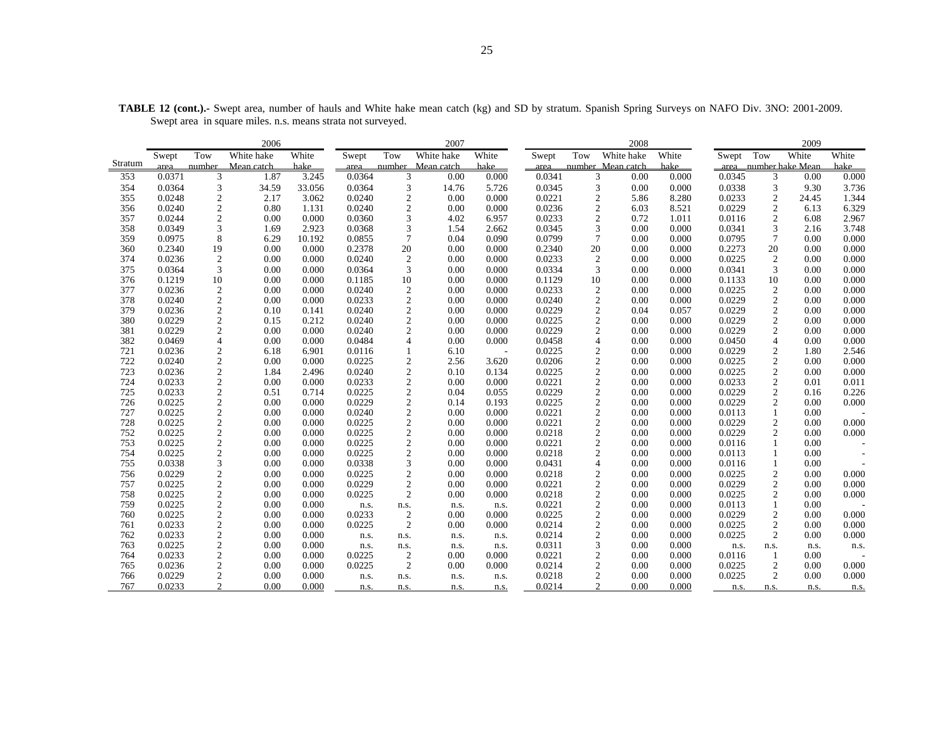| White<br>White<br>White hake<br>White hake<br>White hake<br>White<br>White<br>Tow<br>Tow<br>Tow<br>White<br>Tow<br>Swept<br>Swept<br>Swept<br>Swept<br>Stratum<br>hake<br>hake<br>hake<br>number<br>Mean catch<br>number Mean catch<br>number Mean catch<br>hake<br>area __ number hake Mean<br>area<br>area<br>area<br>3.245<br>0.0371<br>3<br>1.87<br>0.0364<br>0.00<br>0.000<br>0.0341<br>0.000<br>0.0345<br>0.000<br>353<br>3<br>3<br>0.00<br>3<br>0.00<br>3<br>354<br>0.0364<br>3<br>34.59<br>33.056<br>0.0364<br>3<br>5.726<br>0.0345<br>3<br>0.00<br>0.000<br>0.0338<br>3.736<br>14.76<br>9.30<br>$\boldsymbol{2}$<br>$\sqrt{2}$<br>0.0221<br>$\overline{2}$<br>$\frac{2}{2}$<br>355<br>0.0248<br>2.17<br>3.062<br>0.0240<br>0.00<br>0.000<br>5.86<br>8.280<br>0.0233<br>1.344<br>24.45<br>$\boldsymbol{2}$<br>$\mathbf{2}$<br>$\boldsymbol{2}$<br>0.0236<br>0.0229<br>6.329<br>356<br>0.0240<br>0.80<br>1.131<br>0.0240<br>0.00<br>0.000<br>6.03<br>8.521<br>6.13<br>$\overline{c}$<br>$\mathfrak{Z}$<br>357<br>0.0244<br>0.00<br>0.000<br>0.0360<br>4.02<br>6.957<br>0.0233<br>$\overline{2}$<br>0.72<br>1.011<br>0.0116<br>$\overline{2}$<br>6.08<br>2.967<br>$\overline{3}$<br>$\mathfrak{Z}$<br>3<br>3<br>358<br>0.0349<br>0.0345<br>0.0341<br>3.748<br>1.69<br>2.923<br>0.0368<br>1.54<br>2.662<br>0.00<br>0.000<br>2.16<br>$\overline{7}$<br>8<br>$\overline{7}$<br>0.0799<br>$\overline{7}$<br>0.0795<br>0.000<br>359<br>0.0975<br>6.29<br>10.192<br>0.0855<br>0.090<br>0.00<br>0.04<br>0.00<br>0.000<br>20<br>360<br>0.2340<br>19<br>0.2340<br>20<br>0.2273<br>20<br>0.00<br>0.000<br>0.2378<br>0.00<br>0.000<br>0.00<br>0.000<br>0.00<br>0.000<br>374<br>$\boldsymbol{2}$<br>$\overline{2}$<br>0.0233<br>$\overline{2}$<br>0.0225<br>$\sqrt{2}$<br>0.0236<br>0.00<br>0.000<br>0.0240<br>0.00<br>0.000<br>0.00<br>0.000<br>0.00<br>0.000<br>375<br>3<br>3<br>0.0334<br>3<br>0.0341<br>3<br>0.0364<br>0.00<br>0.000<br>0.0364<br>0.00<br>0.000<br>0.00<br>0.000<br>0.00<br>0.000<br>10<br>376<br>10<br>0.1129<br>10<br>0.1133<br>0.000<br>0.1219<br>0.00<br>0.000<br>0.1185<br>0.00<br>0.000<br>0.00<br>0.000<br>10<br>0.00<br>377<br>$\boldsymbol{2}$<br>0.0233<br>$\sqrt{2}$<br>0.0225<br>$\sqrt{2}$<br>0.0236<br>0.000<br>0.0240<br>$\overline{2}$<br>0.000<br>0.00<br>0.00<br>0.000<br>0.00<br>0.000<br>0.00<br>378<br>$\overline{2}$<br>$\overline{c}$<br>0.0240<br>$\overline{2}$<br>0.0229<br>$\overline{c}$<br>0.0240<br>0.00<br>0.000<br>0.0233<br>0.00<br>0.000<br>0.00<br>0.00<br>0.000<br>0.000<br>$\sqrt{2}$<br>$\sqrt{2}$<br>$\sqrt{2}$<br>$\sqrt{2}$<br>379<br>0.0236<br>0.0240<br>0.0229<br>0.0229<br>0.000<br>0.10<br>0.141<br>0.00<br>0.000<br>0.04<br>0.057<br>0.00<br>$\overline{c}$<br>$\sqrt{2}$<br>$\mathbf{2}$<br>380<br>0.0225<br>0.0229<br>$\mathbf{2}$<br>0.0229<br>0.15<br>0.212<br>0.0240<br>0.00<br>0.000<br>0.00<br>0.000<br>0.00<br>0.000<br>$\overline{c}$<br>$\sqrt{2}$<br>0.0229<br>$\overline{2}$<br>0.0229<br>$\sqrt{2}$<br>381<br>0.0229<br>0.00<br>0.000<br>0.0240<br>0.00<br>0.000<br>0.00<br>0.00<br>0.000<br>0.000<br>$\overline{4}$<br>$\overline{4}$<br>382<br>4<br>0.0458<br>$\overline{4}$<br>0.0469<br>0.00<br>0.000<br>0.0484<br>0.00<br>0.000<br>0.00<br>0.0450<br>0.00<br>0.000<br>0.000<br>721<br>2<br>6.901<br>0.0225<br>$\overline{2}$<br>0.00<br>0.0229<br>$\overline{2}$<br>0.0236<br>6.18<br>0.0116<br>$\mathbf{1}$<br>6.10<br>0.000<br>1.80<br>2.546<br>$\sim$<br>$\sqrt{2}$<br>$\sqrt{2}$<br>$\sqrt{2}$<br>722<br>$\boldsymbol{2}$<br>0.0206<br>0.0225<br>0.0240<br>0.00<br>0.000<br>0.0225<br>2.56<br>3.620<br>0.00<br>0.00<br>0.000<br>0.000<br>$\sqrt{2}$<br>$\overline{2}$<br>723<br>$\overline{c}$<br>$\mathbf{2}$<br>0.0225<br>0.0236<br>0.0240<br>0.0225<br>0.000<br>1.84<br>2.496<br>0.10<br>0.134<br>0.00<br>0.000<br>0.00<br>$\overline{c}$<br>$\sqrt{2}$<br>$\boldsymbol{2}$<br>$\boldsymbol{2}$<br>724<br>0.0233<br>0.00<br>0.000<br>0.0233<br>0.000<br>0.0221<br>0.00<br>0.0233<br>0.011<br>0.00<br>0.000<br>0.01<br>$\sqrt{2}$<br>$\sqrt{2}$<br>$\sqrt{2}$<br>$\sqrt{2}$<br>0.0229<br>0.0229<br>725<br>0.0233<br>0.51<br>0.714<br>0.0225<br>0.04<br>0.00<br>0.226<br>0.055<br>0.000<br>0.16<br>$\overline{2}$<br>726<br>0.0225<br>2<br>0.0229<br>$\boldsymbol{2}$<br>0.0225<br>0.0229<br>2<br>0.00<br>0.000<br>0.14<br>0.193<br>0.00<br>0.000<br>0.00<br>0.000<br>$\sqrt{2}$<br>$\sqrt{2}$<br>$\sqrt{2}$<br>727<br>0.0225<br>0.0240<br>0.0221<br>0.0113<br>$\mathbf{1}$<br>0.00<br>0.000<br>0.00<br>0.000<br>0.00<br>0.000<br>0.00<br>728<br>$\sqrt{2}$<br>$\sqrt{2}$<br>0.0221<br>$\mathfrak{2}$<br>0.0229<br>$\overline{c}$<br>0.0225<br>0.00<br>0.000<br>0.0225<br>0.000<br>0.00<br>0.00<br>0.000<br>0.00<br>0.000<br>$\sqrt{2}$<br>$\overline{\mathbf{c}}$<br>$\sqrt{2}$<br>752<br>0.0225<br>0.0218<br>0.0229<br>$\overline{2}$<br>0.0225<br>0.00<br>0.00<br>0.00<br>0.000<br>0.00<br>0.000<br>0.000<br>0.000<br>$\sqrt{2}$<br>$\sqrt{2}$<br>$\overline{2}$<br>753<br>0.0225<br>0.0225<br>0.0221<br>0.0116<br>0.00<br>0.00<br>0.000<br>0.00<br>0.000<br>0.00<br>0.000<br>754<br>2<br>$\sqrt{2}$<br>0.0225<br>0.0225<br>0.0218<br>$\overline{c}$<br>0.0113<br>0.00<br>0.000<br>0.00<br>0.000<br>0.00<br>0.000<br>$\mathbf{1}$<br>0.00<br>$\overline{3}$<br>$\mathfrak z$<br>755<br>0.0338<br>0.0338<br>0.0431<br>$\overline{4}$<br>$\mathbf{1}$<br>0.00<br>0.000<br>0.00<br>0.000<br>0.00<br>0.000<br>0.0116<br>0.00<br>$\overline{2}$<br>$\mathbf{2}$<br>$\overline{2}$<br>0.0225<br>$\overline{2}$<br>756<br>0.0229<br>0.0225<br>0.0218<br>0.000<br>0.00<br>0.000<br>0.00<br>0.000<br>0.00<br>0.000<br>0.00<br>$\sqrt{2}$<br>757<br>0.0225<br>2<br>0.0229<br>0.0221<br>$\overline{2}$<br>0.0229<br>$\overline{c}$<br>0.00<br>0.000<br>0.00<br>0.000<br>0.00<br>0.000<br>0.00<br>0.000 |     |        | 2006 |       |        |              | 2007 |       |  | 2008 |       |        | 2009 |  |
|-----------------------------------------------------------------------------------------------------------------------------------------------------------------------------------------------------------------------------------------------------------------------------------------------------------------------------------------------------------------------------------------------------------------------------------------------------------------------------------------------------------------------------------------------------------------------------------------------------------------------------------------------------------------------------------------------------------------------------------------------------------------------------------------------------------------------------------------------------------------------------------------------------------------------------------------------------------------------------------------------------------------------------------------------------------------------------------------------------------------------------------------------------------------------------------------------------------------------------------------------------------------------------------------------------------------------------------------------------------------------------------------------------------------------------------------------------------------------------------------------------------------------------------------------------------------------------------------------------------------------------------------------------------------------------------------------------------------------------------------------------------------------------------------------------------------------------------------------------------------------------------------------------------------------------------------------------------------------------------------------------------------------------------------------------------------------------------------------------------------------------------------------------------------------------------------------------------------------------------------------------------------------------------------------------------------------------------------------------------------------------------------------------------------------------------------------------------------------------------------------------------------------------------------------------------------------------------------------------------------------------------------------------------------------------------------------------------------------------------------------------------------------------------------------------------------------------------------------------------------------------------------------------------------------------------------------------------------------------------------------------------------------------------------------------------------------------------------------------------------------------------------------------------------------------------------------------------------------------------------------------------------------------------------------------------------------------------------------------------------------------------------------------------------------------------------------------------------------------------------------------------------------------------------------------------------------------------------------------------------------------------------------------------------------------------------------------------------------------------------------------------------------------------------------------------------------------------------------------------------------------------------------------------------------------------------------------------------------------------------------------------------------------------------------------------------------------------------------------------------------------------------------------------------------------------------------------------------------------------------------------------------------------------------------------------------------------------------------------------------------------------------------------------------------------------------------------------------------------------------------------------------------------------------------------------------------------------------------------------------------------------------------------------------------------------------------------------------------------------------------------------------------------------------------------------------------------------------------------------------------------------------------------------------------------------------------------------------------------------------------------------------------------------------------------------------------------------------------------------------------------------------------------------------------------------------------------------------------------------------------------------------------------------------------------------------------------------------------------------------------------------------------------------------------------------------------------------------------------------------------------------------------------------------------------------------------------------------------------------------------------------------------------------------------------------------------------------------------------------------------------------------------------------|-----|--------|------|-------|--------|--------------|------|-------|--|------|-------|--------|------|--|
|                                                                                                                                                                                                                                                                                                                                                                                                                                                                                                                                                                                                                                                                                                                                                                                                                                                                                                                                                                                                                                                                                                                                                                                                                                                                                                                                                                                                                                                                                                                                                                                                                                                                                                                                                                                                                                                                                                                                                                                                                                                                                                                                                                                                                                                                                                                                                                                                                                                                                                                                                                                                                                                                                                                                                                                                                                                                                                                                                                                                                                                                                                                                                                                                                                                                                                                                                                                                                                                                                                                                                                                                                                                                                                                                                                                                                                                                                                                                                                                                                                                                                                                                                                                                                                                                                                                                                                                                                                                                                                                                                                                                                                                                                                                                                                                                                                                                                                                                                                                                                                                                                                                                                                                                                                                                                                                                                                                                                                                                                                                                                                                                                                                                                                                                                                                   |     |        |      |       |        |              |      |       |  |      |       |        |      |  |
|                                                                                                                                                                                                                                                                                                                                                                                                                                                                                                                                                                                                                                                                                                                                                                                                                                                                                                                                                                                                                                                                                                                                                                                                                                                                                                                                                                                                                                                                                                                                                                                                                                                                                                                                                                                                                                                                                                                                                                                                                                                                                                                                                                                                                                                                                                                                                                                                                                                                                                                                                                                                                                                                                                                                                                                                                                                                                                                                                                                                                                                                                                                                                                                                                                                                                                                                                                                                                                                                                                                                                                                                                                                                                                                                                                                                                                                                                                                                                                                                                                                                                                                                                                                                                                                                                                                                                                                                                                                                                                                                                                                                                                                                                                                                                                                                                                                                                                                                                                                                                                                                                                                                                                                                                                                                                                                                                                                                                                                                                                                                                                                                                                                                                                                                                                                   |     |        |      |       |        |              |      |       |  |      |       |        |      |  |
|                                                                                                                                                                                                                                                                                                                                                                                                                                                                                                                                                                                                                                                                                                                                                                                                                                                                                                                                                                                                                                                                                                                                                                                                                                                                                                                                                                                                                                                                                                                                                                                                                                                                                                                                                                                                                                                                                                                                                                                                                                                                                                                                                                                                                                                                                                                                                                                                                                                                                                                                                                                                                                                                                                                                                                                                                                                                                                                                                                                                                                                                                                                                                                                                                                                                                                                                                                                                                                                                                                                                                                                                                                                                                                                                                                                                                                                                                                                                                                                                                                                                                                                                                                                                                                                                                                                                                                                                                                                                                                                                                                                                                                                                                                                                                                                                                                                                                                                                                                                                                                                                                                                                                                                                                                                                                                                                                                                                                                                                                                                                                                                                                                                                                                                                                                                   |     |        |      |       |        |              |      |       |  |      |       |        |      |  |
|                                                                                                                                                                                                                                                                                                                                                                                                                                                                                                                                                                                                                                                                                                                                                                                                                                                                                                                                                                                                                                                                                                                                                                                                                                                                                                                                                                                                                                                                                                                                                                                                                                                                                                                                                                                                                                                                                                                                                                                                                                                                                                                                                                                                                                                                                                                                                                                                                                                                                                                                                                                                                                                                                                                                                                                                                                                                                                                                                                                                                                                                                                                                                                                                                                                                                                                                                                                                                                                                                                                                                                                                                                                                                                                                                                                                                                                                                                                                                                                                                                                                                                                                                                                                                                                                                                                                                                                                                                                                                                                                                                                                                                                                                                                                                                                                                                                                                                                                                                                                                                                                                                                                                                                                                                                                                                                                                                                                                                                                                                                                                                                                                                                                                                                                                                                   |     |        |      |       |        |              |      |       |  |      |       |        |      |  |
|                                                                                                                                                                                                                                                                                                                                                                                                                                                                                                                                                                                                                                                                                                                                                                                                                                                                                                                                                                                                                                                                                                                                                                                                                                                                                                                                                                                                                                                                                                                                                                                                                                                                                                                                                                                                                                                                                                                                                                                                                                                                                                                                                                                                                                                                                                                                                                                                                                                                                                                                                                                                                                                                                                                                                                                                                                                                                                                                                                                                                                                                                                                                                                                                                                                                                                                                                                                                                                                                                                                                                                                                                                                                                                                                                                                                                                                                                                                                                                                                                                                                                                                                                                                                                                                                                                                                                                                                                                                                                                                                                                                                                                                                                                                                                                                                                                                                                                                                                                                                                                                                                                                                                                                                                                                                                                                                                                                                                                                                                                                                                                                                                                                                                                                                                                                   |     |        |      |       |        |              |      |       |  |      |       |        |      |  |
|                                                                                                                                                                                                                                                                                                                                                                                                                                                                                                                                                                                                                                                                                                                                                                                                                                                                                                                                                                                                                                                                                                                                                                                                                                                                                                                                                                                                                                                                                                                                                                                                                                                                                                                                                                                                                                                                                                                                                                                                                                                                                                                                                                                                                                                                                                                                                                                                                                                                                                                                                                                                                                                                                                                                                                                                                                                                                                                                                                                                                                                                                                                                                                                                                                                                                                                                                                                                                                                                                                                                                                                                                                                                                                                                                                                                                                                                                                                                                                                                                                                                                                                                                                                                                                                                                                                                                                                                                                                                                                                                                                                                                                                                                                                                                                                                                                                                                                                                                                                                                                                                                                                                                                                                                                                                                                                                                                                                                                                                                                                                                                                                                                                                                                                                                                                   |     |        |      |       |        |              |      |       |  |      |       |        |      |  |
|                                                                                                                                                                                                                                                                                                                                                                                                                                                                                                                                                                                                                                                                                                                                                                                                                                                                                                                                                                                                                                                                                                                                                                                                                                                                                                                                                                                                                                                                                                                                                                                                                                                                                                                                                                                                                                                                                                                                                                                                                                                                                                                                                                                                                                                                                                                                                                                                                                                                                                                                                                                                                                                                                                                                                                                                                                                                                                                                                                                                                                                                                                                                                                                                                                                                                                                                                                                                                                                                                                                                                                                                                                                                                                                                                                                                                                                                                                                                                                                                                                                                                                                                                                                                                                                                                                                                                                                                                                                                                                                                                                                                                                                                                                                                                                                                                                                                                                                                                                                                                                                                                                                                                                                                                                                                                                                                                                                                                                                                                                                                                                                                                                                                                                                                                                                   |     |        |      |       |        |              |      |       |  |      |       |        |      |  |
|                                                                                                                                                                                                                                                                                                                                                                                                                                                                                                                                                                                                                                                                                                                                                                                                                                                                                                                                                                                                                                                                                                                                                                                                                                                                                                                                                                                                                                                                                                                                                                                                                                                                                                                                                                                                                                                                                                                                                                                                                                                                                                                                                                                                                                                                                                                                                                                                                                                                                                                                                                                                                                                                                                                                                                                                                                                                                                                                                                                                                                                                                                                                                                                                                                                                                                                                                                                                                                                                                                                                                                                                                                                                                                                                                                                                                                                                                                                                                                                                                                                                                                                                                                                                                                                                                                                                                                                                                                                                                                                                                                                                                                                                                                                                                                                                                                                                                                                                                                                                                                                                                                                                                                                                                                                                                                                                                                                                                                                                                                                                                                                                                                                                                                                                                                                   |     |        |      |       |        |              |      |       |  |      |       |        |      |  |
|                                                                                                                                                                                                                                                                                                                                                                                                                                                                                                                                                                                                                                                                                                                                                                                                                                                                                                                                                                                                                                                                                                                                                                                                                                                                                                                                                                                                                                                                                                                                                                                                                                                                                                                                                                                                                                                                                                                                                                                                                                                                                                                                                                                                                                                                                                                                                                                                                                                                                                                                                                                                                                                                                                                                                                                                                                                                                                                                                                                                                                                                                                                                                                                                                                                                                                                                                                                                                                                                                                                                                                                                                                                                                                                                                                                                                                                                                                                                                                                                                                                                                                                                                                                                                                                                                                                                                                                                                                                                                                                                                                                                                                                                                                                                                                                                                                                                                                                                                                                                                                                                                                                                                                                                                                                                                                                                                                                                                                                                                                                                                                                                                                                                                                                                                                                   |     |        |      |       |        |              |      |       |  |      |       |        |      |  |
|                                                                                                                                                                                                                                                                                                                                                                                                                                                                                                                                                                                                                                                                                                                                                                                                                                                                                                                                                                                                                                                                                                                                                                                                                                                                                                                                                                                                                                                                                                                                                                                                                                                                                                                                                                                                                                                                                                                                                                                                                                                                                                                                                                                                                                                                                                                                                                                                                                                                                                                                                                                                                                                                                                                                                                                                                                                                                                                                                                                                                                                                                                                                                                                                                                                                                                                                                                                                                                                                                                                                                                                                                                                                                                                                                                                                                                                                                                                                                                                                                                                                                                                                                                                                                                                                                                                                                                                                                                                                                                                                                                                                                                                                                                                                                                                                                                                                                                                                                                                                                                                                                                                                                                                                                                                                                                                                                                                                                                                                                                                                                                                                                                                                                                                                                                                   |     |        |      |       |        |              |      |       |  |      |       |        |      |  |
|                                                                                                                                                                                                                                                                                                                                                                                                                                                                                                                                                                                                                                                                                                                                                                                                                                                                                                                                                                                                                                                                                                                                                                                                                                                                                                                                                                                                                                                                                                                                                                                                                                                                                                                                                                                                                                                                                                                                                                                                                                                                                                                                                                                                                                                                                                                                                                                                                                                                                                                                                                                                                                                                                                                                                                                                                                                                                                                                                                                                                                                                                                                                                                                                                                                                                                                                                                                                                                                                                                                                                                                                                                                                                                                                                                                                                                                                                                                                                                                                                                                                                                                                                                                                                                                                                                                                                                                                                                                                                                                                                                                                                                                                                                                                                                                                                                                                                                                                                                                                                                                                                                                                                                                                                                                                                                                                                                                                                                                                                                                                                                                                                                                                                                                                                                                   |     |        |      |       |        |              |      |       |  |      |       |        |      |  |
|                                                                                                                                                                                                                                                                                                                                                                                                                                                                                                                                                                                                                                                                                                                                                                                                                                                                                                                                                                                                                                                                                                                                                                                                                                                                                                                                                                                                                                                                                                                                                                                                                                                                                                                                                                                                                                                                                                                                                                                                                                                                                                                                                                                                                                                                                                                                                                                                                                                                                                                                                                                                                                                                                                                                                                                                                                                                                                                                                                                                                                                                                                                                                                                                                                                                                                                                                                                                                                                                                                                                                                                                                                                                                                                                                                                                                                                                                                                                                                                                                                                                                                                                                                                                                                                                                                                                                                                                                                                                                                                                                                                                                                                                                                                                                                                                                                                                                                                                                                                                                                                                                                                                                                                                                                                                                                                                                                                                                                                                                                                                                                                                                                                                                                                                                                                   |     |        |      |       |        |              |      |       |  |      |       |        |      |  |
|                                                                                                                                                                                                                                                                                                                                                                                                                                                                                                                                                                                                                                                                                                                                                                                                                                                                                                                                                                                                                                                                                                                                                                                                                                                                                                                                                                                                                                                                                                                                                                                                                                                                                                                                                                                                                                                                                                                                                                                                                                                                                                                                                                                                                                                                                                                                                                                                                                                                                                                                                                                                                                                                                                                                                                                                                                                                                                                                                                                                                                                                                                                                                                                                                                                                                                                                                                                                                                                                                                                                                                                                                                                                                                                                                                                                                                                                                                                                                                                                                                                                                                                                                                                                                                                                                                                                                                                                                                                                                                                                                                                                                                                                                                                                                                                                                                                                                                                                                                                                                                                                                                                                                                                                                                                                                                                                                                                                                                                                                                                                                                                                                                                                                                                                                                                   |     |        |      |       |        |              |      |       |  |      |       |        |      |  |
|                                                                                                                                                                                                                                                                                                                                                                                                                                                                                                                                                                                                                                                                                                                                                                                                                                                                                                                                                                                                                                                                                                                                                                                                                                                                                                                                                                                                                                                                                                                                                                                                                                                                                                                                                                                                                                                                                                                                                                                                                                                                                                                                                                                                                                                                                                                                                                                                                                                                                                                                                                                                                                                                                                                                                                                                                                                                                                                                                                                                                                                                                                                                                                                                                                                                                                                                                                                                                                                                                                                                                                                                                                                                                                                                                                                                                                                                                                                                                                                                                                                                                                                                                                                                                                                                                                                                                                                                                                                                                                                                                                                                                                                                                                                                                                                                                                                                                                                                                                                                                                                                                                                                                                                                                                                                                                                                                                                                                                                                                                                                                                                                                                                                                                                                                                                   |     |        |      |       |        |              |      |       |  |      |       |        |      |  |
|                                                                                                                                                                                                                                                                                                                                                                                                                                                                                                                                                                                                                                                                                                                                                                                                                                                                                                                                                                                                                                                                                                                                                                                                                                                                                                                                                                                                                                                                                                                                                                                                                                                                                                                                                                                                                                                                                                                                                                                                                                                                                                                                                                                                                                                                                                                                                                                                                                                                                                                                                                                                                                                                                                                                                                                                                                                                                                                                                                                                                                                                                                                                                                                                                                                                                                                                                                                                                                                                                                                                                                                                                                                                                                                                                                                                                                                                                                                                                                                                                                                                                                                                                                                                                                                                                                                                                                                                                                                                                                                                                                                                                                                                                                                                                                                                                                                                                                                                                                                                                                                                                                                                                                                                                                                                                                                                                                                                                                                                                                                                                                                                                                                                                                                                                                                   |     |        |      |       |        |              |      |       |  |      |       |        |      |  |
|                                                                                                                                                                                                                                                                                                                                                                                                                                                                                                                                                                                                                                                                                                                                                                                                                                                                                                                                                                                                                                                                                                                                                                                                                                                                                                                                                                                                                                                                                                                                                                                                                                                                                                                                                                                                                                                                                                                                                                                                                                                                                                                                                                                                                                                                                                                                                                                                                                                                                                                                                                                                                                                                                                                                                                                                                                                                                                                                                                                                                                                                                                                                                                                                                                                                                                                                                                                                                                                                                                                                                                                                                                                                                                                                                                                                                                                                                                                                                                                                                                                                                                                                                                                                                                                                                                                                                                                                                                                                                                                                                                                                                                                                                                                                                                                                                                                                                                                                                                                                                                                                                                                                                                                                                                                                                                                                                                                                                                                                                                                                                                                                                                                                                                                                                                                   |     |        |      |       |        |              |      |       |  |      |       |        |      |  |
|                                                                                                                                                                                                                                                                                                                                                                                                                                                                                                                                                                                                                                                                                                                                                                                                                                                                                                                                                                                                                                                                                                                                                                                                                                                                                                                                                                                                                                                                                                                                                                                                                                                                                                                                                                                                                                                                                                                                                                                                                                                                                                                                                                                                                                                                                                                                                                                                                                                                                                                                                                                                                                                                                                                                                                                                                                                                                                                                                                                                                                                                                                                                                                                                                                                                                                                                                                                                                                                                                                                                                                                                                                                                                                                                                                                                                                                                                                                                                                                                                                                                                                                                                                                                                                                                                                                                                                                                                                                                                                                                                                                                                                                                                                                                                                                                                                                                                                                                                                                                                                                                                                                                                                                                                                                                                                                                                                                                                                                                                                                                                                                                                                                                                                                                                                                   |     |        |      |       |        |              |      |       |  |      |       |        |      |  |
|                                                                                                                                                                                                                                                                                                                                                                                                                                                                                                                                                                                                                                                                                                                                                                                                                                                                                                                                                                                                                                                                                                                                                                                                                                                                                                                                                                                                                                                                                                                                                                                                                                                                                                                                                                                                                                                                                                                                                                                                                                                                                                                                                                                                                                                                                                                                                                                                                                                                                                                                                                                                                                                                                                                                                                                                                                                                                                                                                                                                                                                                                                                                                                                                                                                                                                                                                                                                                                                                                                                                                                                                                                                                                                                                                                                                                                                                                                                                                                                                                                                                                                                                                                                                                                                                                                                                                                                                                                                                                                                                                                                                                                                                                                                                                                                                                                                                                                                                                                                                                                                                                                                                                                                                                                                                                                                                                                                                                                                                                                                                                                                                                                                                                                                                                                                   |     |        |      |       |        |              |      |       |  |      |       |        |      |  |
|                                                                                                                                                                                                                                                                                                                                                                                                                                                                                                                                                                                                                                                                                                                                                                                                                                                                                                                                                                                                                                                                                                                                                                                                                                                                                                                                                                                                                                                                                                                                                                                                                                                                                                                                                                                                                                                                                                                                                                                                                                                                                                                                                                                                                                                                                                                                                                                                                                                                                                                                                                                                                                                                                                                                                                                                                                                                                                                                                                                                                                                                                                                                                                                                                                                                                                                                                                                                                                                                                                                                                                                                                                                                                                                                                                                                                                                                                                                                                                                                                                                                                                                                                                                                                                                                                                                                                                                                                                                                                                                                                                                                                                                                                                                                                                                                                                                                                                                                                                                                                                                                                                                                                                                                                                                                                                                                                                                                                                                                                                                                                                                                                                                                                                                                                                                   |     |        |      |       |        |              |      |       |  |      |       |        |      |  |
|                                                                                                                                                                                                                                                                                                                                                                                                                                                                                                                                                                                                                                                                                                                                                                                                                                                                                                                                                                                                                                                                                                                                                                                                                                                                                                                                                                                                                                                                                                                                                                                                                                                                                                                                                                                                                                                                                                                                                                                                                                                                                                                                                                                                                                                                                                                                                                                                                                                                                                                                                                                                                                                                                                                                                                                                                                                                                                                                                                                                                                                                                                                                                                                                                                                                                                                                                                                                                                                                                                                                                                                                                                                                                                                                                                                                                                                                                                                                                                                                                                                                                                                                                                                                                                                                                                                                                                                                                                                                                                                                                                                                                                                                                                                                                                                                                                                                                                                                                                                                                                                                                                                                                                                                                                                                                                                                                                                                                                                                                                                                                                                                                                                                                                                                                                                   |     |        |      |       |        |              |      |       |  |      |       |        |      |  |
|                                                                                                                                                                                                                                                                                                                                                                                                                                                                                                                                                                                                                                                                                                                                                                                                                                                                                                                                                                                                                                                                                                                                                                                                                                                                                                                                                                                                                                                                                                                                                                                                                                                                                                                                                                                                                                                                                                                                                                                                                                                                                                                                                                                                                                                                                                                                                                                                                                                                                                                                                                                                                                                                                                                                                                                                                                                                                                                                                                                                                                                                                                                                                                                                                                                                                                                                                                                                                                                                                                                                                                                                                                                                                                                                                                                                                                                                                                                                                                                                                                                                                                                                                                                                                                                                                                                                                                                                                                                                                                                                                                                                                                                                                                                                                                                                                                                                                                                                                                                                                                                                                                                                                                                                                                                                                                                                                                                                                                                                                                                                                                                                                                                                                                                                                                                   |     |        |      |       |        |              |      |       |  |      |       |        |      |  |
|                                                                                                                                                                                                                                                                                                                                                                                                                                                                                                                                                                                                                                                                                                                                                                                                                                                                                                                                                                                                                                                                                                                                                                                                                                                                                                                                                                                                                                                                                                                                                                                                                                                                                                                                                                                                                                                                                                                                                                                                                                                                                                                                                                                                                                                                                                                                                                                                                                                                                                                                                                                                                                                                                                                                                                                                                                                                                                                                                                                                                                                                                                                                                                                                                                                                                                                                                                                                                                                                                                                                                                                                                                                                                                                                                                                                                                                                                                                                                                                                                                                                                                                                                                                                                                                                                                                                                                                                                                                                                                                                                                                                                                                                                                                                                                                                                                                                                                                                                                                                                                                                                                                                                                                                                                                                                                                                                                                                                                                                                                                                                                                                                                                                                                                                                                                   |     |        |      |       |        |              |      |       |  |      |       |        |      |  |
|                                                                                                                                                                                                                                                                                                                                                                                                                                                                                                                                                                                                                                                                                                                                                                                                                                                                                                                                                                                                                                                                                                                                                                                                                                                                                                                                                                                                                                                                                                                                                                                                                                                                                                                                                                                                                                                                                                                                                                                                                                                                                                                                                                                                                                                                                                                                                                                                                                                                                                                                                                                                                                                                                                                                                                                                                                                                                                                                                                                                                                                                                                                                                                                                                                                                                                                                                                                                                                                                                                                                                                                                                                                                                                                                                                                                                                                                                                                                                                                                                                                                                                                                                                                                                                                                                                                                                                                                                                                                                                                                                                                                                                                                                                                                                                                                                                                                                                                                                                                                                                                                                                                                                                                                                                                                                                                                                                                                                                                                                                                                                                                                                                                                                                                                                                                   |     |        |      |       |        |              |      |       |  |      |       |        |      |  |
|                                                                                                                                                                                                                                                                                                                                                                                                                                                                                                                                                                                                                                                                                                                                                                                                                                                                                                                                                                                                                                                                                                                                                                                                                                                                                                                                                                                                                                                                                                                                                                                                                                                                                                                                                                                                                                                                                                                                                                                                                                                                                                                                                                                                                                                                                                                                                                                                                                                                                                                                                                                                                                                                                                                                                                                                                                                                                                                                                                                                                                                                                                                                                                                                                                                                                                                                                                                                                                                                                                                                                                                                                                                                                                                                                                                                                                                                                                                                                                                                                                                                                                                                                                                                                                                                                                                                                                                                                                                                                                                                                                                                                                                                                                                                                                                                                                                                                                                                                                                                                                                                                                                                                                                                                                                                                                                                                                                                                                                                                                                                                                                                                                                                                                                                                                                   |     |        |      |       |        |              |      |       |  |      |       |        |      |  |
|                                                                                                                                                                                                                                                                                                                                                                                                                                                                                                                                                                                                                                                                                                                                                                                                                                                                                                                                                                                                                                                                                                                                                                                                                                                                                                                                                                                                                                                                                                                                                                                                                                                                                                                                                                                                                                                                                                                                                                                                                                                                                                                                                                                                                                                                                                                                                                                                                                                                                                                                                                                                                                                                                                                                                                                                                                                                                                                                                                                                                                                                                                                                                                                                                                                                                                                                                                                                                                                                                                                                                                                                                                                                                                                                                                                                                                                                                                                                                                                                                                                                                                                                                                                                                                                                                                                                                                                                                                                                                                                                                                                                                                                                                                                                                                                                                                                                                                                                                                                                                                                                                                                                                                                                                                                                                                                                                                                                                                                                                                                                                                                                                                                                                                                                                                                   |     |        |      |       |        |              |      |       |  |      |       |        |      |  |
|                                                                                                                                                                                                                                                                                                                                                                                                                                                                                                                                                                                                                                                                                                                                                                                                                                                                                                                                                                                                                                                                                                                                                                                                                                                                                                                                                                                                                                                                                                                                                                                                                                                                                                                                                                                                                                                                                                                                                                                                                                                                                                                                                                                                                                                                                                                                                                                                                                                                                                                                                                                                                                                                                                                                                                                                                                                                                                                                                                                                                                                                                                                                                                                                                                                                                                                                                                                                                                                                                                                                                                                                                                                                                                                                                                                                                                                                                                                                                                                                                                                                                                                                                                                                                                                                                                                                                                                                                                                                                                                                                                                                                                                                                                                                                                                                                                                                                                                                                                                                                                                                                                                                                                                                                                                                                                                                                                                                                                                                                                                                                                                                                                                                                                                                                                                   |     |        |      |       |        |              |      |       |  |      |       |        |      |  |
|                                                                                                                                                                                                                                                                                                                                                                                                                                                                                                                                                                                                                                                                                                                                                                                                                                                                                                                                                                                                                                                                                                                                                                                                                                                                                                                                                                                                                                                                                                                                                                                                                                                                                                                                                                                                                                                                                                                                                                                                                                                                                                                                                                                                                                                                                                                                                                                                                                                                                                                                                                                                                                                                                                                                                                                                                                                                                                                                                                                                                                                                                                                                                                                                                                                                                                                                                                                                                                                                                                                                                                                                                                                                                                                                                                                                                                                                                                                                                                                                                                                                                                                                                                                                                                                                                                                                                                                                                                                                                                                                                                                                                                                                                                                                                                                                                                                                                                                                                                                                                                                                                                                                                                                                                                                                                                                                                                                                                                                                                                                                                                                                                                                                                                                                                                                   |     |        |      |       |        |              |      |       |  |      |       |        |      |  |
|                                                                                                                                                                                                                                                                                                                                                                                                                                                                                                                                                                                                                                                                                                                                                                                                                                                                                                                                                                                                                                                                                                                                                                                                                                                                                                                                                                                                                                                                                                                                                                                                                                                                                                                                                                                                                                                                                                                                                                                                                                                                                                                                                                                                                                                                                                                                                                                                                                                                                                                                                                                                                                                                                                                                                                                                                                                                                                                                                                                                                                                                                                                                                                                                                                                                                                                                                                                                                                                                                                                                                                                                                                                                                                                                                                                                                                                                                                                                                                                                                                                                                                                                                                                                                                                                                                                                                                                                                                                                                                                                                                                                                                                                                                                                                                                                                                                                                                                                                                                                                                                                                                                                                                                                                                                                                                                                                                                                                                                                                                                                                                                                                                                                                                                                                                                   |     |        |      |       |        |              |      |       |  |      |       |        |      |  |
|                                                                                                                                                                                                                                                                                                                                                                                                                                                                                                                                                                                                                                                                                                                                                                                                                                                                                                                                                                                                                                                                                                                                                                                                                                                                                                                                                                                                                                                                                                                                                                                                                                                                                                                                                                                                                                                                                                                                                                                                                                                                                                                                                                                                                                                                                                                                                                                                                                                                                                                                                                                                                                                                                                                                                                                                                                                                                                                                                                                                                                                                                                                                                                                                                                                                                                                                                                                                                                                                                                                                                                                                                                                                                                                                                                                                                                                                                                                                                                                                                                                                                                                                                                                                                                                                                                                                                                                                                                                                                                                                                                                                                                                                                                                                                                                                                                                                                                                                                                                                                                                                                                                                                                                                                                                                                                                                                                                                                                                                                                                                                                                                                                                                                                                                                                                   |     |        |      |       |        |              |      |       |  |      |       |        |      |  |
|                                                                                                                                                                                                                                                                                                                                                                                                                                                                                                                                                                                                                                                                                                                                                                                                                                                                                                                                                                                                                                                                                                                                                                                                                                                                                                                                                                                                                                                                                                                                                                                                                                                                                                                                                                                                                                                                                                                                                                                                                                                                                                                                                                                                                                                                                                                                                                                                                                                                                                                                                                                                                                                                                                                                                                                                                                                                                                                                                                                                                                                                                                                                                                                                                                                                                                                                                                                                                                                                                                                                                                                                                                                                                                                                                                                                                                                                                                                                                                                                                                                                                                                                                                                                                                                                                                                                                                                                                                                                                                                                                                                                                                                                                                                                                                                                                                                                                                                                                                                                                                                                                                                                                                                                                                                                                                                                                                                                                                                                                                                                                                                                                                                                                                                                                                                   |     |        |      |       |        |              |      |       |  |      |       |        |      |  |
|                                                                                                                                                                                                                                                                                                                                                                                                                                                                                                                                                                                                                                                                                                                                                                                                                                                                                                                                                                                                                                                                                                                                                                                                                                                                                                                                                                                                                                                                                                                                                                                                                                                                                                                                                                                                                                                                                                                                                                                                                                                                                                                                                                                                                                                                                                                                                                                                                                                                                                                                                                                                                                                                                                                                                                                                                                                                                                                                                                                                                                                                                                                                                                                                                                                                                                                                                                                                                                                                                                                                                                                                                                                                                                                                                                                                                                                                                                                                                                                                                                                                                                                                                                                                                                                                                                                                                                                                                                                                                                                                                                                                                                                                                                                                                                                                                                                                                                                                                                                                                                                                                                                                                                                                                                                                                                                                                                                                                                                                                                                                                                                                                                                                                                                                                                                   |     |        |      |       |        |              |      |       |  |      |       |        |      |  |
|                                                                                                                                                                                                                                                                                                                                                                                                                                                                                                                                                                                                                                                                                                                                                                                                                                                                                                                                                                                                                                                                                                                                                                                                                                                                                                                                                                                                                                                                                                                                                                                                                                                                                                                                                                                                                                                                                                                                                                                                                                                                                                                                                                                                                                                                                                                                                                                                                                                                                                                                                                                                                                                                                                                                                                                                                                                                                                                                                                                                                                                                                                                                                                                                                                                                                                                                                                                                                                                                                                                                                                                                                                                                                                                                                                                                                                                                                                                                                                                                                                                                                                                                                                                                                                                                                                                                                                                                                                                                                                                                                                                                                                                                                                                                                                                                                                                                                                                                                                                                                                                                                                                                                                                                                                                                                                                                                                                                                                                                                                                                                                                                                                                                                                                                                                                   |     |        |      |       |        |              |      |       |  |      |       |        |      |  |
| 0.0218                                                                                                                                                                                                                                                                                                                                                                                                                                                                                                                                                                                                                                                                                                                                                                                                                                                                                                                                                                                                                                                                                                                                                                                                                                                                                                                                                                                                                                                                                                                                                                                                                                                                                                                                                                                                                                                                                                                                                                                                                                                                                                                                                                                                                                                                                                                                                                                                                                                                                                                                                                                                                                                                                                                                                                                                                                                                                                                                                                                                                                                                                                                                                                                                                                                                                                                                                                                                                                                                                                                                                                                                                                                                                                                                                                                                                                                                                                                                                                                                                                                                                                                                                                                                                                                                                                                                                                                                                                                                                                                                                                                                                                                                                                                                                                                                                                                                                                                                                                                                                                                                                                                                                                                                                                                                                                                                                                                                                                                                                                                                                                                                                                                                                                                                                                            | 758 | 0.0225 | 0.00 | 0.000 | 0.0225 | $\mathbf{2}$ | 0.00 | 0.000 |  | 0.00 | 0.000 | 0.0225 | 0.00 |  |
| $\sqrt{2}$<br>$\boldsymbol{2}$<br>$\mathbf{2}$<br>0.000<br>2<br>$\overline{2}$<br>759<br>0.0225<br>0.0221<br>0.0113<br>0.00<br>0.000<br>0.00<br>0.000<br>0.00                                                                                                                                                                                                                                                                                                                                                                                                                                                                                                                                                                                                                                                                                                                                                                                                                                                                                                                                                                                                                                                                                                                                                                                                                                                                                                                                                                                                                                                                                                                                                                                                                                                                                                                                                                                                                                                                                                                                                                                                                                                                                                                                                                                                                                                                                                                                                                                                                                                                                                                                                                                                                                                                                                                                                                                                                                                                                                                                                                                                                                                                                                                                                                                                                                                                                                                                                                                                                                                                                                                                                                                                                                                                                                                                                                                                                                                                                                                                                                                                                                                                                                                                                                                                                                                                                                                                                                                                                                                                                                                                                                                                                                                                                                                                                                                                                                                                                                                                                                                                                                                                                                                                                                                                                                                                                                                                                                                                                                                                                                                                                                                                                     |     |        |      |       |        |              |      |       |  |      |       |        |      |  |
| $\mathbf{1}$<br>n.s.<br>n.s.<br>n.s.<br>n.s.<br>$\sqrt{2}$<br>$\overline{c}$<br>$\sqrt{2}$<br>760<br>0.0225<br>0.0233<br>$\overline{2}$<br>0.0225<br>0.0229<br>0.000<br>0.00<br>0.000<br>0.00<br>0.000<br>0.00<br>0.000<br>0.00                                                                                                                                                                                                                                                                                                                                                                                                                                                                                                                                                                                                                                                                                                                                                                                                                                                                                                                                                                                                                                                                                                                                                                                                                                                                                                                                                                                                                                                                                                                                                                                                                                                                                                                                                                                                                                                                                                                                                                                                                                                                                                                                                                                                                                                                                                                                                                                                                                                                                                                                                                                                                                                                                                                                                                                                                                                                                                                                                                                                                                                                                                                                                                                                                                                                                                                                                                                                                                                                                                                                                                                                                                                                                                                                                                                                                                                                                                                                                                                                                                                                                                                                                                                                                                                                                                                                                                                                                                                                                                                                                                                                                                                                                                                                                                                                                                                                                                                                                                                                                                                                                                                                                                                                                                                                                                                                                                                                                                                                                                                                                   |     |        |      |       |        |              |      |       |  |      |       |        |      |  |
| $\mathbf{2}$<br>$\overline{2}$<br>$\overline{2}$<br>$\overline{2}$<br>761<br>0.0233<br>0.000<br>0.0214<br>0.0225<br>0.00<br>0.0225<br>0.00<br>0.000<br>0.00<br>0.000<br>0.00<br>0.000                                                                                                                                                                                                                                                                                                                                                                                                                                                                                                                                                                                                                                                                                                                                                                                                                                                                                                                                                                                                                                                                                                                                                                                                                                                                                                                                                                                                                                                                                                                                                                                                                                                                                                                                                                                                                                                                                                                                                                                                                                                                                                                                                                                                                                                                                                                                                                                                                                                                                                                                                                                                                                                                                                                                                                                                                                                                                                                                                                                                                                                                                                                                                                                                                                                                                                                                                                                                                                                                                                                                                                                                                                                                                                                                                                                                                                                                                                                                                                                                                                                                                                                                                                                                                                                                                                                                                                                                                                                                                                                                                                                                                                                                                                                                                                                                                                                                                                                                                                                                                                                                                                                                                                                                                                                                                                                                                                                                                                                                                                                                                                                             |     |        |      |       |        |              |      |       |  |      |       |        |      |  |
| $\overline{c}$<br>$\overline{2}$<br>0.0233<br>0.0214<br>0.0225<br>$\overline{2}$<br>762<br>0.00<br>0.00<br>0.00<br>0.000<br>0.000<br>0.000                                                                                                                                                                                                                                                                                                                                                                                                                                                                                                                                                                                                                                                                                                                                                                                                                                                                                                                                                                                                                                                                                                                                                                                                                                                                                                                                                                                                                                                                                                                                                                                                                                                                                                                                                                                                                                                                                                                                                                                                                                                                                                                                                                                                                                                                                                                                                                                                                                                                                                                                                                                                                                                                                                                                                                                                                                                                                                                                                                                                                                                                                                                                                                                                                                                                                                                                                                                                                                                                                                                                                                                                                                                                                                                                                                                                                                                                                                                                                                                                                                                                                                                                                                                                                                                                                                                                                                                                                                                                                                                                                                                                                                                                                                                                                                                                                                                                                                                                                                                                                                                                                                                                                                                                                                                                                                                                                                                                                                                                                                                                                                                                                                        |     |        |      |       |        |              |      |       |  |      |       |        |      |  |
| n.s.<br>n.s.<br>n.s.<br>n.s.<br>2<br>763<br>0.0225<br>0.0311<br>3<br>0.00<br>0.000<br>0.00<br>0.000<br>n.s.                                                                                                                                                                                                                                                                                                                                                                                                                                                                                                                                                                                                                                                                                                                                                                                                                                                                                                                                                                                                                                                                                                                                                                                                                                                                                                                                                                                                                                                                                                                                                                                                                                                                                                                                                                                                                                                                                                                                                                                                                                                                                                                                                                                                                                                                                                                                                                                                                                                                                                                                                                                                                                                                                                                                                                                                                                                                                                                                                                                                                                                                                                                                                                                                                                                                                                                                                                                                                                                                                                                                                                                                                                                                                                                                                                                                                                                                                                                                                                                                                                                                                                                                                                                                                                                                                                                                                                                                                                                                                                                                                                                                                                                                                                                                                                                                                                                                                                                                                                                                                                                                                                                                                                                                                                                                                                                                                                                                                                                                                                                                                                                                                                                                       |     |        |      |       |        |              |      |       |  |      |       |        |      |  |
| n.s.<br>n.s.<br>n.s.<br>n.s.<br>n.s.<br>n.s.<br>n.s.<br>764<br>$\overline{c}$<br>$\sqrt{2}$<br>0.0233<br>0.00<br>0.000<br>0.0225<br>0.000<br>0.0221<br>$\overline{2}$<br>0.00<br>0.0116<br>0.00<br>0.000<br>1<br>0.00                                                                                                                                                                                                                                                                                                                                                                                                                                                                                                                                                                                                                                                                                                                                                                                                                                                                                                                                                                                                                                                                                                                                                                                                                                                                                                                                                                                                                                                                                                                                                                                                                                                                                                                                                                                                                                                                                                                                                                                                                                                                                                                                                                                                                                                                                                                                                                                                                                                                                                                                                                                                                                                                                                                                                                                                                                                                                                                                                                                                                                                                                                                                                                                                                                                                                                                                                                                                                                                                                                                                                                                                                                                                                                                                                                                                                                                                                                                                                                                                                                                                                                                                                                                                                                                                                                                                                                                                                                                                                                                                                                                                                                                                                                                                                                                                                                                                                                                                                                                                                                                                                                                                                                                                                                                                                                                                                                                                                                                                                                                                                             |     |        |      |       |        |              |      |       |  |      |       |        |      |  |
| $\sqrt{2}$<br>$\overline{2}$<br>$\overline{2}$<br>$\sqrt{2}$<br>765<br>0.0236<br>0.0214<br>0.0225<br>0.00<br>0.000<br>0.0225<br>0.00<br>0.000<br>0.00<br>0.000<br>0.00<br>0.000                                                                                                                                                                                                                                                                                                                                                                                                                                                                                                                                                                                                                                                                                                                                                                                                                                                                                                                                                                                                                                                                                                                                                                                                                                                                                                                                                                                                                                                                                                                                                                                                                                                                                                                                                                                                                                                                                                                                                                                                                                                                                                                                                                                                                                                                                                                                                                                                                                                                                                                                                                                                                                                                                                                                                                                                                                                                                                                                                                                                                                                                                                                                                                                                                                                                                                                                                                                                                                                                                                                                                                                                                                                                                                                                                                                                                                                                                                                                                                                                                                                                                                                                                                                                                                                                                                                                                                                                                                                                                                                                                                                                                                                                                                                                                                                                                                                                                                                                                                                                                                                                                                                                                                                                                                                                                                                                                                                                                                                                                                                                                                                                   |     |        |      |       |        |              |      |       |  |      |       |        |      |  |
| $\overline{c}$<br>$\overline{2}$<br>0.0218<br>$\overline{2}$<br>0.0225<br>766<br>0.0229<br>0.00<br>0.000<br>0.00<br>0.00<br>0.000<br>0.000<br>n.s.<br>n.s.<br>n.s.<br>n.s.                                                                                                                                                                                                                                                                                                                                                                                                                                                                                                                                                                                                                                                                                                                                                                                                                                                                                                                                                                                                                                                                                                                                                                                                                                                                                                                                                                                                                                                                                                                                                                                                                                                                                                                                                                                                                                                                                                                                                                                                                                                                                                                                                                                                                                                                                                                                                                                                                                                                                                                                                                                                                                                                                                                                                                                                                                                                                                                                                                                                                                                                                                                                                                                                                                                                                                                                                                                                                                                                                                                                                                                                                                                                                                                                                                                                                                                                                                                                                                                                                                                                                                                                                                                                                                                                                                                                                                                                                                                                                                                                                                                                                                                                                                                                                                                                                                                                                                                                                                                                                                                                                                                                                                                                                                                                                                                                                                                                                                                                                                                                                                                                        |     |        |      |       |        |              |      |       |  |      |       |        |      |  |
| 0.0233<br>2<br>$\mathfrak{D}$<br>767<br>0.00<br>0.000<br>0.0214<br>0.00<br>0.000<br>n.s.<br>n.s.<br>n.s.<br>n.s.<br>n.s.<br>n.s.<br>n.s.<br>n.s.                                                                                                                                                                                                                                                                                                                                                                                                                                                                                                                                                                                                                                                                                                                                                                                                                                                                                                                                                                                                                                                                                                                                                                                                                                                                                                                                                                                                                                                                                                                                                                                                                                                                                                                                                                                                                                                                                                                                                                                                                                                                                                                                                                                                                                                                                                                                                                                                                                                                                                                                                                                                                                                                                                                                                                                                                                                                                                                                                                                                                                                                                                                                                                                                                                                                                                                                                                                                                                                                                                                                                                                                                                                                                                                                                                                                                                                                                                                                                                                                                                                                                                                                                                                                                                                                                                                                                                                                                                                                                                                                                                                                                                                                                                                                                                                                                                                                                                                                                                                                                                                                                                                                                                                                                                                                                                                                                                                                                                                                                                                                                                                                                                  |     |        |      |       |        |              |      |       |  |      |       |        |      |  |

**TABLE 12 (cont.).-** Swept area, number of hauls and White hake mean catch (kg) and SD by stratum. Spanish Spring Surveys on NAFO Div. 3NO: 2001-2009. Swept area in square miles. n.s. means strata not surveyed.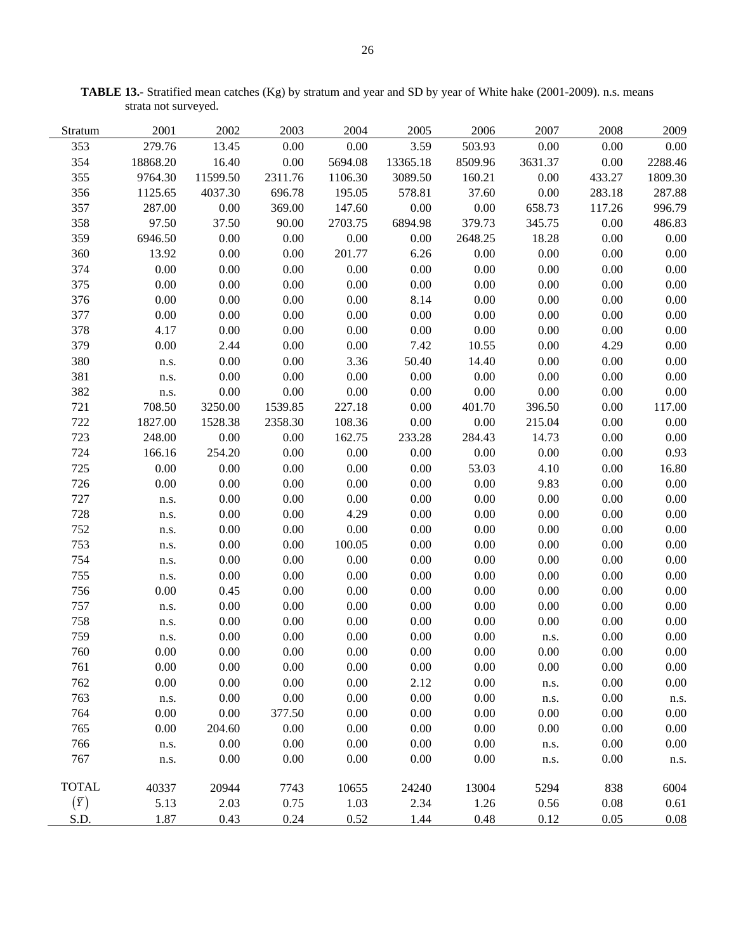| Stratum      | 2001     | 2002     | 2003    | 2004     | 2005     | 2006     | 2007    | 2008     | 2009    |
|--------------|----------|----------|---------|----------|----------|----------|---------|----------|---------|
| 353          | 279.76   | 13.45    | 0.00    | $0.00\,$ | 3.59     | 503.93   | 0.00    | 0.00     | 0.00    |
| 354          | 18868.20 | 16.40    | 0.00    | 5694.08  | 13365.18 | 8509.96  | 3631.37 | 0.00     | 2288.46 |
| 355          | 9764.30  | 11599.50 | 2311.76 | 1106.30  | 3089.50  | 160.21   | 0.00    | 433.27   | 1809.30 |
| 356          | 1125.65  | 4037.30  | 696.78  | 195.05   | 578.81   | 37.60    | 0.00    | 283.18   | 287.88  |
| 357          | 287.00   | 0.00     | 369.00  | 147.60   | 0.00     | 0.00     | 658.73  | 117.26   | 996.79  |
| 358          | 97.50    | 37.50    | 90.00   | 2703.75  | 6894.98  | 379.73   | 345.75  | 0.00     | 486.83  |
| 359          | 6946.50  | 0.00     | 0.00    | 0.00     | 0.00     | 2648.25  | 18.28   | 0.00     | 0.00    |
| 360          | 13.92    | 0.00     | 0.00    | 201.77   | 6.26     | 0.00     | 0.00    | 0.00     | 0.00    |
| 374          | 0.00     | 0.00     | 0.00    | 0.00     | 0.00     | $0.00\,$ | 0.00    | 0.00     | 0.00    |
| 375          | 0.00     | 0.00     | 0.00    | 0.00     | 0.00     | $0.00\,$ | 0.00    | 0.00     | 0.00    |
| 376          | 0.00     | 0.00     | 0.00    | $0.00\,$ | 8.14     | $0.00\,$ | 0.00    | 0.00     | 0.00    |
| 377          | 0.00     | 0.00     | 0.00    | 0.00     | 0.00     | $0.00\,$ | 0.00    | 0.00     | 0.00    |
| 378          | 4.17     | 0.00     | 0.00    | 0.00     | 0.00     | $0.00\,$ | 0.00    | 0.00     | 0.00    |
| 379          | 0.00     | 2.44     | 0.00    | 0.00     | 7.42     | 10.55    | 0.00    | 4.29     | 0.00    |
| 380          | n.s.     | 0.00     | 0.00    | 3.36     | 50.40    | 14.40    | 0.00    | 0.00     | 0.00    |
| 381          | n.s.     | 0.00     | 0.00    | 0.00     | 0.00     | 0.00     | 0.00    | 0.00     | 0.00    |
| 382          | n.s.     | 0.00     | 0.00    | 0.00     | 0.00     | $0.00\,$ | 0.00    | 0.00     | 0.00    |
| 721          | 708.50   | 3250.00  | 1539.85 | 227.18   | 0.00     | 401.70   | 396.50  | 0.00     | 117.00  |
| 722          | 1827.00  | 1528.38  | 2358.30 | 108.36   | 0.00     | 0.00     | 215.04  | 0.00     | 0.00    |
| 723          | 248.00   | 0.00     | 0.00    | 162.75   | 233.28   | 284.43   | 14.73   | 0.00     | 0.00    |
| 724          | 166.16   | 254.20   | 0.00    | $0.00\,$ | 0.00     | 0.00     | 0.00    | 0.00     | 0.93    |
| 725          | 0.00     | 0.00     | 0.00    | 0.00     | 0.00     | 53.03    | 4.10    | 0.00     | 16.80   |
| 726          | 0.00     | 0.00     | 0.00    | 0.00     | 0.00     | 0.00     | 9.83    | 0.00     | 0.00    |
| 727          | n.s.     | 0.00     | 0.00    | 0.00     | 0.00     | 0.00     | 0.00    | 0.00     | 0.00    |
| 728          | n.s.     | 0.00     | 0.00    | 4.29     | 0.00     | $0.00\,$ | 0.00    | 0.00     | 0.00    |
| 752          | n.s.     | 0.00     | 0.00    | 0.00     | 0.00     | $0.00\,$ | 0.00    | 0.00     | 0.00    |
| 753          | n.s.     | 0.00     | 0.00    | 100.05   | 0.00     | $0.00\,$ | 0.00    | 0.00     | 0.00    |
| 754          | n.s.     | 0.00     | 0.00    | $0.00\,$ | 0.00     | $0.00\,$ | 0.00    | 0.00     | 0.00    |
| 755          | n.s.     | 0.00     | 0.00    | $0.00\,$ | 0.00     | 0.00     | 0.00    | 0.00     | 0.00    |
| 756          | 0.00     | 0.45     | 0.00    | 0.00     | 0.00     | 0.00     | 0.00    | 0.00     | 0.00    |
| 757          | n.s.     | 0.00     | 0.00    | 0.00     | 0.00     | 0.00     | 0.00    | 0.00     | 0.00    |
| 758          | n.s.     | 0.00     | 0.00    | 0.00     | 0.00     | 0.00     | 0.00    | 0.00     | 0.00    |
| 759          | n.s.     | 0.00     | 0.00    | 0.00     | 0.00     | 0.00     | n.s.    | 0.00     | 0.00    |
| 760          | 0.00     | 0.00     | 0.00    | 0.00     | 0.00     | 0.00     | 0.00    | 0.00     | 0.00    |
| 761          | 0.00     | 0.00     | 0.00    | 0.00     | $0.00\,$ | 0.00     | 0.00    | 0.00     | 0.00    |
| 762          | 0.00     | 0.00     | 0.00    | 0.00     | 2.12     | 0.00     | n.s.    | 0.00     | 0.00    |
| 763          | n.s.     | 0.00     | 0.00    | 0.00     | $0.00\,$ | 0.00     | n.s.    | $0.00\,$ | n.s.    |
| 764          | 0.00     | 0.00     | 377.50  | 0.00     | $0.00\,$ | 0.00     | 0.00    | 0.00     | 0.00    |
| 765          | 0.00     | 204.60   | 0.00    | 0.00     | 0.00     | 0.00     | 0.00    | 0.00     | 0.00    |
| 766          | n.s.     | 0.00     | 0.00    | 0.00     | 0.00     | 0.00     | n.s.    | 0.00     | 0.00    |
| 767          | n.s.     | 0.00     | 0.00    | 0.00     | 0.00     | 0.00     | n.s.    | 0.00     | n.s.    |
| <b>TOTAL</b> | 40337    | 20944    | 7743    | 10655    | 24240    | 13004    | 5294    | 838      | 6004    |
| $(\bar{Y})$  | 5.13     | 2.03     | 0.75    | 1.03     | 2.34     | 1.26     | 0.56    | 0.08     | 0.61    |
| S.D.         | 1.87     | 0.43     | 0.24    | 0.52     | 1.44     | 0.48     | 0.12    | 0.05     | 0.08    |
|              |          |          |         |          |          |          |         |          |         |

**TABLE 13.-** Stratified mean catches (Kg) by stratum and year and SD by year of White hake (2001-2009). n.s. means strata not surveyed.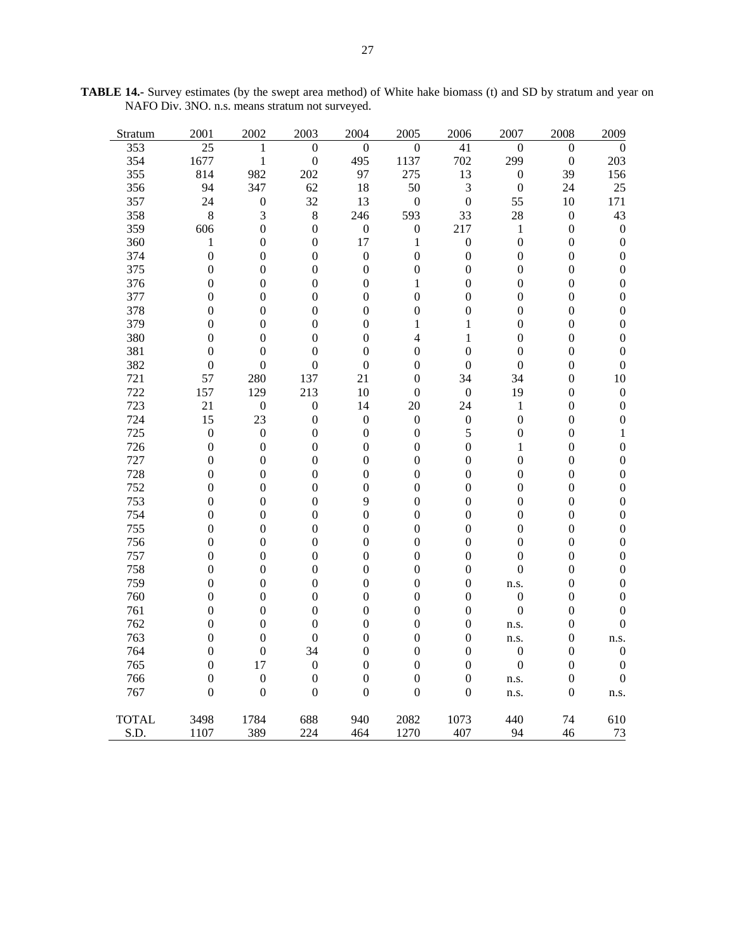| Stratum      | 2001             | 2002             | 2003             | 2004             | 2005             | 2006             | 2007             | 2008             | 2009             |
|--------------|------------------|------------------|------------------|------------------|------------------|------------------|------------------|------------------|------------------|
| 353          | 25               | 1                | $\boldsymbol{0}$ | $\boldsymbol{0}$ | 0                | 41               | 0                | 0                | $\Omega$         |
| 354          | 1677             | $\mathbf{1}$     | $\boldsymbol{0}$ | 495              | 1137             | 702              | 299              | $\boldsymbol{0}$ | 203              |
| 355          | 814              | 982              | 202              | 97               | 275              | 13               | $\boldsymbol{0}$ | 39               | 156              |
| 356          | 94               | 347              | 62               | 18               | 50               | 3                | $\boldsymbol{0}$ | 24               | 25               |
| 357          | 24               | $\boldsymbol{0}$ | 32               | 13               | $\boldsymbol{0}$ | $\boldsymbol{0}$ | 55               | 10               | 171              |
| 358          | 8                | 3                | $\,8\,$          | 246              | 593              | 33               | 28               | $\boldsymbol{0}$ | 43               |
| 359          | 606              | $\boldsymbol{0}$ | $\boldsymbol{0}$ | $\boldsymbol{0}$ | $\boldsymbol{0}$ | 217              | $\mathbf{1}$     | $\boldsymbol{0}$ | $\boldsymbol{0}$ |
| 360          | $\mathbf{1}$     | $\boldsymbol{0}$ | $\boldsymbol{0}$ | 17               | $\mathbf{1}$     | $\boldsymbol{0}$ | $\boldsymbol{0}$ | $\boldsymbol{0}$ | $\boldsymbol{0}$ |
| 374          | $\boldsymbol{0}$ | $\boldsymbol{0}$ | $\boldsymbol{0}$ | $\boldsymbol{0}$ | $\boldsymbol{0}$ | $\boldsymbol{0}$ | $\boldsymbol{0}$ | $\boldsymbol{0}$ | $\boldsymbol{0}$ |
| 375          | $\overline{0}$   | $\boldsymbol{0}$ | $\boldsymbol{0}$ | $\boldsymbol{0}$ | $\boldsymbol{0}$ | $\boldsymbol{0}$ | $\mathbf{0}$     | $\boldsymbol{0}$ | $\boldsymbol{0}$ |
| 376          | $\boldsymbol{0}$ | $\boldsymbol{0}$ | $\boldsymbol{0}$ | $\boldsymbol{0}$ | $\mathbf{1}$     | $\boldsymbol{0}$ | $\boldsymbol{0}$ | $\boldsymbol{0}$ | $\boldsymbol{0}$ |
| 377          | $\boldsymbol{0}$ | $\boldsymbol{0}$ | $\boldsymbol{0}$ | $\boldsymbol{0}$ | $\boldsymbol{0}$ | $\boldsymbol{0}$ | $\boldsymbol{0}$ | $\boldsymbol{0}$ | $\boldsymbol{0}$ |
| 378          | $\overline{0}$   | $\boldsymbol{0}$ | $\theta$         | $\overline{0}$   | $\boldsymbol{0}$ | $\overline{0}$   | $\overline{0}$   | $\boldsymbol{0}$ | $\boldsymbol{0}$ |
| 379          | $\overline{0}$   | $\boldsymbol{0}$ | $\boldsymbol{0}$ | $\overline{0}$   | $\mathbf{1}$     | 1                | $\overline{0}$   | $\boldsymbol{0}$ | $\boldsymbol{0}$ |
| 380          | $\boldsymbol{0}$ | $\boldsymbol{0}$ | $\boldsymbol{0}$ | $\boldsymbol{0}$ | $\overline{4}$   | $\mathbf{1}$     | $\boldsymbol{0}$ | $\boldsymbol{0}$ | $\boldsymbol{0}$ |
| 381          | $\boldsymbol{0}$ | $\boldsymbol{0}$ | $\boldsymbol{0}$ | $\boldsymbol{0}$ | $\boldsymbol{0}$ | $\boldsymbol{0}$ | $\boldsymbol{0}$ | $\boldsymbol{0}$ | $\boldsymbol{0}$ |
| 382          | $\boldsymbol{0}$ | $\boldsymbol{0}$ | $\boldsymbol{0}$ | $\boldsymbol{0}$ | $\boldsymbol{0}$ | $\boldsymbol{0}$ | $\boldsymbol{0}$ | $\boldsymbol{0}$ | $\boldsymbol{0}$ |
| 721          | 57               | 280              | 137              | 21               | $\boldsymbol{0}$ | 34               | 34               | $\boldsymbol{0}$ | 10               |
| 722          | 157              | 129              | 213              | 10               | $\boldsymbol{0}$ | $\boldsymbol{0}$ | 19               | $\boldsymbol{0}$ | $\boldsymbol{0}$ |
| 723          | 21               | $\boldsymbol{0}$ | $\boldsymbol{0}$ | 14               | 20               | 24               | $\mathbf{1}$     | $\boldsymbol{0}$ | $\boldsymbol{0}$ |
| 724          | 15               | 23               | $\boldsymbol{0}$ | $\boldsymbol{0}$ | $\boldsymbol{0}$ | $\boldsymbol{0}$ | $\boldsymbol{0}$ | $\boldsymbol{0}$ | $\boldsymbol{0}$ |
| 725          | $\boldsymbol{0}$ | $\boldsymbol{0}$ | $\boldsymbol{0}$ | $\boldsymbol{0}$ | $\boldsymbol{0}$ | 5                | $\boldsymbol{0}$ | $\boldsymbol{0}$ | $\mathbf{1}$     |
| 726          | $\boldsymbol{0}$ | $\boldsymbol{0}$ | $\boldsymbol{0}$ | $\boldsymbol{0}$ | $\boldsymbol{0}$ | $\boldsymbol{0}$ | 1                | $\boldsymbol{0}$ | $\boldsymbol{0}$ |
| 727          | $\boldsymbol{0}$ | $\boldsymbol{0}$ | $\boldsymbol{0}$ | 0                | $\boldsymbol{0}$ | $\boldsymbol{0}$ | $\boldsymbol{0}$ | $\boldsymbol{0}$ | $\boldsymbol{0}$ |
| 728          | $\boldsymbol{0}$ | $\boldsymbol{0}$ | $\boldsymbol{0}$ | $\boldsymbol{0}$ | $\boldsymbol{0}$ | $\boldsymbol{0}$ | $\boldsymbol{0}$ | $\boldsymbol{0}$ | $\boldsymbol{0}$ |
| 752          | $\overline{0}$   | $\boldsymbol{0}$ | $\boldsymbol{0}$ | $\overline{0}$   | $\boldsymbol{0}$ | $\boldsymbol{0}$ | $\mathbf{0}$     | $\boldsymbol{0}$ | $\boldsymbol{0}$ |
| 753          | $\boldsymbol{0}$ | $\boldsymbol{0}$ | $\boldsymbol{0}$ | 9                | $\boldsymbol{0}$ | $\boldsymbol{0}$ | $\boldsymbol{0}$ | $\boldsymbol{0}$ | $\boldsymbol{0}$ |
| 754          | $\boldsymbol{0}$ | $\boldsymbol{0}$ | $\boldsymbol{0}$ | $\boldsymbol{0}$ | $\boldsymbol{0}$ | $\boldsymbol{0}$ | $\boldsymbol{0}$ | $\boldsymbol{0}$ | $\boldsymbol{0}$ |
| 755          | $\boldsymbol{0}$ | $\boldsymbol{0}$ | $\boldsymbol{0}$ | $\boldsymbol{0}$ | $\boldsymbol{0}$ | $\boldsymbol{0}$ | $\boldsymbol{0}$ | $\boldsymbol{0}$ | $\boldsymbol{0}$ |
| 756          | $\boldsymbol{0}$ | $\boldsymbol{0}$ | $\boldsymbol{0}$ | $\boldsymbol{0}$ | $\boldsymbol{0}$ | $\boldsymbol{0}$ | $\boldsymbol{0}$ | $\boldsymbol{0}$ | $\boldsymbol{0}$ |
| 757          | $\boldsymbol{0}$ | $\boldsymbol{0}$ | $\boldsymbol{0}$ | $\boldsymbol{0}$ | $\boldsymbol{0}$ | $\boldsymbol{0}$ | $\boldsymbol{0}$ | $\boldsymbol{0}$ | $\boldsymbol{0}$ |
| 758          | $\boldsymbol{0}$ | $\boldsymbol{0}$ | $\boldsymbol{0}$ | $\boldsymbol{0}$ | $\boldsymbol{0}$ | $\boldsymbol{0}$ | $\overline{0}$   | $\boldsymbol{0}$ | $\boldsymbol{0}$ |
| 759          | 0                | $\boldsymbol{0}$ | $\boldsymbol{0}$ | $\boldsymbol{0}$ | $\boldsymbol{0}$ | $\boldsymbol{0}$ | n.s.             | $\boldsymbol{0}$ | $\boldsymbol{0}$ |
| 760          | $\boldsymbol{0}$ | $\boldsymbol{0}$ | $\mathbf{0}$     | $\overline{0}$   | $\boldsymbol{0}$ | $\boldsymbol{0}$ | $\boldsymbol{0}$ | $\boldsymbol{0}$ | $\boldsymbol{0}$ |
| 761          | $\overline{0}$   | $\boldsymbol{0}$ | $\boldsymbol{0}$ | $\boldsymbol{0}$ | $\boldsymbol{0}$ | $\boldsymbol{0}$ | $\boldsymbol{0}$ | $\boldsymbol{0}$ | $\boldsymbol{0}$ |
| 762          | 0                | $\boldsymbol{0}$ | $\boldsymbol{0}$ | $\boldsymbol{0}$ | $\boldsymbol{0}$ | $\boldsymbol{0}$ | n.s.             | $\boldsymbol{0}$ | $\boldsymbol{0}$ |
| 763          | $\boldsymbol{0}$ | $\boldsymbol{0}$ | $\boldsymbol{0}$ | 0                | $\boldsymbol{0}$ | 0                | n.s.             | $\boldsymbol{0}$ | n.s.             |
| 764          | $\overline{0}$   | $\boldsymbol{0}$ | 34               | $\overline{0}$   | $\boldsymbol{0}$ | $\boldsymbol{0}$ | $\boldsymbol{0}$ | $\boldsymbol{0}$ | $\boldsymbol{0}$ |
| 765          | $\overline{0}$   | 17               | $\boldsymbol{0}$ | 0                | $\boldsymbol{0}$ | $\boldsymbol{0}$ | $\boldsymbol{0}$ | $\boldsymbol{0}$ | $\boldsymbol{0}$ |
| 766          | $\boldsymbol{0}$ | $\boldsymbol{0}$ | $\boldsymbol{0}$ | $\boldsymbol{0}$ | $\boldsymbol{0}$ | $\boldsymbol{0}$ | n.s.             | $\boldsymbol{0}$ | $\boldsymbol{0}$ |
| 767          | $\boldsymbol{0}$ | $\boldsymbol{0}$ | $\boldsymbol{0}$ | $\boldsymbol{0}$ | $\boldsymbol{0}$ | $\boldsymbol{0}$ | n.s.             | $\boldsymbol{0}$ | n.s.             |
|              |                  |                  |                  |                  |                  |                  |                  |                  |                  |
| <b>TOTAL</b> | 3498             | 1784             | 688              | 940              | 2082             | 1073             | 440              | 74               | 610              |
| S.D.         | 1107             | 389              | 224              | 464              | 1270             | 407              | 94               | 46               | 73               |

**TABLE 14.-** Survey estimates (by the swept area method) of White hake biomass (t) and SD by stratum and year on NAFO Div. 3NO. n.s. means stratum not surveyed.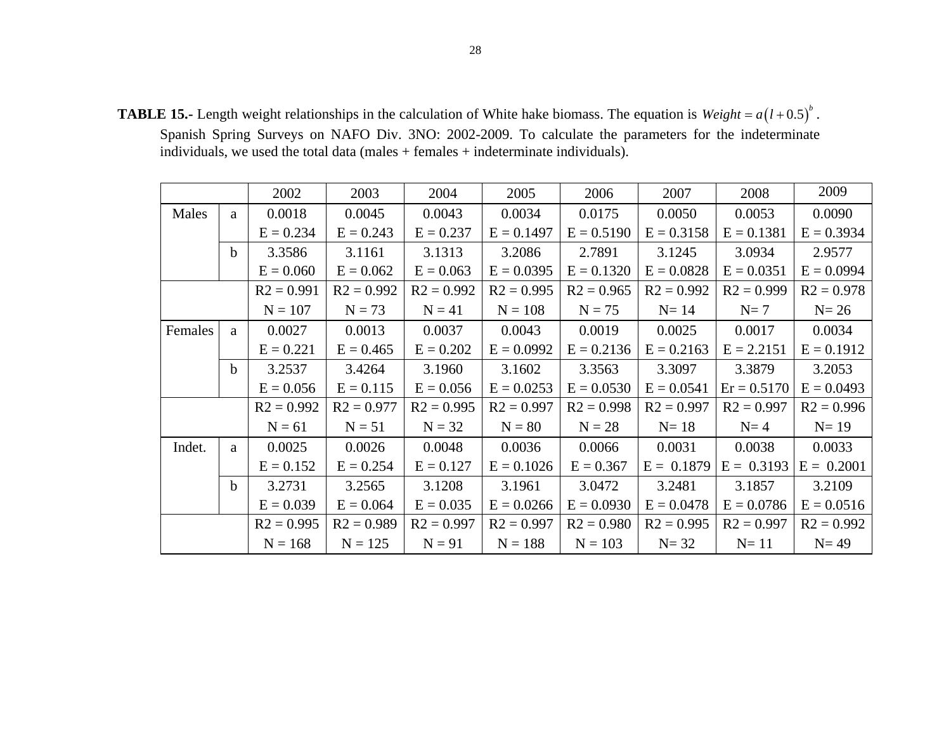**TABLE 15.-** Length weight relationships in the calculation of White hake biomass. The equation is  $Weight = a(l+0.5)^{b}$ .

Spanish Spring Surveys on NAFO Div. 3NO: 2002-2009. To calculate the parameters for the indeterminate individuals, we used the total data (males + females + indeterminate individuals).

| 2002    |              | 2003         | 2004         | 2005         | 2006         | 2007         | 2008         | 2009          |              |
|---------|--------------|--------------|--------------|--------------|--------------|--------------|--------------|---------------|--------------|
| Males   | a            | 0.0018       | 0.0045       | 0.0043       | 0.0034       | 0.0175       | 0.0050       | 0.0053        | 0.0090       |
|         |              | $E = 0.234$  | $E = 0.243$  | $E = 0.237$  | $E = 0.1497$ | $E = 0.5190$ | $E = 0.3158$ | $E = 0.1381$  | $E = 0.3934$ |
|         | b            | 3.3586       | 3.1161       | 3.1313       | 3.2086       | 2.7891       | 3.1245       | 3.0934        | 2.9577       |
|         |              | $E = 0.060$  | $E = 0.062$  | $E = 0.063$  | $E = 0.0395$ | $E = 0.1320$ | $E = 0.0828$ | $E = 0.0351$  | $E = 0.0994$ |
|         | $R2 = 0.991$ |              | $R2 = 0.992$ | $R2 = 0.992$ | $R2 = 0.995$ | $R2 = 0.965$ | $R2 = 0.992$ | $R2 = 0.999$  | $R2 = 0.978$ |
|         |              | $N = 107$    | $N = 73$     | $N = 41$     | $N = 108$    | $N = 75$     | $N=14$       | $N=7$         | $N=26$       |
| Females | a            | 0.0027       | 0.0013       | 0.0037       | 0.0043       | 0.0019       | 0.0025       | 0.0017        | 0.0034       |
|         |              | $E = 0.221$  | $E = 0.465$  | $E = 0.202$  | $E = 0.0992$ | $E = 0.2136$ | $E = 0.2163$ | $E = 2.2151$  | $E = 0.1912$ |
|         | $\mathbf b$  | 3.2537       | 3.4264       | 3.1960       | 3.1602       | 3.3563       | 3.3097       | 3.3879        | 3.2053       |
|         |              | $E = 0.056$  | $E = 0.115$  | $E = 0.056$  | $E = 0.0253$ | $E = 0.0530$ | $E = 0.0541$ | $Er = 0.5170$ | $E = 0.0493$ |
|         |              | $R2 = 0.992$ | $R2 = 0.977$ | $R2 = 0.995$ | $R2 = 0.997$ | $R2 = 0.998$ | $R2 = 0.997$ | $R2 = 0.997$  | $R2 = 0.996$ |
|         |              | $N = 61$     | $N = 51$     | $N = 32$     | $N = 80$     | $N = 28$     | $N=18$       | $N=4$         | $N=19$       |
| Indet.  | a            | 0.0025       | 0.0026       | 0.0048       | 0.0036       | 0.0066       | 0.0031       | 0.0038        | 0.0033       |
|         |              | $E = 0.152$  | $E = 0.254$  | $E = 0.127$  | $E = 0.1026$ | $E = 0.367$  | $E = 0.1879$ | $E = 0.3193$  | $E = 0.2001$ |
|         | $\mathbf b$  | 3.2731       | 3.2565       | 3.1208       | 3.1961       | 3.0472       | 3.2481       | 3.1857        | 3.2109       |
|         |              | $E = 0.039$  | $E = 0.064$  | $E = 0.035$  | $E = 0.0266$ | $E = 0.0930$ | $E = 0.0478$ | $E = 0.0786$  | $E = 0.0516$ |
|         |              | $R2 = 0.995$ | $R2 = 0.989$ | $R2 = 0.997$ | $R2 = 0.997$ | $R2 = 0.980$ | $R2 = 0.995$ | $R2 = 0.997$  | $R2 = 0.992$ |
|         |              | $N = 168$    | $N = 125$    | $N = 91$     | $N = 188$    | $N = 103$    | $N = 32$     | $N=11$        | $N=49$       |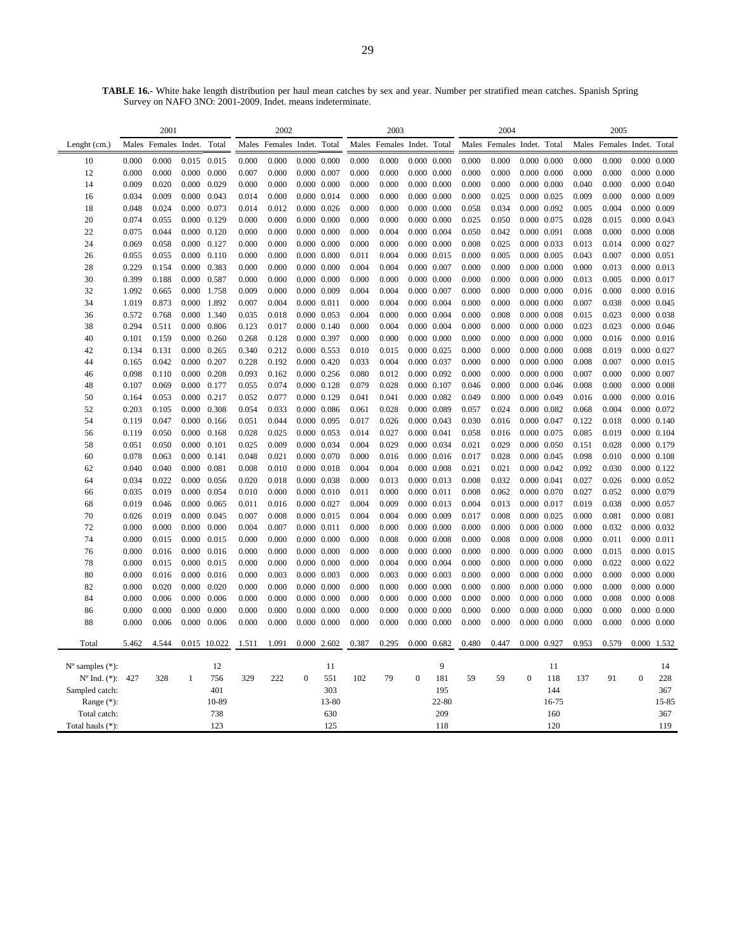|                             |                | 2001                 |                |                |                            | 2002           |                                    |                            |                | 2003           |                     |                            |                | 2004           |                     |                                        |                | 2005           |                                |       |
|-----------------------------|----------------|----------------------|----------------|----------------|----------------------------|----------------|------------------------------------|----------------------------|----------------|----------------|---------------------|----------------------------|----------------|----------------|---------------------|----------------------------------------|----------------|----------------|--------------------------------|-------|
| Lenght (cm.)                |                | Males Females Indet. |                | Total          | Males Females Indet. Total |                |                                    | Males Females Indet. Total |                |                |                     | Males Females Indet.       |                | Total          |                     | Males Females Indet.                   |                | Total          |                                |       |
| 10                          | 0.000          | 0.000                | 0.015          | 0.015          | 0.000                      | 0.000          | $0.000$ $0.000$                    |                            | 0.000          | 0.000          |                     | $0.000 \quad 0.000$        | 0.000          | 0.000          |                     | $0.000 \quad 0.000$                    | 0.000          | 0.000          | $0.000 \quad 0.000$            |       |
| 12                          | 0.000          | 0.000                | 0.000          | 0.000          | 0.007                      | 0.000          | $0.000$ $0.007$                    |                            | 0.000          | 0.000          |                     | $0.000$ $0.000$            | 0.000          | 0.000          |                     | $0.000 \quad 0.000$                    | 0.000          | 0.000          | $0.000\ 0.000$                 |       |
| 14                          | 0.009          | 0.020                | 0.000          | 0.029          | 0.000                      | 0.000          | $0.000$ $0.000$                    |                            | 0.000          | 0.000          |                     | $0.000 \quad 0.000$        | 0.000          | 0.000          |                     | $0.000 \quad 0.000$                    | 0.040          | 0.000          | $0.000$ $0.040$                |       |
| 16                          | 0.034          | 0.009                | 0.000          | 0.043          | 0.014                      | 0.000          | $0.000$ $0.014$                    |                            | 0.000          | 0.000          |                     | $0.000 \quad 0.000$        | 0.000          | 0.025          | 0.000 0.025         |                                        | 0.009          | 0.000          | 0.000 0.009                    |       |
| 18                          | 0.048          | 0.024                | 0.000          | 0.073          | 0.014                      | 0.012          | $0.000$ $0.026$                    |                            | 0.000          | 0.000          |                     | $0.000 \quad 0.000$        | 0.058          | 0.034          |                     | 0.000 0.092                            | 0.005          | 0.004          | 0.000 0.009                    |       |
| 20                          | 0.074          | 0.055                | 0.000          | 0.129          | 0.000                      | 0.000          | $0.000$ $0.000$                    |                            | 0.000          | 0.000          |                     | $0.000 \quad 0.000$        | 0.025          | 0.050          | 0.000 0.075         |                                        | 0.028          | 0.015          | $0.000 \quad 0.043$            |       |
| 22                          | 0.075          | 0.044                | 0.000          | 0.120          | 0.000                      | 0.000          | 0.000 0.000                        |                            | 0.000          | 0.004          |                     | $0.000$ $0.004$            | 0.050          | 0.042          | 0.000 0.091         |                                        | 0.008          | 0.000          | $0.000$ $0.008$                |       |
| 24                          | 0.069          | 0.058                | 0.000          | 0.127          | 0.000                      | 0.000          | $0.000$ $0.000$                    |                            | 0.000          | 0.000          |                     | $0.000 \quad 0.000$        | 0.008          | 0.025          | 0.000 0.033         |                                        | 0.013          | 0.014          | 0.000 0.027                    |       |
| 26                          | 0.055          | 0.055                | 0.000          | 0.110          | 0.000                      | 0.000          | $0.000$ $0.000$                    |                            | 0.011          | 0.004          |                     | $0.000$ $0.015$            | 0.000          | 0.005          | $0.000$ $0.005$     |                                        | 0.043          | 0.007          | $0.000$ $0.051$                |       |
| 28                          | 0.229          | 0.154                | 0.000          | 0.383          | 0.000                      | 0.000          | $0.000$ $0.000$                    |                            | 0.004          | 0.004          |                     | 0.000 0.007                | 0.000          | 0.000          |                     | $0.000$ $0.000$                        | 0.000          | 0.013          | $0.000$ $0.013$                |       |
| 30                          | 0.399          | 0.188                | 0.000          | 0.587          | 0.000                      | 0.000          | $0.000$ $0.000$                    |                            | 0.000          | 0.000          |                     | $0.000 \quad 0.000$        | 0.000          | 0.000          |                     | $0.000$ $0.000$                        | 0.013          | 0.005          | 0.000 0.017                    |       |
| 32                          | 1.092          | 0.665                | 0.000          | 1.758          | 0.009                      | 0.000          | 0.000 0.009                        |                            | 0.004          | 0.004          |                     | 0.000 0.007                | 0.000          | 0.000          |                     | $0.000$ $0.000$                        | 0.016          | 0.000          | $0.000$ $0.016$                |       |
| 34                          | 1.019          | 0.873                | 0.000          | 1.892          | 0.007                      | 0.004          | $0.000$ $0.011$                    |                            | 0.000          | 0.004          |                     | $0.000$ $0.004$            | 0.000          | 0.000          |                     | $0.000 \quad 0.000$                    | 0.007          | 0.038          | 0.000 0.045                    |       |
| 36                          | 0.572          | 0.768                | 0.000          | 1.340          | 0.035                      | 0.018          | $0.000$ $0.053$                    |                            | 0.004          | 0.000          |                     | $0.000 \quad 0.004$        | 0.000          | 0.008          | $0.000 \quad 0.008$ |                                        | 0.015          | 0.023          | $0.000 \quad 0.038$            |       |
| 38                          | 0.294          | 0.511                | 0.000          | 0.806          | 0.123                      | 0.017          | 0.000 0.140                        |                            | 0.000          | 0.004          |                     | $0.000 \quad 0.004$        | 0.000          | 0.000          | $0.000 \quad 0.000$ |                                        | 0.023          | 0.023          | $0.000$ $0.046$                |       |
| 40                          | 0.101          | 0.159                | 0.000          | 0.260          | 0.268                      | 0.128          | 0.000 0.397                        |                            | 0.000          | 0.000          |                     | $0.000$ $0.000$            | 0.000          | 0.000          |                     | $0.000 \quad 0.000$                    | 0.000          | 0.016<br>0.019 | $0.000$ $0.016$                |       |
| 42                          | 0.134          | 0.131                | 0.000          | 0.265          | 0.340                      | 0.212          | 0.000 0.553                        |                            | 0.010          | 0.015          |                     | 0.000 0.025                | 0.000          | 0.000          |                     | 0.000 0.000                            | 0.008          |                | 0.000 0.027                    |       |
| 44                          | 0.165<br>0.098 | 0.042<br>0.110       | 0.000<br>0.000 | 0.207<br>0.208 | 0.228<br>0.093             | 0.192<br>0.162 | $0.000$ $0.420$<br>$0.000$ $0.256$ |                            | 0.033<br>0.080 | 0.004<br>0.012 |                     | 0.000 0.037<br>0.000 0.092 | 0.000<br>0.000 | 0.000<br>0.000 |                     | $0.000$ $0.000$<br>$0.000 \quad 0.000$ | 0.008<br>0.007 | 0.007<br>0.000 | $0.000$ $0.015$<br>0.000 0.007 |       |
| 46<br>48                    | 0.107          | 0.069                | 0.000          | 0.177          | 0.055                      | 0.074          | $0.000$ $0.128$                    |                            | 0.079          | 0.028          |                     | $0.000$ $0.107$            | 0.046          | 0.000          |                     | 0.000 0.046                            | 0.008          | 0.000          | $0.000$ $0.008$                |       |
| 50                          | 0.164          | 0.053                | 0.000          | 0.217          | 0.052                      | 0.077          | 0.000 0.129                        |                            | 0.041          | 0.041          |                     | $0.000$ $0.082$            | 0.049          | 0.000          | 0.000 0.049         |                                        | 0.016          | 0.000          | $0.000$ $0.016$                |       |
| 52                          | 0.203          | 0.105                | 0.000          | 0.308          | 0.054                      | 0.033          |                                    | 0.000 0.086                | 0.061          | 0.028          |                     | 0.000 0.089                | 0.057          | 0.024          |                     | $0.000$ $0.082$                        | 0.068          | 0.004          | 0.000 0.072                    |       |
| 54                          | 0.119          | 0.047                | 0.000          | 0.166          | 0.051                      | 0.044          | 0.000 0.095                        |                            | 0.017          | 0.026          | $0.000 \quad 0.043$ |                            | 0.030          | 0.016          | 0.000 0.047         |                                        | 0.122          | 0.018          | $0.000 \quad 0.140$            |       |
| 56                          | 0.119          | 0.050                | 0.000          | 0.168          | 0.028                      | 0.025          | $0.000$ $0.053$                    |                            | 0.014          | 0.027          |                     | 0.000 0.041                | 0.058          | 0.016          | 0.000 0.075         |                                        | 0.085          | 0.019          | $0.000 \quad 0.104$            |       |
| 58                          | 0.051          | 0.050                | 0.000          | 0.101          | 0.025                      | 0.009          | 0.000 0.034                        |                            | 0.004          | 0.029          |                     | 0.000 0.034                | 0.021          | 0.029          |                     | $0.000 \quad 0.050$                    | 0.151          | 0.028          | 0.000 0.179                    |       |
| 60                          | 0.078          | 0.063                | 0.000          | 0.141          | 0.048                      | 0.021          | 0.000 0.070                        |                            | 0.000          | 0.016          |                     | 0.000 0.016                | 0.017          | 0.028          | 0.000 0.045         |                                        | 0.098          | 0.010          | 0.000 0.108                    |       |
| 62                          | 0.040          | 0.040                | 0.000          | 0.081          | 0.008                      | 0.010          | $0.000$ $0.018$                    |                            | 0.004          | 0.004          |                     | 0.000 0.008                | 0.021          | 0.021          |                     | 0.000 0.042                            | 0.092          | 0.030          | 0.000 0.122                    |       |
| 64                          | 0.034          | 0.022                | 0.000          | 0.056          | 0.020                      | 0.018          | $0.000$ $0.038$                    |                            | 0.000          | 0.013          |                     | 0.000 0.013                | 0.008          | 0.032          | 0.000 0.041         |                                        | 0.027          | 0.026          | 0.000 0.052                    |       |
| 66                          | 0.035          | 0.019                | 0.000          | 0.054          | 0.010                      | 0.000          | $0.000$ $0.010$                    |                            | 0.011          | 0.000          |                     | 0.000 0.011                | 0.008          | 0.062          |                     | 0.000 0.070                            | 0.027          | 0.052          | 0.000 0.079                    |       |
| 68                          | 0.019          | 0.046                | 0.000          | 0.065          | 0.011                      | 0.016          | 0.000 0.027                        |                            | 0.004          | 0.009          |                     | $0.000 \quad 0.013$        | 0.004          | 0.013          | 0.000 0.017         |                                        | 0.019          | 0.038          | 0.000 0.057                    |       |
| 70                          | 0.026          | 0.019                | 0.000          | 0.045          | 0.007                      | 0.008          | $0.000$ $0.015$                    |                            | 0.004          | 0.004          |                     | $0.000$ $0.009$            | 0.017          | 0.008          | 0.000 0.025         |                                        | 0.000          | 0.081          | 0.000 0.081                    |       |
| 72                          | 0.000          | 0.000                | 0.000          | 0.000          | 0.004                      | 0.007          | $0.000$ $0.011$                    |                            | 0.000          | 0.000          |                     | $0.000 \quad 0.000$        | 0.000          | 0.000          |                     | $0.000 \quad 0.000$                    | 0.000          | 0.032          | 0.000 0.032                    |       |
| 74                          | 0.000          | 0.015                | 0.000          | 0.015          | 0.000                      | 0.000          | $0.000\ 0.000$                     |                            | 0.000          | 0.008          |                     | $0.000 \quad 0.008$        | 0.000          | 0.008          |                     | $0.000 \quad 0.008$                    | 0.000          | 0.011          | $0.000$ $0.011$                |       |
| 76                          | 0.000          | 0.016                | 0.000          | 0.016          | 0.000                      | 0.000          | $0.000$ $0.000$                    |                            | 0.000          | 0.000          |                     | $0.000 \quad 0.000$        | 0.000          | 0.000          | $0.000$ $0.000$     |                                        | 0.000          | 0.015          | $0.000$ $0.015$                |       |
| 78                          | 0.000          | 0.015                | 0.000          | 0.015          | 0.000                      | 0.000          | 0.000 0.000                        |                            | 0.000          | 0.004          |                     | $0.000$ $0.004$            | 0.000          | 0.000          |                     | $0.000$ $0.000$                        | 0.000          | 0.022          | 0.000 0.022                    |       |
| 80                          | 0.000          | 0.016                | 0.000          | 0.016          | 0.000                      | 0.003          | $0.000$ $0.003$                    |                            | 0.000          | 0.003          |                     | $0.000$ $0.003$            | 0.000          | 0.000          |                     | $0.000$ $0.000$                        | 0.000          | 0.000          | $0.000$ $0.000$                |       |
| 82                          | 0.000          | 0.020                | 0.000          | 0.020          | 0.000                      | 0.000          | $0.000$ $0.000$                    |                            | 0.000          | 0.000          |                     | $0.000 \quad 0.000$        | 0.000          | 0.000          |                     | $0.000$ $0.000$                        | 0.000          | 0.000          | $0.000$ $0.000$                |       |
| 84                          | 0.000          | 0.006                | 0.000          | 0.006          | 0.000                      | 0.000          | $0.000$ $0.000$                    |                            | 0.000          | 0.000          |                     | $0.000$ $0.000$            | 0.000          | 0.000          |                     | $0.000$ $0.000$                        | 0.000          | 0.008          | $0.000$ $0.008$                |       |
| 86                          | 0.000          | 0.000                | 0.000          | 0.000          | 0.000                      | 0.000          | $0.000$ $0.000$                    |                            | 0.000          | 0.000          |                     | $0.000 \quad 0.000$        | 0.000          | 0.000          | 0.000               | 0.000                                  | 0.000          | 0.000          | $0.000$ $0.000$                |       |
| 88                          | 0.000          | 0.006                | 0.000          | 0.006          | 0.000                      | 0.000          | $0.000$ $0.000$                    |                            | 0.000          | 0.000          |                     | $0.000 \quad 0.000$        | 0.000          | 0.000          |                     | $0.000$ $0.000$                        | 0.000          | 0.000          | $0.000$ $0.000$                |       |
| Total                       | 5.462          | 4.544                |                | 0.015 10.022   | 1.511                      | 1.091          |                                    | $0.000$ 2.602              | 0.387          | 0.295          | $0.000$ $0.682$     |                            | 0.480          | 0.447          | 0.000 0.927         |                                        | 0.953          | 0.579          | 0.000 1.532                    |       |
| $N^{\circ}$ samples $(*)$ : |                |                      |                | 12             |                            |                |                                    | 11                         |                |                |                     | 9                          |                |                |                     | 11                                     |                |                |                                | 14    |
| $N^{\circ}$ Ind. $(*)$ :    | 427            | 328                  | 1              | 756            | 329                        | 222            | $\mathbf{0}$                       | 551                        | 102            | 79             | $\overline{0}$      | 181                        | 59             | 59             | $\boldsymbol{0}$    | 118                                    | 137            | 91             | $\boldsymbol{0}$               | 228   |
| Sampled catch:              |                |                      |                | 401            |                            |                |                                    | 303                        |                |                |                     | 195                        |                |                |                     | 144                                    |                |                |                                | 367   |
| Range (*):                  |                |                      |                | 10-89          |                            |                |                                    | 13-80                      |                |                |                     | 22-80                      |                |                |                     | 16-75                                  |                |                |                                | 15-85 |
| Total catch:                |                |                      | 738            |                |                            |                | 630                                |                            |                |                | 209                 |                            |                |                | 160                 |                                        |                |                | 367                            |       |
| Total hauls (*):            |                |                      |                | 123            |                            |                |                                    | 125                        |                |                |                     | 118                        |                |                |                     | 120                                    |                |                |                                | 119   |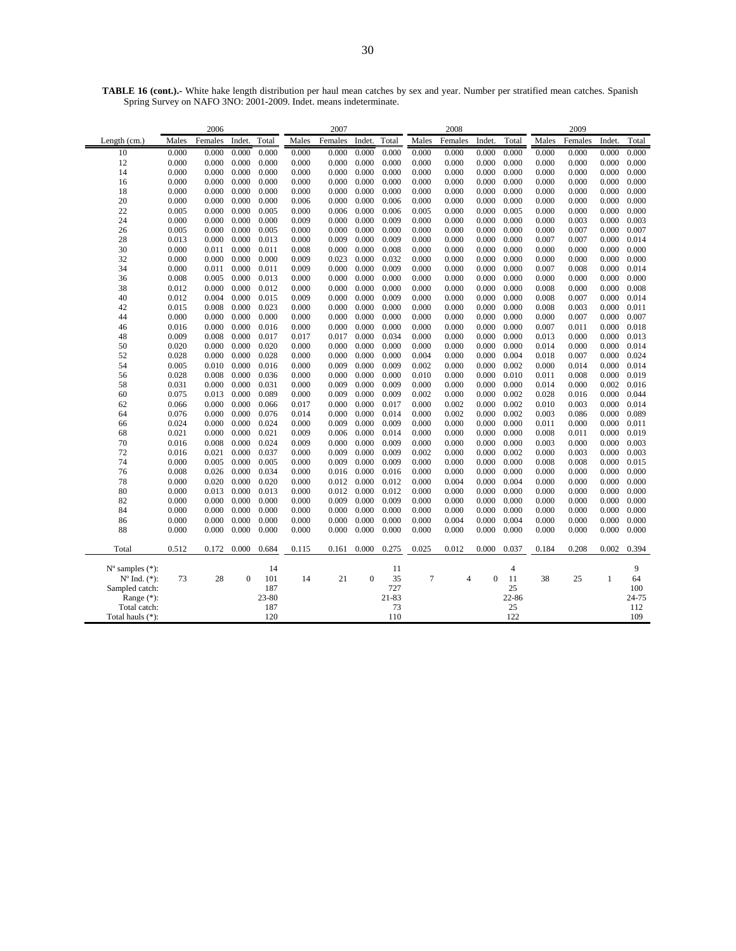|                                                     |                            | 2006  |              |           |         | 2007   |                |          |                | 2008   |                |         |         | 2009   |              |       |
|-----------------------------------------------------|----------------------------|-------|--------------|-----------|---------|--------|----------------|----------|----------------|--------|----------------|---------|---------|--------|--------------|-------|
| Length (cm.)                                        | Females<br>Males<br>Indet. |       | Total        | Males     | Females | Indet. | Total          | Males    | Females        | Indet. | Total          | Males   | Females | Indet. | Total        |       |
| 10                                                  | 0.000                      | 0.000 | 0.000        | 0.000     | 0.000   | 0.000  | 0.000          | 0.000    | 0.000          | 0.000  | 0.000          | 0.000   | 0.000   | 0.000  | 0.000        | 0.000 |
| 12                                                  | 0.000                      | 0.000 | 0.000        | 0.000     | 0.000   | 0.000  | 0.000          | 0.000    | 0.000          | 0.000  | 0.000          | 0.000   | 0.000   | 0.000  | 0.000        | 0.000 |
| 14                                                  | 0.000                      | 0.000 | 0.000        | 0.000     | 0.000   | 0.000  | 0.000          | 0.000    | 0.000          | 0.000  | 0.000          | 0.000   | 0.000   | 0.000  | 0.000        | 0.000 |
| 16                                                  | 0.000                      | 0.000 | 0.000        | 0.000     | 0.000   | 0.000  | 0.000          | 0.000    | 0.000          | 0.000  | 0.000          | 0.000   | 0.000   | 0.000  | 0.000        | 0.000 |
| 18                                                  | 0.000                      | 0.000 | 0.000        | 0.000     | 0.000   | 0.000  | 0.000          | 0.000    | 0.000          | 0.000  | 0.000          | 0.000   | 0.000   | 0.000  | 0.000        | 0.000 |
| 20                                                  | 0.000                      | 0.000 | 0.000        | 0.000     | 0.006   | 0.000  | 0.000          | 0.006    | 0.000          | 0.000  | 0.000          | 0.000   | 0.000   | 0.000  | 0.000        | 0.000 |
| 22                                                  | 0.005                      | 0.000 | 0.000        | 0.005     | 0.000   | 0.006  | 0.000          | 0.006    | 0.005          | 0.000  | 0.000          | 0.005   | 0.000   | 0.000  | 0.000        | 0.000 |
| 24                                                  | 0.000                      | 0.000 | 0.000        | 0.000     | 0.009   | 0.000  | 0.000          | 0.009    | 0.000          | 0.000  | 0.000          | 0.000   | 0.000   | 0.003  | 0.000        | 0.003 |
| 26                                                  | 0.005                      | 0.000 | 0.000        | 0.005     | 0.000   | 0.000  | 0.000          | 0.000    | 0.000          | 0.000  | 0.000          | 0.000   | 0.000   | 0.007  | 0.000        | 0.007 |
| 28                                                  | 0.013                      | 0.000 | 0.000        | 0.013     | 0.000   | 0.009  | 0.000          | 0.009    | 0.000          | 0.000  | 0.000          | 0.000   | 0.007   | 0.007  | 0.000        | 0.014 |
| 30                                                  | 0.000                      | 0.011 | 0.000        | 0.011     | 0.008   | 0.000  | 0.000          | 0.008    | 0.000          | 0.000  | 0.000          | 0.000   | 0.000   | 0.000  | 0.000        | 0.000 |
| 32                                                  | 0.000                      | 0.000 | 0.000        | 0.000     | 0.009   | 0.023  | 0.000          | 0.032    | 0.000          | 0.000  | 0.000          | 0.000   | 0.000   | 0.000  | 0.000        | 0.000 |
| 34                                                  | 0.000                      | 0.011 | 0.000        | 0.011     | 0.009   | 0.000  | 0.000          | 0.009    | 0.000          | 0.000  | 0.000          | 0.000   | 0.007   | 0.008  | 0.000        | 0.014 |
| 36                                                  | 0.008                      | 0.005 | 0.000        | 0.013     | 0.000   | 0.000  | 0.000          | 0.000    | 0.000          | 0.000  | 0.000          | 0.000   | 0.000   | 0.000  | 0.000        | 0.000 |
| 38                                                  | 0.012                      | 0.000 | 0.000        | 0.012     | 0.000   | 0.000  | 0.000          | 0.000    | 0.000          | 0.000  | 0.000          | 0.000   | 0.008   | 0.000  | 0.000        | 0.008 |
| 40                                                  | 0.012                      | 0.004 | 0.000        | 0.015     | 0.009   | 0.000  | 0.000          | 0.009    | 0.000          | 0.000  | 0.000          | 0.000   | 0.008   | 0.007  | 0.000        | 0.014 |
| 42                                                  | 0.015                      | 0.008 | 0.000        | 0.023     | 0.000   | 0.000  | 0.000          | 0.000    | 0.000          | 0.000  | 0.000          | 0.000   | 0.008   | 0.003  | 0.000        | 0.011 |
| 44                                                  | 0.000                      | 0.000 | 0.000        | 0.000     | 0.000   | 0.000  | 0.000          | 0.000    | 0.000          | 0.000  | 0.000          | 0.000   | 0.000   | 0.007  | 0.000        | 0.007 |
| 46                                                  | 0.016                      | 0.000 | 0.000        | 0.016     | 0.000   | 0.000  | 0.000          | 0.000    | 0.000          | 0.000  | 0.000          | 0.000   | 0.007   | 0.011  | 0.000        | 0.018 |
| 48                                                  | 0.009                      | 0.008 | 0.000        | 0.017     | 0.017   | 0.017  | 0.000          | 0.034    | 0.000          | 0.000  | 0.000          | 0.000   | 0.013   | 0.000  | 0.000        | 0.013 |
| 50                                                  | 0.020                      | 0.000 | 0.000        | 0.020     | 0.000   | 0.000  | 0.000          | 0.000    | 0.000          | 0.000  | 0.000          | 0.000   | 0.014   | 0.000  | 0.000        | 0.014 |
| 52                                                  | 0.028                      | 0.000 | 0.000        | 0.028     | 0.000   | 0.000  | 0.000          | 0.000    | 0.004          | 0.000  | 0.000          | 0.004   | 0.018   | 0.007  | 0.000        | 0.024 |
| 54                                                  | 0.005                      | 0.010 | 0.000        | 0.016     | 0.000   | 0.009  | 0.000          | 0.009    | 0.002          | 0.000  | 0.000          | 0.002   | 0.000   | 0.014  | 0.000        | 0.014 |
| 56                                                  | 0.028                      | 0.008 | 0.000        | 0.036     | 0.000   | 0.000  | 0.000          | 0.000    | 0.010          | 0.000  | 0.000          | 0.010   | 0.011   | 0.008  | 0.000        | 0.019 |
| 58                                                  | 0.031                      | 0.000 | 0.000        | 0.031     | 0.000   | 0.009  | 0.000          | 0.009    | 0.000          | 0.000  | 0.000          | 0.000   | 0.014   | 0.000  | 0.002        | 0.016 |
| 60                                                  | 0.075                      | 0.013 | 0.000        | 0.089     | 0.000   | 0.009  | 0.000          | 0.009    | 0.002          | 0.000  | 0.000          | 0.002   | 0.028   | 0.016  | 0.000        | 0.044 |
| 62                                                  | 0.066                      | 0.000 | 0.000        | 0.066     | 0.017   | 0.000  | 0.000          | 0.017    | 0.000          | 0.002  | 0.000          | 0.002   | 0.010   | 0.003  | 0.000        | 0.014 |
| 64                                                  | 0.076                      | 0.000 | 0.000        | 0.076     | 0.014   | 0.000  | 0.000          | 0.014    | 0.000          | 0.002  | 0.000          | 0.002   | 0.003   | 0.086  | 0.000        | 0.089 |
| 66                                                  | 0.024                      | 0.000 | 0.000        | 0.024     | 0.000   | 0.009  | 0.000          | 0.009    | 0.000          | 0.000  | 0.000          | 0.000   | 0.011   | 0.000  | 0.000        | 0.011 |
| 68                                                  | 0.021                      | 0.000 | 0.000        | 0.021     | 0.009   | 0.006  | 0.000          | 0.014    | 0.000          | 0.000  | 0.000          | 0.000   | 0.008   | 0.011  | 0.000        | 0.019 |
| 70                                                  | 0.016                      | 0.008 | 0.000        | 0.024     | 0.009   | 0.000  | 0.000          | 0.009    | 0.000          | 0.000  | 0.000          | 0.000   | 0.003   | 0.000  | 0.000        | 0.003 |
| 72                                                  | 0.016                      | 0.021 | 0.000        | 0.037     | 0.000   | 0.009  | 0.000          | 0.009    | 0.002          | 0.000  | 0.000          | 0.002   | 0.000   | 0.003  | 0.000        | 0.003 |
| 74                                                  | 0.000                      | 0.005 | 0.000        | 0.005     | 0.000   | 0.009  | 0.000          | 0.009    | 0.000          | 0.000  | 0.000          | 0.000   | 0.008   | 0.008  | 0.000        | 0.015 |
| 76                                                  | 0.008                      | 0.026 | 0.000        | 0.034     | 0.000   | 0.016  | 0.000          | 0.016    | 0.000          | 0.000  | 0.000          | 0.000   | 0.000   | 0.000  | 0.000        | 0.000 |
| 78                                                  | 0.000                      | 0.020 | 0.000        | 0.020     | 0.000   | 0.012  | 0.000          | 0.012    | 0.000          | 0.004  | 0.000          | 0.004   | 0.000   | 0.000  | 0.000        | 0.000 |
| 80                                                  | 0.000                      | 0.013 | 0.000        | 0.013     | 0.000   | 0.012  | 0.000          | 0.012    | 0.000          | 0.000  | 0.000          | 0.000   | 0.000   | 0.000  | 0.000        | 0.000 |
| 82                                                  | 0.000                      | 0.000 | 0.000        | 0.000     | 0.000   | 0.009  | 0.000          | 0.009    | 0.000          | 0.000  | 0.000          | 0.000   | 0.000   | 0.000  | 0.000        | 0.000 |
| 84                                                  | 0.000                      | 0.000 | 0.000        | 0.000     | 0.000   | 0.000  | 0.000          | 0.000    | 0.000          | 0.000  | 0.000          | 0.000   | 0.000   | 0.000  | 0.000        | 0.000 |
| 86                                                  | 0.000                      | 0.000 | 0.000        | 0.000     | 0.000   | 0.000  | 0.000          | 0.000    | 0.000          | 0.004  | 0.000          | 0.004   | 0.000   | 0.000  | 0.000        | 0.000 |
| 88                                                  | 0.000                      | 0.000 | 0.000        | 0.000     | 0.000   | 0.000  | 0.000          | 0.000    | 0.000          | 0.000  | 0.000          | 0.000   | 0.000   | 0.000  | 0.000        | 0.000 |
| Total                                               | 0.512                      | 0.172 | 0.000        | 0.684     | 0.115   | 0.161  | 0.000          | 0.275    | 0.025          | 0.012  | 0.000          | 0.037   | 0.184   | 0.208  | 0.002        | 0.394 |
|                                                     |                            |       |              |           |         |        |                |          |                |        |                |         |         |        |              | 9     |
| $N^{\circ}$ samples $(*)$ :<br>$N^{o}$ Ind. $(*)$ : | 73                         | 28    | $\mathbf{0}$ | 14<br>101 | 14      | 21     | $\overline{0}$ | 11<br>35 | $\overline{7}$ | 4      | $\overline{0}$ | 4<br>11 | 38      | 25     | $\mathbf{1}$ | 64    |
| Sampled catch:                                      |                            |       |              | 187       |         |        |                | 727      |                |        |                | 25      |         |        |              | 100   |
| Range $(*)$ :                                       |                            |       |              | 23-80     |         |        |                | 21-83    |                |        |                | 22-86   |         |        |              | 24-75 |
| Total catch:                                        |                            |       |              | 187       |         |        |                | 73       |                |        |                | 25      |         |        |              | 112   |
|                                                     |                            |       |              |           |         |        |                |          |                |        |                |         |         |        |              |       |

Total hauls (\*): 120 110 122 109

**TABLE 16 (cont.).-** White hake length distribution per haul mean catches by sex and year. Number per stratified mean catches. Spanish Spring Survey on NAFO 3NO: 2001-2009. Indet. means indeterminate.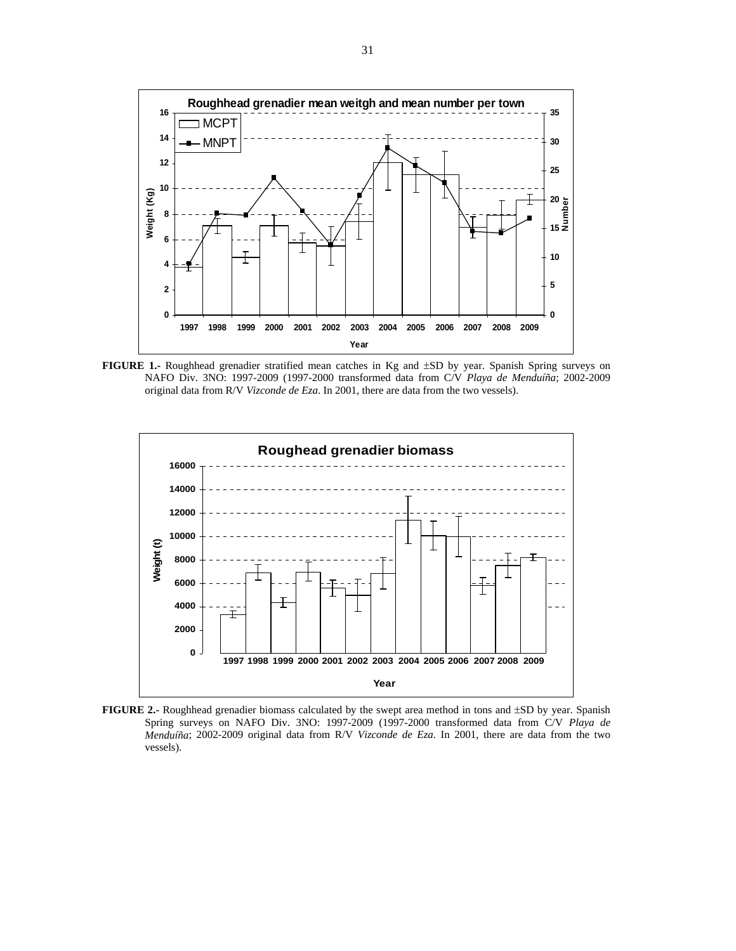

**FIGURE 1.-** Roughhead grenadier stratified mean catches in Kg and ±SD by year. Spanish Spring surveys on NAFO Div. 3NO: 1997-2009 (1997-2000 transformed data from C/V *Playa de Menduíña*; 2002-2009 original data from R/V *Vizconde de Eza*. In 2001, there are data from the two vessels).



**FIGURE 2.-** Roughhead grenadier biomass calculated by the swept area method in tons and ±SD by year. Spanish Spring surveys on NAFO Div. 3NO: 1997-2009 (1997-2000 transformed data from C/V *Playa de Menduíña*; 2002-2009 original data from R/V *Vizconde de Eza*. In 2001, there are data from the two vessels).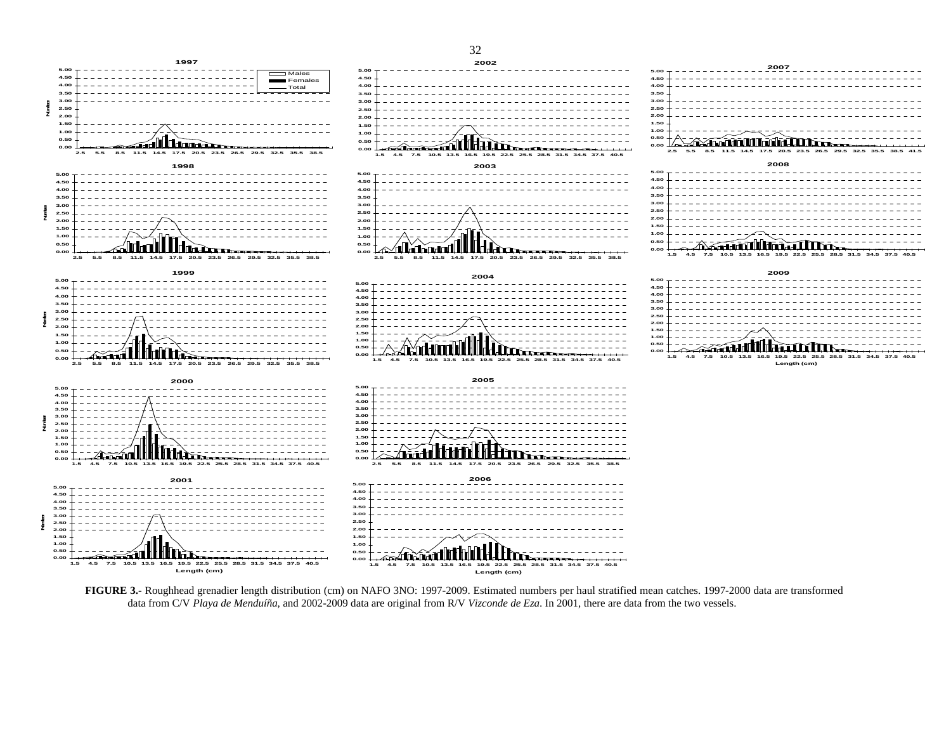

**FIGURE 3.-** Roughhead grenadier length distribution (cm) on NAFO 3NO: 1997-2009. Estimated numbers per haul stratified mean catches. 1997-2000 data are transformed data from C/V *Playa de Menduíña*, and 2002-2009 data are original from R/V *Vizconde de Eza*. In 2001, there are data from the two vessels.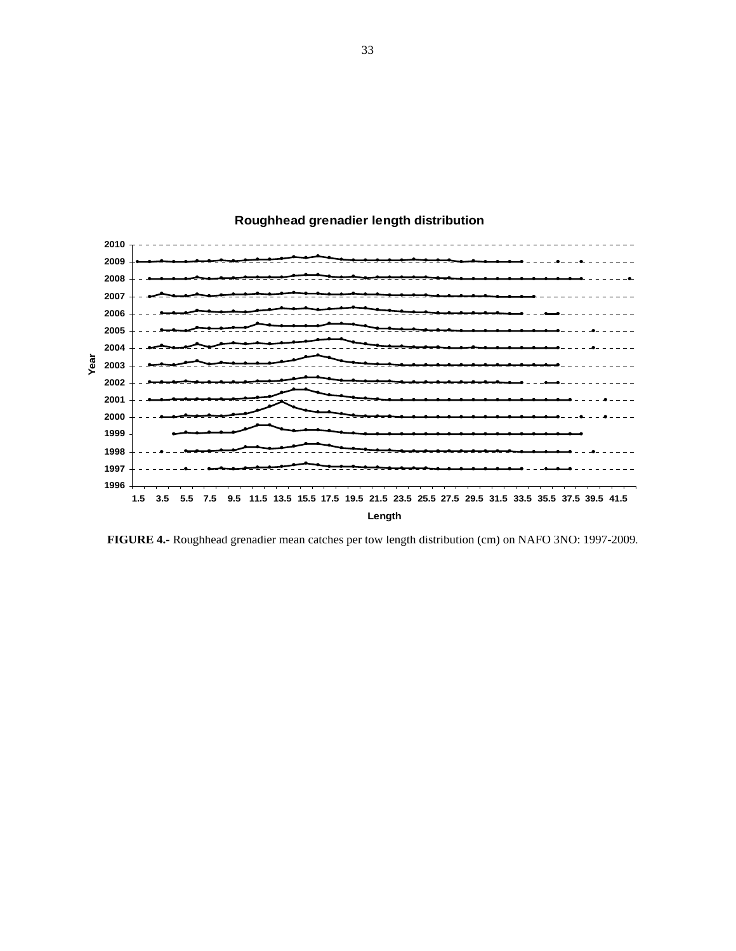

## **Roughhead grenadier length distribution**

**FIGURE 4.-** Roughhead grenadier mean catches per tow length distribution (cm) on NAFO 3NO: 1997-2009.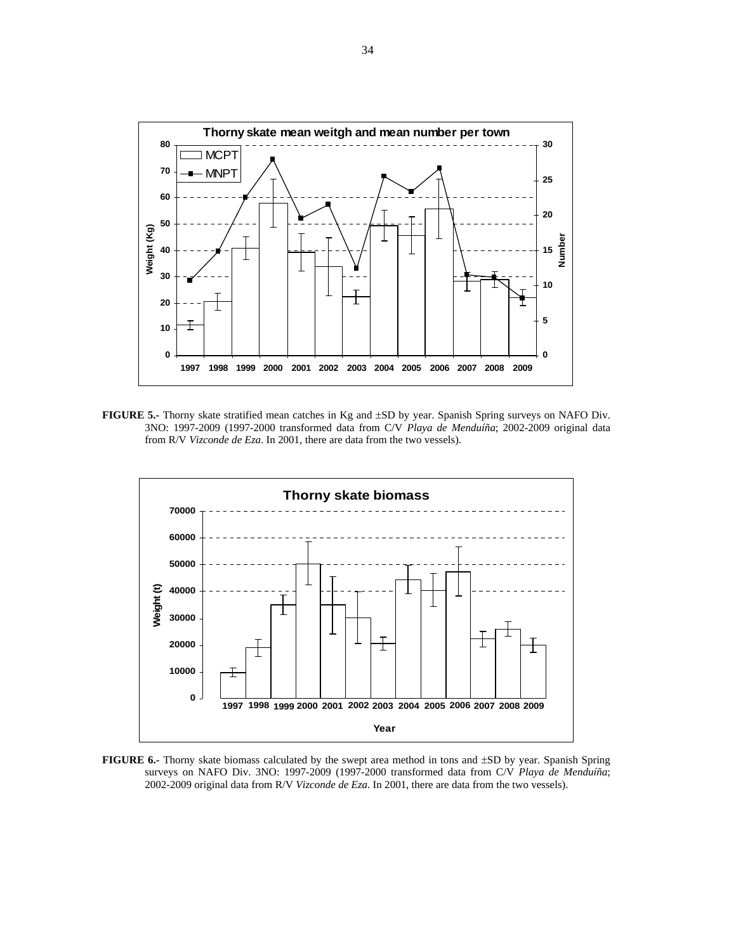

**FIGURE 5.-** Thorny skate stratified mean catches in Kg and ±SD by year. Spanish Spring surveys on NAFO Div. 3NO: 1997-2009 (1997-2000 transformed data from C/V *Playa de Menduíña*; 2002-2009 original data from R/V *Vizconde de Eza*. In 2001, there are data from the two vessels).



**FIGURE 6.-** Thorny skate biomass calculated by the swept area method in tons and ±SD by year. Spanish Spring surveys on NAFO Div. 3NO: 1997-2009 (1997-2000 transformed data from C/V *Playa de Menduíña*; 2002-2009 original data from R/V *Vizconde de Eza*. In 2001, there are data from the two vessels).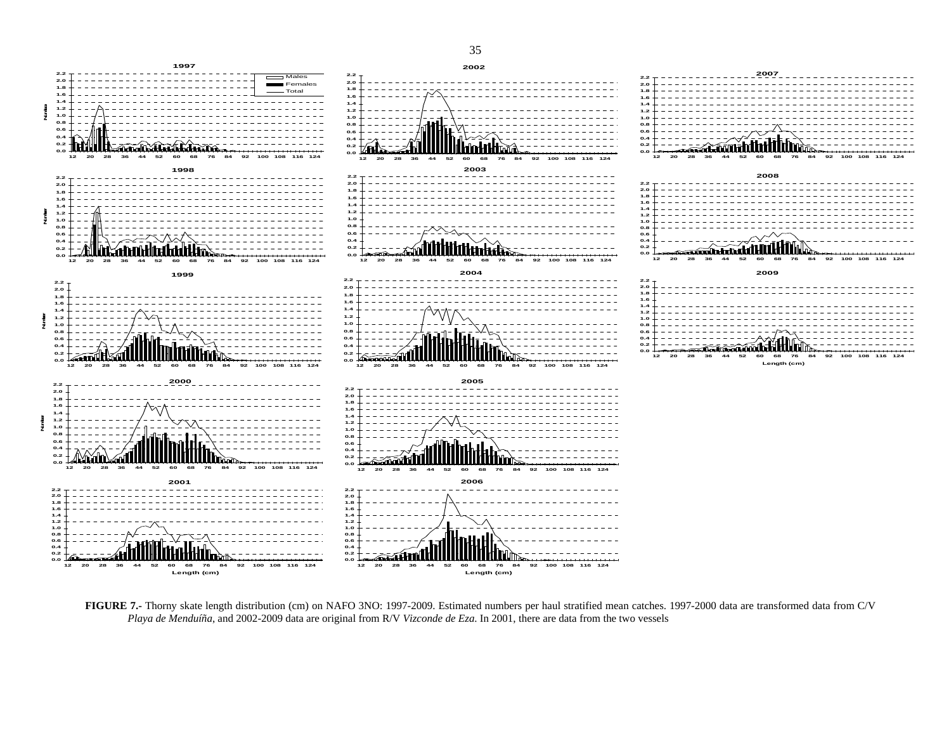

**FIGURE 7.-** Thorny skate length distribution (cm) on NAFO 3NO: 1997-2009. Estimated numbers per haul stratified mean catches. 1997-2000 data are transformed data from C/V *Playa de Menduíña*, and 2002-2009 data are original from R/V *Vizconde de Eza*. In 2001, there are data from the two vessels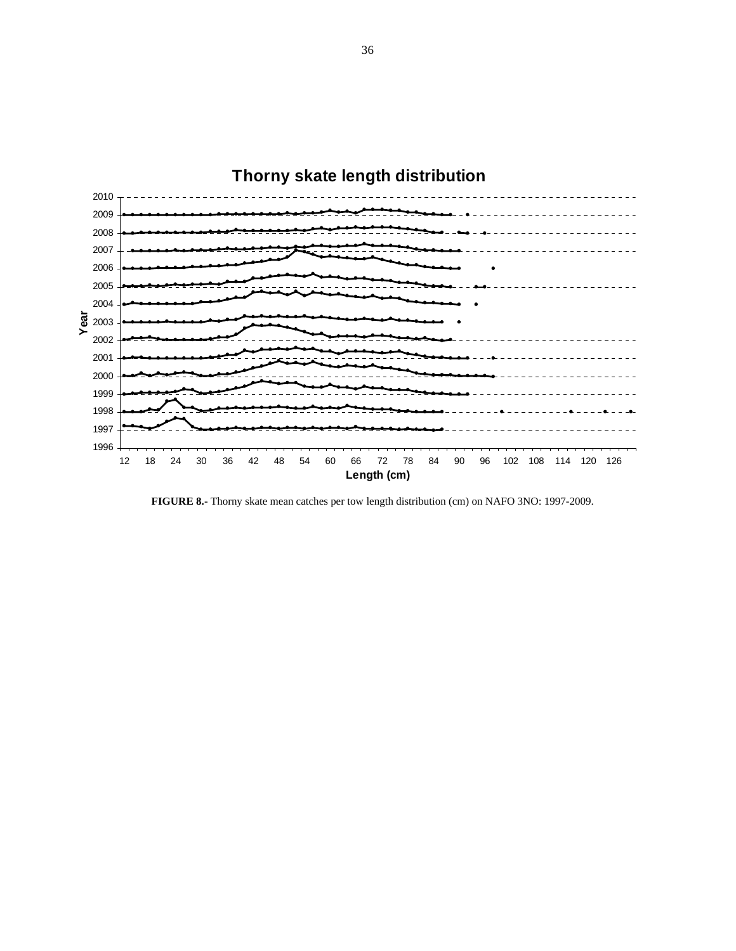

**FIGURE 8.-** Thorny skate mean catches per tow length distribution (cm) on NAFO 3NO: 1997-2009.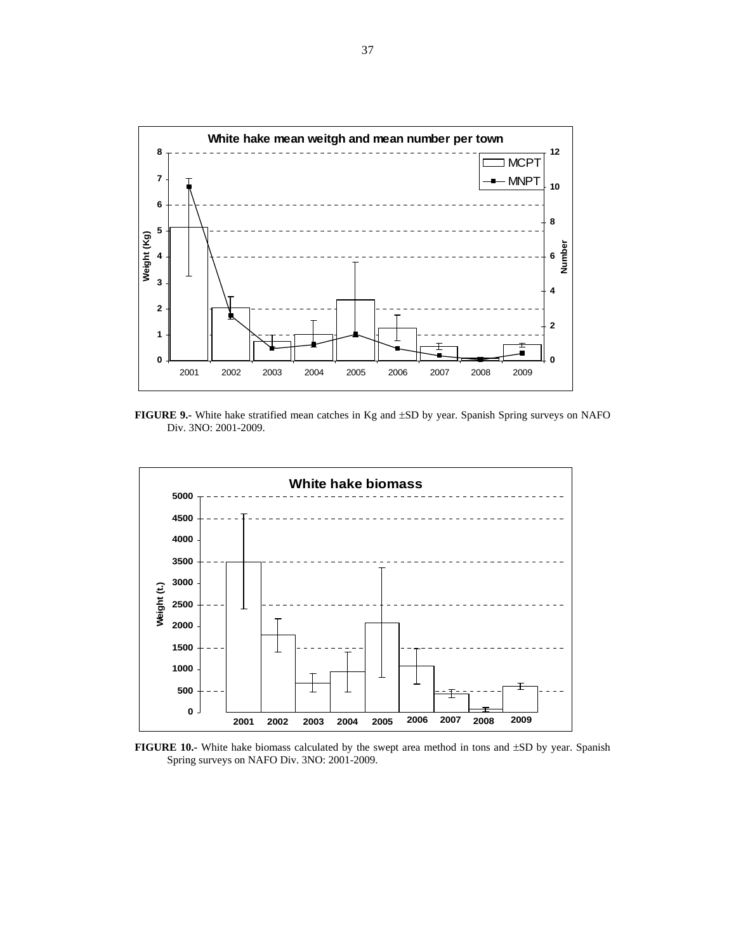

**FIGURE 9.-** White hake stratified mean catches in Kg and ±SD by year. Spanish Spring surveys on NAFO Div. 3NO: 2001-2009.



**FIGURE 10.-** White hake biomass calculated by the swept area method in tons and ±SD by year. Spanish Spring surveys on NAFO Div. 3NO: 2001-2009.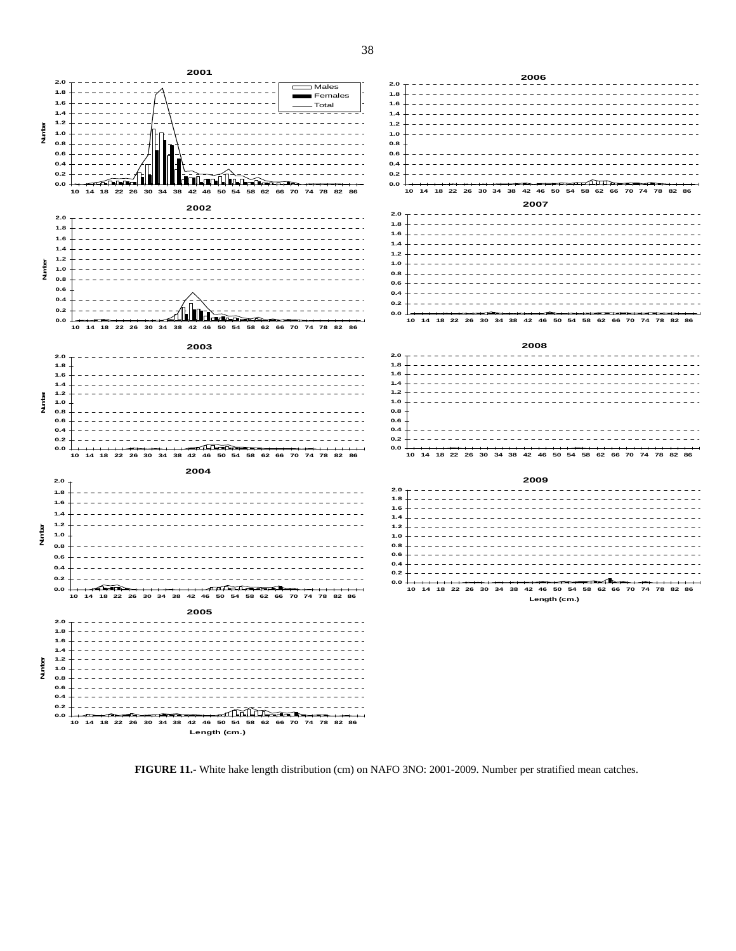

**2006 2.0 1.8 1.6 1.4 1.2 1.0 0.8 0.6 0.4 0.2 0.0**  $\Delta$ **10 14 18 22 26 30 34 38 42 46 50 54 58 62 66 70 74 78 82 86 2007**  $2.0 - - - - - -$ **1.8**  $\frac{1}{2} \left( \frac{1}{2} \right) \left( \frac{1}{2} \right) \left( \frac{1}{2} \right) \left( \frac{1}{2} \right) \left( \frac{1}{2} \right) \left( \frac{1}{2} \right) \left( \frac{1}{2} \right) \left( \frac{1}{2} \right) \left( \frac{1}{2} \right) \left( \frac{1}{2} \right) \left( \frac{1}{2} \right) \left( \frac{1}{2} \right) \left( \frac{1}{2} \right) \left( \frac{1}{2} \right) \left( \frac{1}{2} \right) \left( \frac{1}{2} \right) \left( \frac$ \_\_\_\_\_\_\_\_\_\_\_\_\_ **1.6 1.4 1.2 1.0 0.8 0.6 0.4 0.2** -----------------

**0.0 10 14 18 22 26 30 34 38 42 46 50 54 58 62 66 70 74 78 82 86**

#### **2008**

| 10 14 18 22 26 30 34 38 42 46 50 54 58 62 66 70 74 78 82 86 |  |  |  |  |  |  |  |  |  |  |  |  |  |  |  |  |  |  |  |  |  |  |
|-------------------------------------------------------------|--|--|--|--|--|--|--|--|--|--|--|--|--|--|--|--|--|--|--|--|--|--|

#### **2009**

| 2.0 |  |  |  |  |  |  |  |  |  |  |  |              |  |  |  |                                                             |  |  |  |  |  |  |  |
|-----|--|--|--|--|--|--|--|--|--|--|--|--------------|--|--|--|-------------------------------------------------------------|--|--|--|--|--|--|--|
| 1.8 |  |  |  |  |  |  |  |  |  |  |  |              |  |  |  |                                                             |  |  |  |  |  |  |  |
| 1.6 |  |  |  |  |  |  |  |  |  |  |  |              |  |  |  |                                                             |  |  |  |  |  |  |  |
| 1.4 |  |  |  |  |  |  |  |  |  |  |  |              |  |  |  |                                                             |  |  |  |  |  |  |  |
| 1.2 |  |  |  |  |  |  |  |  |  |  |  |              |  |  |  |                                                             |  |  |  |  |  |  |  |
| 1.0 |  |  |  |  |  |  |  |  |  |  |  |              |  |  |  |                                                             |  |  |  |  |  |  |  |
| 0.8 |  |  |  |  |  |  |  |  |  |  |  |              |  |  |  |                                                             |  |  |  |  |  |  |  |
| 0.6 |  |  |  |  |  |  |  |  |  |  |  |              |  |  |  |                                                             |  |  |  |  |  |  |  |
| 0.4 |  |  |  |  |  |  |  |  |  |  |  |              |  |  |  |                                                             |  |  |  |  |  |  |  |
| 0.2 |  |  |  |  |  |  |  |  |  |  |  |              |  |  |  |                                                             |  |  |  |  |  |  |  |
| 0.0 |  |  |  |  |  |  |  |  |  |  |  |              |  |  |  |                                                             |  |  |  |  |  |  |  |
|     |  |  |  |  |  |  |  |  |  |  |  |              |  |  |  | 10 14 18 22 26 30 34 38 42 46 50 54 58 62 66 70 74 78 82 86 |  |  |  |  |  |  |  |
|     |  |  |  |  |  |  |  |  |  |  |  | Length (cm.) |  |  |  |                                                             |  |  |  |  |  |  |  |
|     |  |  |  |  |  |  |  |  |  |  |  |              |  |  |  |                                                             |  |  |  |  |  |  |  |

**FIGURE 11.-** White hake length distribution (cm) on NAFO 3NO: 2001-2009. Number per stratified mean catches.